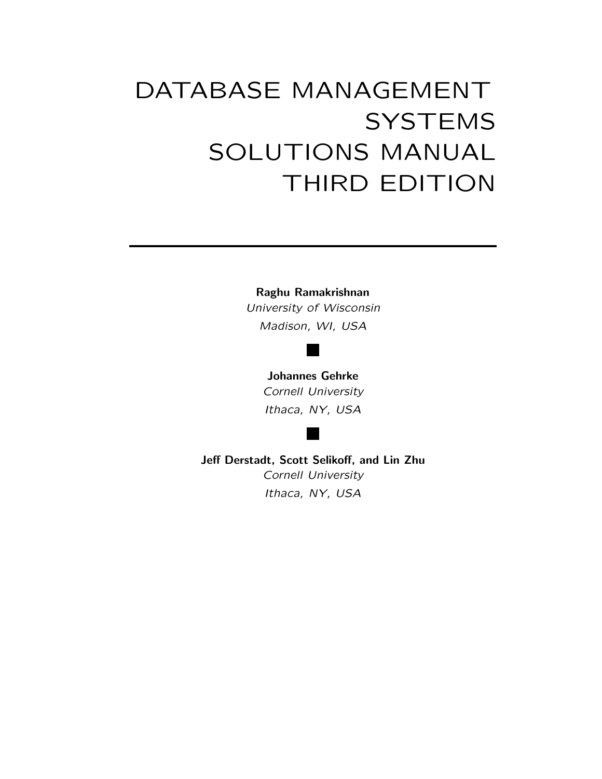# DATABASE MANAGEMENT **SYSTEMS** SOLUTIONS MANUAL THIRD EDITION

**Raghu Ramakrishnan**

*University of Wisconsin Madison, WI, USA*

> **Johannes Gehrke** *Cornell University Ithaca, NY, USA*

**Jeff Derstadt, Scott Selikoff, and Lin Zhu** *Cornell University Ithaca, NY, USA*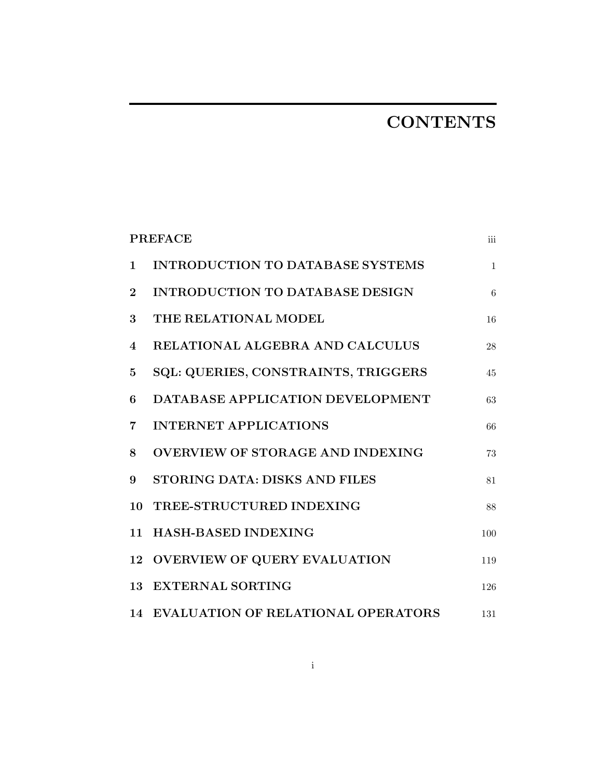## **CONTENTS**

|                | <b>PREFACE</b>                               | iii          |
|----------------|----------------------------------------------|--------------|
| $\mathbf{1}$   | <b>INTRODUCTION TO DATABASE SYSTEMS</b>      | $\mathbf{1}$ |
| $\overline{2}$ | <b>INTRODUCTION TO DATABASE DESIGN</b>       | 6            |
| 3              | THE RELATIONAL MODEL                         | 16           |
| $\overline{4}$ | RELATIONAL ALGEBRA AND CALCULUS              | 28           |
| $\overline{5}$ | SQL: QUERIES, CONSTRAINTS, TRIGGERS          | 45           |
| 6              | <b>DATABASE APPLICATION DEVELOPMENT</b>      | 63           |
| $\overline{7}$ | <b>INTERNET APPLICATIONS</b>                 | 66           |
| 8              | <b>OVERVIEW OF STORAGE AND INDEXING</b>      | 73           |
| 9              | <b>STORING DATA: DISKS AND FILES</b>         | 81           |
| 10             | TREE-STRUCTURED INDEXING                     | 88           |
| 11             | <b>HASH-BASED INDEXING</b>                   | 100          |
|                | 12 OVERVIEW OF QUERY EVALUATION              | 119          |
|                | <b>13 EXTERNAL SORTING</b>                   | 126          |
|                | <b>14 EVALUATION OF RELATIONAL OPERATORS</b> | 131          |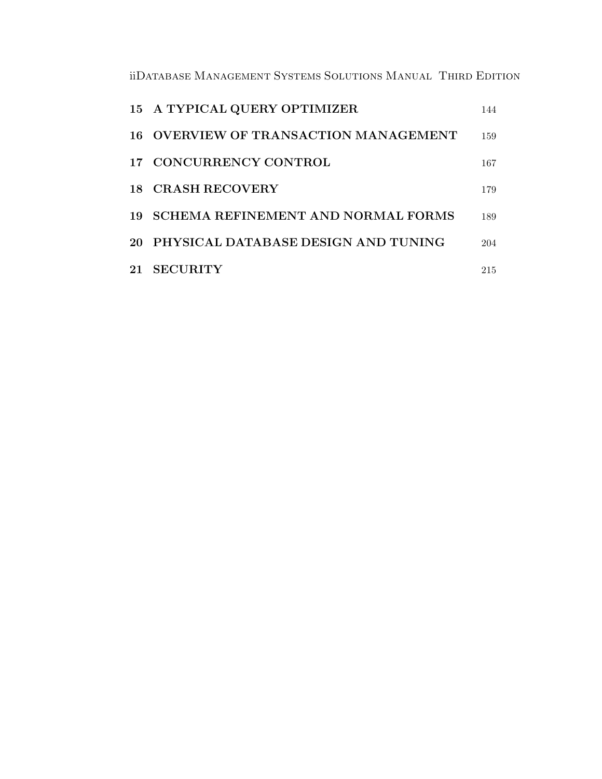iiDatabase Management Systems Solutions Manual Third Edition

| 15 A TYPICAL QUERY OPTIMIZER                 | 144 |
|----------------------------------------------|-----|
| <b>16 OVERVIEW OF TRANSACTION MANAGEMENT</b> | 159 |
| 17 CONCURRENCY CONTROL                       | 167 |
| <b>18 CRASH RECOVERY</b>                     | 179 |
| <b>19 SCHEMA REFINEMENT AND NORMAL FORMS</b> | 189 |
| 20 PHYSICAL DATABASE DESIGN AND TUNING       | 204 |
| 21 SECURITY                                  | 215 |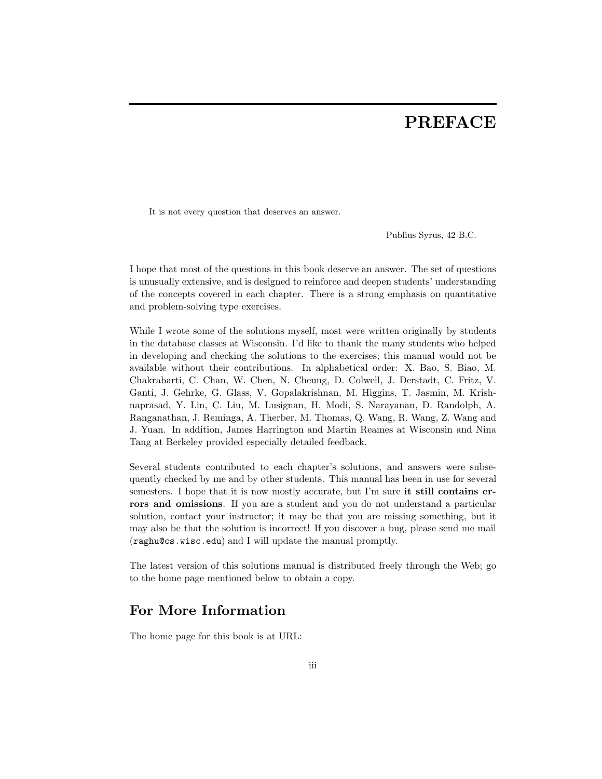#### **PREFACE**

It is not every question that deserves an answer.

Publius Syrus, 42 B.C.

I hope that most of the questions in this book deserve an answer. The set of questions is unusually extensive, and is designed to reinforce and deepen students' understanding of the concepts covered in each chapter. There is a strong emphasis on quantitative and problem-solving type exercises.

While I wrote some of the solutions myself, most were written originally by students in the database classes at Wisconsin. I'd like to thank the many students who helped in developing and checking the solutions to the exercises; this manual would not be available without their contributions. In alphabetical order: X. Bao, S. Biao, M. Chakrabarti, C. Chan, W. Chen, N. Cheung, D. Colwell, J. Derstadt, C. Fritz, V. Ganti, J. Gehrke, G. Glass, V. Gopalakrishnan, M. Higgins, T. Jasmin, M. Krishnaprasad, Y. Lin, C. Liu, M. Lusignan, H. Modi, S. Narayanan, D. Randolph, A. Ranganathan, J. Reminga, A. Therber, M. Thomas, Q. Wang, R. Wang, Z. Wang and J. Yuan. In addition, James Harrington and Martin Reames at Wisconsin and Nina Tang at Berkeley provided especially detailed feedback.

Several students contributed to each chapter's solutions, and answers were subsequently checked by me and by other students. This manual has been in use for several semesters. I hope that it is now mostly accurate, but I'm sure **it still contains errors and omissions**. If you are a student and you do not understand a particular solution, contact your instructor; it may be that you are missing something, but it may also be that the solution is incorrect! If you discover a bug, please send me mail (raghu@cs.wisc.edu) and I will update the manual promptly.

The latest version of this solutions manual is distributed freely through the Web; go to the home page mentioned below to obtain a copy.

#### **For More Information**

The home page for this book is at URL: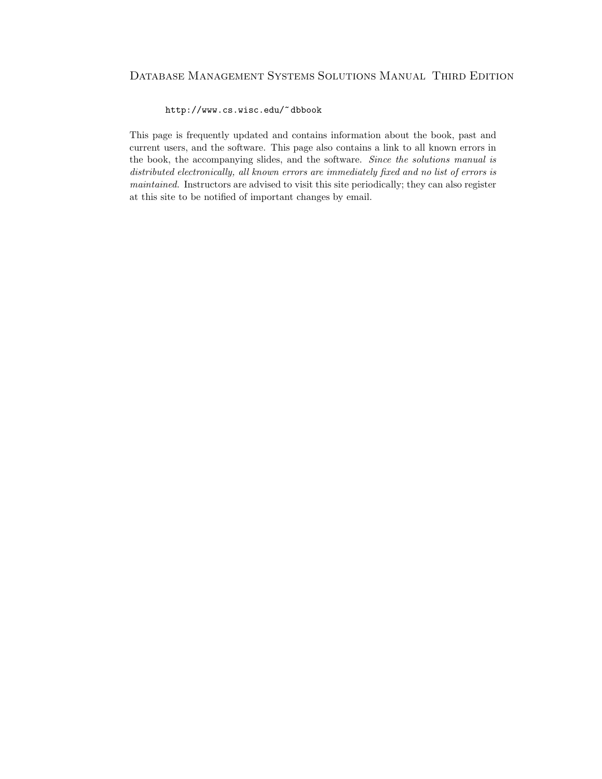#### Database Management Systems Solutions Manual Third Edition

http://www.cs.wisc.edu/~ dbbook

This page is frequently updated and contains information about the book, past and current users, and the software. This page also contains a link to all known errors in the book, the accompanying slides, and the software. *Since the solutions manual is distributed electronically, all known errors are immediately fixed and no list of errors is maintained.* Instructors are advised to visit this site periodically; they can also register at this site to be notified of important changes by email.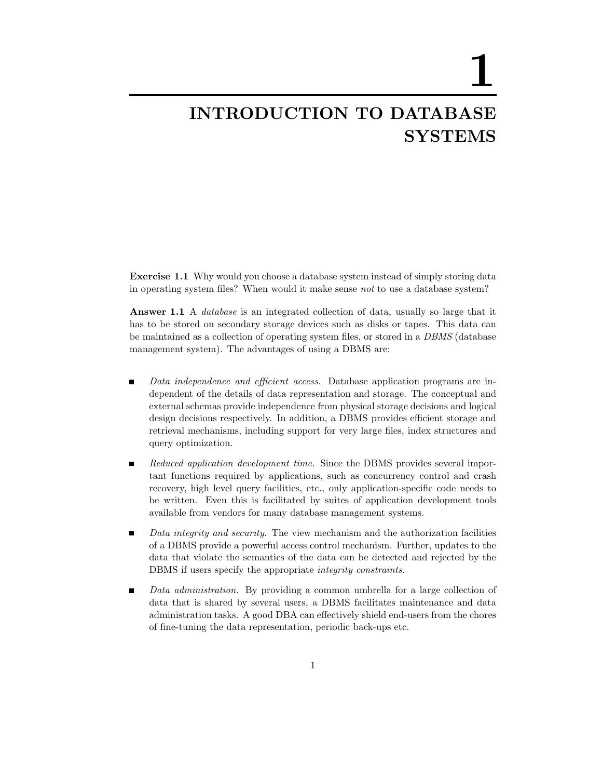# **1 INTRODUCTION TO DATABASE SYSTEMS**

**Exercise 1.1** Why would you choose a database system instead of simply storing data in operating system files? When would it make sense *not* to use a database system?

**Answer 1.1** A *database* is an integrated collection of data, usually so large that it has to be stored on secondary storage devices such as disks or tapes. This data can be maintained as a collection of operating system files, or stored in a *DBMS* (database management system). The advantages of using a DBMS are:

- *Data independence and efficient access.* Database application programs are independent of the details of data representation and storage. The conceptual and external schemas provide independence from physical storage decisions and logical design decisions respectively. In addition, a DBMS provides efficient storage and retrieval mechanisms, including support for very large files, index structures and query optimization.
- *Reduced application development time.* Since the DBMS provides several impor- $\blacksquare$ tant functions required by applications, such as concurrency control and crash recovery, high level query facilities, etc., only application-specific code needs to be written. Even this is facilitated by suites of application development tools available from vendors for many database management systems.
- *Data integrity and security.* The view mechanism and the authorization facilities of a DBMS provide a powerful access control mechanism. Further, updates to the data that violate the semantics of the data can be detected and rejected by the DBMS if users specify the appropriate *integrity constraints*.
- *Data administration.* By providing a common umbrella for a large collection of data that is shared by several users, a DBMS facilitates maintenance and data administration tasks. A good DBA can effectively shield end-users from the chores of fine-tuning the data representation, periodic back-ups etc.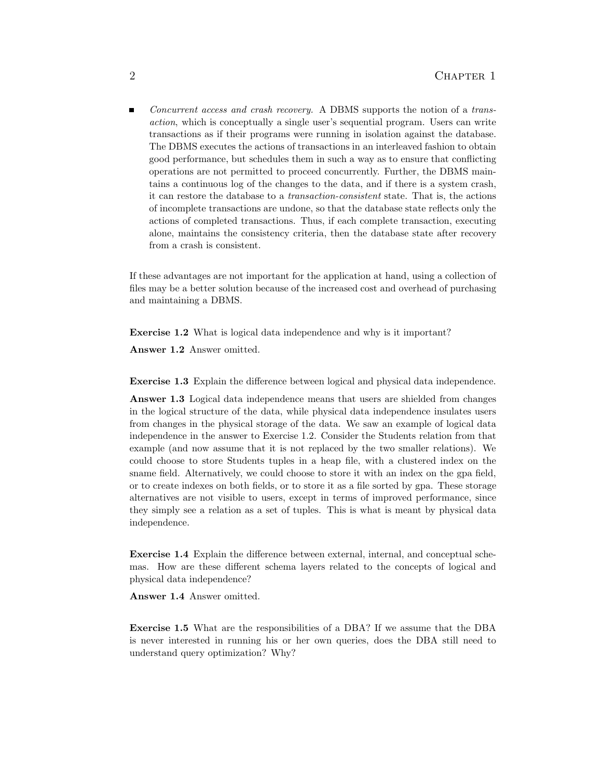*Concurrent access and crash recovery.* A DBMS supports the notion of a *trans-* $\blacksquare$ *action*, which is conceptually a single user's sequential program. Users can write transactions as if their programs were running in isolation against the database. The DBMS executes the actions of transactions in an interleaved fashion to obtain good performance, but schedules them in such a way as to ensure that conflicting operations are not permitted to proceed concurrently. Further, the DBMS maintains a continuous log of the changes to the data, and if there is a system crash, it can restore the database to a *transaction-consistent* state. That is, the actions of incomplete transactions are undone, so that the database state reflects only the actions of completed transactions. Thus, if each complete transaction, executing alone, maintains the consistency criteria, then the database state after recovery from a crash is consistent.

If these advantages are not important for the application at hand, using a collection of files may be a better solution because of the increased cost and overhead of purchasing and maintaining a DBMS.

**Exercise 1.2** What is logical data independence and why is it important?

**Answer 1.2** Answer omitted.

**Exercise 1.3** Explain the difference between logical and physical data independence.

**Answer 1.3** Logical data independence means that users are shielded from changes in the logical structure of the data, while physical data independence insulates users from changes in the physical storage of the data. We saw an example of logical data independence in the answer to Exercise 1.2. Consider the Students relation from that example (and now assume that it is not replaced by the two smaller relations). We could choose to store Students tuples in a heap file, with a clustered index on the sname field. Alternatively, we could choose to store it with an index on the gpa field, or to create indexes on both fields, or to store it as a file sorted by gpa. These storage alternatives are not visible to users, except in terms of improved performance, since they simply see a relation as a set of tuples. This is what is meant by physical data independence.

**Exercise 1.4** Explain the difference between external, internal, and conceptual schemas. How are these different schema layers related to the concepts of logical and physical data independence?

**Answer 1.4** Answer omitted.

**Exercise 1.5** What are the responsibilities of a DBA? If we assume that the DBA is never interested in running his or her own queries, does the DBA still need to understand query optimization? Why?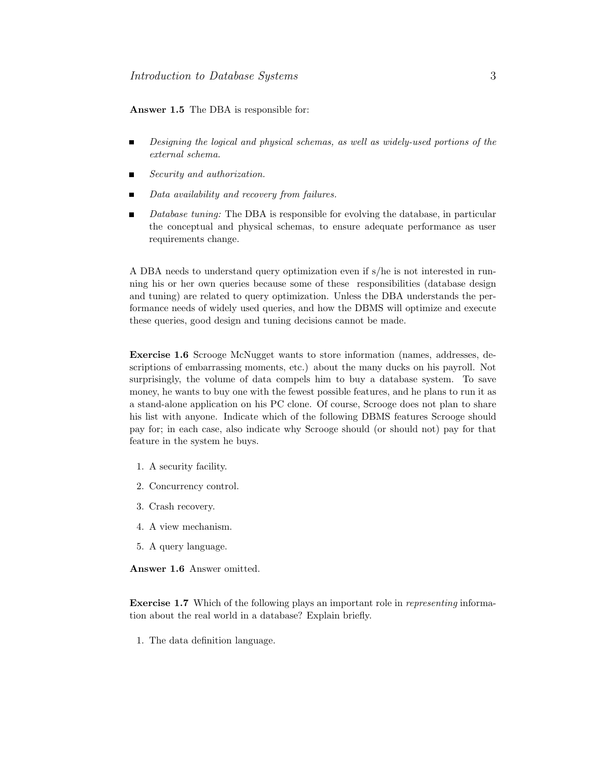**Answer 1.5** The DBA is responsible for:

- *Designing the logical and physical schemas, as well as widely-used portions of the external schema.*
- *Security and authorization.*
- *Data availability and recovery from failures.*
- *Database tuning:* The DBA is responsible for evolving the database, in particular the conceptual and physical schemas, to ensure adequate performance as user requirements change.

A DBA needs to understand query optimization even if s/he is not interested in running his or her own queries because some of these responsibilities (database design and tuning) are related to query optimization. Unless the DBA understands the performance needs of widely used queries, and how the DBMS will optimize and execute these queries, good design and tuning decisions cannot be made.

**Exercise 1.6** Scrooge McNugget wants to store information (names, addresses, descriptions of embarrassing moments, etc.) about the many ducks on his payroll. Not surprisingly, the volume of data compels him to buy a database system. To save money, he wants to buy one with the fewest possible features, and he plans to run it as a stand-alone application on his PC clone. Of course, Scrooge does not plan to share his list with anyone. Indicate which of the following DBMS features Scrooge should pay for; in each case, also indicate why Scrooge should (or should not) pay for that feature in the system he buys.

- 1. A security facility.
- 2. Concurrency control.
- 3. Crash recovery.
- 4. A view mechanism.
- 5. A query language.

**Answer 1.6** Answer omitted.

**Exercise 1.7** Which of the following plays an important role in *representing* information about the real world in a database? Explain briefly.

1. The data definition language.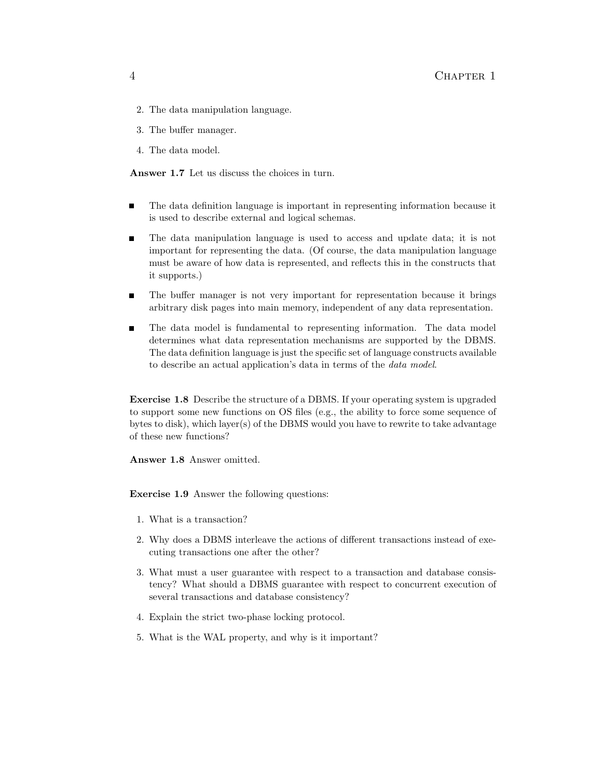- 2. The data manipulation language.
- 3. The buffer manager.
- 4. The data model.

**Answer 1.7** Let us discuss the choices in turn.

- The data definition language is important in representing information because it is used to describe external and logical schemas.
- The data manipulation language is used to access and update data; it is not important for representing the data. (Of course, the data manipulation language must be aware of how data is represented, and reflects this in the constructs that it supports.)
- The buffer manager is not very important for representation because it brings arbitrary disk pages into main memory, independent of any data representation.
- $\blacksquare$ The data model is fundamental to representing information. The data model determines what data representation mechanisms are supported by the DBMS. The data definition language is just the specific set of language constructs available to describe an actual application's data in terms of the *data model*.

**Exercise 1.8** Describe the structure of a DBMS. If your operating system is upgraded to support some new functions on OS files (e.g., the ability to force some sequence of bytes to disk), which layer(s) of the DBMS would you have to rewrite to take advantage of these new functions?

**Answer 1.8** Answer omitted.

**Exercise 1.9** Answer the following questions:

- 1. What is a transaction?
- 2. Why does a DBMS interleave the actions of different transactions instead of executing transactions one after the other?
- 3. What must a user guarantee with respect to a transaction and database consistency? What should a DBMS guarantee with respect to concurrent execution of several transactions and database consistency?
- 4. Explain the strict two-phase locking protocol.
- 5. What is the WAL property, and why is it important?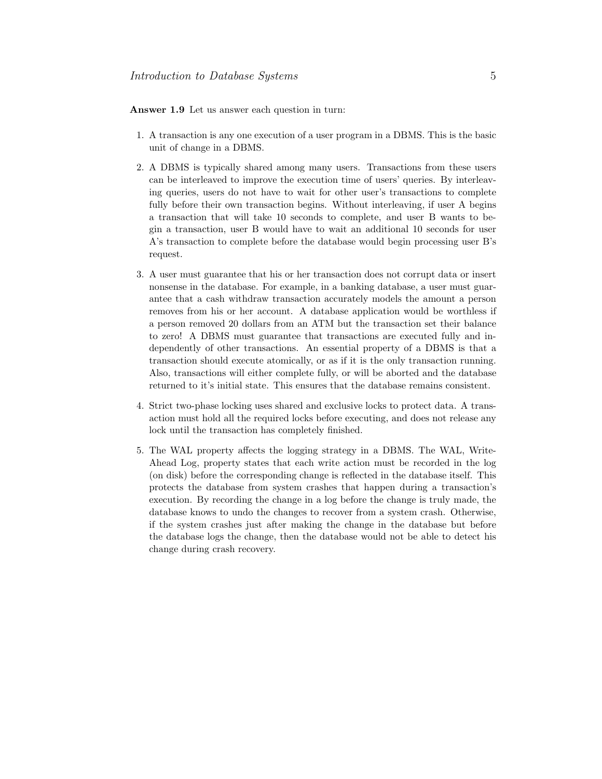**Answer 1.9** Let us answer each question in turn:

- 1. A transaction is any one execution of a user program in a DBMS. This is the basic unit of change in a DBMS.
- 2. A DBMS is typically shared among many users. Transactions from these users can be interleaved to improve the execution time of users' queries. By interleaving queries, users do not have to wait for other user's transactions to complete fully before their own transaction begins. Without interleaving, if user A begins a transaction that will take 10 seconds to complete, and user B wants to begin a transaction, user B would have to wait an additional 10 seconds for user A's transaction to complete before the database would begin processing user B's request.
- 3. A user must guarantee that his or her transaction does not corrupt data or insert nonsense in the database. For example, in a banking database, a user must guarantee that a cash withdraw transaction accurately models the amount a person removes from his or her account. A database application would be worthless if a person removed 20 dollars from an ATM but the transaction set their balance to zero! A DBMS must guarantee that transactions are executed fully and independently of other transactions. An essential property of a DBMS is that a transaction should execute atomically, or as if it is the only transaction running. Also, transactions will either complete fully, or will be aborted and the database returned to it's initial state. This ensures that the database remains consistent.
- 4. Strict two-phase locking uses shared and exclusive locks to protect data. A transaction must hold all the required locks before executing, and does not release any lock until the transaction has completely finished.
- 5. The WAL property affects the logging strategy in a DBMS. The WAL, Write-Ahead Log, property states that each write action must be recorded in the log (on disk) before the corresponding change is reflected in the database itself. This protects the database from system crashes that happen during a transaction's execution. By recording the change in a log before the change is truly made, the database knows to undo the changes to recover from a system crash. Otherwise, if the system crashes just after making the change in the database but before the database logs the change, then the database would not be able to detect his change during crash recovery.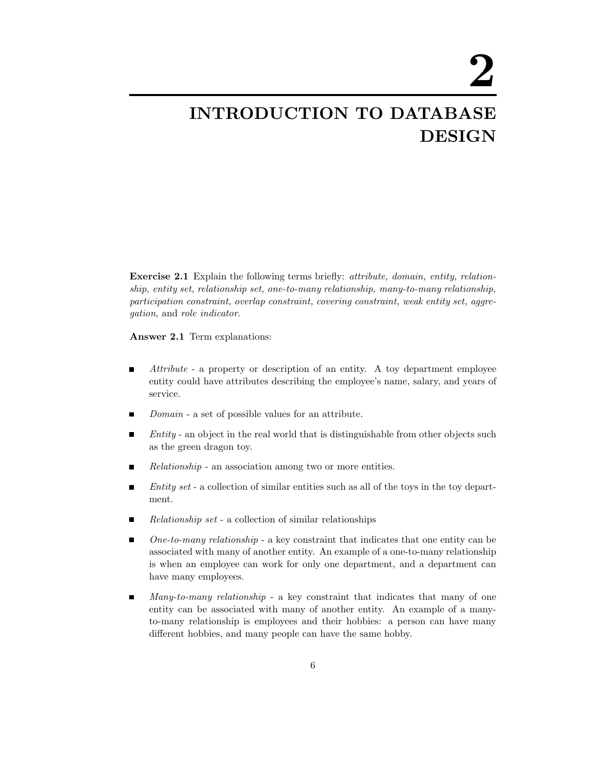# **2 INTRODUCTION TO DATABASE DESIGN**

**Exercise 2.1** Explain the following terms briefly: *attribute, domain, entity, relationship, entity set, relationship set, one-to-many relationship, many-to-many relationship, participation constraint, overlap constraint, covering constraint, weak entity set, aggregation*, and *role indicator*.

**Answer 2.1** Term explanations:

- *Attribute* a property or description of an entity. A toy department employee entity could have attributes describing the employee's name, salary, and years of service.
- *Domain* a set of possible values for an attribute.
- *Entity* an object in the real world that is distinguishable from other objects such  $\blacksquare$ as the green dragon toy.
- *Relationship* an association among two or more entities.
- *Entity set* a collection of similar entities such as all of the toys in the toy depart- $\blacksquare$ ment.
- *Relationship set* a collection of similar relationships
- *One-to-many relationship* a key constraint that indicates that one entity can be  $\blacksquare$ associated with many of another entity. An example of a one-to-many relationship is when an employee can work for only one department, and a department can have many employees.
- *Many-to-many relationship* a key constraint that indicates that many of one entity can be associated with many of another entity. An example of a manyto-many relationship is employees and their hobbies: a person can have many different hobbies, and many people can have the same hobby.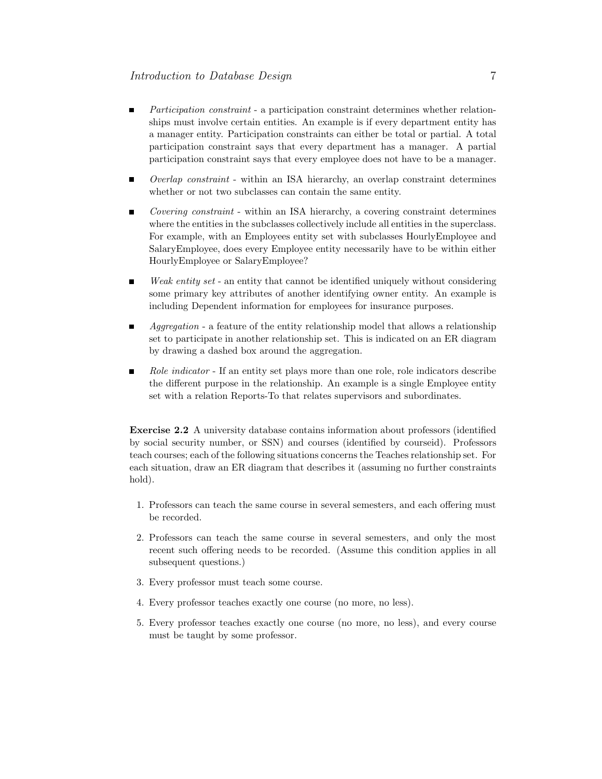- *Participation constraint* a participation constraint determines whether relationships must involve certain entities. An example is if every department entity has a manager entity. Participation constraints can either be total or partial. A total participation constraint says that every department has a manager. A partial participation constraint says that every employee does not have to be a manager.
- *Overlap constraint* within an ISA hierarchy, an overlap constraint determines whether or not two subclasses can contain the same entity.
- *Covering constraint* within an ISA hierarchy, a covering constraint determines where the entities in the subclasses collectively include all entities in the superclass. For example, with an Employees entity set with subclasses HourlyEmployee and SalaryEmployee, does every Employee entity necessarily have to be within either HourlyEmployee or SalaryEmployee?
- *Weak entity set* an entity that cannot be identified uniquely without considering some primary key attributes of another identifying owner entity. An example is including Dependent information for employees for insurance purposes.
- *Aggregation* a feature of the entity relationship model that allows a relationship set to participate in another relationship set. This is indicated on an ER diagram by drawing a dashed box around the aggregation.
- *Role indicator* If an entity set plays more than one role, role indicators describe the different purpose in the relationship. An example is a single Employee entity set with a relation Reports-To that relates supervisors and subordinates.

**Exercise 2.2** A university database contains information about professors (identified by social security number, or SSN) and courses (identified by courseid). Professors teach courses; each of the following situations concerns the Teaches relationship set. For each situation, draw an ER diagram that describes it (assuming no further constraints hold).

- 1. Professors can teach the same course in several semesters, and each offering must be recorded.
- 2. Professors can teach the same course in several semesters, and only the most recent such offering needs to be recorded. (Assume this condition applies in all subsequent questions.)
- 3. Every professor must teach some course.
- 4. Every professor teaches exactly one course (no more, no less).
- 5. Every professor teaches exactly one course (no more, no less), and every course must be taught by some professor.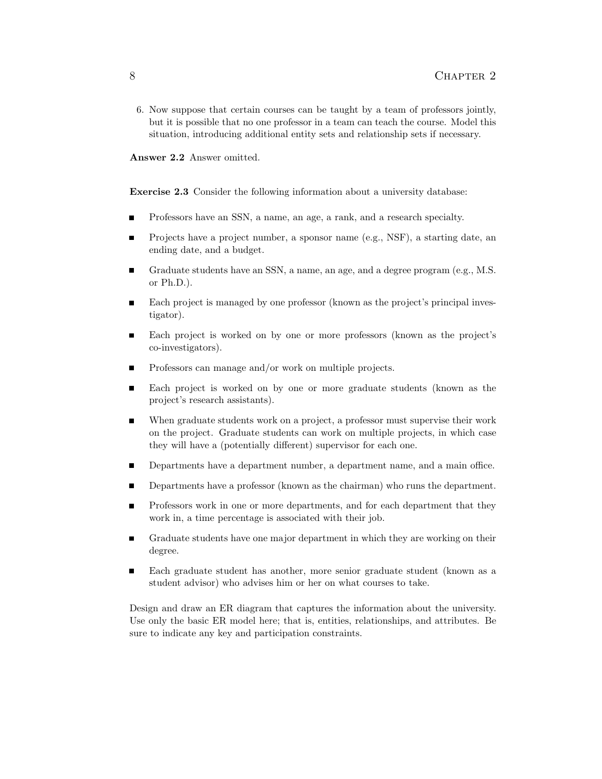6. Now suppose that certain courses can be taught by a team of professors jointly, but it is possible that no one professor in a team can teach the course. Model this situation, introducing additional entity sets and relationship sets if necessary.

**Answer 2.2** Answer omitted.

**Exercise 2.3** Consider the following information about a university database:

- Professors have an SSN, a name, an age, a rank, and a research specialty.
- Projects have a project number, a sponsor name (e.g., NSF), a starting date, an ending date, and a budget.
- Graduate students have an SSN, a name, an age, and a degree program (e.g., M.S. or Ph.D.).
- Each project is managed by one professor (known as the project's principal investigator).
- Each project is worked on by one or more professors (known as the project's co-investigators).
- Professors can manage and/or work on multiple projects.
- Each project is worked on by one or more graduate students (known as the project's research assistants).
- When graduate students work on a project, a professor must supervise their work on the project. Graduate students can work on multiple projects, in which case they will have a (potentially different) supervisor for each one.
- Departments have a department number, a department name, and a main office.
- Departments have a professor (known as the chairman) who runs the department.
- Professors work in one or more departments, and for each department that they work in, a time percentage is associated with their job.
- Graduate students have one major department in which they are working on their degree.
- Each graduate student has another, more senior graduate student (known as a student advisor) who advises him or her on what courses to take.

Design and draw an ER diagram that captures the information about the university. Use only the basic ER model here; that is, entities, relationships, and attributes. Be sure to indicate any key and participation constraints.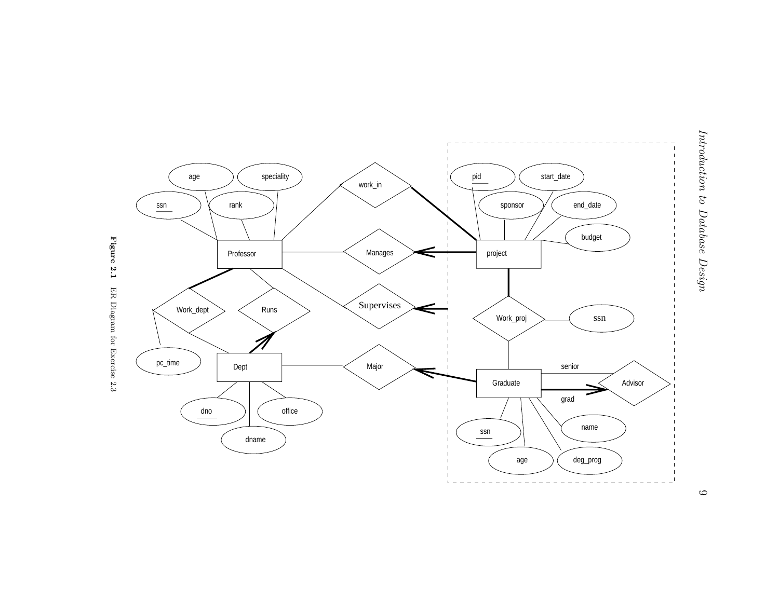

*Introduction to Database Design*

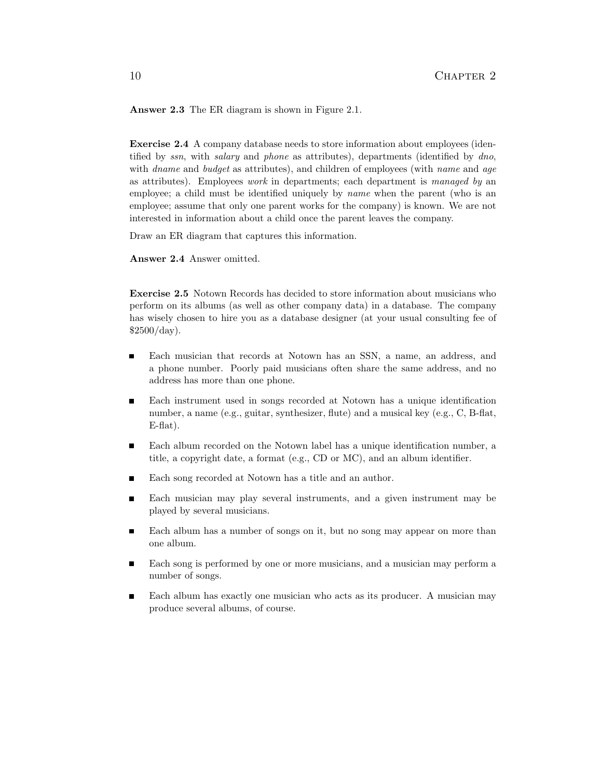**Answer 2.3** The ER diagram is shown in Figure 2.1.

**Exercise 2.4** A company database needs to store information about employees (identified by *ssn*, with *salary* and *phone* as attributes), departments (identified by *dno*, with *dname* and *budget* as attributes), and children of employees (with *name* and *age* as attributes). Employees *work* in departments; each department is *managed by* an employee; a child must be identified uniquely by *name* when the parent (who is an employee; assume that only one parent works for the company) is known. We are not interested in information about a child once the parent leaves the company.

Draw an ER diagram that captures this information.

**Answer 2.4** Answer omitted.

**Exercise 2.5** Notown Records has decided to store information about musicians who perform on its albums (as well as other company data) in a database. The company has wisely chosen to hire you as a database designer (at your usual consulting fee of \$2500/day).

- Each musician that records at Notown has an SSN, a name, an address, and a phone number. Poorly paid musicians often share the same address, and no address has more than one phone.
- Each instrument used in songs recorded at Notown has a unique identification  $\blacksquare$ number, a name (e.g., guitar, synthesizer, flute) and a musical key (e.g., C, B-flat, E-flat).
- Each album recorded on the Notown label has a unique identification number, a title, a copyright date, a format (e.g., CD or MC), and an album identifier.
- Each song recorded at Notown has a title and an author.
- Each musician may play several instruments, and a given instrument may be played by several musicians.
- Each album has a number of songs on it, but no song may appear on more than one album.
- Each song is performed by one or more musicians, and a musician may perform a number of songs.
- Each album has exactly one musician who acts as its producer. A musician may produce several albums, of course.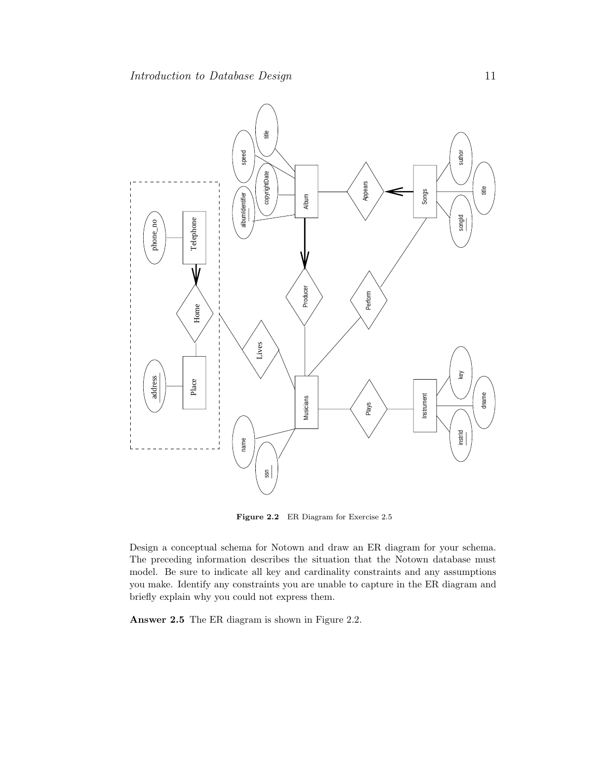

**Figure 2.2** ER Diagram for Exercise 2.5

Design a conceptual schema for Notown and draw an ER diagram for your schema. The preceding information describes the situation that the Notown database must model. Be sure to indicate all key and cardinality constraints and any assumptions you make. Identify any constraints you are unable to capture in the ER diagram and briefly explain why you could not express them.

**Answer 2.5** The ER diagram is shown in Figure 2.2.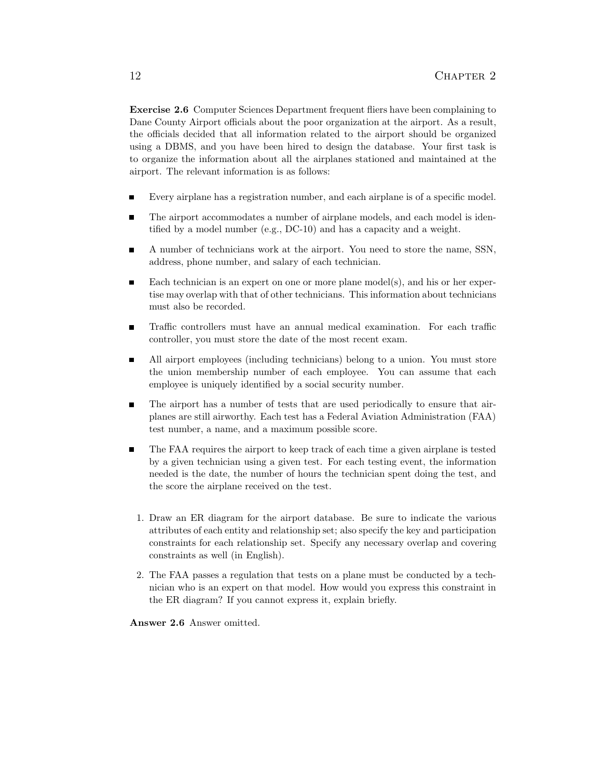**Exercise 2.6** Computer Sciences Department frequent fliers have been complaining to Dane County Airport officials about the poor organization at the airport. As a result, the officials decided that all information related to the airport should be organized using a DBMS, and you have been hired to design the database. Your first task is to organize the information about all the airplanes stationed and maintained at the airport. The relevant information is as follows:

- Every airplane has a registration number, and each airplane is of a specific model.
- The airport accommodates a number of airplane models, and each model is identified by a model number (e.g., DC-10) and has a capacity and a weight.
- A number of technicians work at the airport. You need to store the name, SSN, address, phone number, and salary of each technician.
- Each technician is an expert on one or more plane model(s), and his or her expertise may overlap with that of other technicians. This information about technicians must also be recorded.
- Traffic controllers must have an annual medical examination. For each traffic controller, you must store the date of the most recent exam.
- All airport employees (including technicians) belong to a union. You must store the union membership number of each employee. You can assume that each employee is uniquely identified by a social security number.
- The airport has a number of tests that are used periodically to ensure that airplanes are still airworthy. Each test has a Federal Aviation Administration (FAA) test number, a name, and a maximum possible score.
- The FAA requires the airport to keep track of each time a given airplane is tested by a given technician using a given test. For each testing event, the information needed is the date, the number of hours the technician spent doing the test, and the score the airplane received on the test.
- 1. Draw an ER diagram for the airport database. Be sure to indicate the various attributes of each entity and relationship set; also specify the key and participation constraints for each relationship set. Specify any necessary overlap and covering constraints as well (in English).
- 2. The FAA passes a regulation that tests on a plane must be conducted by a technician who is an expert on that model. How would you express this constraint in the ER diagram? If you cannot express it, explain briefly.

**Answer 2.6** Answer omitted.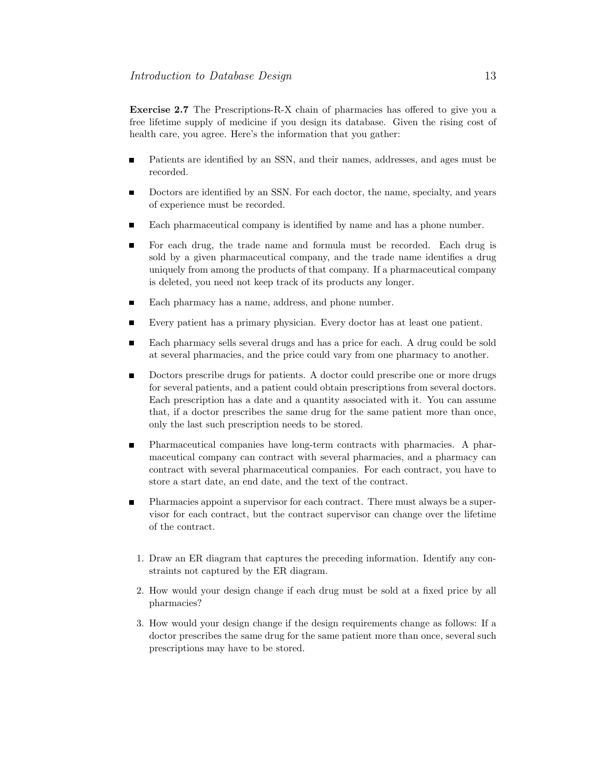**Exercise 2.7** The Prescriptions-R-X chain of pharmacies has offered to give you a free lifetime supply of medicine if you design its database. Given the rising cost of health care, you agree. Here's the information that you gather:

- Patients are identified by an SSN, and their names, addresses, and ages must be recorded.
- Doctors are identified by an SSN. For each doctor, the name, specialty, and years  $\blacksquare$ of experience must be recorded.
- Each pharmaceutical company is identified by name and has a phone number.
- For each drug, the trade name and formula must be recorded. Each drug is  $\blacksquare$ sold by a given pharmaceutical company, and the trade name identifies a drug uniquely from among the products of that company. If a pharmaceutical company is deleted, you need not keep track of its products any longer.
- Each pharmacy has a name, address, and phone number.
- Every patient has a primary physician. Every doctor has at least one patient.
- Each pharmacy sells several drugs and has a price for each. A drug could be sold at several pharmacies, and the price could vary from one pharmacy to another.
- Doctors prescribe drugs for patients. A doctor could prescribe one or more drugs for several patients, and a patient could obtain prescriptions from several doctors. Each prescription has a date and a quantity associated with it. You can assume that, if a doctor prescribes the same drug for the same patient more than once, only the last such prescription needs to be stored.
- Pharmaceutical companies have long-term contracts with pharmacies. A pharmaceutical company can contract with several pharmacies, and a pharmacy can contract with several pharmaceutical companies. For each contract, you have to store a start date, an end date, and the text of the contract.
- Pharmacies appoint a supervisor for each contract. There must always be a supervisor for each contract, but the contract supervisor can change over the lifetime of the contract.
	- 1. Draw an ER diagram that captures the preceding information. Identify any constraints not captured by the ER diagram.
	- 2. How would your design change if each drug must be sold at a fixed price by all pharmacies?
	- 3. How would your design change if the design requirements change as follows: If a doctor prescribes the same drug for the same patient more than once, several such prescriptions may have to be stored.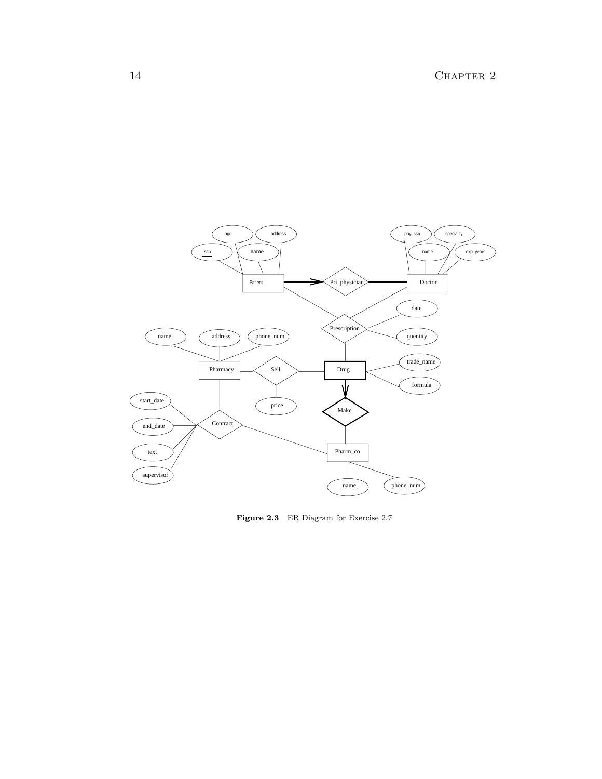

**Figure 2.3** ER Diagram for Exercise 2.7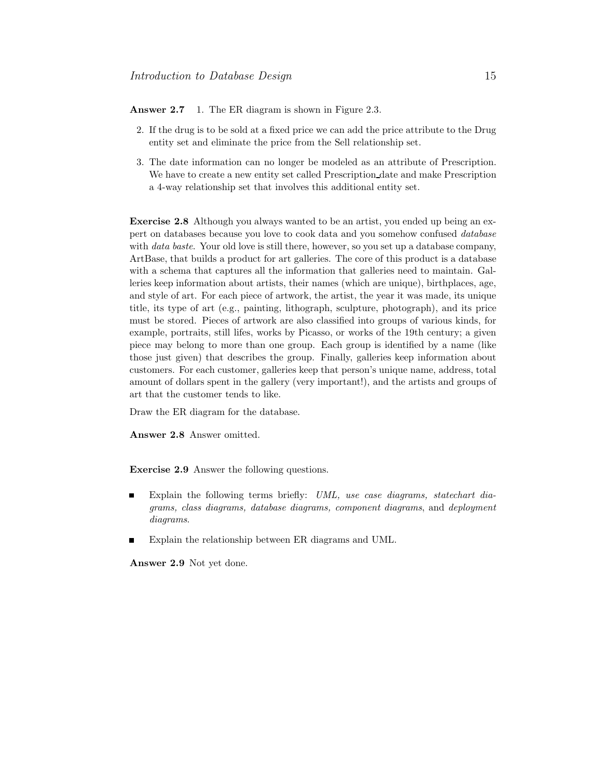**Answer 2.7** 1. The ER diagram is shown in Figure 2.3.

- 2. If the drug is to be sold at a fixed price we can add the price attribute to the Drug entity set and eliminate the price from the Sell relationship set.
- 3. The date information can no longer be modeled as an attribute of Prescription. We have to create a new entity set called Prescription date and make Prescription a 4-way relationship set that involves this additional entity set.

**Exercise 2.8** Although you always wanted to be an artist, you ended up being an expert on databases because you love to cook data and you somehow confused *database* with *data baste*. Your old love is still there, however, so you set up a database company, ArtBase, that builds a product for art galleries. The core of this product is a database with a schema that captures all the information that galleries need to maintain. Galleries keep information about artists, their names (which are unique), birthplaces, age, and style of art. For each piece of artwork, the artist, the year it was made, its unique title, its type of art (e.g., painting, lithograph, sculpture, photograph), and its price must be stored. Pieces of artwork are also classified into groups of various kinds, for example, portraits, still lifes, works by Picasso, or works of the 19th century; a given piece may belong to more than one group. Each group is identified by a name (like those just given) that describes the group. Finally, galleries keep information about customers. For each customer, galleries keep that person's unique name, address, total amount of dollars spent in the gallery (very important!), and the artists and groups of art that the customer tends to like.

Draw the ER diagram for the database.

**Answer 2.8** Answer omitted.

**Exercise 2.9** Answer the following questions.

- Explain the following terms briefly: *UML, use case diagrams, statechart diagrams, class diagrams, database diagrams, component diagrams*, and *deployment diagrams*.
- Explain the relationship between ER diagrams and UML.

**Answer 2.9** Not yet done.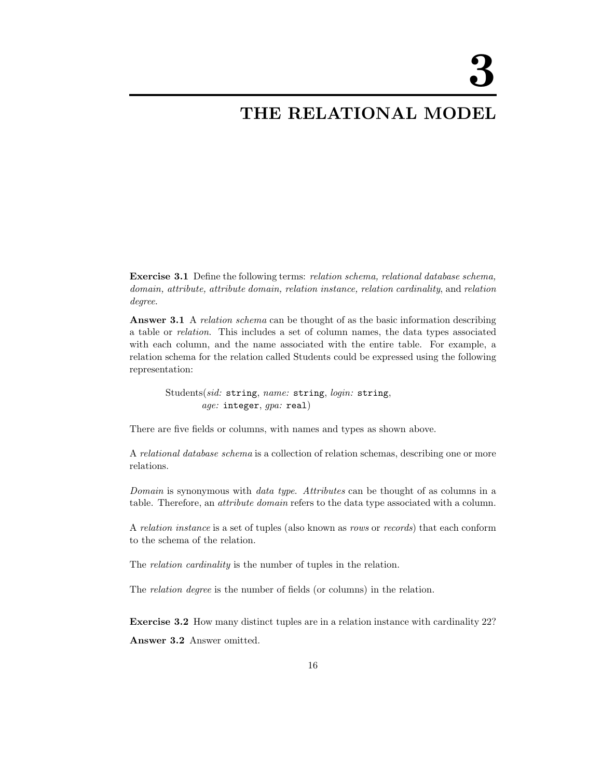# **3**

### **THE RELATIONAL MODEL**

**Exercise 3.1** Define the following terms: *relation schema, relational database schema, domain, attribute, attribute domain, relation instance, relation cardinality*, and *relation degree*.

**Answer 3.1** A *relation schema* can be thought of as the basic information describing a table or *relation*. This includes a set of column names, the data types associated with each column, and the name associated with the entire table. For example, a relation schema for the relation called Students could be expressed using the following representation:

Students(*sid:* string, *name:* string, *login:* string, *age:* integer, *gpa:* real)

There are five fields or columns, with names and types as shown above.

A *relational database schema* is a collection of relation schemas, describing one or more relations.

*Domain* is synonymous with *data type*. *Attributes* can be thought of as columns in a table. Therefore, an *attribute domain* refers to the data type associated with a column.

A *relation instance* is a set of tuples (also known as *rows* or *records*) that each conform to the schema of the relation.

The *relation cardinality* is the number of tuples in the relation.

The *relation degree* is the number of fields (or columns) in the relation.

**Exercise 3.2** How many distinct tuples are in a relation instance with cardinality 22?

**Answer 3.2** Answer omitted.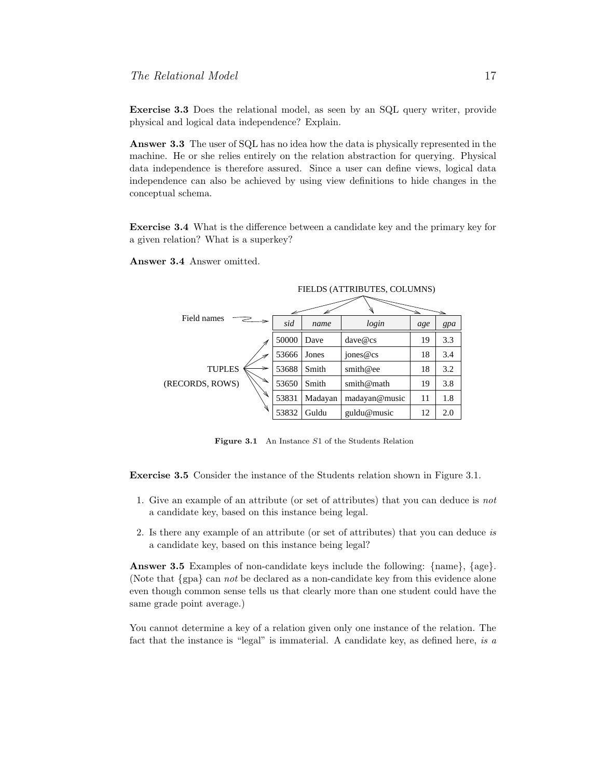**Exercise 3.3** Does the relational model, as seen by an SQL query writer, provide physical and logical data independence? Explain.

**Answer 3.3** The user of SQL has no idea how the data is physically represented in the machine. He or she relies entirely on the relation abstraction for querying. Physical data independence is therefore assured. Since a user can define views, logical data independence can also be achieved by using view definitions to hide changes in the conceptual schema.

**Exercise 3.4** What is the difference between a candidate key and the primary key for a given relation? What is a superkey?

**Answer 3.4** Answer omitted.



**Figure 3.1** An Instance *<sup>S</sup>*1 of the Students Relation

**Exercise 3.5** Consider the instance of the Students relation shown in Figure 3.1.

- 1. Give an example of an attribute (or set of attributes) that you can deduce is *not* a candidate key, based on this instance being legal.
- 2. Is there any example of an attribute (or set of attributes) that you can deduce *is* a candidate key, based on this instance being legal?

**Answer 3.5** Examples of non-candidate keys include the following: {name}, {age}. (Note that {gpa} can *not* be declared as a non-candidate key from this evidence alone even though common sense tells us that clearly more than one student could have the same grade point average.)

You cannot determine a key of a relation given only one instance of the relation. The fact that the instance is "legal" is immaterial. A candidate key, as defined here, *is a*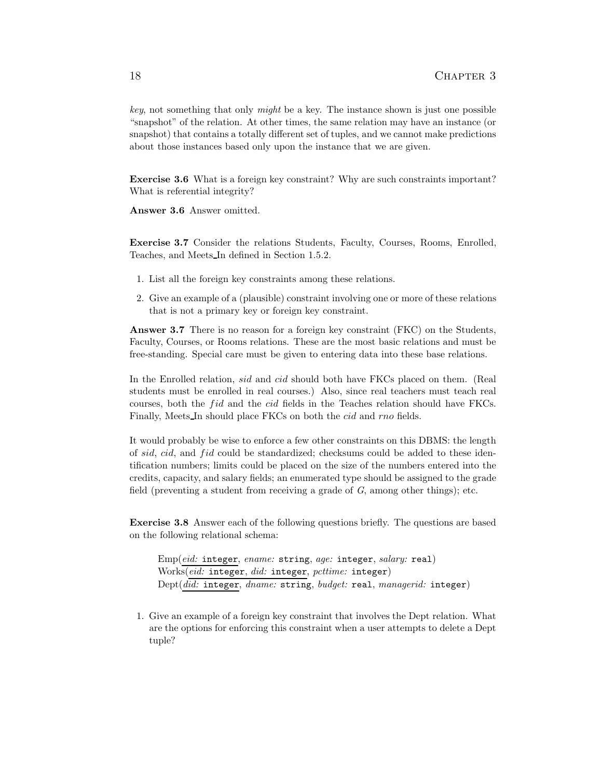*key*, not something that only *might* be a key. The instance shown is just one possible "snapshot" of the relation. At other times, the same relation may have an instance (or snapshot) that contains a totally different set of tuples, and we cannot make predictions about those instances based only upon the instance that we are given.

**Exercise 3.6** What is a foreign key constraint? Why are such constraints important? What is referential integrity?

**Answer 3.6** Answer omitted.

**Exercise 3.7** Consider the relations Students, Faculty, Courses, Rooms, Enrolled, Teaches, and Meets In defined in Section 1.5.2.

- 1. List all the foreign key constraints among these relations.
- 2. Give an example of a (plausible) constraint involving one or more of these relations that is not a primary key or foreign key constraint.

**Answer 3.7** There is no reason for a foreign key constraint (FKC) on the Students, Faculty, Courses, or Rooms relations. These are the most basic relations and must be free-standing. Special care must be given to entering data into these base relations.

In the Enrolled relation, sid and cid should both have FKCs placed on them. (Real students must be enrolled in real courses.) Also, since real teachers must teach real courses, both the *fid* and the *cid* fields in the Teaches relation should have FKCs. Finally, Meets In should place FKCs on both the *cid* and rno fields.

It would probably be wise to enforce a few other constraints on this DBMS: the length of sid, cid, and fid could be standardized; checksums could be added to these identification numbers; limits could be placed on the size of the numbers entered into the credits, capacity, and salary fields; an enumerated type should be assigned to the grade field (preventing a student from receiving a grade of *G*, among other things); etc.

**Exercise 3.8** Answer each of the following questions briefly. The questions are based on the following relational schema:

Emp(*eid:* integer, *ename:* string, *age:* integer, *salary:* real) Works(*eid:* integer, *did:* integer, *pcttime:* integer) Dept(*did:* integer, *dname:* string, *budget:* real, *managerid:* integer)

1. Give an example of a foreign key constraint that involves the Dept relation. What are the options for enforcing this constraint when a user attempts to delete a Dept tuple?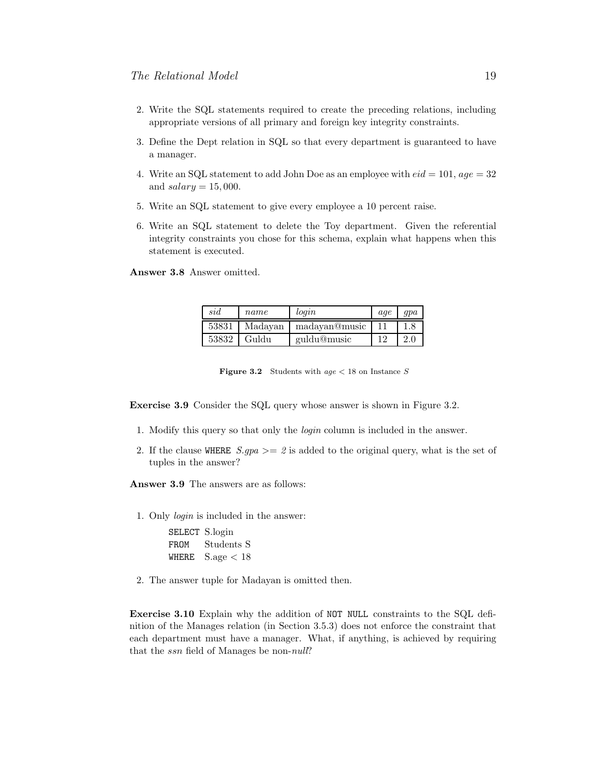- 2. Write the SQL statements required to create the preceding relations, including appropriate versions of all primary and foreign key integrity constraints.
- 3. Define the Dept relation in SQL so that every department is guaranteed to have a manager.
- 4. Write an SQL statement to add John Doe as an employee with  $eid = 101$ ,  $age = 32$ and  $salary = 15,000$ .
- 5. Write an SQL statement to give every employee a 10 percent raise.
- 6. Write an SQL statement to delete the Toy department. Given the referential integrity constraints you chose for this schema, explain what happens when this statement is executed.

**Answer 3.8** Answer omitted.

| $\it sid$ | name    | login         | age | ava |
|-----------|---------|---------------|-----|-----|
| 53831     | Madavan | madavan@music |     |     |
| 53832     | Guldu   | guldu@music   | 1 ຕ | 2.0 |

**Figure 3.2** Students with  $age < 18$  on Instance S

**Exercise 3.9** Consider the SQL query whose answer is shown in Figure 3.2.

- 1. Modify this query so that only the *login* column is included in the answer.
- 2. If the clause WHERE  $S. gpa \geq 2$  is added to the original query, what is the set of tuples in the answer?

**Answer 3.9** The answers are as follows:

1. Only *login* is included in the answer:

SELECT S.login FROM Students S WHERE  $S \cdot \text{age} < 18$ 

2. The answer tuple for Madayan is omitted then.

**Exercise 3.10** Explain why the addition of NOT NULL constraints to the SQL definition of the Manages relation (in Section 3.5.3) does not enforce the constraint that each department must have a manager. What, if anything, is achieved by requiring that the ssn field of Manages be non-*null*?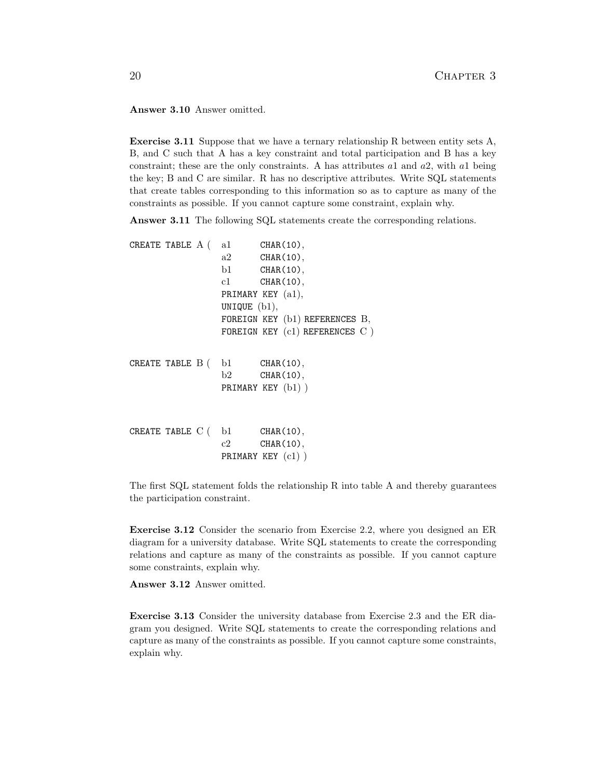**Answer 3.10** Answer omitted.

**Exercise 3.11** Suppose that we have a ternary relationship R between entity sets A, B, and C such that A has a key constraint and total participation and B has a key constraint; these are the only constraints. A has attributes  $a_1$  and  $a_2$ , with  $a_1$  being the key; B and C are similar. R has no descriptive attributes. Write SQL statements that create tables corresponding to this information so as to capture as many of the constraints as possible. If you cannot capture some constraint, explain why.

**Answer 3.11** The following SQL statements create the corresponding relations.

| CREATE TABLE A ( |  | $a1$ CHAR(10),                    |                                |
|------------------|--|-----------------------------------|--------------------------------|
|                  |  | $a2$ CHAR(10),                    |                                |
|                  |  | b1 $CHAR(10)$ ,                   |                                |
|                  |  | $c1$ CHAR(10),                    |                                |
|                  |  | PRIMARY KEY (a1),                 |                                |
|                  |  | UNIQUE $(b1)$ ,                   |                                |
|                  |  |                                   | FOREIGN KEY (b1) REFERENCES B, |
|                  |  |                                   | FOREIGN KEY (c1) REFERENCES C) |
|                  |  |                                   |                                |
|                  |  | CREATE TABLE $B$ ( $b1$ CHAR(10), |                                |
|                  |  | $b2$ CHAR(10),                    |                                |
|                  |  | PRIMARY KEY (b1))                 |                                |
|                  |  |                                   |                                |
|                  |  |                                   |                                |
|                  |  |                                   |                                |
|                  |  | CREATE TABLE $C$ ( b1 CHAR(10),   |                                |
|                  |  | $c2$ CHAR(10),                    |                                |
|                  |  | PRIMARY KEY (c1) )                |                                |
|                  |  |                                   |                                |

The first SQL statement folds the relationship R into table A and thereby guarantees the participation constraint.

**Exercise 3.12** Consider the scenario from Exercise 2.2, where you designed an ER diagram for a university database. Write SQL statements to create the corresponding relations and capture as many of the constraints as possible. If you cannot capture some constraints, explain why.

**Answer 3.12** Answer omitted.

**Exercise 3.13** Consider the university database from Exercise 2.3 and the ER diagram you designed. Write SQL statements to create the corresponding relations and capture as many of the constraints as possible. If you cannot capture some constraints, explain why.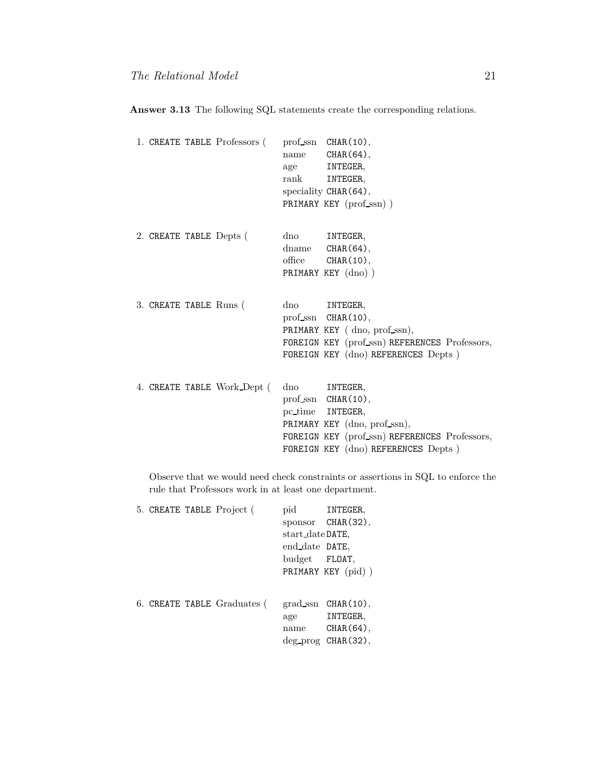**Answer 3.13** The following SQL statements create the corresponding relations.

| 1. CREATE TABLE Professors ( | prof_ssn $CHAR(10)$ ,<br>$CHAR(64)$ ,<br>name<br>INTEGER,<br>age<br>rank<br>INTEGER.<br>speciality CHAR(64),<br>PRIMARY KEY (prof_ssn))                                                     |
|------------------------------|---------------------------------------------------------------------------------------------------------------------------------------------------------------------------------------------|
| 2. CREATE TABLE Depts (      | dno<br>INTEGER.<br>CHAR(64),<br>dname<br>office<br>$CHAR(10)$ ,<br>PRIMARY KEY (dno))                                                                                                       |
| 3. CREATE TABLE Runs (       | dno<br>INTEGER,<br>$prof_{.}$ SSN $CHAR(10)$ ,<br>PRIMARY KEY (dno, prof_ssn),<br>FOREIGN KEY (prof_ssn) REFERENCES Professors,<br>FOREIGN KEY (dno) REFERENCES Depts)                      |
| 4. CREATE TABLE Work Dept (  | dno<br>INTEGER.<br>$prof\_ssn$ CHAR $(10)$ ,<br>INTEGER,<br>pc_time<br>PRIMARY KEY (dno, prof.ssn),<br>FOREIGN KEY (prof_ssn) REFERENCES Professors,<br>FOREIGN KEY (dno) REFERENCES Depts) |

Observe that we would need check constraints or assertions in SQL to enforce the rule that Professors work in at least one department.

| pid<br>INTEGER.           |
|---------------------------|
| sponsor CHAR(32),         |
| start_dateDATE,           |
| end date DATE,            |
| budget FLOAT,             |
| PRIMARY KEY (pid))        |
|                           |
| $grad$ ssn $CHAR(10)$ .   |
| INTEGER.<br>age           |
| $CHAR(64)$ ,<br>name      |
| $deg\_prog$ CHAR $(32)$ , |
|                           |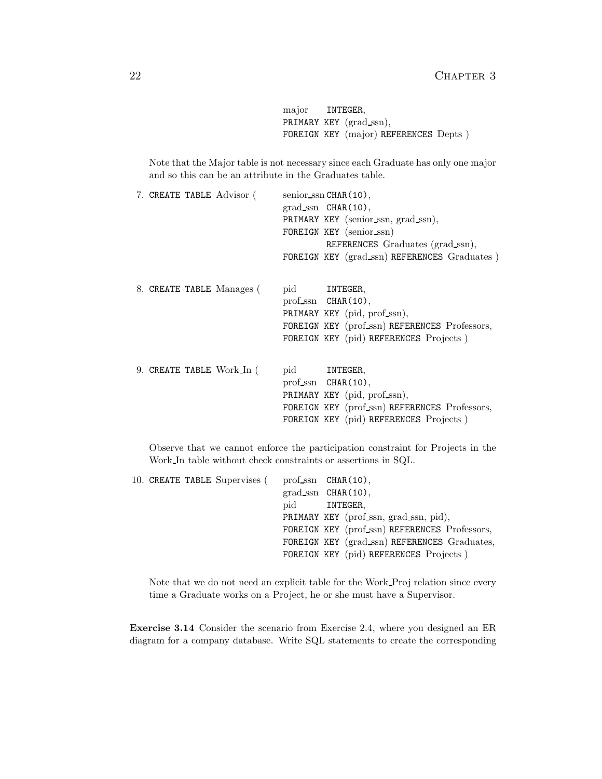major INTEGER, PRIMARY KEY (grad\_ssn), FOREIGN KEY (major) REFERENCES Depts )

Note that the Major table is not necessary since each Graduate has only one major and so this can be an attribute in the Graduates table.

|  | 7. CREATE TABLE Advisor ( | $s$ enior $ssn$ CHAR $(10)$ , |                                                                                                                                                  |
|--|---------------------------|-------------------------------|--------------------------------------------------------------------------------------------------------------------------------------------------|
|  |                           | $grad$ ssn $CHAR(10)$ ,       |                                                                                                                                                  |
|  |                           |                               | PRIMARY KEY (senior_ssn, grad_ssn),                                                                                                              |
|  |                           |                               | FOREIGN KEY (senior_ssn)                                                                                                                         |
|  |                           |                               | REFERENCES Graduates (grad_ssn),                                                                                                                 |
|  |                           |                               | FOREIGN KEY (grad_ssn) REFERENCES Graduates)                                                                                                     |
|  | 8. CREATE TABLE Manages ( | pid                           | INTEGER,                                                                                                                                         |
|  |                           | $prof_{.}$ SSN $CHAR(10)$ ,   |                                                                                                                                                  |
|  |                           |                               | PRIMARY KEY (pid, prof_ssn),                                                                                                                     |
|  |                           |                               | FOREIGN KEY (prof_ssn) REFERENCES Professors,                                                                                                    |
|  |                           |                               | FOREIGN KEY (pid) REFERENCES Projects)                                                                                                           |
|  |                           |                               |                                                                                                                                                  |
|  | 9. CREATE TABLE Work In ( | pid INTEGER,                  |                                                                                                                                                  |
|  |                           | $prof_{.}$ SSN $CHAR(10)$ ,   |                                                                                                                                                  |
|  |                           |                               | PRIMARY KEY (pid, prof_ssn),                                                                                                                     |
|  |                           |                               | FOREIGN KEY (prof_ssn) REFERENCES Professors,                                                                                                    |
|  |                           |                               | FOREIGN KEY (pid) REFERENCES Projects)                                                                                                           |
|  |                           |                               | Observe that we cannot enforce the participation constraint for Projects in the<br>Work In table without check constraints or assertions in SQL. |

|  | 10. CREATE TABLE Supervises ( prof_ssn CHAR(10), |                         |                                               |
|--|--------------------------------------------------|-------------------------|-----------------------------------------------|
|  |                                                  | $grad$ ssn $CHAR(10)$ , |                                               |
|  |                                                  | pid INTEGER,            |                                               |
|  |                                                  |                         | PRIMARY KEY (prof_ssn, grad_ssn, pid),        |
|  |                                                  |                         | FOREIGN KEY (prof_ssn) REFERENCES Professors, |
|  |                                                  |                         | FOREIGN KEY (grad_ssn) REFERENCES Graduates,  |
|  |                                                  |                         | FOREIGN KEY (pid) REFERENCES Projects)        |

Note that we do not need an explicit table for the Work Proj relation since every time a Graduate works on a Project, he or she must have a Supervisor.

**Exercise 3.14** Consider the scenario from Exercise 2.4, where you designed an ER diagram for a company database. Write SQL statements to create the corresponding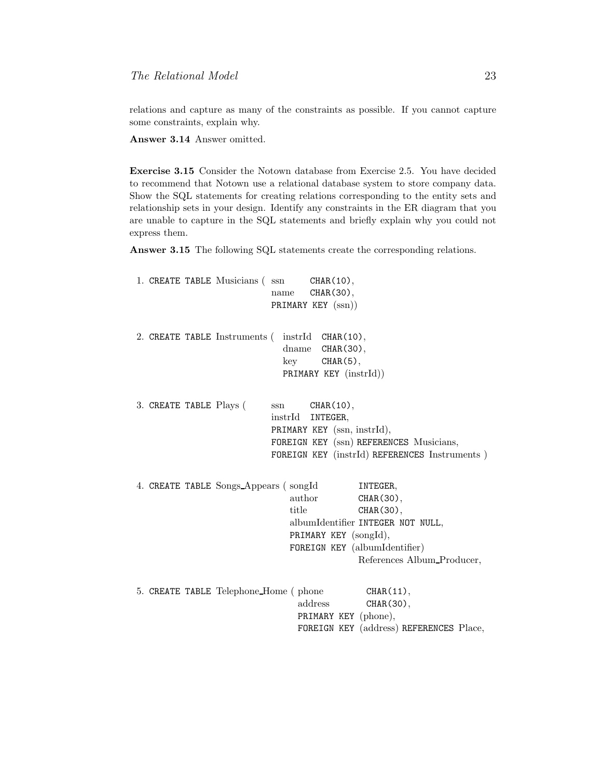relations and capture as many of the constraints as possible. If you cannot capture some constraints, explain why.

**Answer 3.14** Answer omitted.

**Exercise 3.15** Consider the Notown database from Exercise 2.5. You have decided to recommend that Notown use a relational database system to store company data. Show the SQL statements for creating relations corresponding to the entity sets and relationship sets in your design. Identify any constraints in the ER diagram that you are unable to capture in the SQL statements and briefly explain why you could not express them.

**Answer 3.15** The following SQL statements create the corresponding relations.

```
1. CREATE TABLE Musicians ( ssn CHAR(10),
                          name CHAR(30),
                          PRIMARY KEY (ssn))
2. CREATE TABLE Instruments ( instrId CHAR(10),
                            dname CHAR(30),
                            key CHAR(5),
                            PRIMARY KEY (instrId))
3. CREATE TABLE Plays ( ssn CHAR(10),
                          instrId INTEGER,
                          PRIMARY KEY (ssn, instrId),
                          FOREIGN KEY (ssn) REFERENCES Musicians,
                          FOREIGN KEY (instrId) REFERENCES Instruments )
4. CREATE TABLE Songs Appears ( songId INTEGER,
                             author CHAR(30),
                             title CHAR(30),
                             albumIdentifier INTEGER NOT NULL,
                             PRIMARY KEY (songId),
                             FOREIGN KEY (albumIdentifier)
                                           References Album Producer,
5. CREATE TABLE Telephone Home ( phone CHAR(11),
                               address CHAR(30),
                               PRIMARY KEY (phone),
                               FOREIGN KEY (address) REFERENCES Place,
```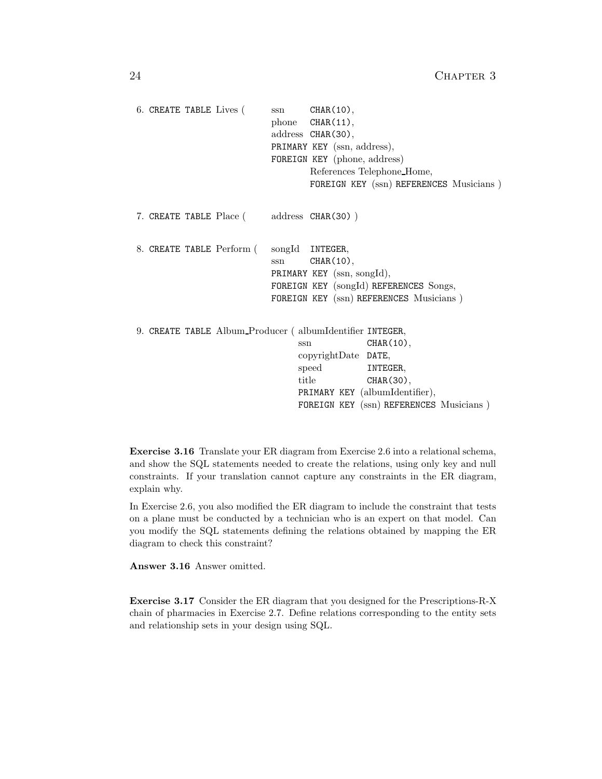```
6. CREATE TABLE Lives ( ssn CHAR(10),
                          phone CHAR(11),
                          address CHAR(30),
                          PRIMARY KEY (ssn, address),
                          FOREIGN KEY (phone, address)
                                  References Telephone Home,
                                  FOREIGN KEY (ssn) REFERENCES Musicians )
7. CREATE TABLE Place (address CHAR(30))
8. CREATE TABLE Perform ( songId INTEGER,
                          ssn CHAR(10),
                          PRIMARY KEY (ssn, songId),
                          FOREIGN KEY (songId) REFERENCES Songs,
                          FOREIGN KEY (ssn) REFERENCES Musicians )
9. CREATE TABLE Album Producer ( albumIdentifier INTEGER,
                                \text{CHAR}(10).
                                copyrightDate DATE,
                                speed INTEGER,
                                title CHAR(30),
                               PRIMARY KEY (albumIdentifier),
                               FOREIGN KEY (ssn) REFERENCES Musicians )
```
**Exercise 3.16** Translate your ER diagram from Exercise 2.6 into a relational schema, and show the SQL statements needed to create the relations, using only key and null constraints. If your translation cannot capture any constraints in the ER diagram, explain why.

In Exercise 2.6, you also modified the ER diagram to include the constraint that tests on a plane must be conducted by a technician who is an expert on that model. Can you modify the SQL statements defining the relations obtained by mapping the ER diagram to check this constraint?

**Answer 3.16** Answer omitted.

**Exercise 3.17** Consider the ER diagram that you designed for the Prescriptions-R-X chain of pharmacies in Exercise 2.7. Define relations corresponding to the entity sets and relationship sets in your design using SQL.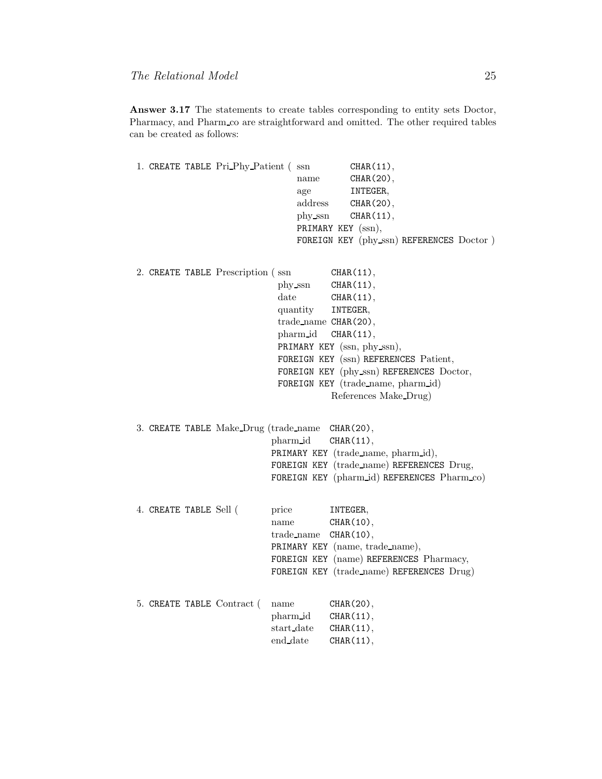Answer 3.17 The statements to create tables corresponding to entity sets Doctor, Pharmacy, and Pharm co are straightforward and omitted. The other required tables can be created as follows:

1. CREATE TABLE Pri Phy Patient ( ssn CHAR(11), name CHAR(20), age INTEGER, address CHAR(20), phy\_ssn CHAR(11), PRIMARY KEY (ssn), FOREIGN KEY (phy ssn) REFERENCES Doctor ) 2. CREATE TABLE Prescription (ssn CHAR(11), phy\_ssn CHAR(11), date CHAR(11), quantity INTEGER, trade name CHAR(20), pharm id CHAR(11), PRIMARY KEY (ssn, phy\_ssn), FOREIGN KEY (ssn) REFERENCES Patient, FOREIGN KEY (phy ssn) REFERENCES Doctor, FOREIGN KEY (trade name, pharm id) References Make Drug) 3. CREATE TABLE Make Drug (trade name CHAR(20), pharm\_id CHAR(11), PRIMARY KEY (trade name, pharm id), FOREIGN KEY (trade\_name) REFERENCES Drug, FOREIGN KEY (pharm id) REFERENCES Pharm co) 4. CREATE TABLE Sell ( price INTEGER, name CHAR(10), trade\_name CHAR(10), PRIMARY KEY (name, trade name), FOREIGN KEY (name) REFERENCES Pharmacy, FOREIGN KEY (trade name) REFERENCES Drug) 5. CREATE TABLE Contract ( name CHAR(20), pharm id CHAR(11), start\_date CHAR(11), end date CHAR(11),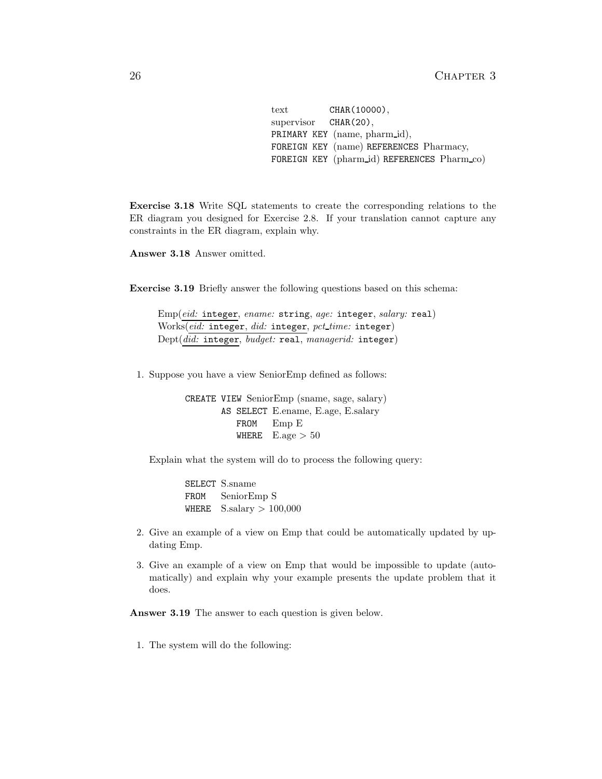text **CHAR(10000)**, supervisor CHAR(20), PRIMARY KEY (name, pharm\_id), FOREIGN KEY (name) REFERENCES Pharmacy, FOREIGN KEY (pharm id) REFERENCES Pharm co)

**Exercise 3.18** Write SQL statements to create the corresponding relations to the ER diagram you designed for Exercise 2.8. If your translation cannot capture any constraints in the ER diagram, explain why.

**Answer 3.18** Answer omitted.

**Exercise 3.19** Briefly answer the following questions based on this schema:

Emp(*eid:* integer, *ename:* string, *age:* integer, *salary:* real) Works(*eid:* integer, *did:* integer, *pct time:* integer) Dept(*did:* integer, *budget:* real, *managerid:* integer)

1. Suppose you have a view SeniorEmp defined as follows:

CREATE VIEW SeniorEmp (sname, sage, salary) AS SELECT E.ename, E.age, E.salary FROM Emp E WHERE  $E \text{.age} > 50$ 

Explain what the system will do to process the following query:

SELECT S.sname FROM SeniorEmp S WHERE  $S.salary > 100,000$ 

- 2. Give an example of a view on Emp that could be automatically updated by updating Emp.
- 3. Give an example of a view on Emp that would be impossible to update (automatically) and explain why your example presents the update problem that it does.

**Answer 3.19** The answer to each question is given below.

1. The system will do the following: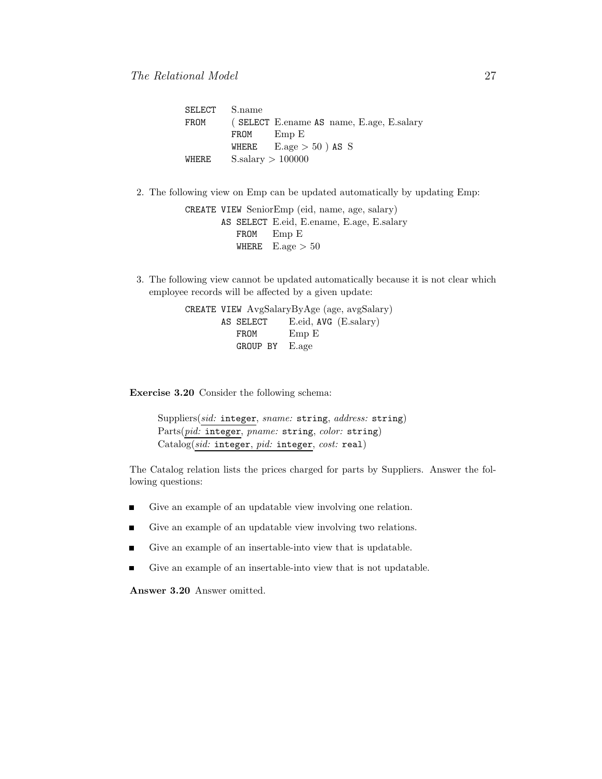| SELECT S.name |                   |                                          |
|---------------|-------------------|------------------------------------------|
| FROM          |                   | (SELECT E.ename AS name, E.age, E.salary |
|               | FROM              | Emp E                                    |
|               |                   | WHERE $E \text{.age} > 50$ ) AS S        |
| WHERE         | S.salary > 100000 |                                          |

2. The following view on Emp can be updated automatically by updating Emp:

CREATE VIEW SeniorEmp (eid, name, age, salary) AS SELECT E.eid, E.ename, E.age, E.salary FROM Emp E WHERE  $E \text{.age} > 50$ 

3. The following view cannot be updated automatically because it is not clear which employee records will be affected by a given update:

```
CREATE VIEW AvgSalaryByAge (age, avgSalary)
      AS SELECT E.eid, AVG (E.salary)
         FROM Emp E
         GROUP BY E.age
```
**Exercise 3.20** Consider the following schema:

Suppliers(*sid:* integer, *sname:* string, *address:* string) Parts(*pid:* integer, *pname:* string, *color:* string) Catalog(*sid:* integer, *pid:* integer, *cost:* real)

The Catalog relation lists the prices charged for parts by Suppliers. Answer the following questions:

- $\blacksquare$ Give an example of an updatable view involving one relation.
- Give an example of an updatable view involving two relations.  $\blacksquare$
- $\blacksquare$ Give an example of an insertable-into view that is updatable.
- Give an example of an insertable-into view that is not updatable.

**Answer 3.20** Answer omitted.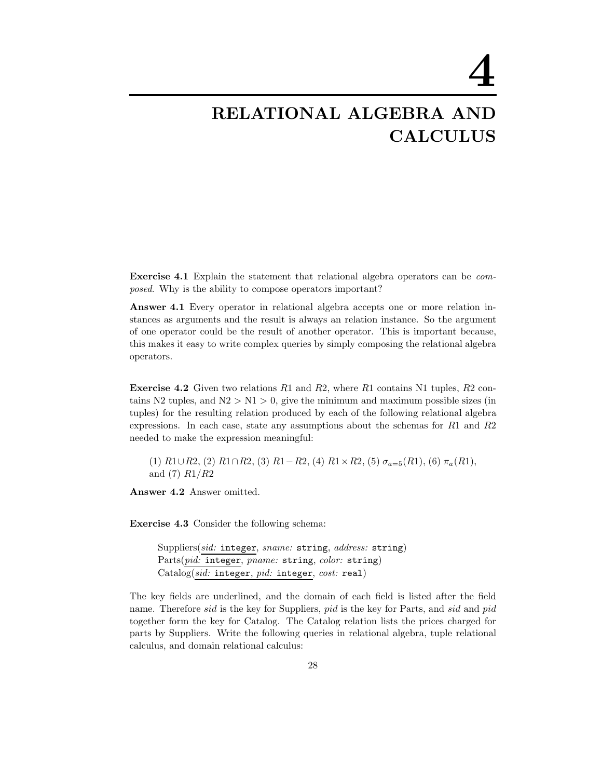## **RELATIONAL ALGEBRA AND CALCULUS**

**4**

**Exercise 4.1** Explain the statement that relational algebra operators can be *composed*. Why is the ability to compose operators important?

**Answer 4.1** Every operator in relational algebra accepts one or more relation instances as arguments and the result is always an relation instance. So the argument of one operator could be the result of another operator. This is important because, this makes it easy to write complex queries by simply composing the relational algebra operators.

**Exercise 4.2** Given two relations  $R1$  and  $R2$ , where  $R1$  contains N1 tuples,  $R2$  contains N2 tuples, and  $N2 > N1 > 0$ , give the minimum and maximum possible sizes (in tuples) for the resulting relation produced by each of the following relational algebra expressions. In each case, state any assumptions about the schemas for  $R1$  and  $R2$ needed to make the expression meaningful:

(1)  $R1 \cup R2$ , (2)  $R1 \cap R2$ , (3)  $R1 - R2$ , (4)  $R1 \times R2$ , (5)  $\sigma_{a=5}(R1)$ , (6)  $\pi_a(R1)$ , and  $(7)$   $R1/R2$ 

**Answer 4.2** Answer omitted.

**Exercise 4.3** Consider the following schema:

Suppliers(*sid:* integer, *sname:* string, *address:* string) Parts(*pid:* integer, *pname:* string, *color:* string) Catalog(*sid:* integer, *pid:* integer, *cost:* real)

The key fields are underlined, and the domain of each field is listed after the field name. Therefore sid is the key for Suppliers, pid is the key for Parts, and sid and pid together form the key for Catalog. The Catalog relation lists the prices charged for parts by Suppliers. Write the following queries in relational algebra, tuple relational calculus, and domain relational calculus: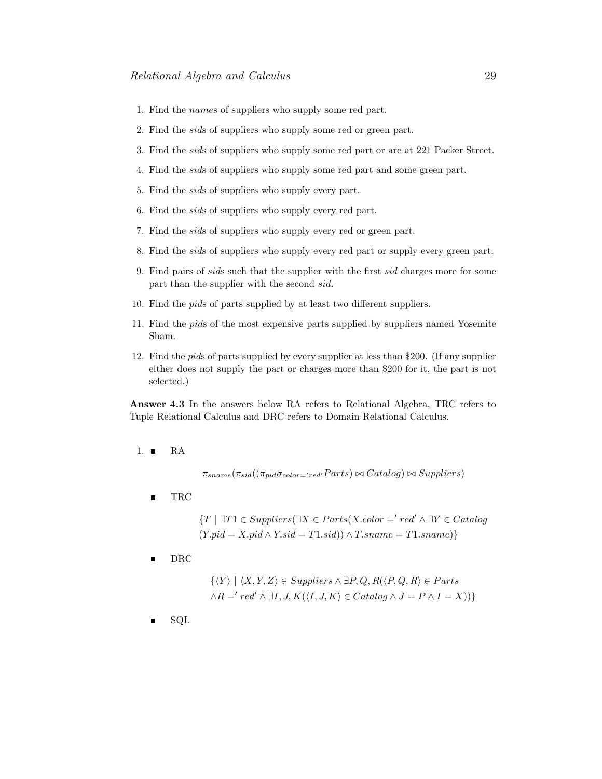- 1. Find the names of suppliers who supply some red part.
- 2. Find the sids of suppliers who supply some red or green part.
- 3. Find the sids of suppliers who supply some red part or are at 221 Packer Street.
- 4. Find the sids of suppliers who supply some red part and some green part.
- 5. Find the sids of suppliers who supply every part.
- 6. Find the sids of suppliers who supply every red part.
- 7. Find the sids of suppliers who supply every red or green part.
- 8. Find the *sids* of suppliers who supply every red part or supply every green part.
- 9. Find pairs of sids such that the supplier with the first sid charges more for some part than the supplier with the second sid.
- 10. Find the pids of parts supplied by at least two different suppliers.
- 11. Find the pids of the most expensive parts supplied by suppliers named Yosemite Sham.
- 12. Find the pids of parts supplied by every supplier at less than \$200. (If any supplier either does not supply the part or charges more than \$200 for it, the part is not selected.)

**Answer 4.3** In the answers below RA refers to Relational Algebra, TRC refers to Tuple Relational Calculus and DRC refers to Domain Relational Calculus.

1.  $\blacksquare$  RA

 $\pi_{same}(\pi_{sid}((\pi_{pid}\sigma_{color='red'} Parts) \bowtie Catalog) \bowtie Suppliers)$ 

TRC  $\blacksquare$ 

> ${T \mid \exists T1 \in Suppliers(\exists X \in Parts(X.color='red' \land \exists Y \in Catalog)$  $(Y.pid = X.pid \wedge Y.sid = T1.sid) \wedge T.sname = T1.sname)$

DRC  $\blacksquare$ 

> $\{ \langle Y \rangle \mid \langle X, Y, Z \rangle \in \text{Suppliers} \land \exists P, Q, R(\langle P, Q, R \rangle \in \text{Parts} \}$  $\wedge R = 'red' \wedge \exists I, J, K(\langle I, J, K \rangle \in Catalog \wedge J = P \wedge I = X))$ }

SQL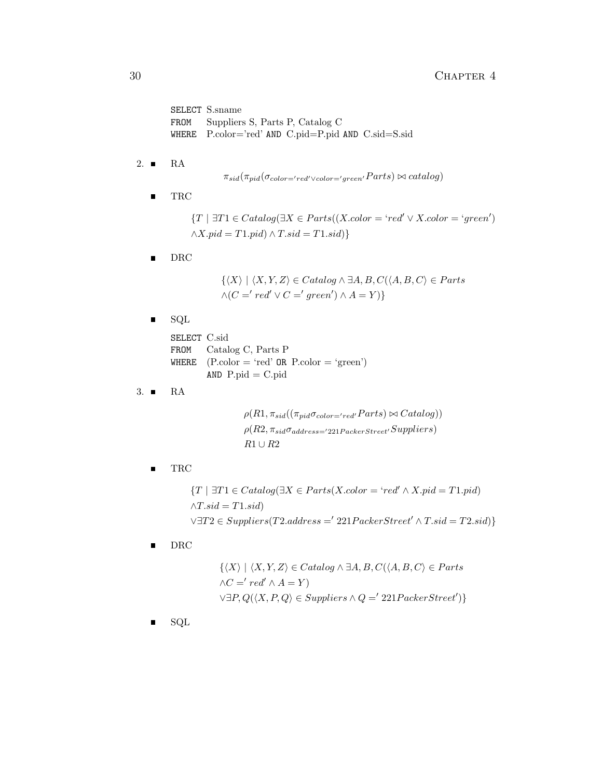```
SELECT S.sname
FROM Suppliers S, Parts P, Catalog C
WHERE P.color='red' AND C.pid=P.pid AND C.sid=S.sid
```
2. ■ RA

```
\pi_{sid}(\pi_{pid}(\sigma_{color='red} \vee color='green \vee colar = 'green \vee Parts) \bowtie catalog)
```
TRC  $\blacksquare$ 

> $\{T \mid \exists T1 \in Catalog(\exists X \in Parts((X.color = 'red' \vee X.color = 'green')$  $\wedge X.pid = T1.pid \wedge T.sid = T1.sid$

DRC  $\blacksquare$ 

> $\{\langle X\rangle \mid \langle X, Y, Z\rangle \in Catalog \land \exists A, B, C(\langle A, B, C\rangle \in Parts$  $\wedge (C =' red' \vee C =' green') \wedge A = Y)$

SQL  $\blacksquare$ 

> SELECT C.sid FROM Catalog C, Parts P WHERE  $(P.\text{color} = \text{'red'} \text{ OR } P.\text{color} = \text{'green'})$  $AND$  P.pid = C.pid

3. RA

 $\rho(R1, \pi_{sid}((\pi_{pid}\sigma_{color='red'} Parts) \bowtie Catalog))$  $\rho(R2, \pi_{sid}\sigma_{address='221Packer Street}Suppliers)$  $R1 \cup R2$ 

TRC  $\blacksquare$ 

> ${T \mid \exists T1 \in Catalog(\exists X \in Parts(X.color='red' \land X.pid = T1.pid))}$  $\land T.sid = T1.sid$  $\forall \exists T2 \in Suppliers(T2.address = '221Packer Street' \land T.size = T2.size)$

DRC  $\blacksquare$ 

> $\{\langle X\rangle \mid \langle X, Y, Z\rangle \in Catalog \land \exists A, B, C(\langle A, B, C\rangle \in Parts$  $\wedge C =' red' \wedge A = Y$  $\forall \exists P, Q(\langle X, P, Q \rangle \in \text{Suppliers} \land Q = 221 \text{Packer Street'})$

SQL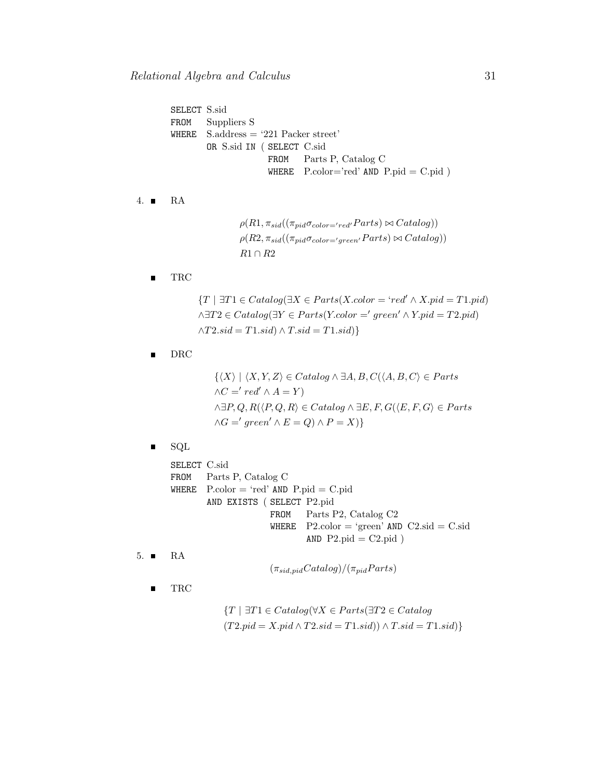```
SELECT S.sid
FROM Suppliers S
WHERE S.address = '221 Packer street'
        OR S.sid IN ( SELECT C.sid
                      FROM Parts P, Catalog C
                      WHERE P{\rm.color='red'} AND P{\rm.pid} = C{\rm.pid})
```
4. RA

 $\rho(R1, \pi_{sid}((\pi_{pid}\sigma_{color='red}+Parts) \bowtie Catalog))$  $\rho(R2, \pi_{sid}((\pi_{pid}\sigma_{color='green'green'} Parts) \bowtie Catalog))$  $R1 \cap R2$ 

TRC  $\blacksquare$ 

> $\{T \mid \exists T1 \in Catalog(\exists X \in Parts(X.color='red' \land X.pid = T1.pid))\}$  $\land \exists T2 \in Catalog(\exists Y \in Parts(Ycolor = 'green' \land Y.pid = T2.pid)$  $\wedge T2.size = T1.size \wedge T.size = T1.size \}$

DRC  $\blacksquare$ 

> $\{\langle X\rangle \mid \langle X, Y, Z\rangle \in Catalog \land \exists A, B, C(\langle A, B, C\rangle \in Parts$  $\wedge C =' red' \wedge A = Y$  $\land \exists P, Q, R(\langle P, Q, R \rangle \in \text{Catalog} \land \exists E, F, G(\langle E, F, G \rangle \in \text{Parts})$  $\wedge G = 'green' \wedge E = Q) \wedge P = X$ }

SQL  $\blacksquare$ 

> SELECT C.sid FROM Parts P, Catalog C WHERE  $P_{\text{color}} = \text{`red'}$  AND  $P_{\text{.pid}} = C_{\text{.pid}}$ AND EXISTS ( SELECT P2.pid FROM Parts P2, Catalog C2 WHERE  $P2-color = 'green' AND C2.size = C.size$ AND  $P2.pid = C2.pid$ )

5. RA

 $(\pi_{sid,pid}Catalog)/(\pi_{pid} Parts)$ 

 $\blacksquare$ TRC

> $\{T \mid \exists T1 \in Catalog(\forall X \in Parts(\exists T2 \in Catalog)$  $(T2.pid = X.pid \land T2.sid = T1.sid)$   $\land$   $T.sid = T1.sid$  }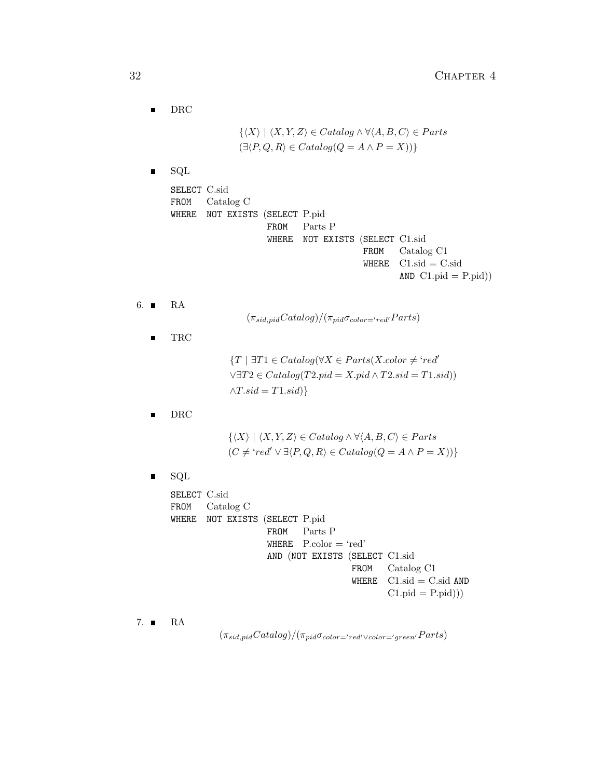```
DRC
    \blacksquare\{\langle X\rangle \mid \langle X, Y, Z\rangle \in Catalog \land \forall \langle A, B, C\rangle \in Parts(\exists \langle P, Q, R \rangle \in Catalog(Q = A \land P = X))SQL
         SELECT C.sid
         FROM Catalog C
         WHERE NOT EXISTS (SELECT P.pid
                                     FROM Parts P
                                     WHERE NOT EXISTS (SELECT C1.sid
                                                                 FROM Catalog C1
                                                                 WHERE C1.sid = C.sid
                                                                           AND C1.pid = P.pid))
6. RA
                               (\pi_{sid,pid}Catalog)/(\pi_{pid}\sigma_{color='red'}Parts)TRC
    \blacksquare\{T \mid \exists T1 \in Catalog(\forall X \in Parts(Xcolor \neq 'red')\forall \exists T2 \in Catalog(T2,pid=X,pid \land T2.sid = T1.sid))\land T.sid = T1.sidDRC
    \blacksquare\{\langle X\rangle \mid \langle X,Y,Z\rangle \in Catalog \land \forall \langle A,B,C\rangle \in Parts(C \neq 'red' \vee \exists \langle P, Q, R \rangle \in Catalog(Q = A \wedge P = X))SQL
    \blacksquareSELECT C.sid
         FROM Catalog C
         WHERE NOT EXISTS (SELECT P.pid
                                     FROM Parts P
                                     WHERE P_{\text{color}} = \text{`red'}AND (NOT EXISTS (SELECT C1.sid
                                                              FROM Catalog C1
                                                              WHERE C1.sid = C.sid AND
                                                                        C1.pid = P.pid))7. RA
```
 $(\pi_{sid,pid}Catalog)/(\pi_{pid}\sigma_{color='red\vee color='red} \vee color='green' Person')$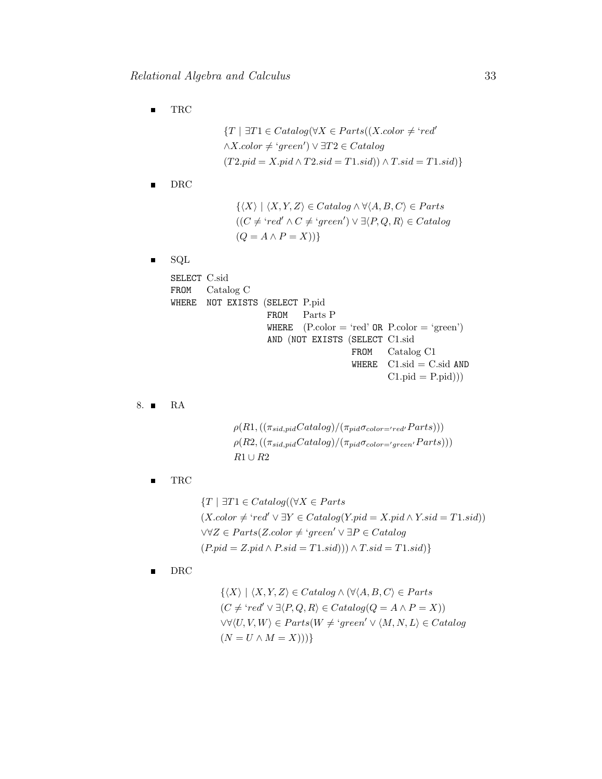$\blacksquare$ TRC

> $\{T \mid \exists T1 \in Catalog(\forall X \in Parts((X.color \neq 'red')$  $\land Xcolor \neq 'green') \lor \exists T2 \in Catalog$  $(T2,pid = X.pid \land T2.sid = T1.sid) \land T.sid = T1.sid)$

 $\blacksquare$ DRC

> $\{\langle X\rangle \mid \langle X, Y, Z\rangle \in Catalog \land \forall \langle A, B, C\rangle \in Parts$  $((C \neq 'red' \land C \neq 'green') \lor \exists \langle P,Q,R \rangle \in Catalog$  $(Q = A \wedge P = X))$

SQL

```
SELECT C.sid
FROM Catalog C
WHERE NOT EXISTS (SELECT P.pid
                      FROM Parts P
                       WHERE (P.\text{color} = \text{'red'} \text{ OR } P.\text{color} = \text{'green'})AND (NOT EXISTS (SELECT C1.sid
                                           FROM Catalog C1
                                           WHERE C1.sid = C.sid AND
                                                    C1.pid = P.pid))
```
8. RA

$$
\rho(R1, ((\pi_{sid,pid} Catalog)/(\pi_{pid} \sigma_{color='red'} Parts)))
$$
  

$$
\rho(R2, ((\pi_{sid,pid} Catalog)/(\pi_{pid} \sigma_{color='green'} Parts)))
$$
  

$$
R1 \cup R2
$$

TRC

 $\{T \mid \exists T1 \in Catalog((\forall X \in Parts$  $(Xcolor \neq 'red' \vee \exists Y \in Catalog(Y,pid = X.pid \wedge Y.sid = T1.sid))$  $\forall \forall Z \in Parts(Z-color \neq 'green' \vee \exists P \in Catalog)$  $(P.pid = Z.pid \land P.sid = T1.sid)) \land T.sid = T1.sid)$ 

DRC  $\blacksquare$ 

> $\{\langle X\rangle \mid \langle X, Y, Z\rangle \in Catalog \land (\forall \langle A, B, C\rangle \in Parts$  $(C \neq 'red' \vee \exists \langle P,Q,R \rangle \in Catalog(Q = A \wedge P = X))$  $\forall \forall \langle U, V, W \rangle \in Parts(W \neq 'green' \vee \langle M, N, L \rangle \in Catalog)$  $(N = U \wedge M = X)))$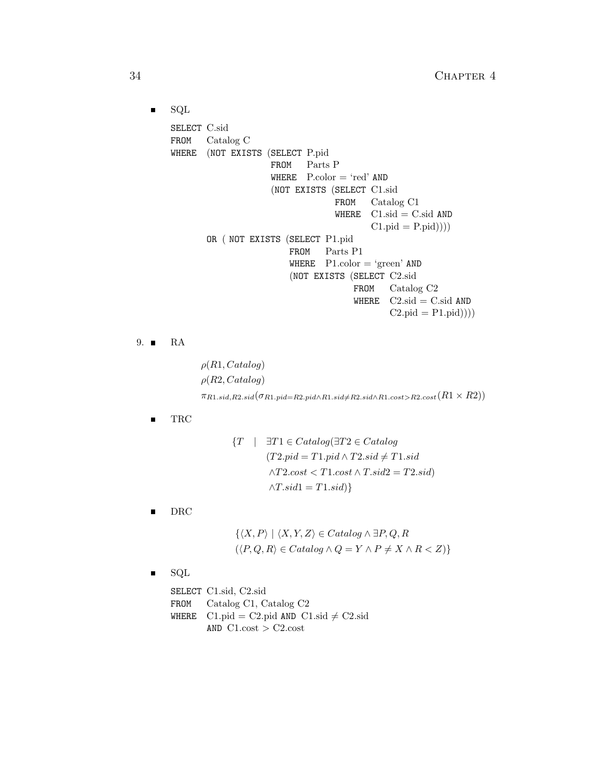SQL SELECT C.sid FROM Catalog C WHERE (NOT EXISTS (SELECT P.pid FROM Parts P WHERE  $P_{\text{color}} = \text{`red'}$  AND (NOT EXISTS (SELECT C1.sid FROM Catalog C1 WHERE  $C1$ .sid =  $C$ .sid AND  $C1.pid = P.pid))))$ OR ( NOT EXISTS (SELECT P1.pid FROM Parts P1 WHERE  $P1{\text{-color}} = 'green'$  AND (NOT EXISTS (SELECT C2.sid FROM Catalog C<sub>2</sub> WHERE  $C2$  sid = C sid AND  $C2.pid = P1.pid))$ 9. RA  $\rho(R1, Catalog)$  $\rho(R2, Catalog)$ 

 $\pi_{R1,sid,R2,sid}(\sigma_{R1,pid=R2,pid \wedge R1,sid \neq R2,sid \wedge R1.cost > R2.cost}(R1 \times R2))$ 

TRC  $\blacksquare$ 

> ${T \mid \exists T1 \in Catalog(\exists T2 \in Catalog)}$  $(T2.pid = T1.pid \wedge T2.sid \neq T1.sid$  $\land T2. cost < T1. cost \land T. sid2 = T2. sid)$  $\wedge T.\dot{sid} = T1.\dot{sid}$

DRC

 $\{\langle X, P \rangle \mid \langle X, Y, Z \rangle \in Catalog \land \exists P, Q, R$  $(\langle P, Q, R \rangle \in Catalog \land Q = Y \land P \neq X \land R < Z)$ 

SQL  $\blacksquare$ 

> SELECT C1.sid, C2.sid FROM Catalog C1, Catalog C2 WHERE  $C1.pid = C2.pid \text{ AND } C1.sid \neq C2.sid$ AND  $C1.\text{cost} > C2.\text{cost}$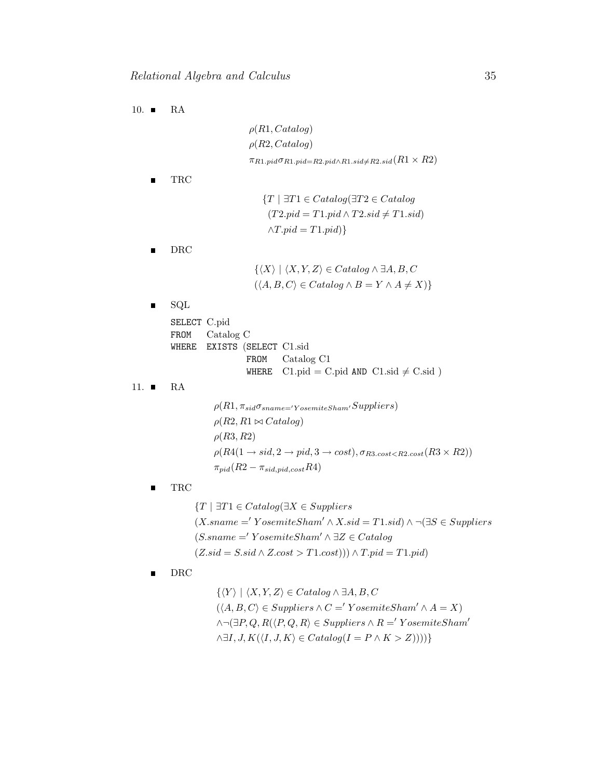10. **■** RA  $\rho(R1, Catalog)$  $\rho(R2, Catalog)$  $\pi_{R1.pid}\sigma_{R1.pid=R2.pid\wedge R1.sid\neq R2.sid}(R1\times R2)$ TRC  $\blacksquare$  ${T \mid \exists T1 \in Catalog(\exists T2 \in Catalog) }$  $(T2.pid = T1.pid \wedge T2.sid \neq T1.sid)$  $\wedge T.pid = T1.pid$ } DRC  $\blacksquare$  $\{\langle X\rangle \mid \langle X, Y, Z\rangle \in Catalog \land \exists A, B, C$  $(\langle A, B, C \rangle \in Catalog \wedge B = Y \wedge A \neq X)$ SQL  $\blacksquare$ SELECT C.pid FROM Catalog C WHERE EXISTS (SELECT C1.sid FROM Catalog C1 WHERE  $C1.pid = C.pid \text{ AND } C1.sid \neq C.sid$ 11. **■** RA  $\rho(R1, \pi_{sid}\sigma_{sname='YosemiteSham'}Suppliers)$  $\rho(R2, R1 \bowtie Catalog)$  $\rho(R3,R2)$  $\rho(R4(1 \rightarrow sid, 2 \rightarrow pid, 3 \rightarrow cost), \sigma_{R3.cost < R2.cost}(R3 \times R2))$  $\pi_{pid}(R2 - \pi_{sid,pid,cost}R4)$ TRC  $\blacksquare$  ${T \mid \exists T1 \in Catalog(\exists X \in Suppliers)}$  $(X.\text{same} = Y \text{osemiteSham'} \land X.\text{sid} = T1.\text{sid}) \land \neg (\exists S \in \text{Suppliers})$  $(S.sname = YosemiteSham' ∧ ∃Z ∈ Catalog)$  $(Z.sid = S.sid \wedge Z.cost > T1.cost))\wedge T.pid = T1.pid)$ DRC  $\{ \langle Y \rangle \mid \langle X, Y, Z \rangle \in Catalog \land \exists A, B, C$ 

 $(\langle A, B, C \rangle \in \text{Suppliers} \land C = \text{YosemiteSham'} \land A = X)$  $\land \neg (\exists P, Q, R(\langle P, Q, R \rangle \in \text{Suppliers} \land R = \text{'YosemiteSham'}$  $\land \exists I, J, K(\langle I, J, K \rangle \in Catalog(I = P \land K > Z))))$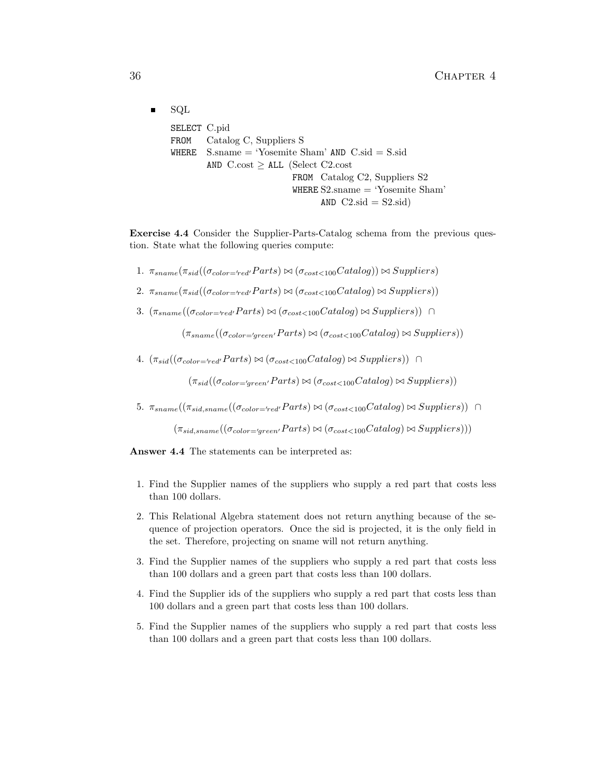```
SQL
SELECT C.pid
FROM Catalog C, Suppliers S
WHERE S.\text{sname} = 'Yosemite Sham' AND C.sid = S.sidAND C.\text{cost} \geq ALL (Select C2.\text{cost}FROM Catalog C2, Suppliers S2
                            WHERE S2 sname = 'Yosemite Sham'
                                   AND C2 sid = S2 sid)
```
**Exercise 4.4** Consider the Supplier-Parts-Catalog schema from the previous question. State what the following queries compute:

- 1.  $\pi_{same}(\pi_{sid}((\sigma_{color= 'red'} Parts) \bowtie (\sigma_{cost<100} Catalog)) \bowtie Supplementary$
- 2.  $\pi_{same}(\pi_{sid}((\sigma_{color= 'red'} Parts) \bowtie (\sigma_{cost<100} Catalog) \bowtie Supplementary$
- 3.  $(\pi_{sname}((\sigma_{color=~red'} Parts) \bowtie (\sigma_{cost<100}Catalog) \bowtie Suppliers)) \cap$

 $(\pi_{sname}((\sigma_{color=green'green} \textit{Parts}) \bowtie (\sigma_{cost<100} \textit{Catalog}) \bowtie \textit{Suppliers}))$ 

4.  $(\pi_{sid}((\sigma_{color=~red'} Parts) \bowtie (\sigma_{cost<100}Catalog) \bowtie Suppliers)) \cap$ 

 $(\pi_{sid}((\sigma_{color=green'}Parts) \bowtie (\sigma_{cost<100}Catalog) \bowtie Supplementary))$ 

5.  $\pi_{same}((\pi_{sid,same}((\sigma_{color= 'red'} Parts) \bowtie (\sigma_{cost < 100}Catalog) \bowtie Suppliers)) \cap$ 

 $(\pi_{sid,sname}((\sigma_{color='green'} Parts) \bowtie (\sigma_{cost<100} Catalog) \bowtie Supplementary$ 

**Answer 4.4** The statements can be interpreted as:

- 1. Find the Supplier names of the suppliers who supply a red part that costs less than 100 dollars.
- 2. This Relational Algebra statement does not return anything because of the sequence of projection operators. Once the sid is projected, it is the only field in the set. Therefore, projecting on sname will not return anything.
- 3. Find the Supplier names of the suppliers who supply a red part that costs less than 100 dollars and a green part that costs less than 100 dollars.
- 4. Find the Supplier ids of the suppliers who supply a red part that costs less than 100 dollars and a green part that costs less than 100 dollars.
- 5. Find the Supplier names of the suppliers who supply a red part that costs less than 100 dollars and a green part that costs less than 100 dollars.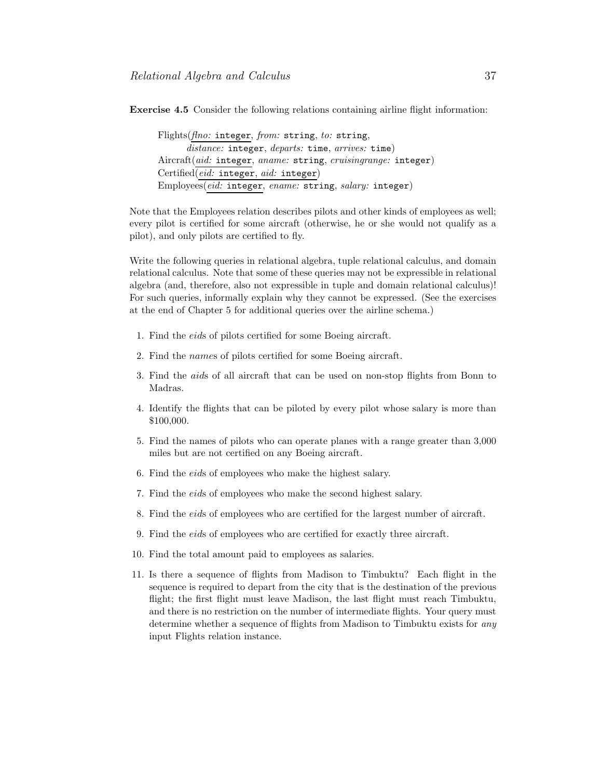**Exercise 4.5** Consider the following relations containing airline flight information:

```
Flights(flno: integer, from: string, to: string,
      distance: integer, departs: time, arrives: time)
Aircraft(aid: integer, aname: string, cruisingrange: integer)
Certified(eid: integer, aid: integer)
Employees(eid: integer, ename: string, salary: integer)
```
Note that the Employees relation describes pilots and other kinds of employees as well; every pilot is certified for some aircraft (otherwise, he or she would not qualify as a pilot), and only pilots are certified to fly.

Write the following queries in relational algebra, tuple relational calculus, and domain relational calculus. Note that some of these queries may not be expressible in relational algebra (and, therefore, also not expressible in tuple and domain relational calculus)! For such queries, informally explain why they cannot be expressed. (See the exercises at the end of Chapter 5 for additional queries over the airline schema.)

- 1. Find the eids of pilots certified for some Boeing aircraft.
- 2. Find the names of pilots certified for some Boeing aircraft.
- 3. Find the aids of all aircraft that can be used on non-stop flights from Bonn to Madras.
- 4. Identify the flights that can be piloted by every pilot whose salary is more than \$100,000.
- 5. Find the names of pilots who can operate planes with a range greater than 3,000 miles but are not certified on any Boeing aircraft.
- 6. Find the eids of employees who make the highest salary.
- 7. Find the eids of employees who make the second highest salary.
- 8. Find the eids of employees who are certified for the largest number of aircraft.
- 9. Find the eids of employees who are certified for exactly three aircraft.
- 10. Find the total amount paid to employees as salaries.
- 11. Is there a sequence of flights from Madison to Timbuktu? Each flight in the sequence is required to depart from the city that is the destination of the previous flight; the first flight must leave Madison, the last flight must reach Timbuktu, and there is no restriction on the number of intermediate flights. Your query must determine whether a sequence of flights from Madison to Timbuktu exists for *any* input Flights relation instance.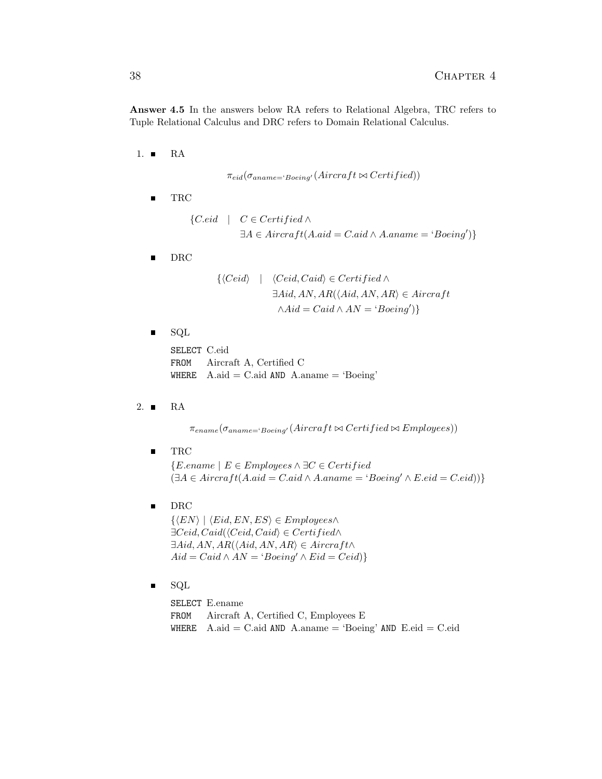**Answer 4.5** In the answers below RA refers to Relational Algebra, TRC refers to Tuple Relational Calculus and DRC refers to Domain Relational Calculus.

1. RA

```
\pi_{eid}(\sigma_{aname='Boeing'}(Aircraft \bowtie Certified))
```
TRC  $\blacksquare$ 

> ${C.eid}$  |  $C \in \text{Certified } } \wedge$  $\exists A \in \text{Aircraft}(A.\text{aid} = C.\text{aid} \land A.\text{aname} = 'Boeing')\}$

 $\blacksquare$ DRC

$$
\{\langle Ceid \rangle \mid \langle Ceid, Caid \rangle \in Certified \land
$$
  

$$
\exists Aid, AN, AR(\langle Aid, AN, AR \rangle \in Aircraft
$$
  

$$
\land Aid = Caid \land AN = 'Boeing')\}
$$

SQL  $\blacksquare$ 

> SELECT C.eid FROM Aircraft A, Certified C WHERE  $A$ .aid = C.aid AND  $A$ .aname = 'Boeing'

2. **■** RA

 $\pi_{ename}(\sigma_{aname='Boeing'}(Aircraft \bowtie Certified \bowtie Employees))$ 

- TRC  $\blacksquare$  ${E.} \n *E* = E, \n *E* = E, \n  $\exists C \in \text{I}$  \n *C* = E, \n  $\exists C \in \text{I}$$  $(\exists A \in A \text{ircraft}(A \text{.} \text{aid} = C \text{.} \text{aid} \land A \text{.} \text{aname} = 'Boeing' \land E \text{.} \text{eid} = C \text{.} \text{eid}))\}$
- DRC  $\blacksquare$

 $\{ \langle EN \rangle \mid \langle Eid, EN, ES \rangle \in Employes \land$  $\exists Ceid, Caid(\langle Ceid, Caid \rangle \in Certified \wedge$  $\exists Aid, AN, AR(\langle Aid, AN, AR \rangle \in Aircraft \wedge$  $Aid = Caid \wedge AN = 'Boeing' \wedge Eid = Ceid)$ 

SQL П

> SELECT E.ename FROM Aircraft A, Certified C, Employees E WHERE  $A$ .aid = C.aid AND  $A$ .aname = 'Boeing' AND  $E$ .eid = C.eid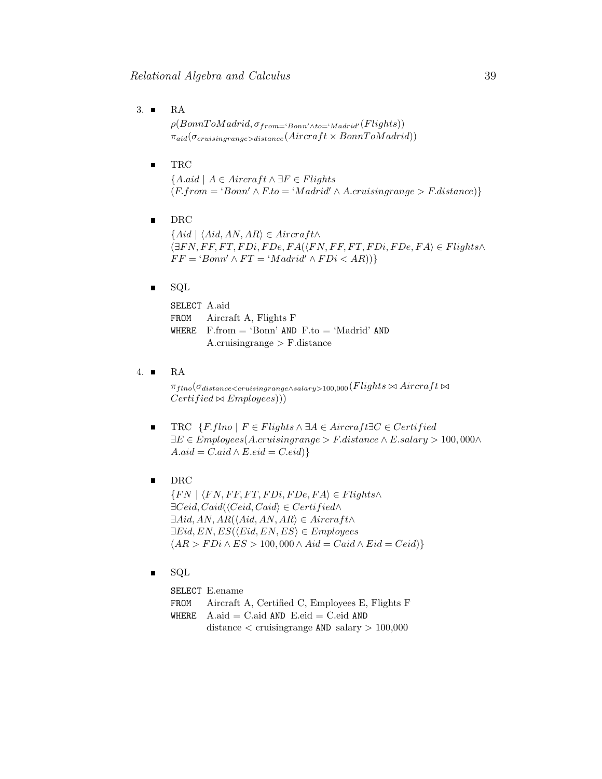3. RA

 $\rho(BonnToMadrid, \sigma_{from='Bonn' \wedge to='Madrid'}(Flights))$  $\pi_{aid}(\sigma_{cruisingrange \geq distance}(Aircraft \times BonnToMadrid))$ 

TRC  $\blacksquare$ 

> ${A.aid \mid A \in A \text{ircraft} \land \exists F \in Flights}$  $(F. from = 'Bonn' \wedge F. to = 'Madrid' \wedge A. cruising range > F. distance)$

 $\blacksquare$ DRC

> ${Adjd | \langle Aid, AN, AR \rangle \in Aircraft \wedge }$  $(\exists FN, FF, FT, FDi, FDe, FA(\langle FN, FF, FT, FDi, FDe, FA \rangle \in Flights \land$  $FF = 'Bonn' \wedge FT = 'Madrid' \wedge FDi < AR$ )

### SQL

SELECT A.aid FROM Aircraft A, Flights F WHERE  $F.$  from  $=$  'Bonn' AND  $F.to = 'Madrid'$  AND A.cruisingrange > F.distance

### 4. RA

 $\pi_{flno}(\sigma_{distance \langle cruising range \land salary \rangle 100,000} (Flights \bowtie Aircraft \bowtie$  $Certified \bowtie Employes))$ 

TRC  ${Fflno \mid F \in {\textit{Flights} \land \exists A \in {\textit{Aircraft}} \exists C \in {\textit{Certified}}}$  $\blacksquare$  $\exists E \in \mathit{Employees}(A.cruising range > F.distance \land E.salary > 100,000 \land$  $A.aid = C.aid \wedge E.eid = C.eid$ 

#### DRC  $\blacksquare$

 $\{FN \mid \langle FN, FF, FT, FDi, FDe, FA \rangle \in Flights \wedge$  $\exists Ceid, Caid(\langle Ceid, Caid \rangle \in Certified \wedge$  $\exists Ai d, AN, AR(\langle Ai d, AN, AR \rangle \in Aircraft \wedge$  $\exists Eid, EN, ES(\langle Eid, EN, ES \rangle \in Employees)$  $(AR > FDi \wedge ES > 100,000 \wedge Aid = Caid \wedge Eid = Ceid)$ 

SQL  $\blacksquare$ 

|      | <b>SELECT</b> E.ename                                    |
|------|----------------------------------------------------------|
| FROM | Aircraft A, Certified C, Employees E, Flights F          |
|      | WHERE $A$ aid $C$ aid AND $E$ eid $C$ ceid AND           |
|      | distance $\langle$ cruising range AND salary $> 100,000$ |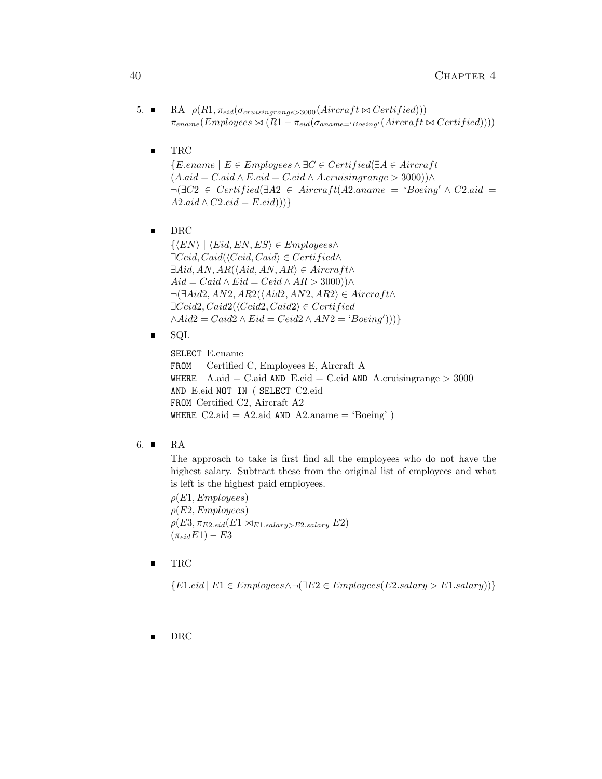- 5. RA  $\rho(R1, \pi_{eid}(\sigma_{cruisingrange>3000}(Aircraft \bowtie Certified)))$  $\pi_{ename}(Employee \bowtie (R1 - \pi_{eid}(\sigma_{aname = 'Boeing'}(Aircraft \bowtie Certified))))$ 
	- TRC

 ${E.}$ ename  $\mid E \in \mathit{Employees} \land \exists C \in \mathit{Certified}(\exists A \in \mathit{Aircraft})$  $(A.aid = C.aid \wedge E.eid = C.eid \wedge A.cruising range > 3000)) \wedge$  $\neg \exists C2 \in \text{Certified} \exists A2 \in \text{Aircraft}(A2.name = 'Boeing' \land C2.add =$  $A2.aid \wedge C2.eid = E.eid))$ 

 $\blacksquare$ DRC

> $\{ \langle EN \rangle \mid \langle Eid, EN, ES \rangle \in Employes \land$  $\exists Ceid, Caid(\langle Ceid, Caid \rangle \in Certified \wedge$  $\exists Ai d, AN, AR(\langle Ai d, AN, AR \rangle \in A \text{irc} \text{raft} \land$  $Aid = Caid \wedge Eid = Ceid \wedge AR > 3000) \wedge$  $\neg(\exists \text{A} id2, \text{AN} 2, \text{AR} 2(\langle \text{A} id2, \text{AN} 2, \text{AR} 2 \rangle \in \text{A} ircraft \wedge$  $\exists C \neq d2, C \neq d2 \langle C \neq d2, C \neq d2 \rangle \in \text{Certified}$  $\wedge Aid2 = Caid2 \wedge Eid = Ceid2 \wedge AN2 = 'Boeing'))$

SQL

SELECT E.ename FROM Certified C, Employees E, Aircraft A WHERE A.aid = C.aid AND E.eid = C.eid AND A.cruisingrange  $> 3000$ AND E.eid NOT IN ( SELECT C2.eid FROM Certified C2, Aircraft A2 WHERE  $C2$ -aid = A2.aid AND A2.aname = 'Boeing')

### 6. RA

The approach to take is first find all the employees who do not have the highest salary. Subtract these from the original list of employees and what is left is the highest paid employees.

 $\rho(E1, Employees)$  $\rho(E2, Employees)$  $\rho(E3, \pi_{E2.eid}(E1 \bowtie_{E1.salary>E2.salary} E2)$  $(\pi_{eid}E1) - E3$ 

TRC

 ${E1.eid \mid E1 \in Employes \land \neg (BE2 \in Employes(E2.salary > E1.salary))}$ 

DRC $\blacksquare$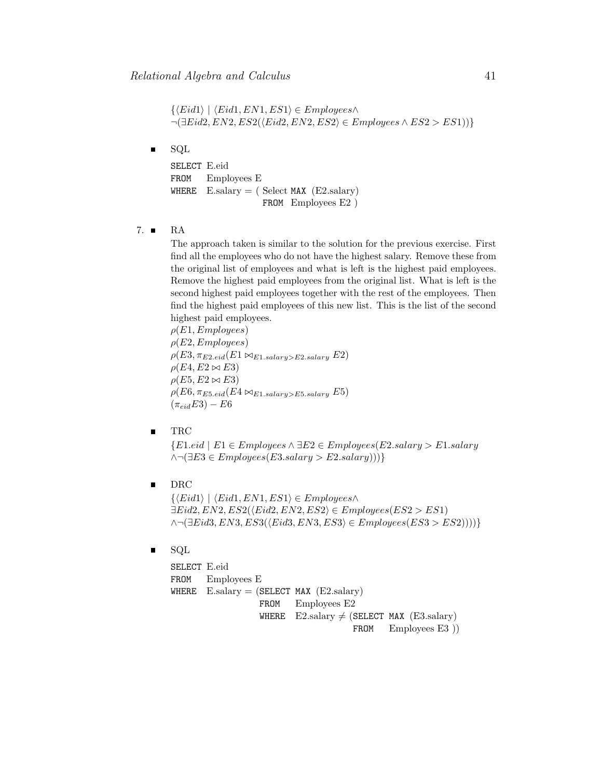```
\{\langle Eid1\rangle \mid \langle Eid1, EN1, ES1\rangle \in \mathit{Employees} \wedge\neg(\exists Eid2, EN2, ES2(\langle Eid2, EN2, ES2 \rangle \in Emplogees \land ES2 > ES1))\}\n
```
 $\blacksquare$ SQL

```
SELECT E.eid
FROM Employees E
WHERE E.\text{salary} = ( \text{ Select MAX} (E2.\text{salary})FROM Employees E2 )
```
7. RA

The approach taken is similar to the solution for the previous exercise. First find all the employees who do not have the highest salary. Remove these from the original list of employees and what is left is the highest paid employees. Remove the highest paid employees from the original list. What is left is the second highest paid employees together with the rest of the employees. Then find the highest paid employees of this new list. This is the list of the second highest paid employees.

 $\rho(E1, Employes)$  $\rho(E2, Employees)$  $\rho(E3, \pi_{E2.eid}(E1 \bowtie_{E1.salary>E2.salary} E2)$  $\rho(E4, E2 \bowtie E3)$  $\rho(E5, E2 \bowtie E3)$  $\rho(E6, \pi_{E5.eid}(E4 \bowtie_{E1.salary>E5.salary} E5)$  $(\pi_{eid}E3) - E6$ 

TRC

 ${E1.eid \mid E1 \in Employes \land \exists E2 \in Employes(E2.salary > E1.salary}$  $\land \neg (\exists E3 \in Employees(E3.salary > E2.salary)))$ 

DRC  $\blacksquare$ 

> $\{ \langle Eid1 \rangle \mid \langle Eid1, EN1, ES1 \rangle \in Employees \land$  $\exists Eid2, EN2, ES2(\langle Eid2, EN2, ES2 \rangle \in Employes(ES2 > ES1)$  $\land \neg (\exists Eid3, EN3, ES3(\langle Eid3, EN3, ES3 \rangle \in Employpes(ES3 > ES2))))$

SQL  $\blacksquare$ 

```
SELECT E.eid
FROM Employees E
WHERE E.\text{salary} = (\text{SELECT MAX} (\text{E2}.\text{salary})FROM Employees E2
                     WHERE E2-salary \neq (SELECT MAX (E3-salary)
                                           FROM Employees E3 )
```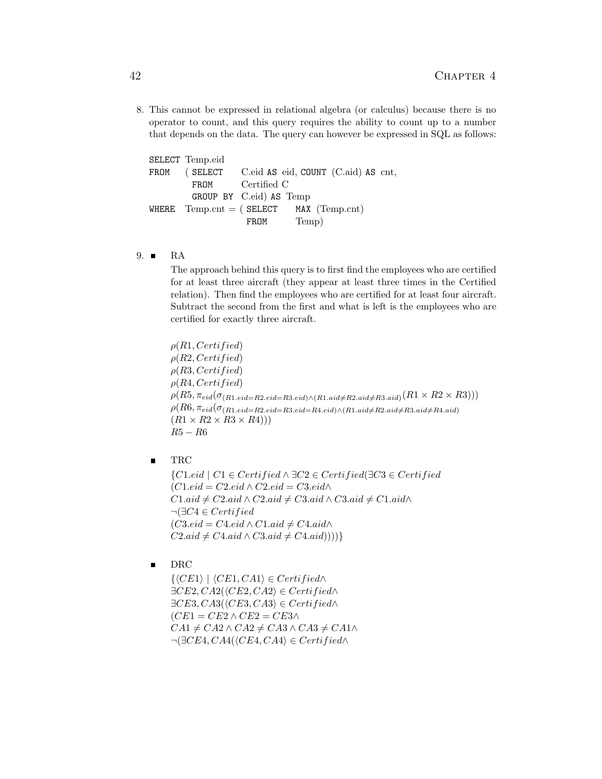8. This cannot be expressed in relational algebra (or calculus) because there is no operator to count, and this query requires the ability to count up to a number that depends on the data. The query can however be expressed in SQL as follows:

|      | SELECT Temp.eid         |             |                                             |
|------|-------------------------|-------------|---------------------------------------------|
| FROM |                         |             | (SELECT C.eid AS eid, COUNT (C.aid) AS cnt, |
|      | FROM                    | Certified C |                                             |
|      | GROUP BY C.eid) AS Temp |             |                                             |
|      |                         |             | WHERE $Temp.cnt = (SELECT MAX (Temp.cnt)$   |
|      |                         | FR.OM       | Temp)                                       |
|      |                         |             |                                             |

9. **RA** 

The approach behind this query is to first find the employees who are certified for at least three aircraft (they appear at least three times in the Certified relation). Then find the employees who are certified for at least four aircraft. Subtract the second from the first and what is left is the employees who are certified for exactly three aircraft.

 $\rho(R1, \mathit{Certified})$  $\rho(R2, \mathit{Certified})$  $\rho(R3, \mathit{Certified})$  $\rho(R4, \mathit{Certified})$  $\rho(R5, \pi_{eid}(\sigma_{(R1.eid=R2.eid=R3.eid)\wedge(R1.aid \neq R2.aid \neq R3.aid)}(R1 \times R2 \times R3)))$  $\rho(R6, \pi_{eid}(\sigma_{(R1.eid=R2.eid=R3.eid=R4.eid) \land (R1.aid \neq R2.aid \neq R3.aid \neq R4.aid)}$  $(R1 \times R2 \times R3 \times R4))$  $R5-R6$ 

TRC ш

> ${C1.eid \mid C1 \in \text{Certified} \land \exists C2 \in \text{Certified}(\exists C3 \in \text{Certified})}$  $(C1.eid = C2.eid \wedge C2.eid = C3.eid \wedge C2.eid$  $C1.aid \neq C2.aid \wedge C2.aid \neq C3.aid \wedge C3.aid \neq C1.aid \wedge$  $\neg \exists C4 \in \text{Certified}$  $(C3.eid = C4.eid \wedge C1.aid \neq C4.aid \wedge C1.$  $C2.aid \neq C4.aid \wedge C3.aid \neq C4.aid))))$

#### DRC  $\blacksquare$

 $\{\langle CE1\rangle \mid \langle CE1,CA1\rangle \in \text{Certified} \wedge$  $\exists C E2, CA2(\langle CE2, CA2 \rangle \in \text{Certified} \land$  $\exists CE3, CA3(\langle CE3, CA3 \rangle \in \text{Certified} \land$  $(CE1 = CE2 \wedge CE2 = CE3 \wedge$  $CA1 \neq CA2 \land CA2 \neq CA3 \land CA3 \neq CA1 \land$  $\neg(\exists C E4, CA4(\langle CE4, CA4 \rangle \in \text{Certified} \land$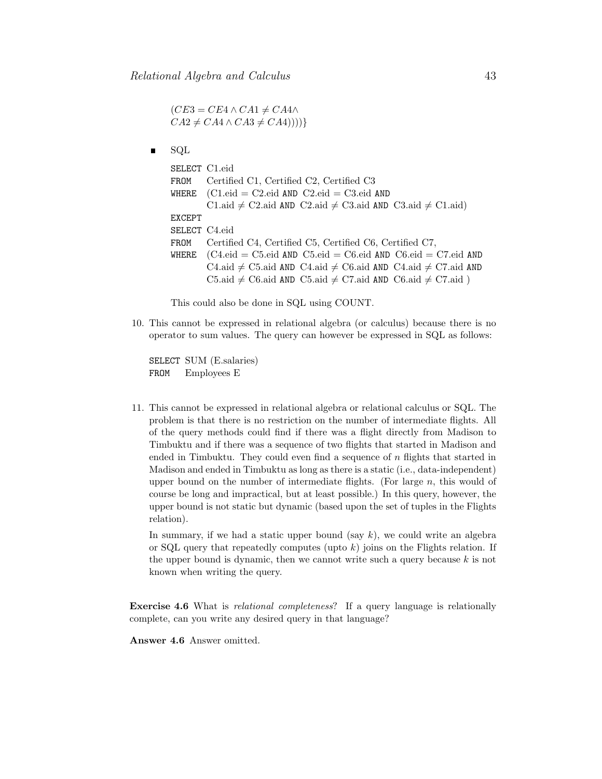$(CE3 = CE4 \land CA1 \neq CA4 \land$  $CA2 \neq CA4 \land CA3 \neq CA4))$ 

SQL

```
SELECT C1.eid
FROM Certified C1, Certified C2, Certified C3
WHERE (Cl.eid = C2.eid AND C2.eid = C3.eid ANDC1.aid \neq C2.aid AND C2.aid \neq C3.aid AND C3.aid \neq C1.aid)
EXCEPT
SELECT C4.eid
FROM Certified C4, Certified C5, Certified C6, Certified C7,
WHERE (C4.eid = C5.eid AND C5.eid = C6.eid AND C6.eid = C7.eid AND\text{C4}.\text{aid} \neq \text{C5}.\text{aid} \text{ AND C4}.\text{aid} \neq \text{C6}.\text{aid} \text{ AND C4}.\text{aid} \neq \text{C7}.\text{aid} \text{ AND}C5.aid \neq C6.aid AND C5.aid \neq C7.aid AND C6.aid \neq C7.aid )
```
This could also be done in SQL using COUNT.

10. This cannot be expressed in relational algebra (or calculus) because there is no operator to sum values. The query can however be expressed in SQL as follows:

SELECT SUM (E.salaries) FROM Employees E

11. This cannot be expressed in relational algebra or relational calculus or SQL. The problem is that there is no restriction on the number of intermediate flights. All of the query methods could find if there was a flight directly from Madison to Timbuktu and if there was a sequence of two flights that started in Madison and ended in Timbuktu. They could even find a sequence of  $n$  flights that started in Madison and ended in Timbuktu as long as there is a static (i.e., data-independent) upper bound on the number of intermediate flights. (For large  $n$ , this would of course be long and impractical, but at least possible.) In this query, however, the upper bound is not static but dynamic (based upon the set of tuples in the Flights relation).

In summary, if we had a static upper bound (say  $k$ ), we could write an algebra or SQL query that repeatedly computes (upto  $k$ ) joins on the Flights relation. If the upper bound is dynamic, then we cannot write such a query because  $k$  is not known when writing the query.

**Exercise 4.6** What is *relational completeness*? If a query language is relationally complete, can you write any desired query in that language?

**Answer 4.6** Answer omitted.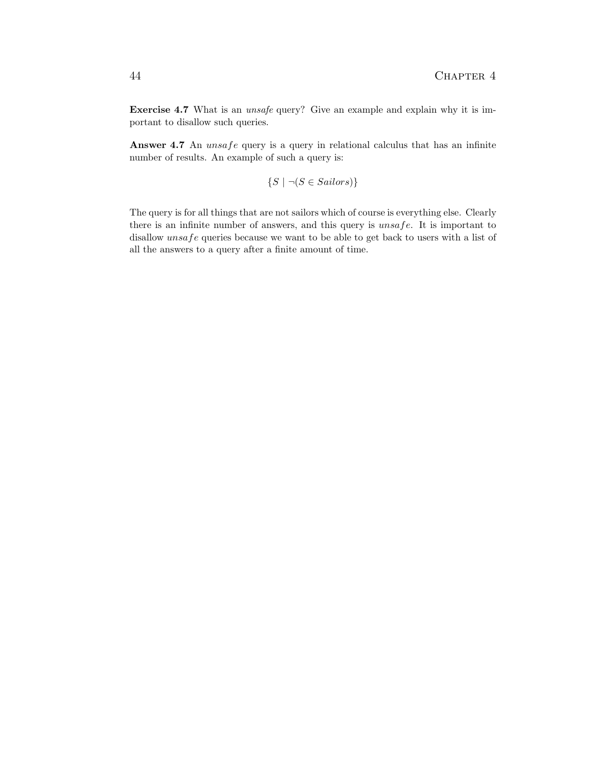**Exercise 4.7** What is an *unsafe* query? Give an example and explain why it is important to disallow such queries.

**Answer 4.7** An unsafe query is a query in relational calculus that has an infinite number of results. An example of such a query is:

$$
\{S \mid \neg (S \in Sailors)\}
$$

The query is for all things that are not sailors which of course is everything else. Clearly there is an infinite number of answers, and this query is unsafe. It is important to disallow *unsafe* queries because we want to be able to get back to users with a list of all the answers to a query after a finite amount of time.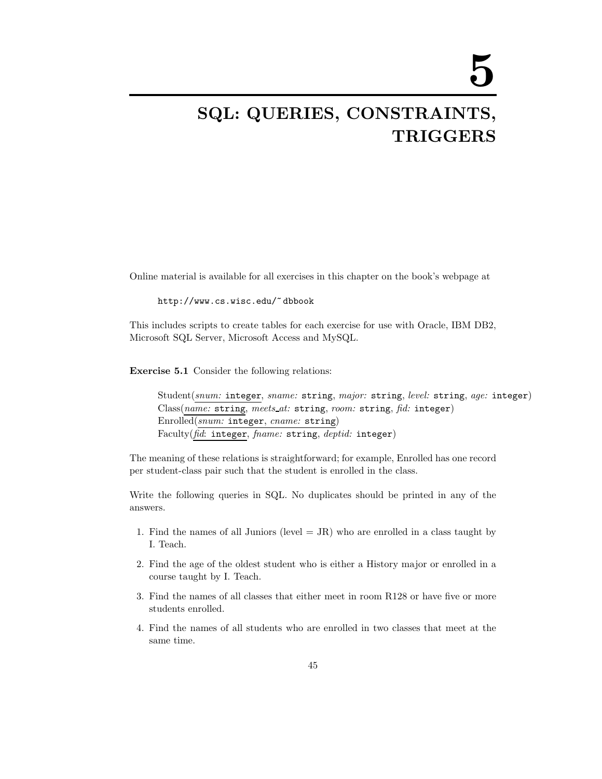# **5 SQL: QUERIES, CONSTRAINTS, TRIGGERS**

Online material is available for all exercises in this chapter on the book's webpage at

http://www.cs.wisc.edu/~ dbbook

This includes scripts to create tables for each exercise for use with Oracle, IBM DB2, Microsoft SQL Server, Microsoft Access and MySQL.

**Exercise 5.1** Consider the following relations:

Student(*snum:* integer, *sname:* string, *major:* string, *level:* string, *age:* integer) Class(*name:* string, *meets at:* string, *room:* string, *fid:* integer) Enrolled(*snum:* integer, *cname:* string) Faculty(*fid*: integer, *fname:* string, *deptid:* integer)

The meaning of these relations is straightforward; for example, Enrolled has one record per student-class pair such that the student is enrolled in the class.

Write the following queries in SQL. No duplicates should be printed in any of the answers.

- 1. Find the names of all Juniors (level  $=$  JR) who are enrolled in a class taught by I. Teach.
- 2. Find the age of the oldest student who is either a History major or enrolled in a course taught by I. Teach.
- 3. Find the names of all classes that either meet in room R128 or have five or more students enrolled.
- 4. Find the names of all students who are enrolled in two classes that meet at the same time.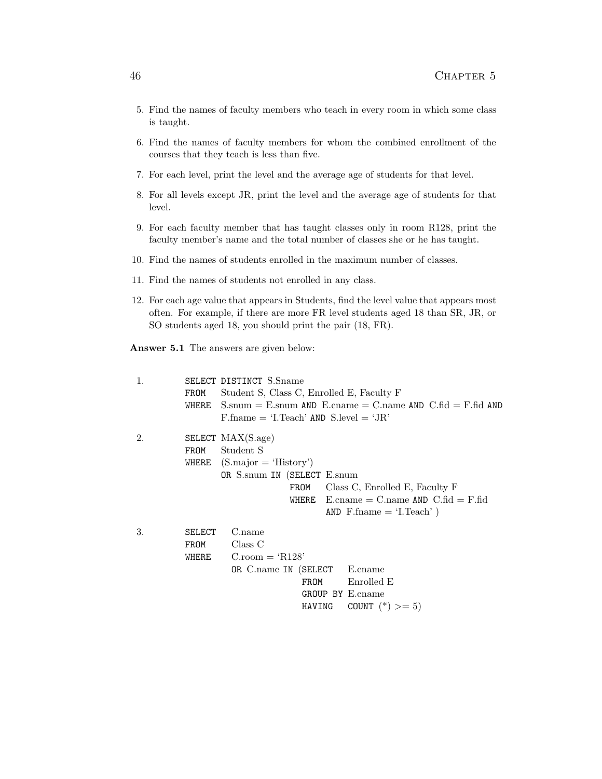- 5. Find the names of faculty members who teach in every room in which some class is taught.
- 6. Find the names of faculty members for whom the combined enrollment of the courses that they teach is less than five.
- 7. For each level, print the level and the average age of students for that level.
- 8. For all levels except JR, print the level and the average age of students for that level.
- 9. For each faculty member that has taught classes only in room R128, print the faculty member's name and the total number of classes she or he has taught.
- 10. Find the names of students enrolled in the maximum number of classes.
- 11. Find the names of students not enrolled in any class.
- 12. For each age value that appears in Students, find the level value that appears most often. For example, if there are more FR level students aged 18 than SR, JR, or SO students aged 18, you should print the pair (18, FR).

**Answer 5.1** The answers are given below:

| 1. | FROM           | SELECT DISTINCT S.Sname<br>Student S, Class C, Enrolled E, Faculty F<br>WHERE S.snum = E.snum AND E.cname = C.name AND C.fid = F.fid AND<br>$F$ .fname = 'I.Teach' AND S.level = 'JR'                                           |
|----|----------------|---------------------------------------------------------------------------------------------------------------------------------------------------------------------------------------------------------------------------------|
| 2. | FROM           | SELECT MAX(S.age)<br>Student S<br>WHERE $(S.\text{major} = 'History')$<br>OR S.snum IN (SELECT E.snum<br>FROM Class C, Enrolled E, Faculty F<br>WHERE $\quad$ E.cname = C.name AND C.fid = F.fid<br>AND $F$ .fname = 'I.Teach') |
| 3. | SELECT<br>FROM | C.name<br>Class C<br>WHERE $C.room = 'R128'$<br>OR C.name IN (SELECT E.cname<br>FROM Enrolled E<br><b>GROUP BY E.cname</b><br>COUNT $(*)$ >= 5)<br>HAVING                                                                       |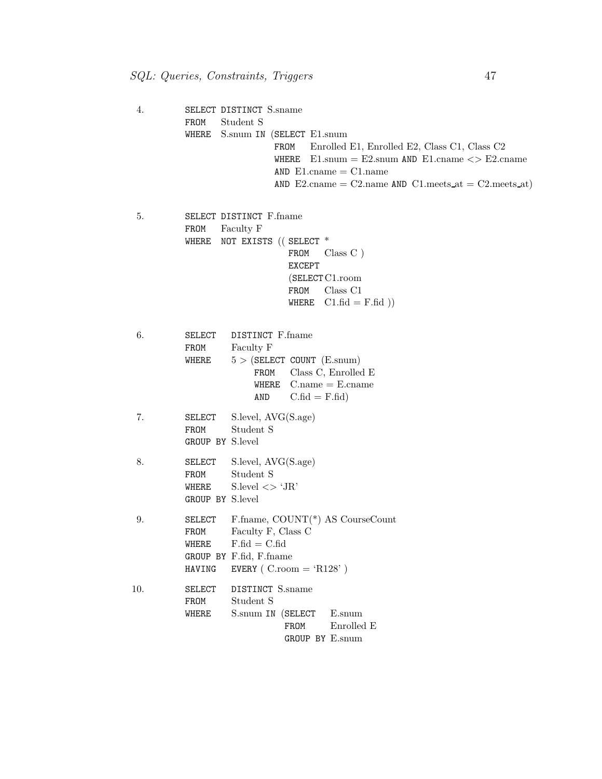| 4.  | SELECT DISTINCT S.sname<br>Student S<br>FROM<br>S.snum IN (SELECT E1.snum<br><b>WHERE</b><br>FROM<br>Enrolled E1, Enrolled E2, Class C1, Class C2<br>$E1$ .snum = E2.snum AND E1.cname $\langle \rangle$ E2.cname<br>WHERE<br>AND $E1$ .cname = $C1$ .name<br>AND E2.cname = $C2$ .name AND $C1$ .meets at = $C2$ .meets at) |
|-----|------------------------------------------------------------------------------------------------------------------------------------------------------------------------------------------------------------------------------------------------------------------------------------------------------------------------------|
| 5.  | SELECT DISTINCT F.fname<br>Faculty F<br>FROM<br>NOT EXISTS ((SELECT *<br>WHERE<br>FROM<br>Class $C$ )<br><b>EXCEPT</b><br>(SELECT C1.room)<br>Class <sub>C1</sub><br>FROM<br>$C1.fid = F.fid)$<br>WHERE                                                                                                                      |
| 6.  | DISTINCT F.fname<br><b>SELECT</b><br>Faculty F<br>FROM<br>$5 >$ (SELECT COUNT (E.snum)<br><b>WHERE</b><br>Class C, Enrolled E<br>FROM<br>$C.name = E.name$<br>WHERE<br>$C$ .fid = F.fid)<br>AND                                                                                                                              |
| 7.  | S.level, AVG(S.age)<br>SELECT<br>Student S<br>FROM<br>GROUP BY S.level                                                                                                                                                                                                                                                       |
| 8.  | S.level, AVG(S.age)<br>SELECT<br>Student S<br>FROM<br>$S_{\text{.}level} \ll \sim 'JR'$<br>WHERE<br>GROUP BY S.level                                                                                                                                                                                                         |
| 9.  | F.fname, $COUNT(*)$ AS CourseCount<br><b>SELECT</b><br>Faculty F, Class C<br>FROM<br>$F$ .fid = C.fid<br>WHERE<br>GROUP BY F.fid, F.fname<br>EVERY (C.room = 'R128')<br>HAVING                                                                                                                                               |
| 10. | DISTINCT S.sname<br><b>SELECT</b><br>Student S<br>FROM<br>S.snum IN (SELECT<br>E.snum<br>WHERE<br>Enrolled E<br>FROM<br>GROUP BY E.snum                                                                                                                                                                                      |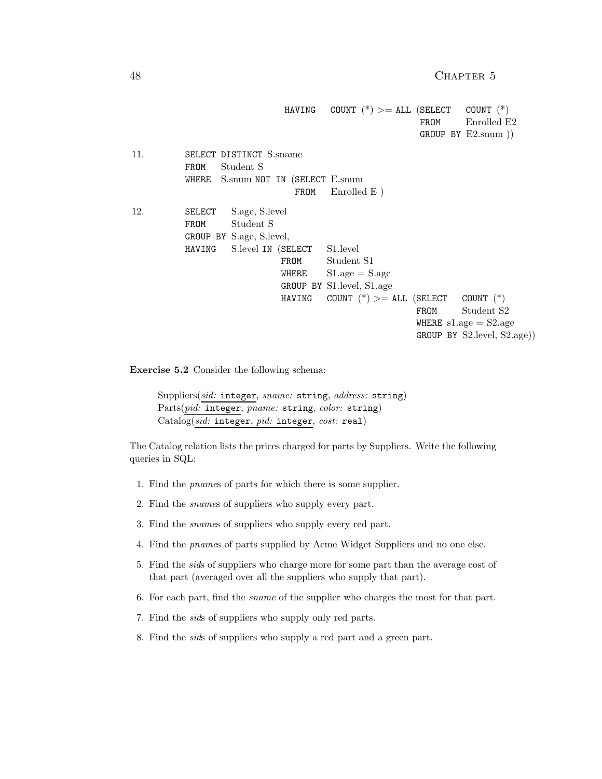HAVING COUNT  $(*)$   $>=$  ALL (SELECT COUNT  $(*)$ FROM Enrolled E2 GROUP BY E2.snum )) 11. SELECT DISTINCT S.sname FROM Student S WHERE S.snum NOT IN (SELECT E.snum FROM Enrolled E) 12. SELECT S.age, S.level FROM Student S GROUP BY S.age, S.level, HAVING S.level IN (SELECT S1.level FROM Student S1 WHERE  $S1.age = S.age$ GROUP BY S1.level, S1.age HAVING COUNT  $(*)$   $>=$  ALL (SELECT COUNT  $(*)$ FROM Student S2 WHERE  $s1.age = S2.age$ GROUP BY S2.level, S2.age))

**Exercise 5.2** Consider the following schema:

Suppliers(*sid:* integer, *sname:* string, *address:* string) Parts(*pid:* integer, *pname:* string, *color:* string) Catalog(*sid:* integer, *pid:* integer, *cost:* real)

The Catalog relation lists the prices charged for parts by Suppliers. Write the following queries in SQL:

- 1. Find the *pname*s of parts for which there is some supplier.
- 2. Find the *sname*s of suppliers who supply every part.
- 3. Find the *sname*s of suppliers who supply every red part.
- 4. Find the *pname*s of parts supplied by Acme Widget Suppliers and no one else.
- 5. Find the *sid*s of suppliers who charge more for some part than the average cost of that part (averaged over all the suppliers who supply that part).
- 6. For each part, find the *sname* of the supplier who charges the most for that part.
- 7. Find the *sid*s of suppliers who supply only red parts.
- 8. Find the *sid*s of suppliers who supply a red part and a green part.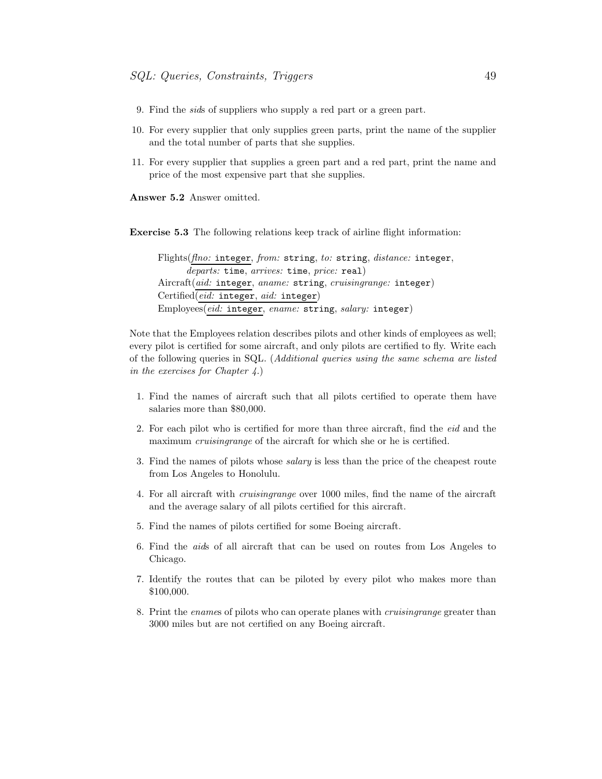- 9. Find the *sid*s of suppliers who supply a red part or a green part.
- 10. For every supplier that only supplies green parts, print the name of the supplier and the total number of parts that she supplies.
- 11. For every supplier that supplies a green part and a red part, print the name and price of the most expensive part that she supplies.

**Answer 5.2** Answer omitted.

**Exercise 5.3** The following relations keep track of airline flight information:

Flights(*flno:* integer, *from:* string, *to:* string, *distance:* integer, *departs:* time, *arrives:* time, *price:* real) Aircraft(*aid:* integer, *aname:* string, *cruisingrange:* integer) Certified(*eid:* integer, *aid:* integer) Employees(*eid:* integer, *ename:* string, *salary:* integer)

Note that the Employees relation describes pilots and other kinds of employees as well; every pilot is certified for some aircraft, and only pilots are certified to fly. Write each of the following queries in SQL. (*Additional queries using the same schema are listed in the exercises for Chapter 4.*)

- 1. Find the names of aircraft such that all pilots certified to operate them have salaries more than \$80,000.
- 2. For each pilot who is certified for more than three aircraft, find the *eid* and the maximum *cruisingrange* of the aircraft for which she or he is certified.
- 3. Find the names of pilots whose *salary* is less than the price of the cheapest route from Los Angeles to Honolulu.
- 4. For all aircraft with *cruisingrange* over 1000 miles, find the name of the aircraft and the average salary of all pilots certified for this aircraft.
- 5. Find the names of pilots certified for some Boeing aircraft.
- 6. Find the *aid*s of all aircraft that can be used on routes from Los Angeles to Chicago.
- 7. Identify the routes that can be piloted by every pilot who makes more than \$100,000.
- 8. Print the *ename*s of pilots who can operate planes with *cruisingrange* greater than 3000 miles but are not certified on any Boeing aircraft.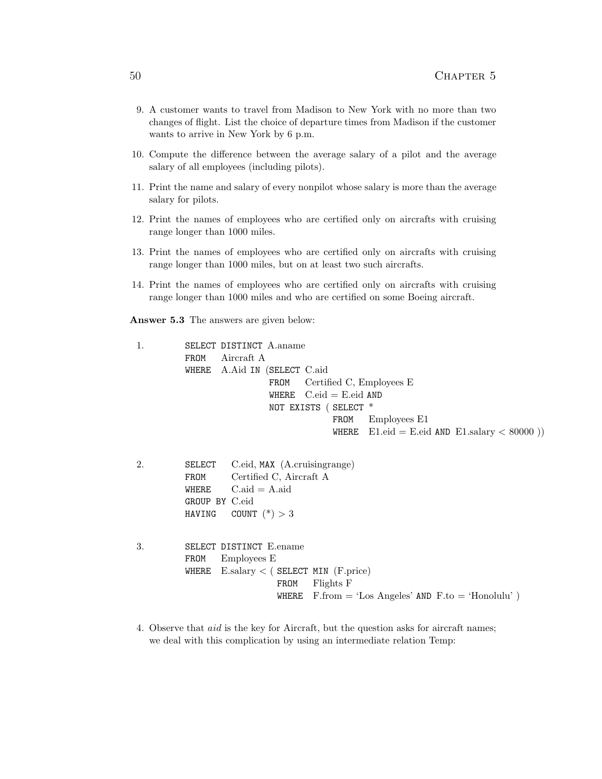- 9. A customer wants to travel from Madison to New York with no more than two changes of flight. List the choice of departure times from Madison if the customer wants to arrive in New York by 6 p.m.
- 10. Compute the difference between the average salary of a pilot and the average salary of all employees (including pilots).
- 11. Print the name and salary of every nonpilot whose salary is more than the average salary for pilots.
- 12. Print the names of employees who are certified only on aircrafts with cruising range longer than 1000 miles.
- 13. Print the names of employees who are certified only on aircrafts with cruising range longer than 1000 miles, but on at least two such aircrafts.
- 14. Print the names of employees who are certified only on aircrafts with cruising range longer than 1000 miles and who are certified on some Boeing aircraft.

**Answer 5.3** The answers are given below:

| 1. | SELECT DISTINCT A.aname                                                                                                                                                          |
|----|----------------------------------------------------------------------------------------------------------------------------------------------------------------------------------|
|    | Aircraft A<br>FROM                                                                                                                                                               |
|    | WHERE A.Aid IN (SELECT C.aid                                                                                                                                                     |
|    | Certified C, Employees E<br>FROM                                                                                                                                                 |
|    | WHERE $C.eid = E.eid AND$                                                                                                                                                        |
|    | NOT EXISTS ( SELECT *                                                                                                                                                            |
|    | FROM Employees E1                                                                                                                                                                |
|    | WHERE $E1.eid = E.eid AND E1.salary < 80000)$                                                                                                                                    |
| 2. | C.eid, MAX (A.cruisingrange)<br>SELECT<br>Certified C, Aircraft A<br>FROM<br>WHERE $\text{C.aid} = \text{A.aid}$<br>GROUP BY C.eid<br>COUNT $(^\ast) > 3$<br>HAVING              |
| 3. | SELECT DISTINCT E.ename<br>Employees E<br>FROM<br>WHERE $E$ salary $\lt$ (SELECT MIN (F.price)<br>Flights F<br>FROM<br>WHERE $F$ .from = 'Los Angeles' AND $F$ .to = 'Honolulu') |

4. Observe that aid is the key for Aircraft, but the question asks for aircraft names; we deal with this complication by using an intermediate relation Temp: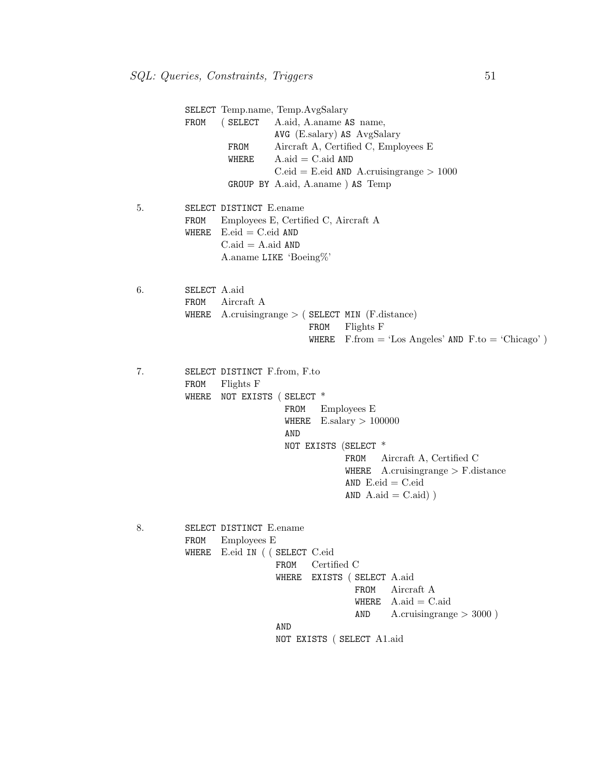|    | FROM                          | SELECT Temp.name, Temp.AvgSalary<br>(SELECT<br>A.aid, A.aname AS name,<br>AVG (E.salary) AS AvgSalary<br>Aircraft A, Certified C, Employees E<br>FROM<br>$A$ aid = C.aid AND<br>WHERE<br>$C.eid = E.eid$ AND A.cruising range $> 1000$<br>GROUP BY A.aid, A.aname ) AS Temp                       |
|----|-------------------------------|---------------------------------------------------------------------------------------------------------------------------------------------------------------------------------------------------------------------------------------------------------------------------------------------------|
| 5. | FROM                          | <b>SELECT DISTINCT E.ename</b><br>Employees E, Certified C, Aircraft A<br>WHERE $E.eid = C.eid$ AND<br>$C$ aid = A.aid AND<br>A.aname LIKE 'Boeing%'                                                                                                                                              |
| 6. | SELECT A.aid<br>FROM<br>WHERE | Aircraft A<br>A.cruisingrange $>$ (SELECT MIN (F.distance)<br>Flights F<br>FROM<br>$F$ .from = 'Los Angeles' AND $F$ .to = 'Chicago')<br>WHERE                                                                                                                                                    |
| 7. | FROM                          | SELECT DISTINCT F.from, F.to<br>Flights F<br>WHERE NOT EXISTS (SELECT *<br>Employees E<br>FROM<br>$E$ salary > 100000<br>WHERE<br>AND<br>NOT EXISTS (SELECT *<br>FROM<br>Aircraft A, Certified C<br>$A.$ cruising $range > F.distance$<br>WHERE<br>AND $E.eid = C.eid$<br>AND $A$ aid = $C$ aid)) |
| 8. | FROM<br>WHERE                 | <b>SELECT DISTINCT E.ename</b><br>Employees E<br>E.eid IN ( ( SELECT C.eid<br>Certified C<br>FROM<br>WHERE<br>EXISTS (SELECT A.aid<br>Aircraft A<br>FROM<br>$A$ aid = $C$ aid<br>WHERE<br>A.cruising range $>$ 3000)<br>AND<br>AND<br>NOT EXISTS (SELECT A1.aid                                   |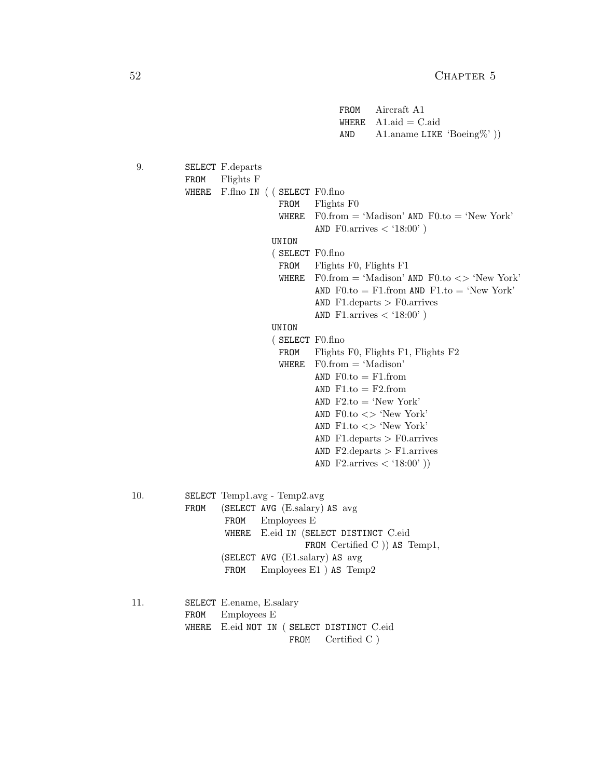FROM Aircraft A1 WHERE  $A1$  aid  $C$  aid AND A1.aname LIKE 'Boeing $\%$ ') 9. SELECT F.departs FROM Flights F WHERE F.flno IN ( ( SELECT F0.flno FROM Flights F0 WHERE  $F0.$ from  $=$  'Madison' AND  $F0.$ to  $=$  'New York' AND F0.arrives  $<$  '18:00') UNION ( SELECT F0.flno FROM Flights F0, Flights F1 WHERE  $F0.$ from  $=$  'Madison' AND  $F0.$ to  $\lt$  > 'New York' AND  $F0.to = F1.$  from AND  $F1.to = 'New York'$ AND  $F1$ .departs >  $F0$ .arrives AND  $F1.\arrices < '18:00'$ ) UNION ( SELECT F0.flno FROM Flights F0, Flights F1, Flights F2  $WHERE$  F0.from  $=$  'Madison' AND  $F0.to = F1.$  from AND  $F1.to = F2.from$ AND  $F2.to = 'New York'$ AND  $F0.to \leq Y \leq Y$ AND F1.to <> 'New York' AND  $F1.$ departs  $> F0.$ arrives AND  $F2 \text{. departs} > F1 \text{.arrives}$ AND F2.arrives  $\langle$  '18:00' )) 10. SELECT Temp1.avg - Temp2.avg FROM (SELECT AVG (E.salary) AS avg FROM Employees E WHERE E.eid IN (SELECT DISTINCT C.eid FROM Certified C ) AS Temp1, (SELECT AVG (E1.salary) AS avg FROM Employees E1 ) AS Temp2 11. SELECT E.ename, E.salary FROM Employees E WHERE E.eid NOT IN ( SELECT DISTINCT C.eid FROM Certified C )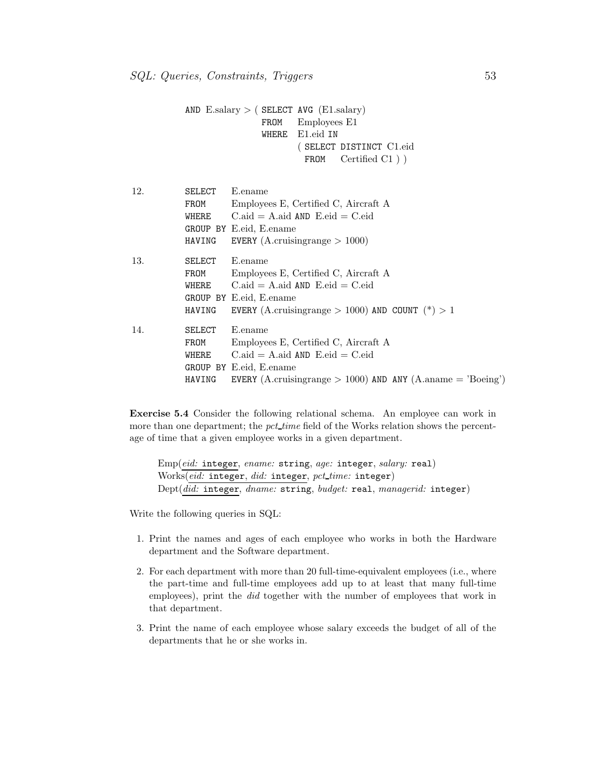AND E.salary  $>$  (SELECT AVG (E1.salary) FROM Employees E1 WHERE E1.eid IN ( SELECT DISTINCT C1.eid FROM Certified C1) )

| 12. | SELECT<br>FROM<br>WHERE<br>HAVING        | E.ename<br>Employees E, Certified C, Aircraft A<br>$C$ aid = A.aid AND E.eid = $C$ .eid<br>GROUP BY E.eid, E.ename<br>EVERY (A.cruising range $> 1000$ )                               |
|-----|------------------------------------------|----------------------------------------------------------------------------------------------------------------------------------------------------------------------------------------|
| 13. | <b>SELECT</b><br>FROM<br>WHERE<br>HAVING | E.ename<br>Employees E, Certified C, Aircraft A<br>$C$ aid = A.aid AND $E$ eid = $C$ eid<br>GROUP BY E.eid, E.ename<br>EVERY (A.cruising range $> 1000$ ) AND COUNT (*) $> 1$          |
| 14. | <b>SELECT</b><br>FROM<br>WHERE<br>HAVING | E.ename<br>Employees E, Certified C, Aircraft A<br>$C$ aid = A.aid AND $E$ eid = $C$ eid<br>GROUP BY E.eid, E.ename<br>EVERY (A.cruising range $> 1000$ ) AND ANY (A.aname = 'Boeing') |

**Exercise 5.4** Consider the following relational schema. An employee can work in more than one department; the *pct\_time* field of the Works relation shows the percentage of time that a given employee works in a given department.

Emp(*eid:* integer, *ename:* string, *age:* integer, *salary:* real) Works(*eid:* integer, *did:* integer, *pct time:* integer) Dept(*did:* integer, *dname:* string, *budget:* real, *managerid:* integer)

Write the following queries in SQL:

- 1. Print the names and ages of each employee who works in both the Hardware department and the Software department.
- 2. For each department with more than 20 full-time-equivalent employees (i.e., where the part-time and full-time employees add up to at least that many full-time employees), print the *did* together with the number of employees that work in that department.
- 3. Print the name of each employee whose salary exceeds the budget of all of the departments that he or she works in.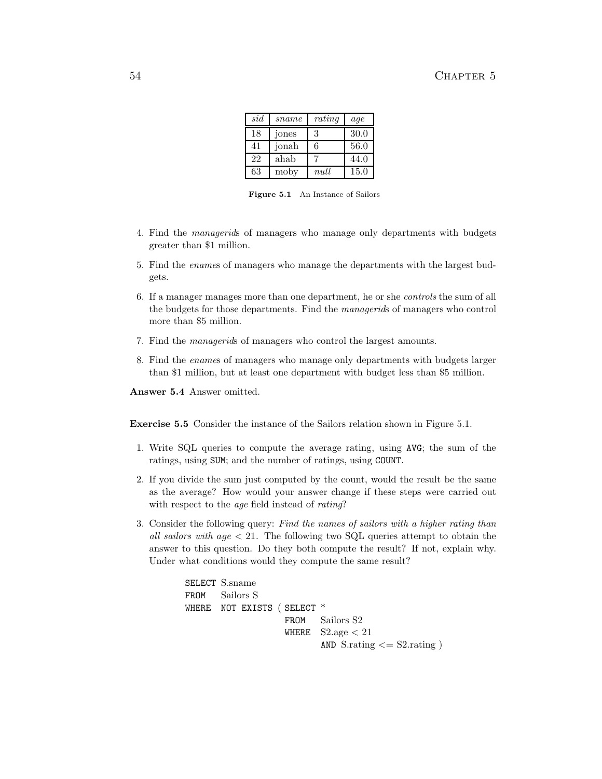### 54 CHAPTER 5

| sid | sname | rating | age  |
|-----|-------|--------|------|
| 18  | jones | 3      | 30.0 |
| 41  | jonah | 6      | 56.0 |
| 22  | ahab  |        | 44.0 |
| 63  | moby  | null   | 15.0 |

**Figure 5.1** An Instance of Sailors

- 4. Find the *managerid*s of managers who manage only departments with budgets greater than \$1 million.
- 5. Find the *ename*s of managers who manage the departments with the largest budgets.
- 6. If a manager manages more than one department, he or she *controls* the sum of all the budgets for those departments. Find the *managerid*s of managers who control more than \$5 million.
- 7. Find the *managerid*s of managers who control the largest amounts.
- 8. Find the *ename*s of managers who manage only departments with budgets larger than \$1 million, but at least one department with budget less than \$5 million.

**Answer 5.4** Answer omitted.

**Exercise 5.5** Consider the instance of the Sailors relation shown in Figure 5.1.

- 1. Write SQL queries to compute the average rating, using AVG; the sum of the ratings, using SUM; and the number of ratings, using COUNT.
- 2. If you divide the sum just computed by the count, would the result be the same as the average? How would your answer change if these steps were carried out with respect to the *age* field instead of *rating*?
- 3. Consider the following query: *Find the names of sailors with a higher rating than all sailors with* age < 21*.* The following two SQL queries attempt to obtain the answer to this question. Do they both compute the result? If not, explain why. Under what conditions would they compute the same result?

```
SELECT S.sname
FROM Sailors S
WHERE NOT EXISTS ( SELECT *
                      FROM Sailors S2
                      WHERE S2 \text{.age} < 21AND S.rating \leq = S2.rating )
```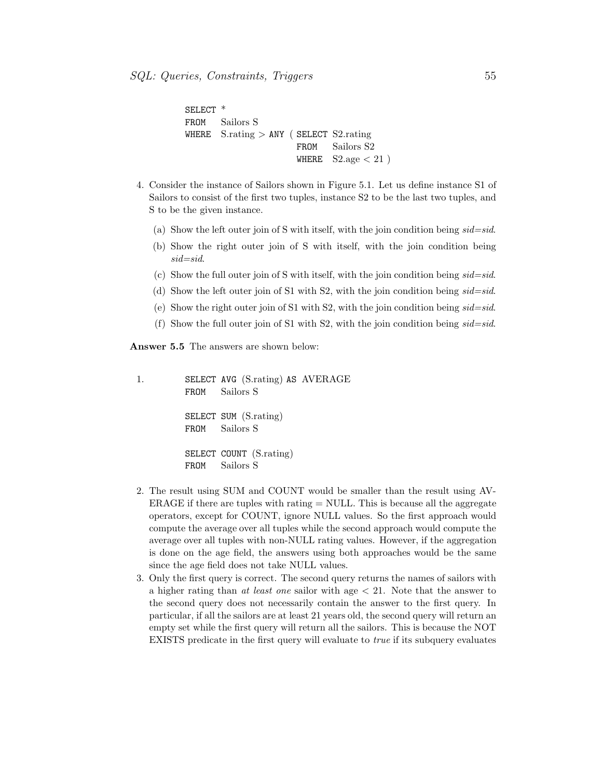```
SELECT *
FROM Sailors S
WHERE S.\text{rating} > \text{ANY} (SELECT S2.rating
                           FROM Sailors S2
                           WHERE S2 \text{age} < 21)
```
- 4. Consider the instance of Sailors shown in Figure 5.1. Let us define instance S1 of Sailors to consist of the first two tuples, instance S2 to be the last two tuples, and S to be the given instance.
	- (a) Show the left outer join of S with itself, with the join condition being *sid=sid*.
	- (b) Show the right outer join of S with itself, with the join condition being *sid=sid*.
	- (c) Show the full outer join of S with itself, with the join condition being *sid=sid*.
	- (d) Show the left outer join of S1 with S2, with the join condition being *sid=sid*.
	- (e) Show the right outer join of S1 with S2, with the join condition being *sid=sid*.
	- (f) Show the full outer join of S1 with S2, with the join condition being *sid=sid*.

**Answer 5.5** The answers are shown below:

```
1. SELECT AVG (S.rating) AS AVERAGE
         FROM Sailors S
         SELECT SUM (S.rating)
         FROM Sailors S
         SELECT COUNT (S.rating)
         FROM Sailors S
```
- 2. The result using SUM and COUNT would be smaller than the result using AV-ERAGE if there are tuples with rating  $=$  NULL. This is because all the aggregate operators, except for COUNT, ignore NULL values. So the first approach would compute the average over all tuples while the second approach would compute the average over all tuples with non-NULL rating values. However, if the aggregation is done on the age field, the answers using both approaches would be the same since the age field does not take NULL values.
- 3. Only the first query is correct. The second query returns the names of sailors with a higher rating than *at least one* sailor with age < 21. Note that the answer to the second query does not necessarily contain the answer to the first query. In particular, if all the sailors are at least 21 years old, the second query will return an empty set while the first query will return all the sailors. This is because the NOT EXISTS predicate in the first query will evaluate to *true* if its subquery evaluates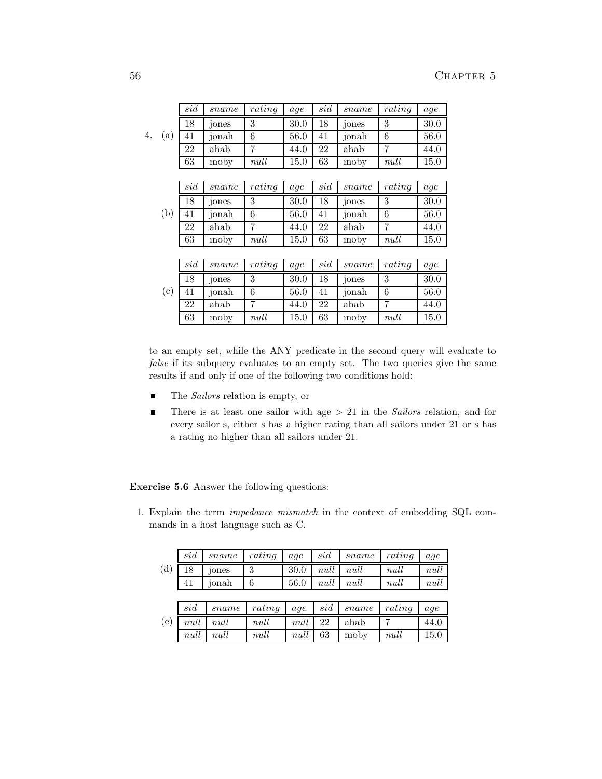|           | sid | sname           | rating         | age  | sid | sname | rating | age  |
|-----------|-----|-----------------|----------------|------|-----|-------|--------|------|
|           | 18  | jones           | 3              | 30.0 | 18  | jones | 3      | 30.0 |
| (a)<br>4. | 41  | jonah           | 6              | 56.0 | 41  | jonah | 6      | 56.0 |
|           | 22  | ahab            | 7              | 44.0 | 22  | ahab  | 7      | 44.0 |
|           | 63  | moby            | null           | 15.0 | 63  | moby  | null   | 15.0 |
|           |     |                 |                |      |     |       |        |      |
|           | sid | $\mathit{same}$ | rating         | age  | sid | sname | rating | age  |
|           | 18  | jones           | 3              | 30.0 | 18  | jones | 3      | 30.0 |
| (b)       | 41  | jonah           | 6              | 56.0 | 41  | jonah | 6      | 56.0 |
|           | 22  | ahab            | 7              | 44.0 | 22  | ahab  | 7      | 44.0 |
|           | 63  | moby            | null           | 15.0 | 63  | moby  | null   | 15.0 |
|           |     |                 |                |      |     |       |        |      |
|           | sid | sname           | rating         | age  | sid | sname | rating | age  |
|           | 18  | jones           | 3              | 30.0 | 18  | jones | 3      | 30.0 |
| (c)       | 41  | jonah           | 6              | 56.0 | 41  | jonah | 6      | 56.0 |
|           | 22  | ahab            | $\overline{7}$ | 44.0 | 22  | ahab  | 7      | 44.0 |
|           | 63  | moby            | null           | 15.0 | 63  | moby  | null   | 15.0 |

to an empty set, while the ANY predicate in the second query will evaluate to *false* if its subquery evaluates to an empty set. The two queries give the same results if and only if one of the following two conditions hold:

- The *Sailors* relation is empty, or  $\blacksquare$
- There is at least one sailor with age > 21 in the *Sailors* relation, and for  $\blacksquare$ every sailor s, either s has a higher rating than all sailors under 21 or s has a rating no higher than all sailors under 21.

**Exercise 5.6** Answer the following questions:

1. Explain the term *impedance mismatch* in the context of embedding SQL commands in a host language such as C.

|     | sid  | sname | rating | aqe  | sid      | sname | rating | age  |
|-----|------|-------|--------|------|----------|-------|--------|------|
| (d) | 18   | jones | 3      | 30.0 | null     | null  | null   | null |
|     | 41   | jonah | 6      | 56.0 | null     | null  | null   | null |
|     |      |       |        |      |          |       |        |      |
|     | sid  | sname | rating | aqe  | $_{sid}$ | sname | rating | aqe  |
| (e) | null | null  | null   | null | 22       | ahab  |        | 44.0 |
|     | null | null  | null   | null | 63       | moby  | null   | 15.0 |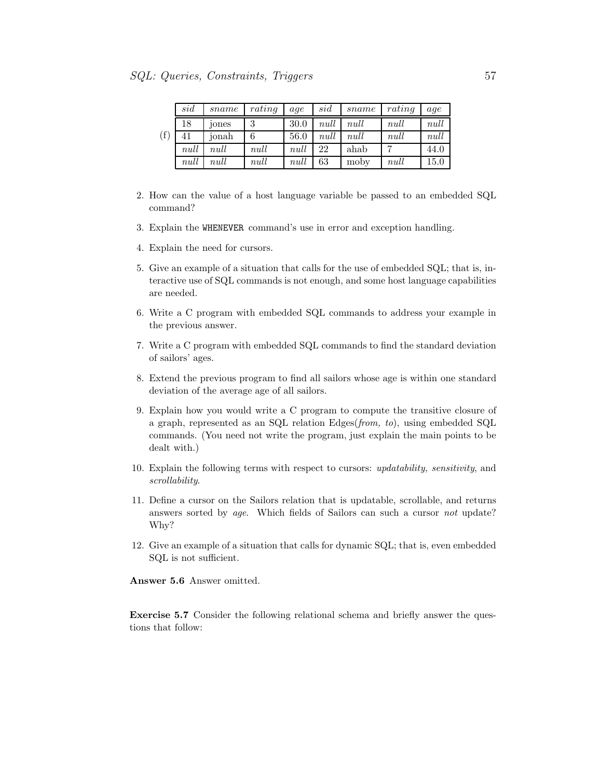| sid  | $\mathit{same}$ | rating | age  | sid  | sname | rating | aqe  |
|------|-----------------|--------|------|------|-------|--------|------|
| 18   | jones           |        | 30.0 | null | null  | null   | null |
|      | jonah           |        | 56.0 | null | null  | null   | null |
| null | null            | null   | null | 22   | ahab  |        | 44.0 |
| null | null            | null   | null | 63   | moby  | null   | 15.0 |

- 2. How can the value of a host language variable be passed to an embedded SQL command?
- 3. Explain the WHENEVER command's use in error and exception handling.
- 4. Explain the need for cursors.
- 5. Give an example of a situation that calls for the use of embedded SQL; that is, interactive use of SQL commands is not enough, and some host language capabilities are needed.
- 6. Write a C program with embedded SQL commands to address your example in the previous answer.
- 7. Write a C program with embedded SQL commands to find the standard deviation of sailors' ages.
- 8. Extend the previous program to find all sailors whose age is within one standard deviation of the average age of all sailors.
- 9. Explain how you would write a C program to compute the transitive closure of a graph, represented as an SQL relation Edges(*from, to*), using embedded SQL commands. (You need not write the program, just explain the main points to be dealt with.)
- 10. Explain the following terms with respect to cursors: *updatability, sensitivity*, and *scrollability*.
- 11. Define a cursor on the Sailors relation that is updatable, scrollable, and returns answers sorted by *age*. Which fields of Sailors can such a cursor *not* update? Why?
- 12. Give an example of a situation that calls for dynamic SQL; that is, even embedded SQL is not sufficient.

**Answer 5.6** Answer omitted.

**Exercise 5.7** Consider the following relational schema and briefly answer the questions that follow: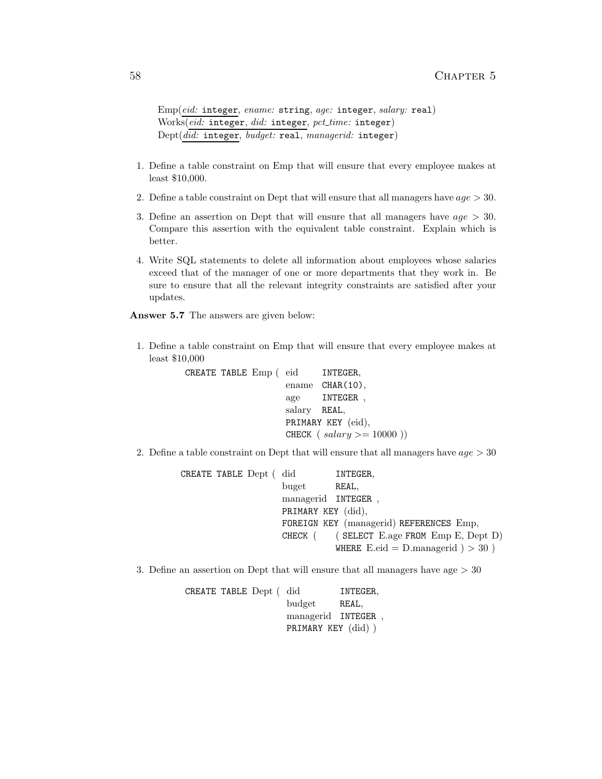Emp(*eid:* integer, *ename:* string, *age:* integer, *salary:* real) Works(*eid:* integer, *did:* integer, *pct time:* integer) Dept(*did:* integer, *budget:* real, *managerid:* integer)

- 1. Define a table constraint on Emp that will ensure that every employee makes at least \$10,000.
- 2. Define a table constraint on Dept that will ensure that all managers have  $age > 30$ .
- 3. Define an assertion on Dept that will ensure that all managers have  $age > 30$ . Compare this assertion with the equivalent table constraint. Explain which is better.
- 4. Write SQL statements to delete all information about employees whose salaries exceed that of the manager of one or more departments that they work in. Be sure to ensure that all the relevant integrity constraints are satisfied after your updates.

**Answer 5.7** The answers are given below:

1. Define a table constraint on Emp that will ensure that every employee makes at least \$10,000

|  |              | CREATE TABLE Emp (eid INTEGER, |
|--|--------------|--------------------------------|
|  |              | ename $CHAR(10)$ ,             |
|  |              | age INTEGER,                   |
|  | salary REAL. |                                |
|  |              | PRIMARY KEY (eid),             |
|  |              | CHECK $(salary >= 10000)$      |

2. Define a table constraint on Dept that will ensure that all managers have  $age > 30$ 

| CREATE TABLE Dept (did |  |                    | INTEGER,                                    |
|------------------------|--|--------------------|---------------------------------------------|
|                        |  | buget              | REAL,                                       |
|                        |  | managerid INTEGER, |                                             |
|                        |  | PRIMARY KEY (did), |                                             |
|                        |  |                    | FOREIGN KEY (managerid) REFERENCES Emp.     |
|                        |  |                    | CHECK $($ (SELECT E.age FROM Emp E, Dept D) |
|                        |  |                    | WHERE E.eid = $D$ .managerid $) > 30$ )     |
|                        |  |                    |                                             |

3. Define an assertion on Dept that will ensure that all managers have age > 30

|  | CREATE TABLE Dept (did |                    | INTEGER, |
|--|------------------------|--------------------|----------|
|  |                        | budget             | REAL.    |
|  |                        | managerid INTEGER, |          |
|  |                        | PRIMARY KEY (did)) |          |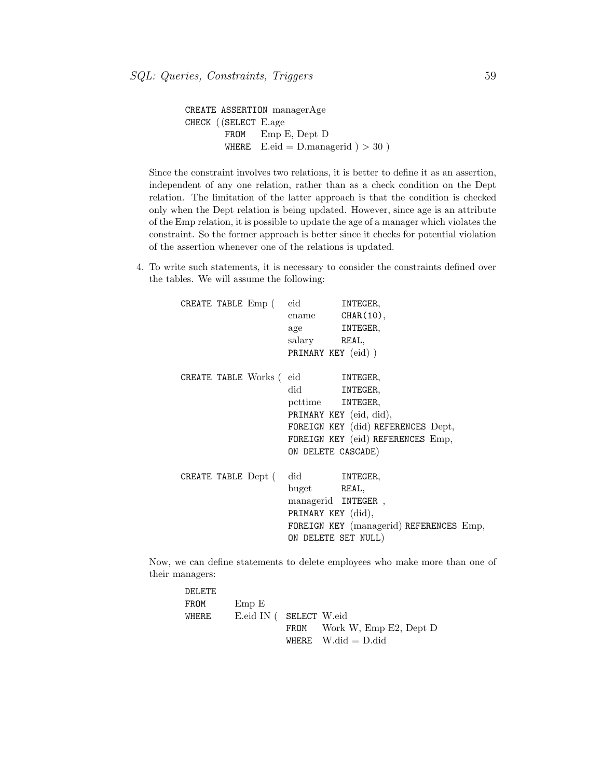```
CREATE ASSERTION managerAge
CHECK ( (SELECT E.age
       FROM Emp E, Dept D
       WHERE E.eid = D.managerid > 30
```
Since the constraint involves two relations, it is better to define it as an assertion, independent of any one relation, rather than as a check condition on the Dept relation. The limitation of the latter approach is that the condition is checked only when the Dept relation is being updated. However, since age is an attribute of the Emp relation, it is possible to update the age of a manager which violates the constraint. So the former approach is better since it checks for potential violation of the assertion whenever one of the relations is updated.

4. To write such statements, it is necessary to consider the constraints defined over the tables. We will assume the following:

| CREATE TABLE Emp (eid INTEGER,   | ename $CHAR(10)$ ,<br>age INTEGER,<br>salary REAL,<br>PRIMARY KEY (eid))                       |                                                                         |
|----------------------------------|------------------------------------------------------------------------------------------------|-------------------------------------------------------------------------|
| CREATE TABLE Works (eid INTEGER, | did INTEGER,<br>pcttime INTEGER,<br>PRIMARY KEY (eid, did),<br>ON DELETE CASCADE)              | FOREIGN KEY (did) REFERENCES Dept,<br>FOREIGN KEY (eid) REFERENCES Emp, |
| CREATE TABLE Dept (              | did INTEGER.<br>buget REAL,<br>managerid INTEGER,<br>PRIMARY KEY (did),<br>ON DELETE SET NULL) | FOREIGN KEY (managerid) REFERENCES Emp,                                 |

Now, we can define statements to delete employees who make more than one of their managers:

| DELETE |                      |                                                 |
|--------|----------------------|-------------------------------------------------|
| FROM   | Emp E                |                                                 |
| WHERE  | Eeid IN (SELECT Weid |                                                 |
|        |                      | FROM Work W, Emp E2, Dept D                     |
|        |                      | WHERE $W \cdot \text{did} = D \cdot \text{did}$ |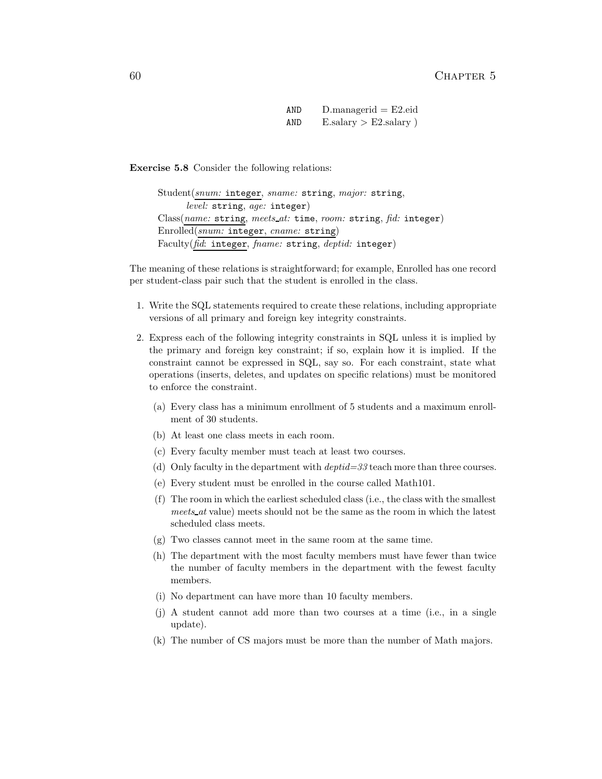| AND | $D$ .managerid = E2.eid        |
|-----|--------------------------------|
| AND | $E$ .salary > $E$ 2.salary $)$ |

**Exercise 5.8** Consider the following relations:

Student(*snum:* integer, *sname:* string, *major:* string, *level:* string, *age:* integer) Class(*name:* string, *meets at:* time, *room:* string, *fid:* integer) Enrolled(*snum:* integer, *cname:* string) Faculty(*fid*: integer, *fname:* string, *deptid:* integer)

The meaning of these relations is straightforward; for example, Enrolled has one record per student-class pair such that the student is enrolled in the class.

- 1. Write the SQL statements required to create these relations, including appropriate versions of all primary and foreign key integrity constraints.
- 2. Express each of the following integrity constraints in SQL unless it is implied by the primary and foreign key constraint; if so, explain how it is implied. If the constraint cannot be expressed in SQL, say so. For each constraint, state what operations (inserts, deletes, and updates on specific relations) must be monitored to enforce the constraint.
	- (a) Every class has a minimum enrollment of 5 students and a maximum enrollment of 30 students.
	- (b) At least one class meets in each room.
	- (c) Every faculty member must teach at least two courses.
	- (d) Only faculty in the department with *deptid=33* teach more than three courses.
	- (e) Every student must be enrolled in the course called Math101.
	- (f) The room in which the earliest scheduled class (i.e., the class with the smallest *meets at* value) meets should not be the same as the room in which the latest scheduled class meets.
	- (g) Two classes cannot meet in the same room at the same time.
	- (h) The department with the most faculty members must have fewer than twice the number of faculty members in the department with the fewest faculty members.
	- (i) No department can have more than 10 faculty members.
	- (j) A student cannot add more than two courses at a time (i.e., in a single update).
	- (k) The number of CS majors must be more than the number of Math majors.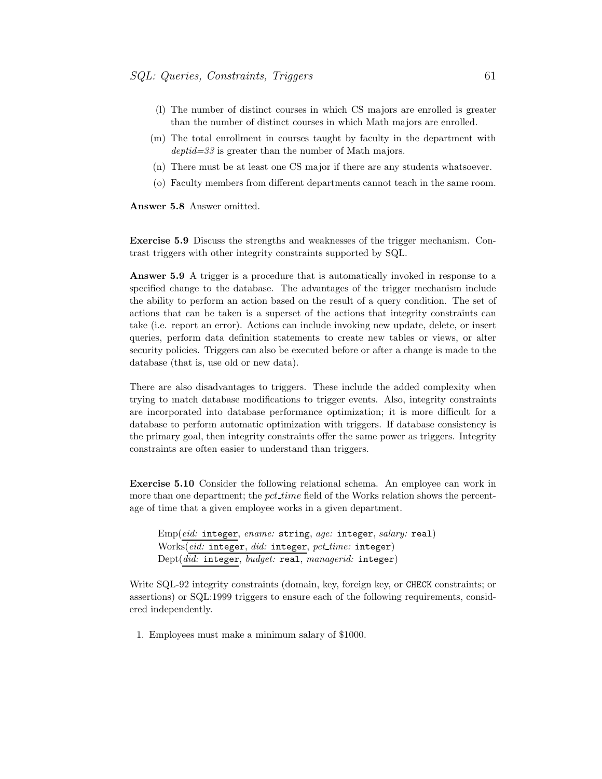- (l) The number of distinct courses in which CS majors are enrolled is greater than the number of distinct courses in which Math majors are enrolled.
- (m) The total enrollment in courses taught by faculty in the department with *deptid=33* is greater than the number of Math majors.
- (n) There must be at least one CS major if there are any students whatsoever.
- (o) Faculty members from different departments cannot teach in the same room.

**Answer 5.8** Answer omitted.

**Exercise 5.9** Discuss the strengths and weaknesses of the trigger mechanism. Contrast triggers with other integrity constraints supported by SQL.

**Answer 5.9** A trigger is a procedure that is automatically invoked in response to a specified change to the database. The advantages of the trigger mechanism include the ability to perform an action based on the result of a query condition. The set of actions that can be taken is a superset of the actions that integrity constraints can take (i.e. report an error). Actions can include invoking new update, delete, or insert queries, perform data definition statements to create new tables or views, or alter security policies. Triggers can also be executed before or after a change is made to the database (that is, use old or new data).

There are also disadvantages to triggers. These include the added complexity when trying to match database modifications to trigger events. Also, integrity constraints are incorporated into database performance optimization; it is more difficult for a database to perform automatic optimization with triggers. If database consistency is the primary goal, then integrity constraints offer the same power as triggers. Integrity constraints are often easier to understand than triggers.

**Exercise 5.10** Consider the following relational schema. An employee can work in more than one department; the *pct time* field of the Works relation shows the percentage of time that a given employee works in a given department.

Emp(*eid:* integer, *ename:* string, *age:* integer, *salary:* real) Works(*eid:* integer, *did:* integer, *pct time:* integer) Dept(*did:* integer, *budget:* real, *managerid:* integer)

Write SQL-92 integrity constraints (domain, key, foreign key, or CHECK constraints; or assertions) or SQL:1999 triggers to ensure each of the following requirements, considered independently.

1. Employees must make a minimum salary of \$1000.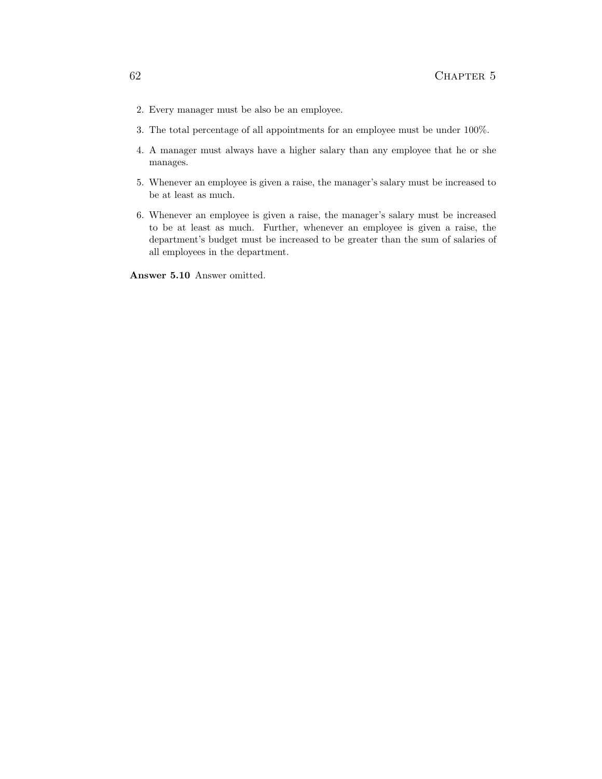- 2. Every manager must be also be an employee.
- 3. The total percentage of all appointments for an employee must be under 100%.
- 4. A manager must always have a higher salary than any employee that he or she manages.
- 5. Whenever an employee is given a raise, the manager's salary must be increased to be at least as much.
- 6. Whenever an employee is given a raise, the manager's salary must be increased to be at least as much. Further, whenever an employee is given a raise, the department's budget must be increased to be greater than the sum of salaries of all employees in the department.

**Answer 5.10** Answer omitted.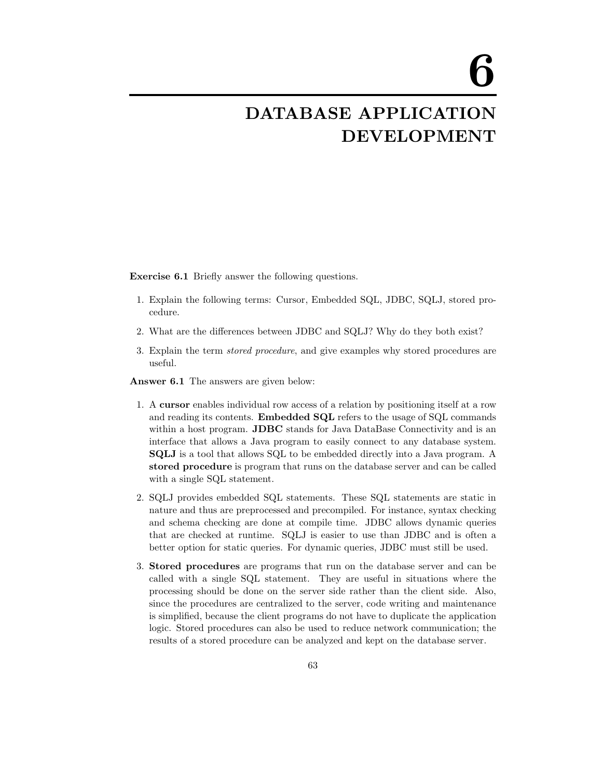## **6 DATABASE APPLICATION DEVELOPMENT**

**Exercise 6.1** Briefly answer the following questions.

- 1. Explain the following terms: Cursor, Embedded SQL, JDBC, SQLJ, stored procedure.
- 2. What are the differences between JDBC and SQLJ? Why do they both exist?
- 3. Explain the term *stored procedure*, and give examples why stored procedures are useful.

**Answer 6.1** The answers are given below:

- 1. A **cursor** enables individual row access of a relation by positioning itself at a row and reading its contents. **Embedded SQL** refers to the usage of SQL commands within a host program. **JDBC** stands for Java DataBase Connectivity and is an interface that allows a Java program to easily connect to any database system. **SQLJ** is a tool that allows SQL to be embedded directly into a Java program. A **stored procedure** is program that runs on the database server and can be called with a single SQL statement.
- 2. SQLJ provides embedded SQL statements. These SQL statements are static in nature and thus are preprocessed and precompiled. For instance, syntax checking and schema checking are done at compile time. JDBC allows dynamic queries that are checked at runtime. SQLJ is easier to use than JDBC and is often a better option for static queries. For dynamic queries, JDBC must still be used.
- 3. **Stored procedures** are programs that run on the database server and can be called with a single SQL statement. They are useful in situations where the processing should be done on the server side rather than the client side. Also, since the procedures are centralized to the server, code writing and maintenance is simplified, because the client programs do not have to duplicate the application logic. Stored procedures can also be used to reduce network communication; the results of a stored procedure can be analyzed and kept on the database server.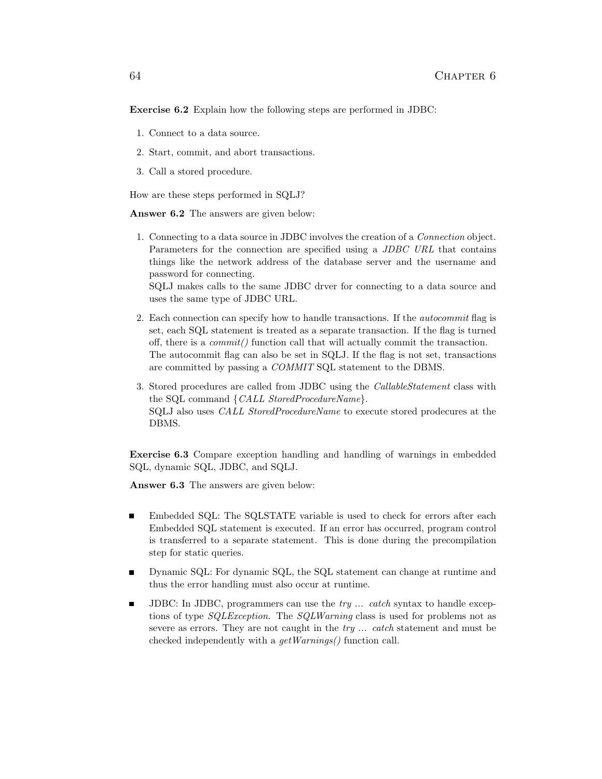**Exercise 6.2** Explain how the following steps are performed in JDBC:

- 1. Connect to a data source.
- 2. Start, commit, and abort transactions.
- 3. Call a stored procedure.

How are these steps performed in SQLJ?

**Answer 6.2** The answers are given below:

1. Connecting to a data source in JDBC involves the creation of a *Connection* object. Parameters for the connection are specified using a *JDBC URL* that contains things like the network address of the database server and the username and password for connecting.

SQLJ makes calls to the same JDBC drver for connecting to a data source and uses the same type of JDBC URL.

- 2. Each connection can specify how to handle transactions. If the *autocommit* flag is set, each SQL statement is treated as a separate transaction. If the flag is turned off, there is a *commit()* function call that will actually commit the transaction. The autocommit flag can also be set in SQLJ. If the flag is not set, transactions are committed by passing a *COMMIT* SQL statement to the DBMS.
- 3. Stored procedures are called from JDBC using the *CallableStatement* class with the SQL command {*CALL StoredProcedureName*}. SQLJ also uses *CALL StoredProcedureName* to execute stored prodecures at the DBMS.

**Exercise 6.3** Compare exception handling and handling of warnings in embedded SQL, dynamic SQL, JDBC, and SQLJ.

**Answer 6.3** The answers are given below:

- Embedded SQL: The SQLSTATE variable is used to check for errors after each Embedded SQL statement is executed. If an error has occurred, program control is transferred to a separate statement. This is done during the precompilation step for static queries.
- Dynamic SQL: For dynamic SQL, the SQL statement can change at runtime and thus the error handling must also occur at runtime.
- JDBC: In JDBC, programmers can use the *try ... catch* syntax to handle exceptions of type *SQLException*. The *SQLWarning* class is used for problems not as severe as errors. They are not caught in the *try ... catch* statement and must be checked independently with a *getWarnings()* function call.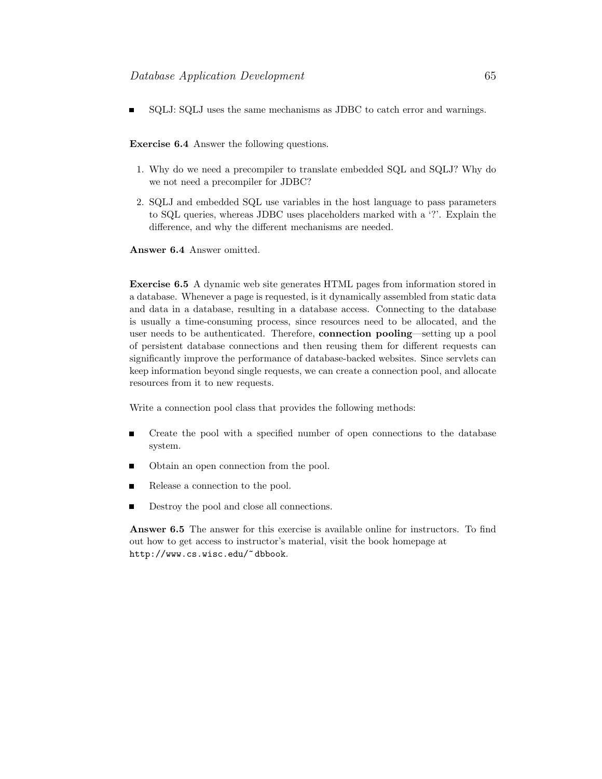SQLJ: SQLJ uses the same mechanisms as JDBC to catch error and warnings.

**Exercise 6.4** Answer the following questions.

- 1. Why do we need a precompiler to translate embedded SQL and SQLJ? Why do we not need a precompiler for JDBC?
- 2. SQLJ and embedded SQL use variables in the host language to pass parameters to SQL queries, whereas JDBC uses placeholders marked with a '?'. Explain the difference, and why the different mechanisms are needed.

**Answer 6.4** Answer omitted.

**Exercise 6.5** A dynamic web site generates HTML pages from information stored in a database. Whenever a page is requested, is it dynamically assembled from static data and data in a database, resulting in a database access. Connecting to the database is usually a time-consuming process, since resources need to be allocated, and the user needs to be authenticated. Therefore, **connection pooling**—setting up a pool of persistent database connections and then reusing them for different requests can significantly improve the performance of database-backed websites. Since servlets can keep information beyond single requests, we can create a connection pool, and allocate resources from it to new requests.

Write a connection pool class that provides the following methods:

- Create the pool with a specified number of open connections to the database system.
- Obtain an open connection from the pool.
- Release a connection to the pool.  $\blacksquare$
- Destroy the pool and close all connections.  $\blacksquare$

**Answer 6.5** The answer for this exercise is available online for instructors. To find out how to get access to instructor's material, visit the book homepage at http://www.cs.wisc.edu/~ dbbook.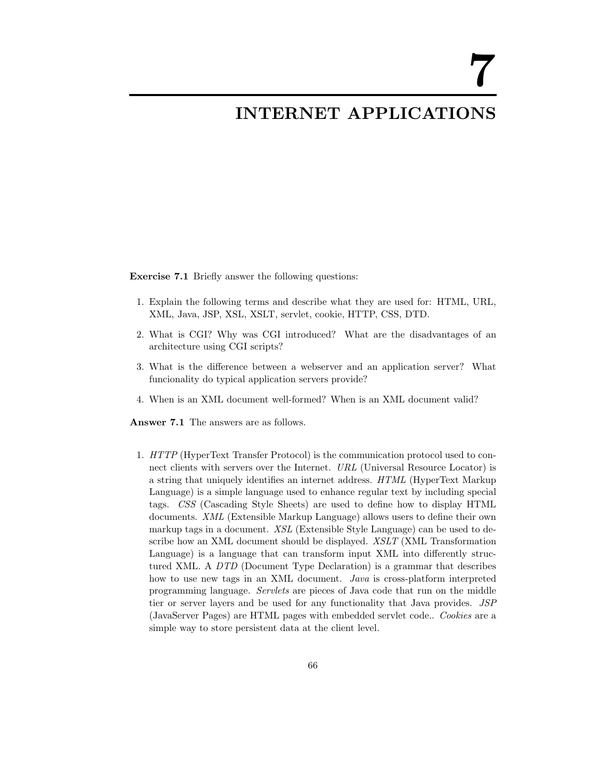## **INTERNET APPLICATIONS**

**7**

**Exercise 7.1** Briefly answer the following questions:

- 1. Explain the following terms and describe what they are used for: HTML, URL, XML, Java, JSP, XSL, XSLT, servlet, cookie, HTTP, CSS, DTD.
- 2. What is CGI? Why was CGI introduced? What are the disadvantages of an architecture using CGI scripts?
- 3. What is the difference between a webserver and an application server? What funcionality do typical application servers provide?
- 4. When is an XML document well-formed? When is an XML document valid?

**Answer 7.1** The answers are as follows.

1. *HTTP* (HyperText Transfer Protocol) is the communication protocol used to connect clients with servers over the Internet. *URL* (Universal Resource Locator) is a string that uniquely identifies an internet address. *HTML* (HyperText Markup Language) is a simple language used to enhance regular text by including special tags. *CSS* (Cascading Style Sheets) are used to define how to display HTML documents. *XML* (Extensible Markup Language) allows users to define their own markup tags in a document. *XSL* (Extensible Style Language) can be used to describe how an XML document should be displayed. *XSLT* (XML Transformation Language) is a language that can transform input XML into differently structured XML. A *DTD* (Document Type Declaration) is a grammar that describes how to use new tags in an XML document. *Java* is cross-platform interpreted programming language. *Servlets* are pieces of Java code that run on the middle tier or server layers and be used for any functionality that Java provides. *JSP* (JavaServer Pages) are HTML pages with embedded servlet code.. *Cookies* are a simple way to store persistent data at the client level.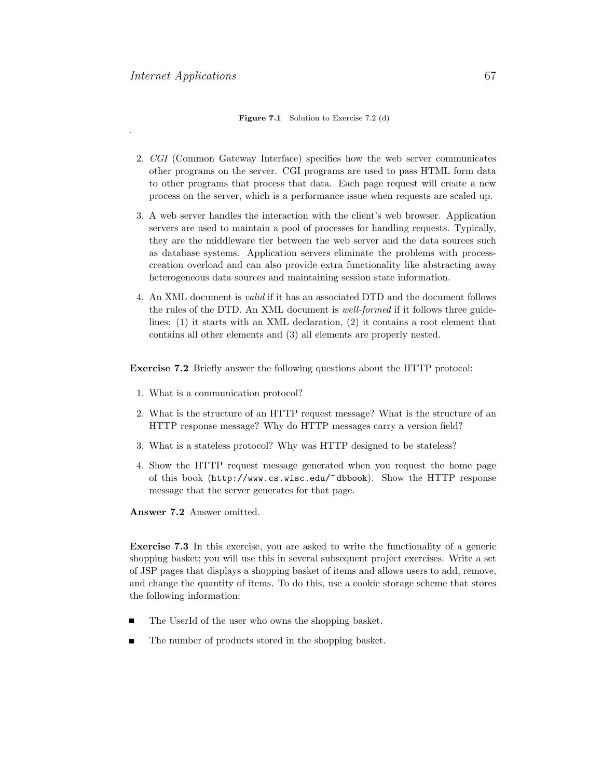.

### Figure 7.1 Solution to Exercise 7.2 (d)

- 2. *CGI* (Common Gateway Interface) specifies how the web server communicates other programs on the server. CGI programs are used to pass HTML form data to other programs that process that data. Each page request will create a new process on the server, which is a performance issue when requests are scaled up.
- 3. A web server handles the interaction with the client's web browser. Application servers are used to maintain a pool of processes for handling requests. Typically, they are the middleware tier between the web server and the data sources such as database systems. Application servers eliminate the problems with processcreation overload and can also provide extra functionality like abstracting away heterogeneous data sources and maintaining session state information.
- 4. An XML document is *valid* if it has an associated DTD and the document follows the rules of the DTD. An XML document is *well-formed* if it follows three guidelines: (1) it starts with an XML declaration, (2) it contains a root element that contains all other elements and (3) all elements are properly nested.

**Exercise 7.2** Briefly answer the following questions about the HTTP protocol:

- 1. What is a communication protocol?
- 2. What is the structure of an HTTP request message? What is the structure of an HTTP response message? Why do HTTP messages carry a version field?
- 3. What is a stateless protocol? Why was HTTP designed to be stateless?
- 4. Show the HTTP request message generated when you request the home page of this book (http://www.cs.wisc.edu/~ dbbook). Show the HTTP response message that the server generates for that page.

**Answer 7.2** Answer omitted.

**Exercise 7.3** In this exercise, you are asked to write the functionality of a generic shopping basket; you will use this in several subsequent project exercises. Write a set of JSP pages that displays a shopping basket of items and allows users to add, remove, and change the quantity of items. To do this, use a cookie storage scheme that stores the following information:

- The UserId of the user who owns the shopping basket.
- The number of products stored in the shopping basket.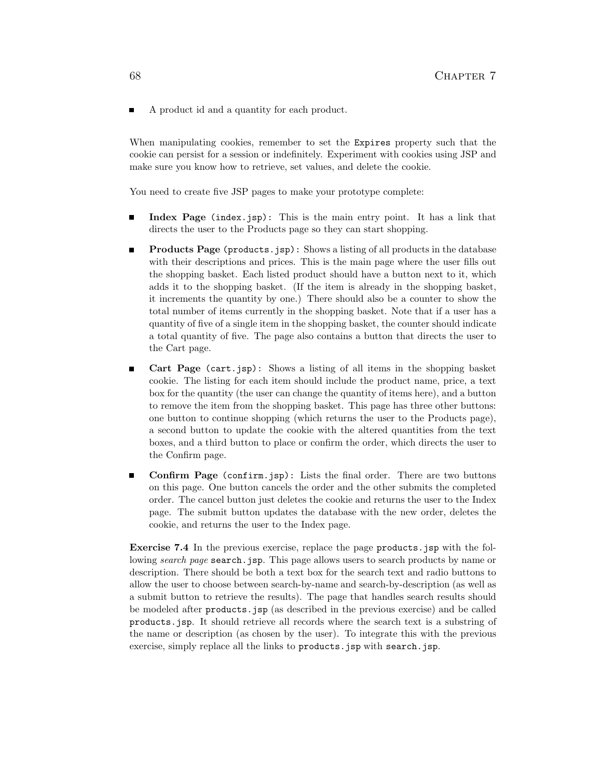A product id and a quantity for each product.

When manipulating cookies, remember to set the Expires property such that the cookie can persist for a session or indefinitely. Experiment with cookies using JSP and make sure you know how to retrieve, set values, and delete the cookie.

You need to create five JSP pages to make your prototype complete:

- **Index Page** (index.jsp): This is the main entry point. It has a link that directs the user to the Products page so they can start shopping.
- **Products Page** (products.jsp): Shows a listing of all products in the database with their descriptions and prices. This is the main page where the user fills out the shopping basket. Each listed product should have a button next to it, which adds it to the shopping basket. (If the item is already in the shopping basket, it increments the quantity by one.) There should also be a counter to show the total number of items currently in the shopping basket. Note that if a user has a quantity of five of a single item in the shopping basket, the counter should indicate a total quantity of five. The page also contains a button that directs the user to the Cart page.
- **Cart Page** (cart.jsp): Shows a listing of all items in the shopping basket cookie. The listing for each item should include the product name, price, a text box for the quantity (the user can change the quantity of items here), and a button to remove the item from the shopping basket. This page has three other buttons: one button to continue shopping (which returns the user to the Products page), a second button to update the cookie with the altered quantities from the text boxes, and a third button to place or confirm the order, which directs the user to the Confirm page.
- **Confirm Page** (confirm.jsp): Lists the final order. There are two buttons on this page. One button cancels the order and the other submits the completed order. The cancel button just deletes the cookie and returns the user to the Index page. The submit button updates the database with the new order, deletes the cookie, and returns the user to the Index page.

**Exercise 7.4** In the previous exercise, replace the page products jsp with the following *search page* search.jsp. This page allows users to search products by name or description. There should be both a text box for the search text and radio buttons to allow the user to choose between search-by-name and search-by-description (as well as a submit button to retrieve the results). The page that handles search results should be modeled after products.jsp (as described in the previous exercise) and be called products.jsp. It should retrieve all records where the search text is a substring of the name or description (as chosen by the user). To integrate this with the previous exercise, simply replace all the links to products.jsp with search.jsp.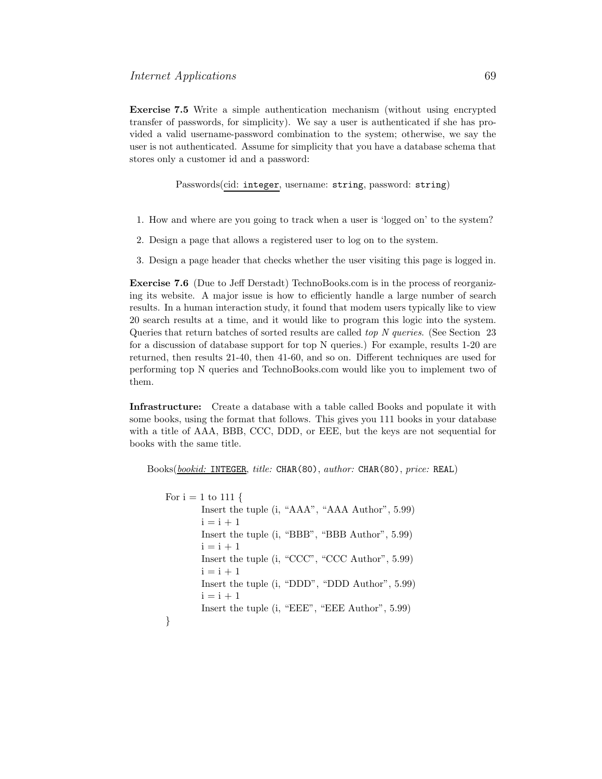**Exercise 7.5** Write a simple authentication mechanism (without using encrypted transfer of passwords, for simplicity). We say a user is authenticated if she has provided a valid username-password combination to the system; otherwise, we say the user is not authenticated. Assume for simplicity that you have a database schema that stores only a customer id and a password:

Passwords(cid: integer, username: string, password: string)

- 1. How and where are you going to track when a user is 'logged on' to the system?
- 2. Design a page that allows a registered user to log on to the system.
- 3. Design a page header that checks whether the user visiting this page is logged in.

**Exercise 7.6** (Due to Jeff Derstadt) TechnoBooks.com is in the process of reorganizing its website. A major issue is how to efficiently handle a large number of search results. In a human interaction study, it found that modem users typically like to view 20 search results at a time, and it would like to program this logic into the system. Queries that return batches of sorted results are called *top N queries*. (See Section 23 for a discussion of database support for top N queries.) For example, results 1-20 are returned, then results 21-40, then 41-60, and so on. Different techniques are used for performing top N queries and TechnoBooks.com would like you to implement two of them.

**Infrastructure:** Create a database with a table called Books and populate it with some books, using the format that follows. This gives you 111 books in your database with a title of AAA, BBB, CCC, DDD, or EEE, but the keys are not sequential for books with the same title.

Books(*bookid:* INTEGER, *title:* CHAR(80), *author:* CHAR(80), *price:* REAL)

```
For i = 1 to 111 {
       Insert the tuple (i, "AAA", "AAA Author", 5.99)
       i=i+1Insert the tuple (i, "BBB", "BBB Author", 5.99)
       i=i+1Insert the tuple (i, "CCC", "CCC Author", 5.99)
       i=i+1Insert the tuple (i, "DDD", "DDD Author", 5.99)
       i=i+1Insert the tuple (i, "EEE", "EEE Author", 5.99)
}
```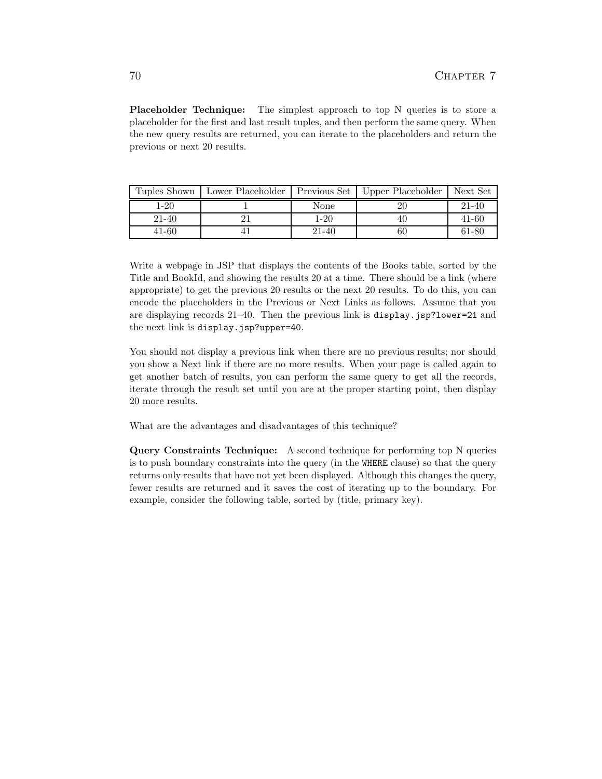**Placeholder Technique:** The simplest approach to top N queries is to store a placeholder for the first and last result tuples, and then perform the same query. When the new query results are returned, you can iterate to the placeholders and return the previous or next 20 results.

|           |           | Tuples Shown   Lower Placeholder   Previous Set   Upper Placeholder   Next Set |           |
|-----------|-----------|--------------------------------------------------------------------------------|-----------|
| $1 - 20$  | None      |                                                                                | $21 - 40$ |
| $21 - 40$ | 1-20      |                                                                                | 41-60     |
| 41-60     | $21 - 40$ | 60                                                                             | 61-80     |

Write a webpage in JSP that displays the contents of the Books table, sorted by the Title and BookId, and showing the results 20 at a time. There should be a link (where appropriate) to get the previous 20 results or the next 20 results. To do this, you can encode the placeholders in the Previous or Next Links as follows. Assume that you are displaying records 21–40. Then the previous link is display.jsp?lower=21 and the next link is display.jsp?upper=40.

You should not display a previous link when there are no previous results; nor should you show a Next link if there are no more results. When your page is called again to get another batch of results, you can perform the same query to get all the records, iterate through the result set until you are at the proper starting point, then display 20 more results.

What are the advantages and disadvantages of this technique?

**Query Constraints Technique:** A second technique for performing top N queries is to push boundary constraints into the query (in the WHERE clause) so that the query returns only results that have not yet been displayed. Although this changes the query, fewer results are returned and it saves the cost of iterating up to the boundary. For example, consider the following table, sorted by (title, primary key).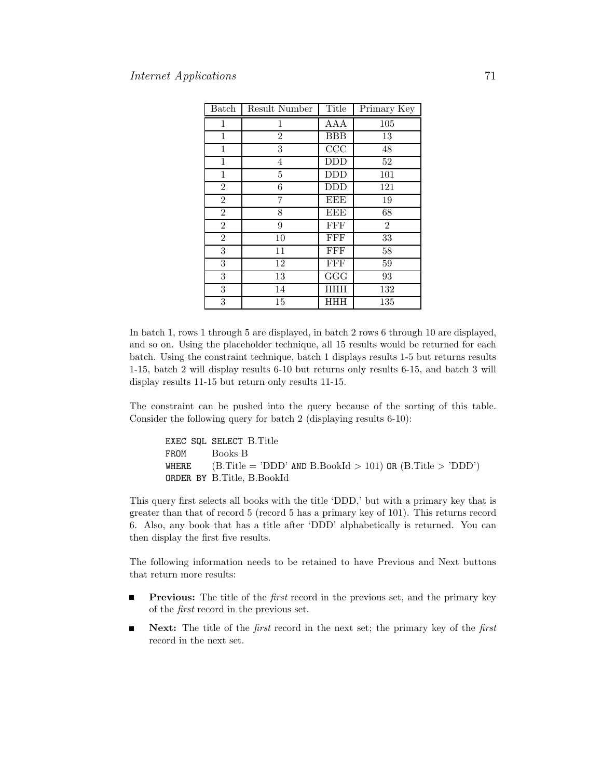| <b>Batch</b>   | Result Number  | Title                       | Primary Key |
|----------------|----------------|-----------------------------|-------------|
| $\mathbf{1}$   | 1              | AAA                         | 105         |
| $\mathbf 1$    | $\overline{2}$ | <b>BBB</b>                  | 13          |
| $\mathbf{1}$   | 3              | CCC                         | 48          |
| $\mathbf{1}$   | $\overline{4}$ | <b>DDD</b>                  | $52\,$      |
| $\mathbf 1$    | $\overline{5}$ | <b>DDD</b>                  | 101         |
| $\overline{2}$ | 6              | <b>DDD</b>                  | 121         |
| $\overline{2}$ | 7              | <b>EEE</b>                  | 19          |
| $\overline{2}$ | 8              | <b>EEE</b>                  | 68          |
| $\overline{2}$ | 9              | $\ensuremath{\mathbf{FFF}}$ | $\sqrt{2}$  |
| $\overline{2}$ | 10             | FFF                         | 33          |
| 3              | 11             | FFF                         | 58          |
| 3              | 12             | FFF                         | 59          |
| 3              | 13             | GGG                         | 93          |
| 3              | 14             | <b>HHH</b>                  | 132         |
| 3              | 15             | HHH                         | 135         |

In batch 1, rows 1 through 5 are displayed, in batch 2 rows 6 through 10 are displayed, and so on. Using the placeholder technique, all 15 results would be returned for each batch. Using the constraint technique, batch 1 displays results 1-5 but returns results 1-15, batch 2 will display results 6-10 but returns only results 6-15, and batch 3 will display results 11-15 but return only results 11-15.

The constraint can be pushed into the query because of the sorting of this table. Consider the following query for batch 2 (displaying results 6-10):

```
EXEC SQL SELECT B.Title
FROM Books B
WHERE (B.\text{Title} = \text{'DDD'} AND B.BookId > 101 OR (B.\text{Title} > \text{'DDD'}ORDER BY B.Title, B.BookId
```
This query first selects all books with the title 'DDD,' but with a primary key that is greater than that of record 5 (record 5 has a primary key of 101). This returns record 6. Also, any book that has a title after 'DDD' alphabetically is returned. You can then display the first five results.

The following information needs to be retained to have Previous and Next buttons that return more results:

- **Previous:** The title of the *first* record in the previous set, and the primary key  $\blacksquare$ of the *first* record in the previous set.
- **Next:** The title of the *first* record in the next set; the primary key of the *first*  $\blacksquare$ record in the next set.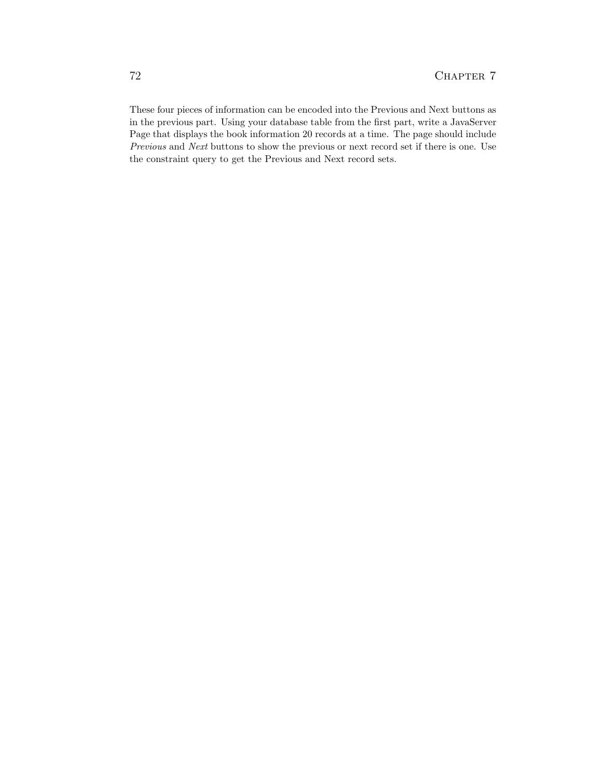These four pieces of information can be encoded into the Previous and Next buttons as in the previous part. Using your database table from the first part, write a JavaServer Page that displays the book information 20 records at a time. The page should include *Previous* and *Next* buttons to show the previous or next record set if there is one. Use the constraint query to get the Previous and Next record sets.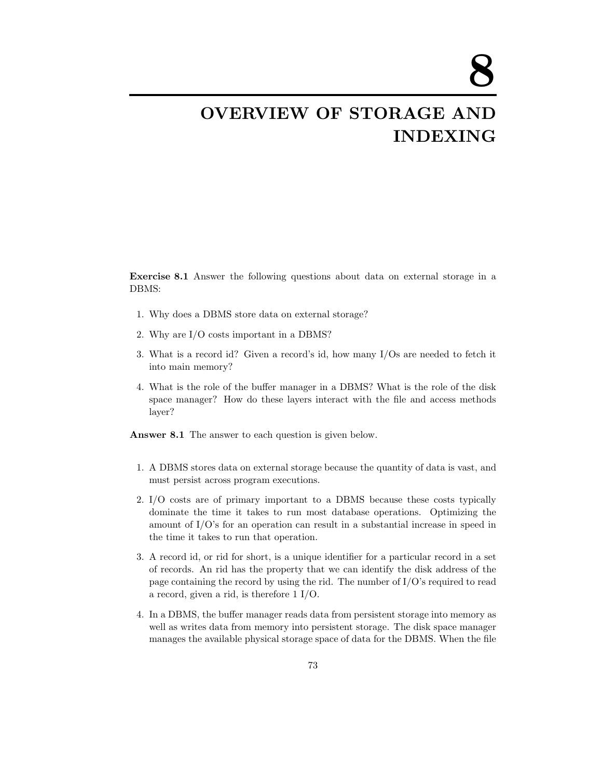### **8 OVERVIEW OF STORAGE AND INDEXING**

**Exercise 8.1** Answer the following questions about data on external storage in a DBMS:

- 1. Why does a DBMS store data on external storage?
- 2. Why are I/O costs important in a DBMS?
- 3. What is a record id? Given a record's id, how many I/Os are needed to fetch it into main memory?
- 4. What is the role of the buffer manager in a DBMS? What is the role of the disk space manager? How do these layers interact with the file and access methods layer?

**Answer 8.1** The answer to each question is given below.

- 1. A DBMS stores data on external storage because the quantity of data is vast, and must persist across program executions.
- 2. I/O costs are of primary important to a DBMS because these costs typically dominate the time it takes to run most database operations. Optimizing the amount of I/O's for an operation can result in a substantial increase in speed in the time it takes to run that operation.
- 3. A record id, or rid for short, is a unique identifier for a particular record in a set of records. An rid has the property that we can identify the disk address of the page containing the record by using the rid. The number of  $I/O$ 's required to read a record, given a rid, is therefore 1 I/O.
- 4. In a DBMS, the buffer manager reads data from persistent storage into memory as well as writes data from memory into persistent storage. The disk space manager manages the available physical storage space of data for the DBMS. When the file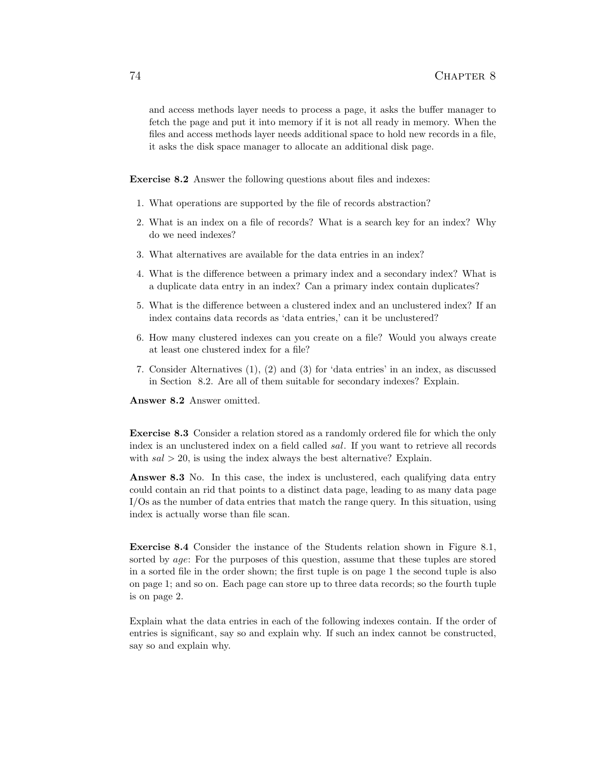and access methods layer needs to process a page, it asks the buffer manager to fetch the page and put it into memory if it is not all ready in memory. When the files and access methods layer needs additional space to hold new records in a file, it asks the disk space manager to allocate an additional disk page.

**Exercise 8.2** Answer the following questions about files and indexes:

- 1. What operations are supported by the file of records abstraction?
- 2. What is an index on a file of records? What is a search key for an index? Why do we need indexes?
- 3. What alternatives are available for the data entries in an index?
- 4. What is the difference between a primary index and a secondary index? What is a duplicate data entry in an index? Can a primary index contain duplicates?
- 5. What is the difference between a clustered index and an unclustered index? If an index contains data records as 'data entries,' can it be unclustered?
- 6. How many clustered indexes can you create on a file? Would you always create at least one clustered index for a file?
- 7. Consider Alternatives (1), (2) and (3) for 'data entries' in an index, as discussed in Section 8.2. Are all of them suitable for secondary indexes? Explain.

**Answer 8.2** Answer omitted.

**Exercise 8.3** Consider a relation stored as a randomly ordered file for which the only index is an unclustered index on a field called sal. If you want to retrieve all records with  $sal > 20$ , is using the index always the best alternative? Explain.

**Answer 8.3** No. In this case, the index is unclustered, each qualifying data entry could contain an rid that points to a distinct data page, leading to as many data page I/Os as the number of data entries that match the range query. In this situation, using index is actually worse than file scan.

**Exercise 8.4** Consider the instance of the Students relation shown in Figure 8.1, sorted by age: For the purposes of this question, assume that these tuples are stored in a sorted file in the order shown; the first tuple is on page 1 the second tuple is also on page 1; and so on. Each page can store up to three data records; so the fourth tuple is on page 2.

Explain what the data entries in each of the following indexes contain. If the order of entries is significant, say so and explain why. If such an index cannot be constructed, say so and explain why.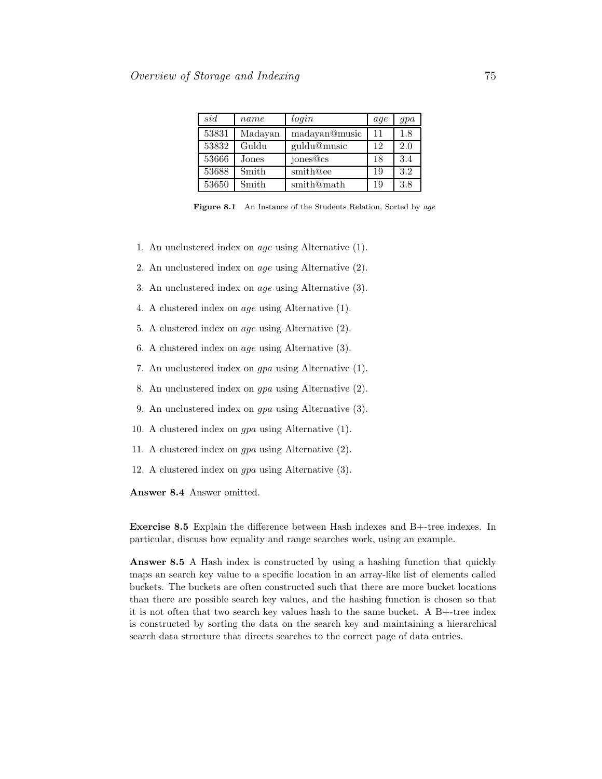| sid   | name    | login         | aqe | gpa |
|-------|---------|---------------|-----|-----|
| 53831 | Madayan | madayan@music | 11  | 1.8 |
| 53832 | Guldu   | guldu@music   | 12  | 2.0 |
| 53666 | Jones   | jones@cs      | 18  | 3.4 |
| 53688 | Smith   | smith@ee      | 19  | 3.2 |
| 53650 | Smith   | smith@math    | 19  | 3.8 |

**Figure 8.1** An Instance of the Students Relation, Sorted by *age*

- 1. An unclustered index on age using Alternative (1).
- 2. An unclustered index on age using Alternative (2).
- 3. An unclustered index on age using Alternative (3).
- 4. A clustered index on age using Alternative (1).
- 5. A clustered index on age using Alternative (2).
- 6. A clustered index on age using Alternative (3).
- 7. An unclustered index on gpa using Alternative (1).
- 8. An unclustered index on gpa using Alternative (2).
- 9. An unclustered index on gpa using Alternative (3).
- 10. A clustered index on gpa using Alternative (1).
- 11. A clustered index on gpa using Alternative (2).
- 12. A clustered index on gpa using Alternative (3).

**Answer 8.4** Answer omitted.

**Exercise 8.5** Explain the difference between Hash indexes and B+-tree indexes. In particular, discuss how equality and range searches work, using an example.

**Answer 8.5** A Hash index is constructed by using a hashing function that quickly maps an search key value to a specific location in an array-like list of elements called buckets. The buckets are often constructed such that there are more bucket locations than there are possible search key values, and the hashing function is chosen so that it is not often that two search key values hash to the same bucket. A B+-tree index is constructed by sorting the data on the search key and maintaining a hierarchical search data structure that directs searches to the correct page of data entries.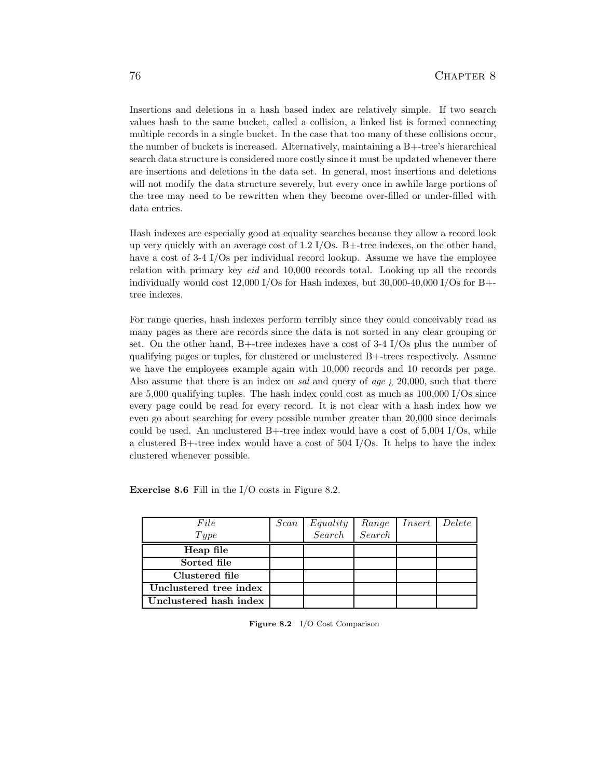Insertions and deletions in a hash based index are relatively simple. If two search values hash to the same bucket, called a collision, a linked list is formed connecting multiple records in a single bucket. In the case that too many of these collisions occur, the number of buckets is increased. Alternatively, maintaining a B+-tree's hierarchical search data structure is considered more costly since it must be updated whenever there are insertions and deletions in the data set. In general, most insertions and deletions will not modify the data structure severely, but every once in awhile large portions of the tree may need to be rewritten when they become over-filled or under-filled with data entries.

Hash indexes are especially good at equality searches because they allow a record look up very quickly with an average cost of 1.2 I/Os. B+-tree indexes, on the other hand, have a cost of 3-4 I/Os per individual record lookup. Assume we have the employee relation with primary key *eid* and 10,000 records total. Looking up all the records individually would cost 12,000 I/Os for Hash indexes, but 30,000-40,000 I/Os for B+ tree indexes.

For range queries, hash indexes perform terribly since they could conceivably read as many pages as there are records since the data is not sorted in any clear grouping or set. On the other hand, B+-tree indexes have a cost of 3-4 I/Os plus the number of qualifying pages or tuples, for clustered or unclustered B+-trees respectively. Assume we have the employees example again with 10,000 records and 10 records per page. Also assume that there is an index on *sal* and query of *age* ¿ 20,000, such that there are 5,000 qualifying tuples. The hash index could cost as much as 100,000 I/Os since every page could be read for every record. It is not clear with a hash index how we even go about searching for every possible number greater than 20,000 since decimals could be used. An unclustered  $B$ +-tree index would have a cost of 5,004 I/Os, while a clustered B+-tree index would have a cost of 504 I/Os. It helps to have the index clustered whenever possible.

| File                   | Scan | Equality<br>Search |                 | <i>Insert</i>   Delete |
|------------------------|------|--------------------|-----------------|------------------------|
| Type                   |      |                    | Range<br>Search |                        |
| Heap file              |      |                    |                 |                        |
| Sorted file            |      |                    |                 |                        |
| Clustered file         |      |                    |                 |                        |
| Unclustered tree index |      |                    |                 |                        |
| Unclustered hash index |      |                    |                 |                        |

**Exercise 8.6** Fill in the I/O costs in Figure 8.2.

**Figure 8.2** I/O Cost Comparison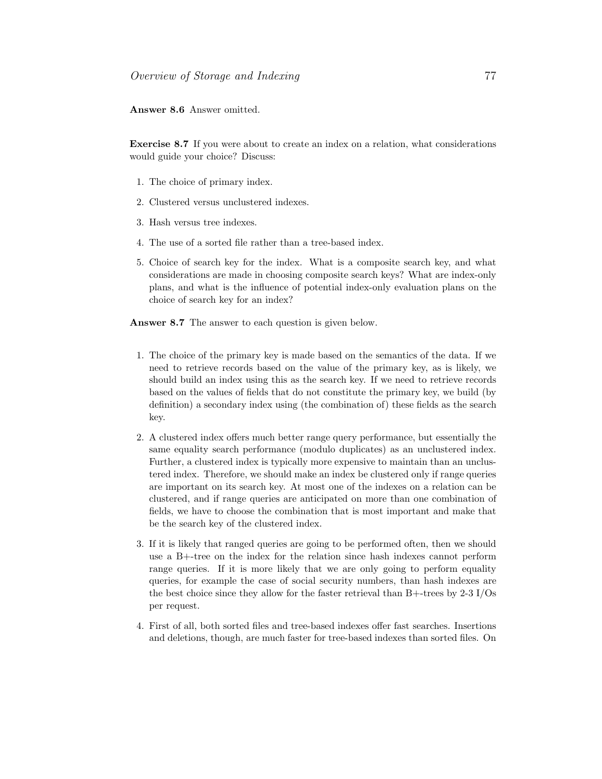**Answer 8.6** Answer omitted.

**Exercise 8.7** If you were about to create an index on a relation, what considerations would guide your choice? Discuss:

- 1. The choice of primary index.
- 2. Clustered versus unclustered indexes.
- 3. Hash versus tree indexes.
- 4. The use of a sorted file rather than a tree-based index.
- 5. Choice of search key for the index. What is a composite search key, and what considerations are made in choosing composite search keys? What are index-only plans, and what is the influence of potential index-only evaluation plans on the choice of search key for an index?

**Answer 8.7** The answer to each question is given below.

- 1. The choice of the primary key is made based on the semantics of the data. If we need to retrieve records based on the value of the primary key, as is likely, we should build an index using this as the search key. If we need to retrieve records based on the values of fields that do not constitute the primary key, we build (by definition) a secondary index using (the combination of) these fields as the search key.
- 2. A clustered index offers much better range query performance, but essentially the same equality search performance (modulo duplicates) as an unclustered index. Further, a clustered index is typically more expensive to maintain than an unclustered index. Therefore, we should make an index be clustered only if range queries are important on its search key. At most one of the indexes on a relation can be clustered, and if range queries are anticipated on more than one combination of fields, we have to choose the combination that is most important and make that be the search key of the clustered index.
- 3. If it is likely that ranged queries are going to be performed often, then we should use a B+-tree on the index for the relation since hash indexes cannot perform range queries. If it is more likely that we are only going to perform equality queries, for example the case of social security numbers, than hash indexes are the best choice since they allow for the faster retrieval than  $B+$ -trees by  $2-3$  I/Os per request.
- 4. First of all, both sorted files and tree-based indexes offer fast searches. Insertions and deletions, though, are much faster for tree-based indexes than sorted files. On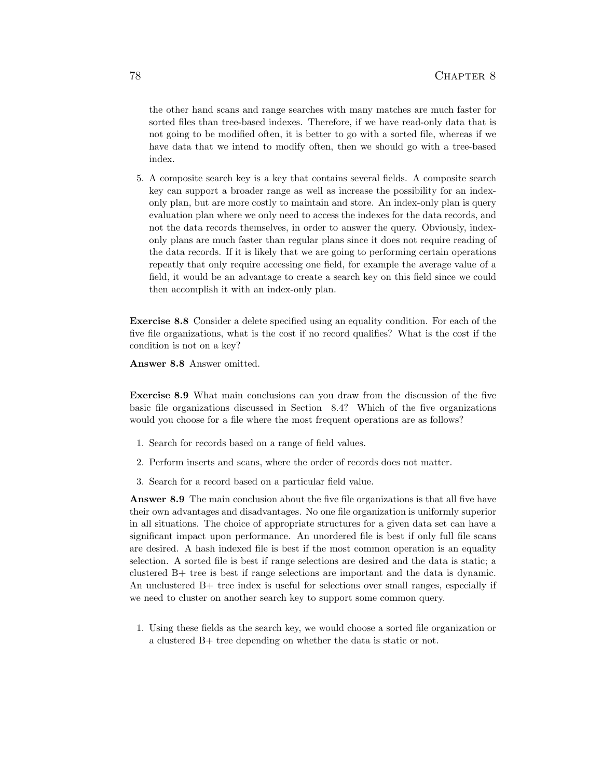the other hand scans and range searches with many matches are much faster for sorted files than tree-based indexes. Therefore, if we have read-only data that is not going to be modified often, it is better to go with a sorted file, whereas if we have data that we intend to modify often, then we should go with a tree-based index.

5. A composite search key is a key that contains several fields. A composite search key can support a broader range as well as increase the possibility for an indexonly plan, but are more costly to maintain and store. An index-only plan is query evaluation plan where we only need to access the indexes for the data records, and not the data records themselves, in order to answer the query. Obviously, indexonly plans are much faster than regular plans since it does not require reading of the data records. If it is likely that we are going to performing certain operations repeatly that only require accessing one field, for example the average value of a field, it would be an advantage to create a search key on this field since we could then accomplish it with an index-only plan.

**Exercise 8.8** Consider a delete specified using an equality condition. For each of the five file organizations, what is the cost if no record qualifies? What is the cost if the condition is not on a key?

**Answer 8.8** Answer omitted.

**Exercise 8.9** What main conclusions can you draw from the discussion of the five basic file organizations discussed in Section 8.4? Which of the five organizations would you choose for a file where the most frequent operations are as follows?

- 1. Search for records based on a range of field values.
- 2. Perform inserts and scans, where the order of records does not matter.
- 3. Search for a record based on a particular field value.

**Answer 8.9** The main conclusion about the five file organizations is that all five have their own advantages and disadvantages. No one file organization is uniformly superior in all situations. The choice of appropriate structures for a given data set can have a significant impact upon performance. An unordered file is best if only full file scans are desired. A hash indexed file is best if the most common operation is an equality selection. A sorted file is best if range selections are desired and the data is static; a clustered B+ tree is best if range selections are important and the data is dynamic. An unclustered B+ tree index is useful for selections over small ranges, especially if we need to cluster on another search key to support some common query.

1. Using these fields as the search key, we would choose a sorted file organization or a clustered B+ tree depending on whether the data is static or not.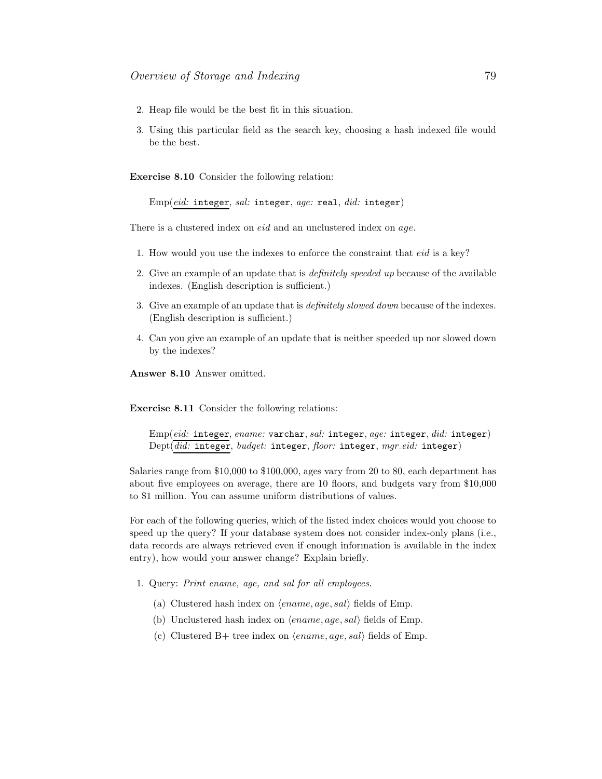- 2. Heap file would be the best fit in this situation.
- 3. Using this particular field as the search key, choosing a hash indexed file would be the best.

**Exercise 8.10** Consider the following relation:

Emp(*eid:* integer, *sal:* integer, *age:* real, *did:* integer)

There is a clustered index on *eid* and an unclustered index on *age*.

- 1. How would you use the indexes to enforce the constraint that eid is a key?
- 2. Give an example of an update that is *definitely speeded up* because of the available indexes. (English description is sufficient.)
- 3. Give an example of an update that is *definitely slowed down* because of the indexes. (English description is sufficient.)
- 4. Can you give an example of an update that is neither speeded up nor slowed down by the indexes?

**Answer 8.10** Answer omitted.

**Exercise 8.11** Consider the following relations:

Emp(*eid:* integer, *ename:* varchar, *sal:* integer, *age:* integer, *did:* integer) Dept(*did:* integer, *budget:* integer, *floor:* integer, *mgr eid:* integer)

Salaries range from \$10,000 to \$100,000, ages vary from 20 to 80, each department has about five employees on average, there are 10 floors, and budgets vary from \$10,000 to \$1 million. You can assume uniform distributions of values.

For each of the following queries, which of the listed index choices would you choose to speed up the query? If your database system does not consider index-only plans (i.e., data records are always retrieved even if enough information is available in the index entry), how would your answer change? Explain briefly.

- 1. Query: *Print ename, age, and sal for all employees.*
	- (a) Clustered hash index on  $\langle ename, age, sal \rangle$  fields of Emp.
	- (b) Unclustered hash index on  $\langle \text{ename}, \text{age}, \text{sal} \rangle$  fields of Emp.
	- (c) Clustered B+ tree index on  $\langle \text{ename}, \text{age}, \text{sal} \rangle$  fields of Emp.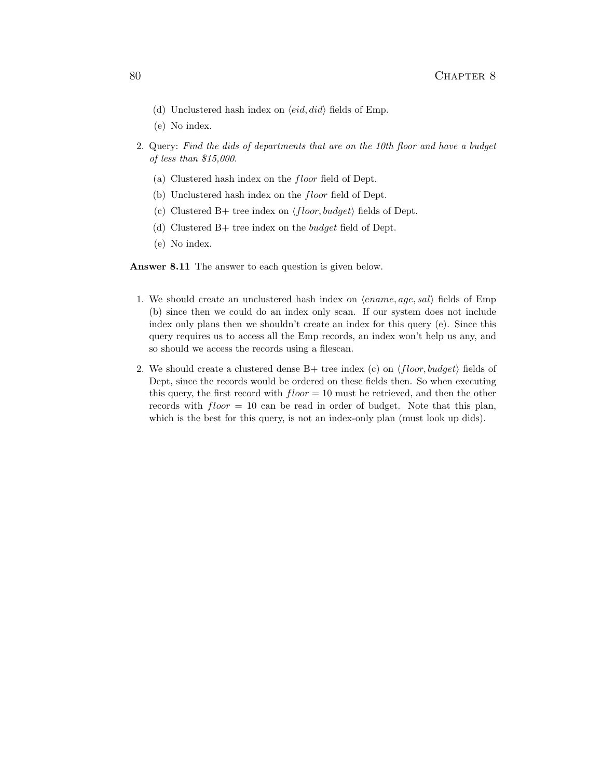- (d) Unclustered hash index on  $\langle eid, did \rangle$  fields of Emp.
- (e) No index.
- 2. Query: *Find the dids of departments that are on the 10th floor and have a budget of less than \$15,000.*
	- (a) Clustered hash index on the floor field of Dept.
	- (b) Unclustered hash index on the floor field of Dept.
	- (c) Clustered B+ tree index on  $\langle floor, budget \rangle$  fields of Dept.
	- (d) Clustered  $B+$  tree index on the *budget* field of Dept.
	- (e) No index.

**Answer 8.11** The answer to each question is given below.

- 1. We should create an unclustered hash index on  $\langle \text{ename}, \text{age}, \text{sal} \rangle$  fields of Emp (b) since then we could do an index only scan. If our system does not include index only plans then we shouldn't create an index for this query (e). Since this query requires us to access all the Emp records, an index won't help us any, and so should we access the records using a filescan.
- 2. We should create a clustered dense  $B+$  tree index (c) on  $\langle floor, budget \rangle$  fields of Dept, since the records would be ordered on these fields then. So when executing this query, the first record with  $floor = 10$  must be retrieved, and then the other records with  $floor = 10$  can be read in order of budget. Note that this plan, which is the best for this query, is not an index-only plan (must look up dids).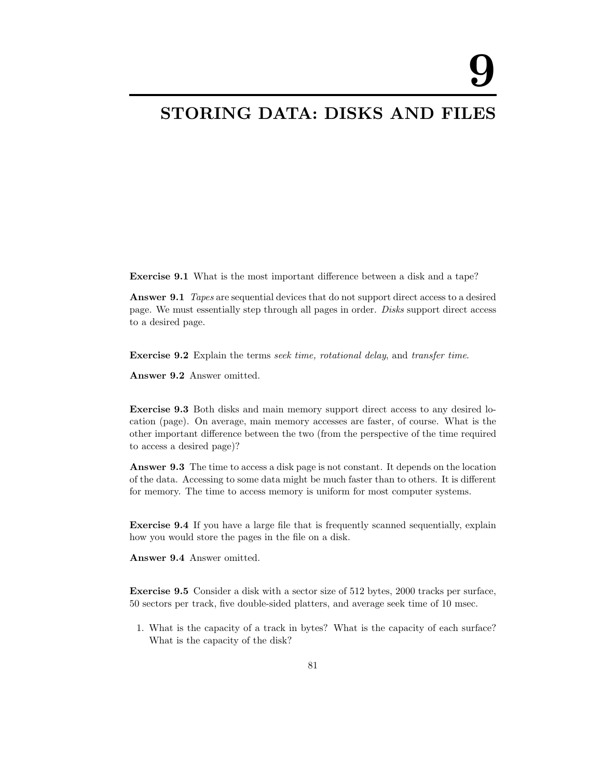## **9**

#### **STORING DATA: DISKS AND FILES**

**Exercise 9.1** What is the most important difference between a disk and a tape?

**Answer 9.1** *Tapes* are sequential devices that do not support direct access to a desired page. We must essentially step through all pages in order. *Disks* support direct access to a desired page.

**Exercise 9.2** Explain the terms *seek time, rotational delay*, and *transfer time*.

**Answer 9.2** Answer omitted.

**Exercise 9.3** Both disks and main memory support direct access to any desired location (page). On average, main memory accesses are faster, of course. What is the other important difference between the two (from the perspective of the time required to access a desired page)?

**Answer 9.3** The time to access a disk page is not constant. It depends on the location of the data. Accessing to some data might be much faster than to others. It is different for memory. The time to access memory is uniform for most computer systems.

**Exercise 9.4** If you have a large file that is frequently scanned sequentially, explain how you would store the pages in the file on a disk.

**Answer 9.4** Answer omitted.

**Exercise 9.5** Consider a disk with a sector size of 512 bytes, 2000 tracks per surface, 50 sectors per track, five double-sided platters, and average seek time of 10 msec.

1. What is the capacity of a track in bytes? What is the capacity of each surface? What is the capacity of the disk?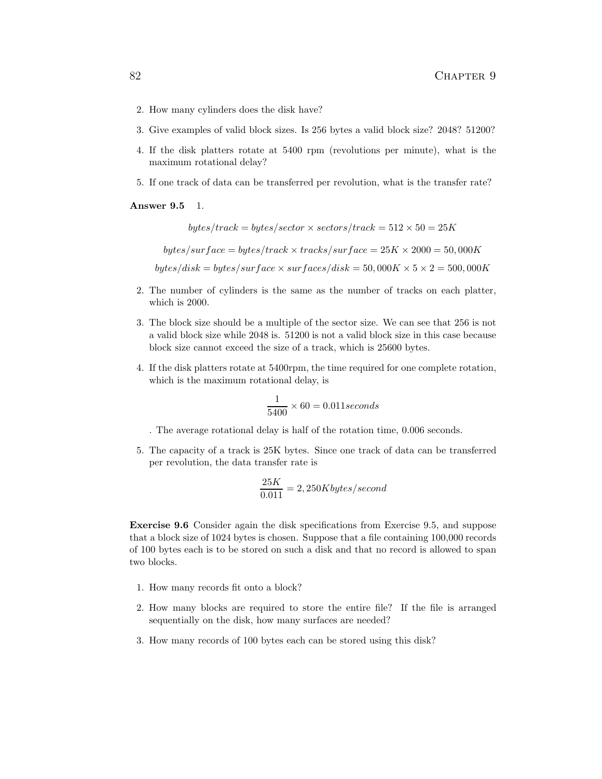- 2. How many cylinders does the disk have?
- 3. Give examples of valid block sizes. Is 256 bytes a valid block size? 2048? 51200?
- 4. If the disk platters rotate at 5400 rpm (revolutions per minute), what is the maximum rotational delay?
- 5. If one track of data can be transferred per revolution, what is the transfer rate?

**Answer 9.5** 1.

$$
bytes/track = bytes/sector \times sectors/track = 512 \times 50 = 25K
$$

bytes/surface = bytes/track  $\times$  tracks/surface =  $25K \times 2000 = 50,000K$ 

bytes/disk = bytes/surface  $\times$  surfaces/disk = 50,000K  $\times$  5  $\times$  2 = 500,000K

- 2. The number of cylinders is the same as the number of tracks on each platter, which is 2000.
- 3. The block size should be a multiple of the sector size. We can see that 256 is not a valid block size while 2048 is. 51200 is not a valid block size in this case because block size cannot exceed the size of a track, which is 25600 bytes.
- 4. If the disk platters rotate at 5400rpm, the time required for one complete rotation, which is the maximum rotational delay, is

$$
\frac{1}{5400} \times 60 = 0.011 seconds
$$

- . The average rotational delay is half of the rotation time, 0.006 seconds.
- 5. The capacity of a track is 25K bytes. Since one track of data can be transferred per revolution, the data transfer rate is

$$
\frac{25K}{0.011} = 2,250Kbytes/second
$$

**Exercise 9.6** Consider again the disk specifications from Exercise 9.5, and suppose that a block size of 1024 bytes is chosen. Suppose that a file containing 100,000 records of 100 bytes each is to be stored on such a disk and that no record is allowed to span two blocks.

- 1. How many records fit onto a block?
- 2. How many blocks are required to store the entire file? If the file is arranged sequentially on the disk, how many surfaces are needed?
- 3. How many records of 100 bytes each can be stored using this disk?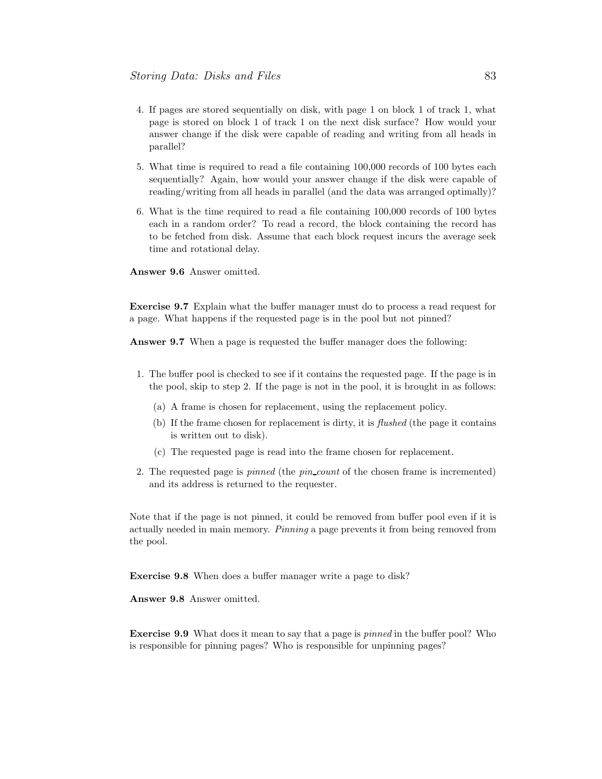- 4. If pages are stored sequentially on disk, with page 1 on block 1 of track 1, what page is stored on block 1 of track 1 on the next disk surface? How would your answer change if the disk were capable of reading and writing from all heads in parallel?
- 5. What time is required to read a file containing 100,000 records of 100 bytes each sequentially? Again, how would your answer change if the disk were capable of reading/writing from all heads in parallel (and the data was arranged optimally)?
- 6. What is the time required to read a file containing 100,000 records of 100 bytes each in a random order? To read a record, the block containing the record has to be fetched from disk. Assume that each block request incurs the average seek time and rotational delay.

**Answer 9.6** Answer omitted.

**Exercise 9.7** Explain what the buffer manager must do to process a read request for a page. What happens if the requested page is in the pool but not pinned?

**Answer 9.7** When a page is requested the buffer manager does the following:

- 1. The buffer pool is checked to see if it contains the requested page. If the page is in the pool, skip to step 2. If the page is not in the pool, it is brought in as follows:
	- (a) A frame is chosen for replacement, using the replacement policy.
	- (b) If the frame chosen for replacement is dirty, it is *flushed* (the page it contains is written out to disk).
	- (c) The requested page is read into the frame chosen for replacement.
- 2. The requested page is *pinned* (the *pin count* of the chosen frame is incremented) and its address is returned to the requester.

Note that if the page is not pinned, it could be removed from buffer pool even if it is actually needed in main memory. *Pinning* a page prevents it from being removed from the pool.

**Exercise 9.8** When does a buffer manager write a page to disk?

**Answer 9.8** Answer omitted.

**Exercise 9.9** What does it mean to say that a page is *pinned* in the buffer pool? Who is responsible for pinning pages? Who is responsible for unpinning pages?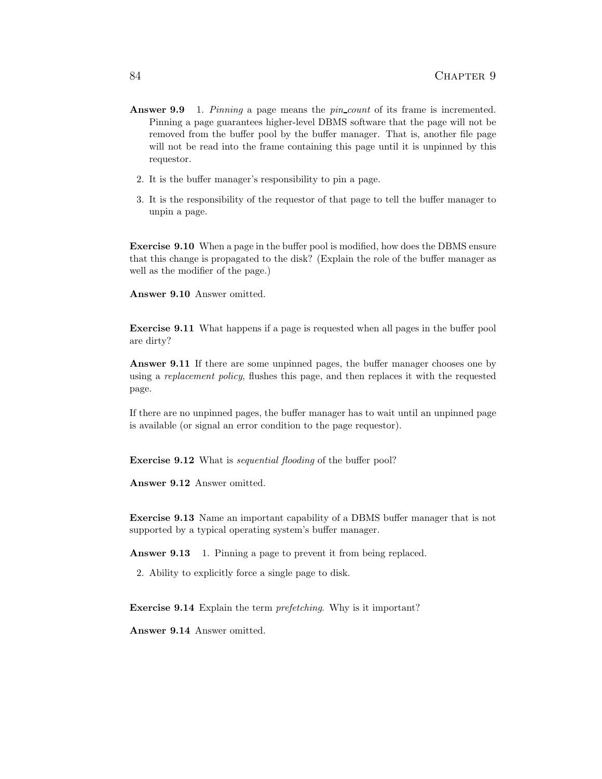- **Answer 9.9** 1. *Pinning* a page means the *pin count* of its frame is incremented. Pinning a page guarantees higher-level DBMS software that the page will not be removed from the buffer pool by the buffer manager. That is, another file page will not be read into the frame containing this page until it is unpinned by this requestor.
	- 2. It is the buffer manager's responsibility to pin a page.
	- 3. It is the responsibility of the requestor of that page to tell the buffer manager to unpin a page.

**Exercise 9.10** When a page in the buffer pool is modified, how does the DBMS ensure that this change is propagated to the disk? (Explain the role of the buffer manager as well as the modifier of the page.)

**Answer 9.10** Answer omitted.

**Exercise 9.11** What happens if a page is requested when all pages in the buffer pool are dirty?

**Answer 9.11** If there are some unpinned pages, the buffer manager chooses one by using a *replacement policy*, flushes this page, and then replaces it with the requested page.

If there are no unpinned pages, the buffer manager has to wait until an unpinned page is available (or signal an error condition to the page requestor).

**Exercise 9.12** What is *sequential flooding* of the buffer pool?

**Answer 9.12** Answer omitted.

**Exercise 9.13** Name an important capability of a DBMS buffer manager that is not supported by a typical operating system's buffer manager.

**Answer 9.13** 1. Pinning a page to prevent it from being replaced.

2. Ability to explicitly force a single page to disk.

**Exercise 9.14** Explain the term *prefetching*. Why is it important?

**Answer 9.14** Answer omitted.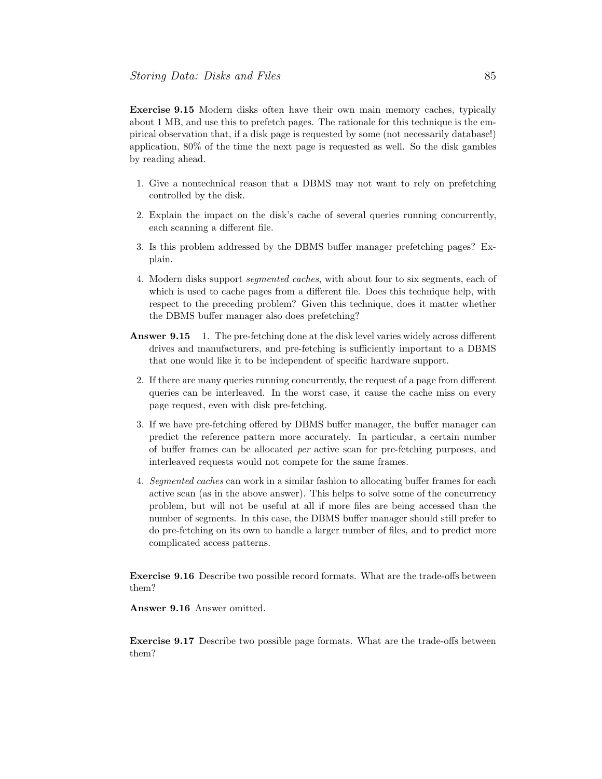**Exercise 9.15** Modern disks often have their own main memory caches, typically about 1 MB, and use this to prefetch pages. The rationale for this technique is the empirical observation that, if a disk page is requested by some (not necessarily database!) application, 80% of the time the next page is requested as well. So the disk gambles by reading ahead.

- 1. Give a nontechnical reason that a DBMS may not want to rely on prefetching controlled by the disk.
- 2. Explain the impact on the disk's cache of several queries running concurrently, each scanning a different file.
- 3. Is this problem addressed by the DBMS buffer manager prefetching pages? Explain.
- 4. Modern disks support *segmented caches*, with about four to six segments, each of which is used to cache pages from a different file. Does this technique help, with respect to the preceding problem? Given this technique, does it matter whether the DBMS buffer manager also does prefetching?
- **Answer 9.15** 1. The pre-fetching done at the disk level varies widely across different drives and manufacturers, and pre-fetching is sufficiently important to a DBMS that one would like it to be independent of specific hardware support.
	- 2. If there are many queries running concurrently, the request of a page from different queries can be interleaved. In the worst case, it cause the cache miss on every page request, even with disk pre-fetching.
	- 3. If we have pre-fetching offered by DBMS buffer manager, the buffer manager can predict the reference pattern more accurately. In particular, a certain number of buffer frames can be allocated *per* active scan for pre-fetching purposes, and interleaved requests would not compete for the same frames.
	- 4. *Segmented caches* can work in a similar fashion to allocating buffer frames for each active scan (as in the above answer). This helps to solve some of the concurrency problem, but will not be useful at all if more files are being accessed than the number of segments. In this case, the DBMS buffer manager should still prefer to do pre-fetching on its own to handle a larger number of files, and to predict more complicated access patterns.

**Exercise 9.16** Describe two possible record formats. What are the trade-offs between them?

**Answer 9.16** Answer omitted.

**Exercise 9.17** Describe two possible page formats. What are the trade-offs between them?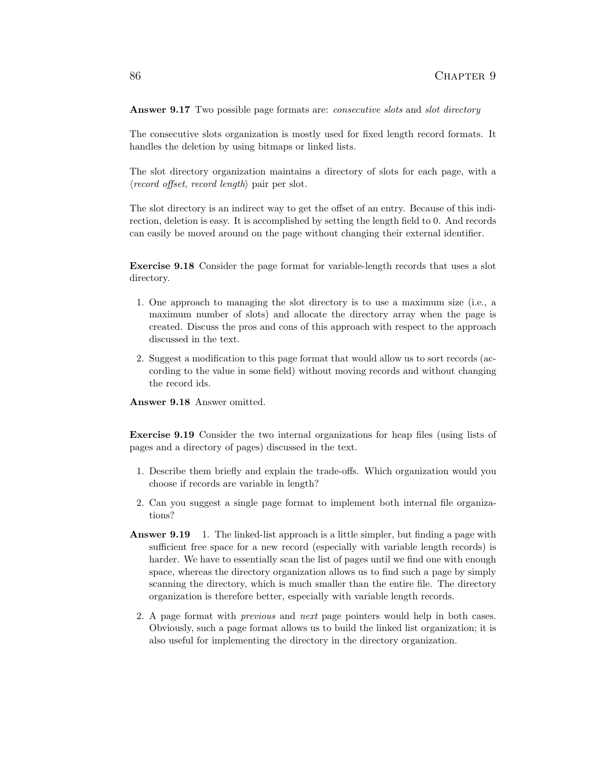**Answer 9.17** Two possible page formats are: *consecutive slots* and *slot directory*

The consecutive slots organization is mostly used for fixed length record formats. It handles the deletion by using bitmaps or linked lists.

The slot directory organization maintains a directory of slots for each page, with a *record offset*, *record length* pair per slot.

The slot directory is an indirect way to get the offset of an entry. Because of this indirection, deletion is easy. It is accomplished by setting the length field to 0. And records can easily be moved around on the page without changing their external identifier.

**Exercise 9.18** Consider the page format for variable-length records that uses a slot directory.

- 1. One approach to managing the slot directory is to use a maximum size (i.e., a maximum number of slots) and allocate the directory array when the page is created. Discuss the pros and cons of this approach with respect to the approach discussed in the text.
- 2. Suggest a modification to this page format that would allow us to sort records (according to the value in some field) without moving records and without changing the record ids.

**Answer 9.18** Answer omitted.

**Exercise 9.19** Consider the two internal organizations for heap files (using lists of pages and a directory of pages) discussed in the text.

- 1. Describe them briefly and explain the trade-offs. Which organization would you choose if records are variable in length?
- 2. Can you suggest a single page format to implement both internal file organizations?
- **Answer 9.19** 1. The linked-list approach is a little simpler, but finding a page with sufficient free space for a new record (especially with variable length records) is harder. We have to essentially scan the list of pages until we find one with enough space, whereas the directory organization allows us to find such a page by simply scanning the directory, which is much smaller than the entire file. The directory organization is therefore better, especially with variable length records.
	- 2. A page format with *previous* and *next* page pointers would help in both cases. Obviously, such a page format allows us to build the linked list organization; it is also useful for implementing the directory in the directory organization.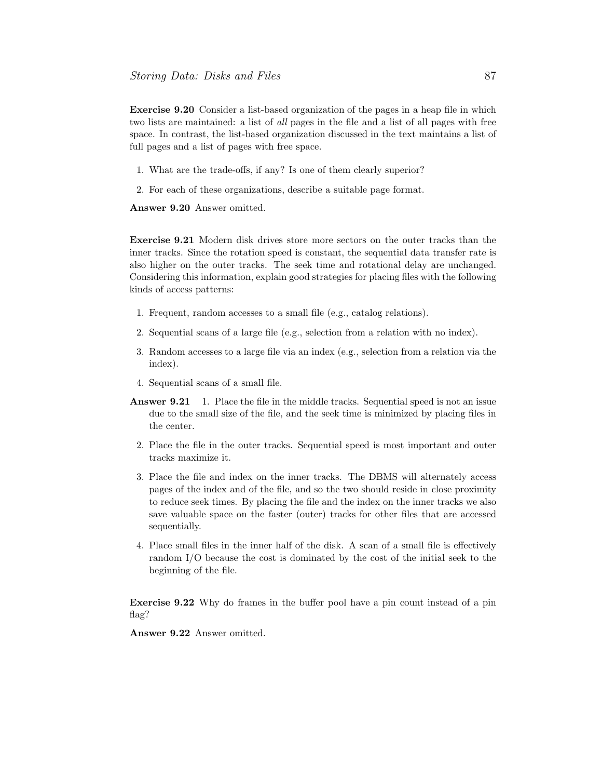**Exercise 9.20** Consider a list-based organization of the pages in a heap file in which two lists are maintained: a list of *all* pages in the file and a list of all pages with free space. In contrast, the list-based organization discussed in the text maintains a list of full pages and a list of pages with free space.

- 1. What are the trade-offs, if any? Is one of them clearly superior?
- 2. For each of these organizations, describe a suitable page format.

**Answer 9.20** Answer omitted.

**Exercise 9.21** Modern disk drives store more sectors on the outer tracks than the inner tracks. Since the rotation speed is constant, the sequential data transfer rate is also higher on the outer tracks. The seek time and rotational delay are unchanged. Considering this information, explain good strategies for placing files with the following kinds of access patterns:

- 1. Frequent, random accesses to a small file (e.g., catalog relations).
- 2. Sequential scans of a large file (e.g., selection from a relation with no index).
- 3. Random accesses to a large file via an index (e.g., selection from a relation via the index).
- 4. Sequential scans of a small file.
- **Answer 9.21** 1. Place the file in the middle tracks. Sequential speed is not an issue due to the small size of the file, and the seek time is minimized by placing files in the center.
	- 2. Place the file in the outer tracks. Sequential speed is most important and outer tracks maximize it.
	- 3. Place the file and index on the inner tracks. The DBMS will alternately access pages of the index and of the file, and so the two should reside in close proximity to reduce seek times. By placing the file and the index on the inner tracks we also save valuable space on the faster (outer) tracks for other files that are accessed sequentially.
	- 4. Place small files in the inner half of the disk. A scan of a small file is effectively random I/O because the cost is dominated by the cost of the initial seek to the beginning of the file.

**Exercise 9.22** Why do frames in the buffer pool have a pin count instead of a pin flag?

**Answer 9.22** Answer omitted.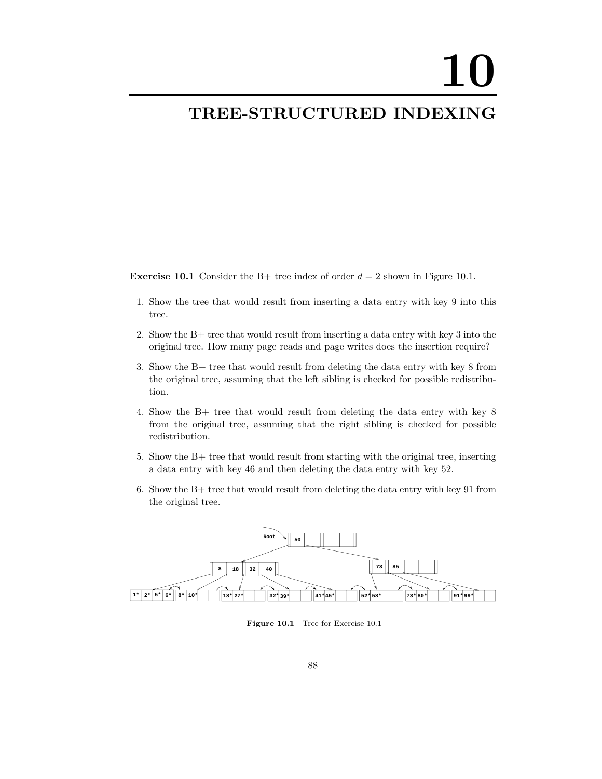# **10**

#### **TREE-STRUCTURED INDEXING**

**Exercise 10.1** Consider the B+ tree index of order  $d = 2$  shown in Figure 10.1.

- 1. Show the tree that would result from inserting a data entry with key 9 into this tree.
- 2. Show the B+ tree that would result from inserting a data entry with key 3 into the original tree. How many page reads and page writes does the insertion require?
- 3. Show the B+ tree that would result from deleting the data entry with key 8 from the original tree, assuming that the left sibling is checked for possible redistribution.
- 4. Show the B+ tree that would result from deleting the data entry with key 8 from the original tree, assuming that the right sibling is checked for possible redistribution.
- 5. Show the B+ tree that would result from starting with the original tree, inserting a data entry with key 46 and then deleting the data entry with key 52.
- 6. Show the B+ tree that would result from deleting the data entry with key 91 from the original tree.



Figure 10.1 Tree for Exercise 10.1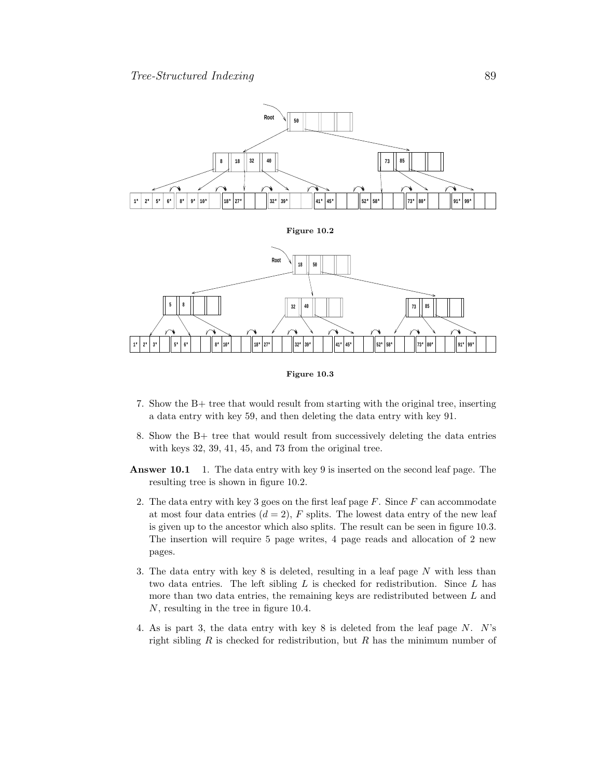

- 7. Show the B+ tree that would result from starting with the original tree, inserting
	- a data entry with key 59, and then deleting the data entry with key 91. 8. Show the B+ tree that would result from successively deleting the data entries
	- with keys 32, 39, 41, 45, and 73 from the original tree.
	- **Answer 10.1** 1. The data entry with key 9 is inserted on the second leaf page. The resulting tree is shown in figure 10.2.
	- 2. The data entry with key 3 goes on the first leaf page  $F$ . Since  $F$  can accommodate at most four data entries  $(d = 2)$ , F splits. The lowest data entry of the new leaf is given up to the ancestor which also splits. The result can be seen in figure 10.3. The insertion will require 5 page writes, 4 page reads and allocation of 2 new pages.
	- 3. The data entry with key  $8$  is deleted, resulting in a leaf page  $N$  with less than two data entries. The left sibling  $L$  is checked for redistribution. Since  $L$  has more than two data entries, the remaining keys are redistributed between  $L$  and N, resulting in the tree in figure 10.4.
	- 4. As is part 3, the data entry with key 8 is deleted from the leaf page N. N's right sibling  $R$  is checked for redistribution, but  $R$  has the minimum number of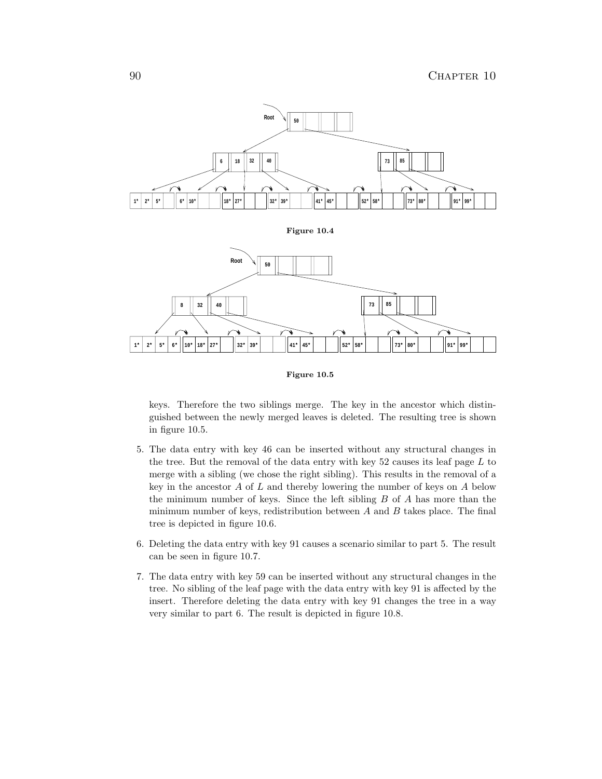

**Figure 10.5**

keys. Therefore the two siblings merge. The key in the ancestor which distinguished between the newly merged leaves is deleted. The resulting tree is shown in figure 10.5.

- 5. The data entry with key 46 can be inserted without any structural changes in the tree. But the removal of the data entry with key  $52$  causes its leaf page L to merge with a sibling (we chose the right sibling). This results in the removal of a key in the ancestor  $A$  of  $L$  and thereby lowering the number of keys on  $A$  below the minimum number of keys. Since the left sibling  $B$  of  $A$  has more than the minimum number of keys, redistribution between  $A$  and  $B$  takes place. The final tree is depicted in figure 10.6.
- 6. Deleting the data entry with key 91 causes a scenario similar to part 5. The result can be seen in figure 10.7.
- 7. The data entry with key 59 can be inserted without any structural changes in the tree. No sibling of the leaf page with the data entry with key 91 is affected by the insert. Therefore deleting the data entry with key 91 changes the tree in a way very similar to part 6. The result is depicted in figure 10.8.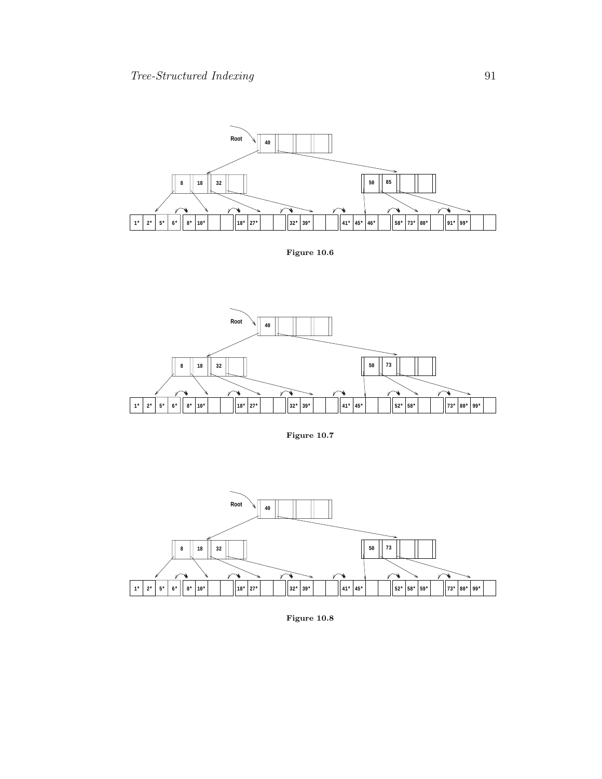

**Figure 10.6**



**Figure 10.7**



**Figure 10.8**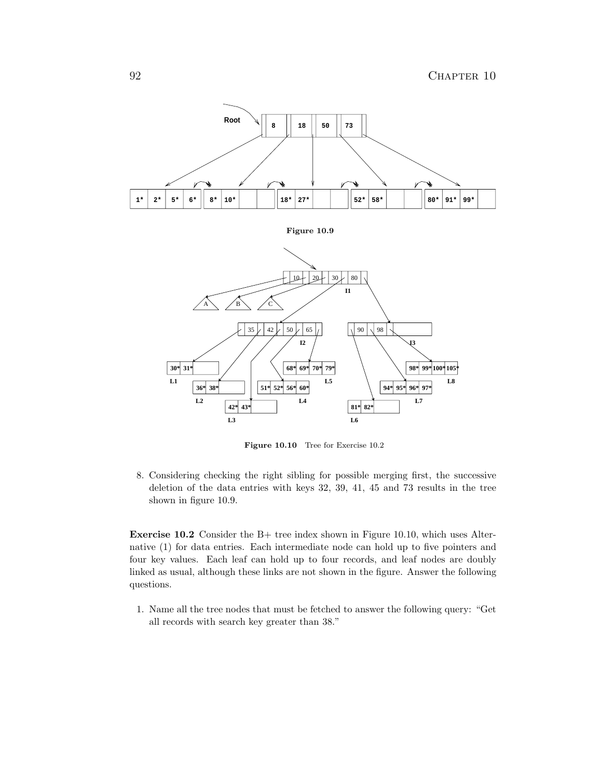

**Figure 10.10** Tree for Exercise 10.2

8. Considering checking the right sibling for possible merging first, the successive deletion of the data entries with keys 32, 39, 41, 45 and 73 results in the tree shown in figure 10.9.

**Exercise 10.2** Consider the B+ tree index shown in Figure 10.10, which uses Alternative (1) for data entries. Each intermediate node can hold up to five pointers and four key values. Each leaf can hold up to four records, and leaf nodes are doubly linked as usual, although these links are not shown in the figure. Answer the following questions.

1. Name all the tree nodes that must be fetched to answer the following query: "Get all records with search key greater than 38."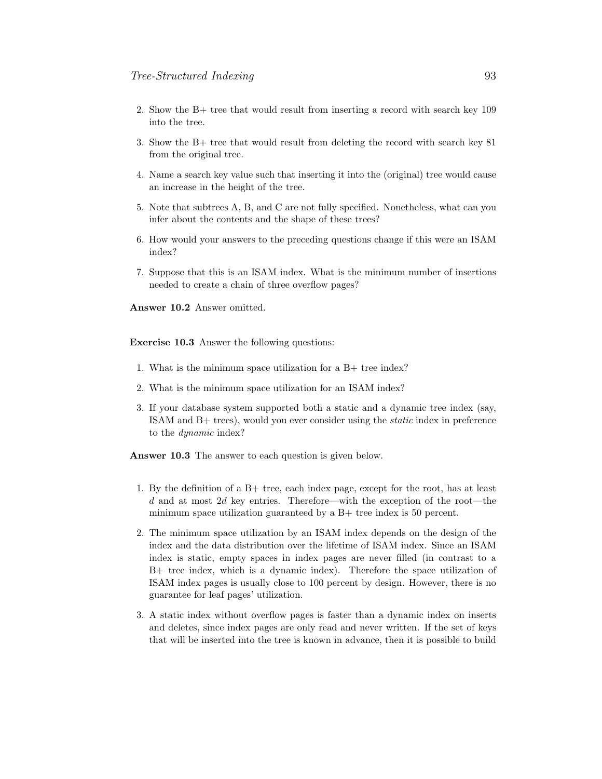- 2. Show the B+ tree that would result from inserting a record with search key 109 into the tree.
- 3. Show the B+ tree that would result from deleting the record with search key 81 from the original tree.
- 4. Name a search key value such that inserting it into the (original) tree would cause an increase in the height of the tree.
- 5. Note that subtrees A, B, and C are not fully specified. Nonetheless, what can you infer about the contents and the shape of these trees?
- 6. How would your answers to the preceding questions change if this were an ISAM index?
- 7. Suppose that this is an ISAM index. What is the minimum number of insertions needed to create a chain of three overflow pages?

**Answer 10.2** Answer omitted.

**Exercise 10.3** Answer the following questions:

- 1. What is the minimum space utilization for a B+ tree index?
- 2. What is the minimum space utilization for an ISAM index?
- 3. If your database system supported both a static and a dynamic tree index (say, ISAM and B+ trees), would you ever consider using the *static* index in preference to the *dynamic* index?

**Answer 10.3** The answer to each question is given below.

- 1. By the definition of a B+ tree, each index page, except for the root, has at least d and at most 2d key entries. Therefore—with the exception of the root—the minimum space utilization guaranteed by a B+ tree index is 50 percent.
- 2. The minimum space utilization by an ISAM index depends on the design of the index and the data distribution over the lifetime of ISAM index. Since an ISAM index is static, empty spaces in index pages are never filled (in contrast to a B+ tree index, which is a dynamic index). Therefore the space utilization of ISAM index pages is usually close to 100 percent by design. However, there is no guarantee for leaf pages' utilization.
- 3. A static index without overflow pages is faster than a dynamic index on inserts and deletes, since index pages are only read and never written. If the set of keys that will be inserted into the tree is known in advance, then it is possible to build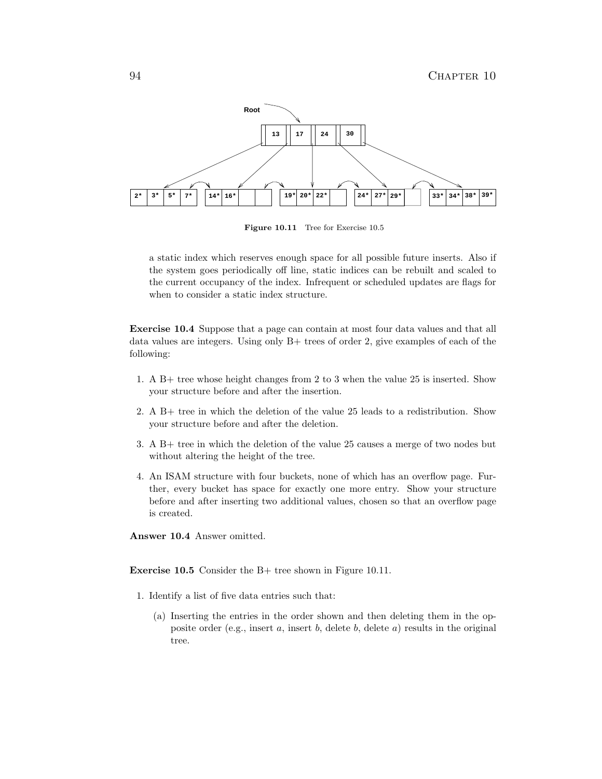

**Figure 10.11** Tree for Exercise 10.5

a static index which reserves enough space for all possible future inserts. Also if the system goes periodically off line, static indices can be rebuilt and scaled to the current occupancy of the index. Infrequent or scheduled updates are flags for when to consider a static index structure.

**Exercise 10.4** Suppose that a page can contain at most four data values and that all data values are integers. Using only B+ trees of order 2, give examples of each of the following:

- 1. A B+ tree whose height changes from 2 to 3 when the value 25 is inserted. Show your structure before and after the insertion.
- 2. A B+ tree in which the deletion of the value 25 leads to a redistribution. Show your structure before and after the deletion.
- 3. A B+ tree in which the deletion of the value 25 causes a merge of two nodes but without altering the height of the tree.
- 4. An ISAM structure with four buckets, none of which has an overflow page. Further, every bucket has space for exactly one more entry. Show your structure before and after inserting two additional values, chosen so that an overflow page is created.

**Answer 10.4** Answer omitted.

**Exercise 10.5** Consider the B+ tree shown in Figure 10.11.

- 1. Identify a list of five data entries such that:
	- (a) Inserting the entries in the order shown and then deleting them in the opposite order (e.g., insert  $a$ , insert  $b$ , delete  $b$ , delete  $a$ ) results in the original tree.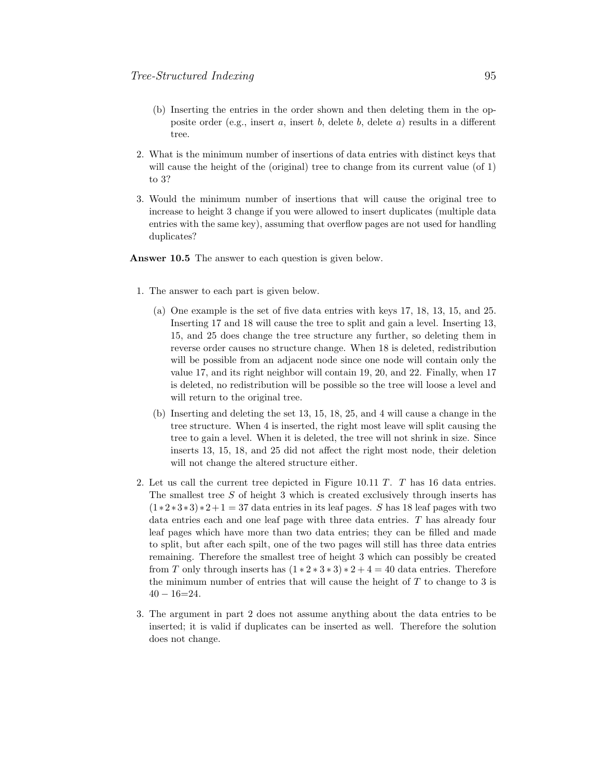- (b) Inserting the entries in the order shown and then deleting them in the opposite order (e.g., insert a, insert b, delete b, delete a) results in a different tree.
- 2. What is the minimum number of insertions of data entries with distinct keys that will cause the height of the (original) tree to change from its current value (of 1) to 3?
- 3. Would the minimum number of insertions that will cause the original tree to increase to height 3 change if you were allowed to insert duplicates (multiple data entries with the same key), assuming that overflow pages are not used for handling duplicates?

**Answer 10.5** The answer to each question is given below.

- 1. The answer to each part is given below.
	- (a) One example is the set of five data entries with keys 17, 18, 13, 15, and 25. Inserting 17 and 18 will cause the tree to split and gain a level. Inserting 13, 15, and 25 does change the tree structure any further, so deleting them in reverse order causes no structure change. When 18 is deleted, redistribution will be possible from an adjacent node since one node will contain only the value 17, and its right neighbor will contain 19, 20, and 22. Finally, when 17 is deleted, no redistribution will be possible so the tree will loose a level and will return to the original tree.
	- (b) Inserting and deleting the set 13, 15, 18, 25, and 4 will cause a change in the tree structure. When 4 is inserted, the right most leave will split causing the tree to gain a level. When it is deleted, the tree will not shrink in size. Since inserts 13, 15, 18, and 25 did not affect the right most node, their deletion will not change the altered structure either.
- 2. Let us call the current tree depicted in Figure 10.11  $T$ .  $T$  has 16 data entries. The smallest tree S of height 3 which is created exclusively through inserts has  $(1 * 2 * 3 * 3) * 2 + 1 = 37$  data entries in its leaf pages. S has 18 leaf pages with two data entries each and one leaf page with three data entries. T has already four leaf pages which have more than two data entries; they can be filled and made to split, but after each spilt, one of the two pages will still has three data entries remaining. Therefore the smallest tree of height 3 which can possibly be created from T only through inserts has  $(1 * 2 * 3 * 3) * 2 + 4 = 40$  data entries. Therefore the minimum number of entries that will cause the height of  $T$  to change to 3 is  $40 - 16 = 24$ .
- 3. The argument in part 2 does not assume anything about the data entries to be inserted; it is valid if duplicates can be inserted as well. Therefore the solution does not change.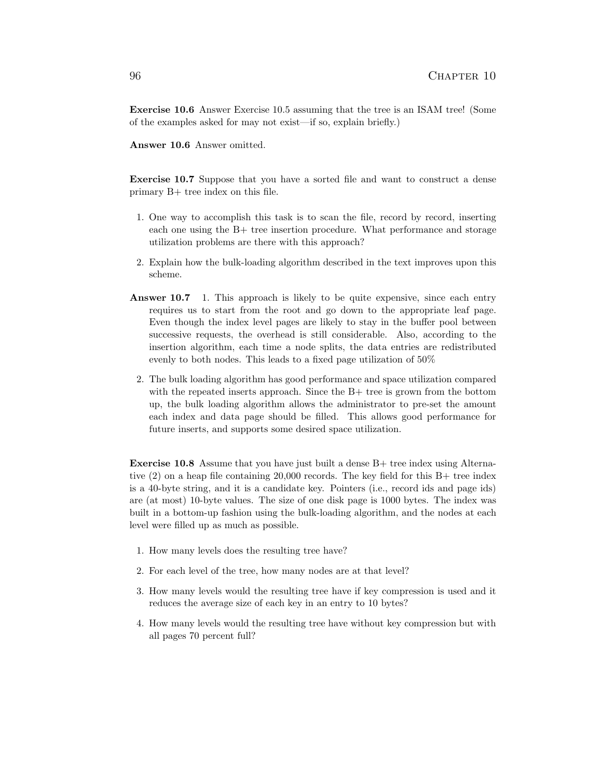**Exercise 10.6** Answer Exercise 10.5 assuming that the tree is an ISAM tree! (Some of the examples asked for may not exist—if so, explain briefly.)

**Answer 10.6** Answer omitted.

**Exercise 10.7** Suppose that you have a sorted file and want to construct a dense primary B+ tree index on this file.

- 1. One way to accomplish this task is to scan the file, record by record, inserting each one using the B+ tree insertion procedure. What performance and storage utilization problems are there with this approach?
- 2. Explain how the bulk-loading algorithm described in the text improves upon this scheme.
- **Answer 10.7** 1. This approach is likely to be quite expensive, since each entry requires us to start from the root and go down to the appropriate leaf page. Even though the index level pages are likely to stay in the buffer pool between successive requests, the overhead is still considerable. Also, according to the insertion algorithm, each time a node splits, the data entries are redistributed evenly to both nodes. This leads to a fixed page utilization of 50%
- 2. The bulk loading algorithm has good performance and space utilization compared with the repeated inserts approach. Since the  $B+$  tree is grown from the bottom up, the bulk loading algorithm allows the administrator to pre-set the amount each index and data page should be filled. This allows good performance for future inserts, and supports some desired space utilization.

**Exercise 10.8** Assume that you have just built a dense B+ tree index using Alternative (2) on a heap file containing 20,000 records. The key field for this B+ tree index is a 40-byte string, and it is a candidate key. Pointers (i.e., record ids and page ids) are (at most) 10-byte values. The size of one disk page is 1000 bytes. The index was built in a bottom-up fashion using the bulk-loading algorithm, and the nodes at each level were filled up as much as possible.

- 1. How many levels does the resulting tree have?
- 2. For each level of the tree, how many nodes are at that level?
- 3. How many levels would the resulting tree have if key compression is used and it reduces the average size of each key in an entry to 10 bytes?
- 4. How many levels would the resulting tree have without key compression but with all pages 70 percent full?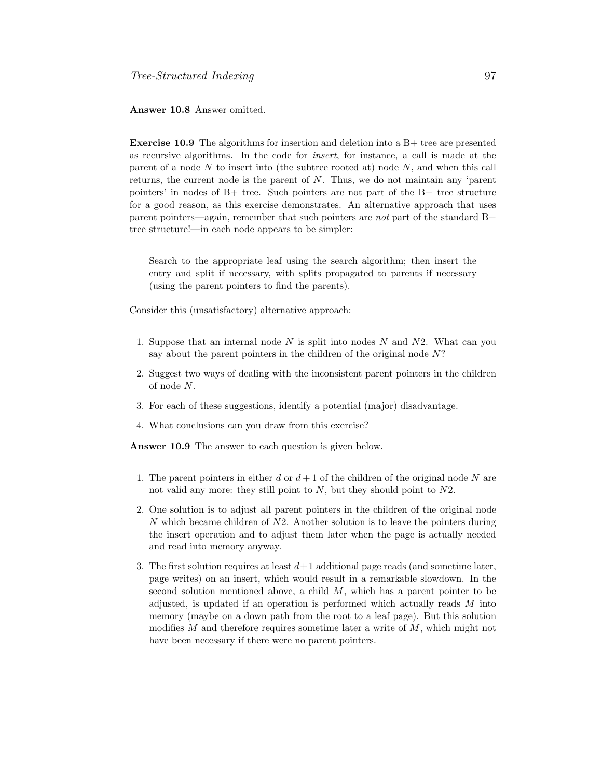**Answer 10.8** Answer omitted.

**Exercise 10.9** The algorithms for insertion and deletion into a B+ tree are presented as recursive algorithms. In the code for *insert*, for instance, a call is made at the parent of a node  $N$  to insert into (the subtree rooted at) node  $N$ , and when this call returns, the current node is the parent of  $N$ . Thus, we do not maintain any 'parent pointers' in nodes of B+ tree. Such pointers are not part of the B+ tree structure for a good reason, as this exercise demonstrates. An alternative approach that uses parent pointers—again, remember that such pointers are *not* part of the standard B+ tree structure!—in each node appears to be simpler:

Search to the appropriate leaf using the search algorithm; then insert the entry and split if necessary, with splits propagated to parents if necessary (using the parent pointers to find the parents).

Consider this (unsatisfactory) alternative approach:

- 1. Suppose that an internal node  $N$  is split into nodes  $N$  and  $N2$ . What can you say about the parent pointers in the children of the original node  $N$ ?
- 2. Suggest two ways of dealing with the inconsistent parent pointers in the children of node N.
- 3. For each of these suggestions, identify a potential (major) disadvantage.
- 4. What conclusions can you draw from this exercise?

**Answer 10.9** The answer to each question is given below.

- 1. The parent pointers in either d or  $d+1$  of the children of the original node N are not valid any more: they still point to  $N$ , but they should point to  $N2$ .
- 2. One solution is to adjust all parent pointers in the children of the original node  $N$  which became children of  $N2$ . Another solution is to leave the pointers during the insert operation and to adjust them later when the page is actually needed and read into memory anyway.
- 3. The first solution requires at least  $d+1$  additional page reads (and sometime later, page writes) on an insert, which would result in a remarkable slowdown. In the second solution mentioned above, a child  $M$ , which has a parent pointer to be adjusted, is updated if an operation is performed which actually reads M into memory (maybe on a down path from the root to a leaf page). But this solution modifies  $M$  and therefore requires sometime later a write of  $M$ , which might not have been necessary if there were no parent pointers.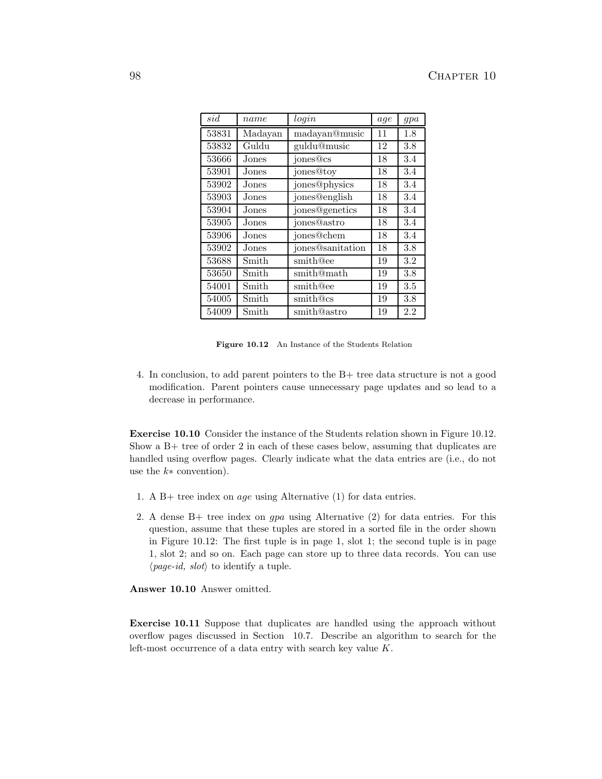| sid   | name    | login                            | age | gpa     |
|-------|---------|----------------------------------|-----|---------|
| 53831 | Madayan | madayan@music                    | 11  | 1.8     |
| 53832 | Guldu   | guldu@music                      | 12  | 3.8     |
| 53666 | Jones   | jones@cs                         | 18  | 3.4     |
| 53901 | Jones   | jones@toy                        | 18  | 3.4     |
| 53902 | Jones   | jones@physics                    | 18  | 3.4     |
| 53903 | Jones   | jones@english                    | 18  | 3.4     |
| 53904 | Jones   | jones@genetics                   | 18  | 3.4     |
| 53905 | Jones   | jones@astro                      | 18  | 3.4     |
| 53906 | Jones   | jones@chem                       | 18  | 3.4     |
| 53902 | Jones   | jones@sanitation                 | 18  | 3.8     |
| 53688 | Smith   | $\mathop{\rm smith@ee}\nolimits$ | 19  | $3.2\,$ |
| 53650 | Smith   | $\text{smith@math}$              | 19  | 3.8     |
| 54001 | Smith   | $\text{smith@ee}$                | 19  | 3.5     |
| 54005 | Smith   | $\rm smith@cs$                   | 19  | 3.8     |
| 54009 | Smith   | smith@astro                      | 19  | 2.2     |

**Figure 10.12** An Instance of the Students Relation

4. In conclusion, to add parent pointers to the B+ tree data structure is not a good modification. Parent pointers cause unnecessary page updates and so lead to a decrease in performance.

**Exercise 10.10** Consider the instance of the Students relation shown in Figure 10.12. Show a B+ tree of order 2 in each of these cases below, assuming that duplicates are handled using overflow pages. Clearly indicate what the data entries are (i.e., do not use the  $k*$  convention).

- 1. A B+ tree index on age using Alternative (1) for data entries.
- 2. A dense B+ tree index on gpa using Alternative (2) for data entries. For this question, assume that these tuples are stored in a sorted file in the order shown in Figure 10.12: The first tuple is in page 1, slot 1; the second tuple is in page 1, slot 2; and so on. Each page can store up to three data records. You can use  $\langle page-id, slot \rangle$  to identify a tuple.

**Answer 10.10** Answer omitted.

**Exercise 10.11** Suppose that duplicates are handled using the approach without overflow pages discussed in Section 10.7. Describe an algorithm to search for the left-most occurrence of a data entry with search key value K.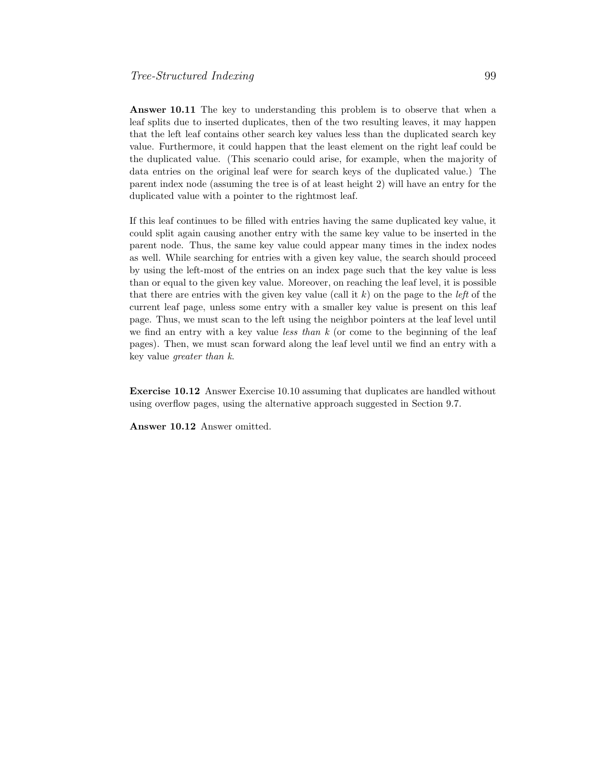**Answer 10.11** The key to understanding this problem is to observe that when a leaf splits due to inserted duplicates, then of the two resulting leaves, it may happen that the left leaf contains other search key values less than the duplicated search key value. Furthermore, it could happen that the least element on the right leaf could be the duplicated value. (This scenario could arise, for example, when the majority of data entries on the original leaf were for search keys of the duplicated value.) The parent index node (assuming the tree is of at least height 2) will have an entry for the duplicated value with a pointer to the rightmost leaf.

If this leaf continues to be filled with entries having the same duplicated key value, it could split again causing another entry with the same key value to be inserted in the parent node. Thus, the same key value could appear many times in the index nodes as well. While searching for entries with a given key value, the search should proceed by using the left-most of the entries on an index page such that the key value is less than or equal to the given key value. Moreover, on reaching the leaf level, it is possible that there are entries with the given key value (call it k) on the page to the *left* of the current leaf page, unless some entry with a smaller key value is present on this leaf page. Thus, we must scan to the left using the neighbor pointers at the leaf level until we find an entry with a key value *less than k* (or come to the beginning of the leaf pages). Then, we must scan forward along the leaf level until we find an entry with a key value *greater than k*.

**Exercise 10.12** Answer Exercise 10.10 assuming that duplicates are handled without using overflow pages, using the alternative approach suggested in Section 9.7.

**Answer 10.12** Answer omitted.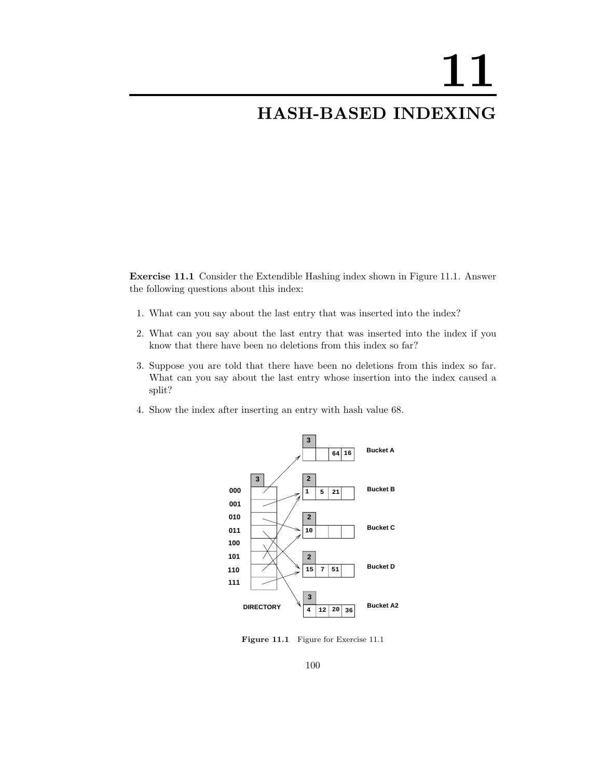### **11 HASH-BASED INDEXING**

**Exercise 11.1** Consider the Extendible Hashing index shown in Figure 11.1. Answer the following questions about this index:

- 1. What can you say about the last entry that was inserted into the index?
- 2. What can you say about the last entry that was inserted into the index if you know that there have been no deletions from this index so far?
- 3. Suppose you are told that there have been no deletions from this index so far. What can you say about the last entry whose insertion into the index caused a split?
- 4. Show the index after inserting an entry with hash value 68.



**Figure 11.1** Figure for Exercise 11.1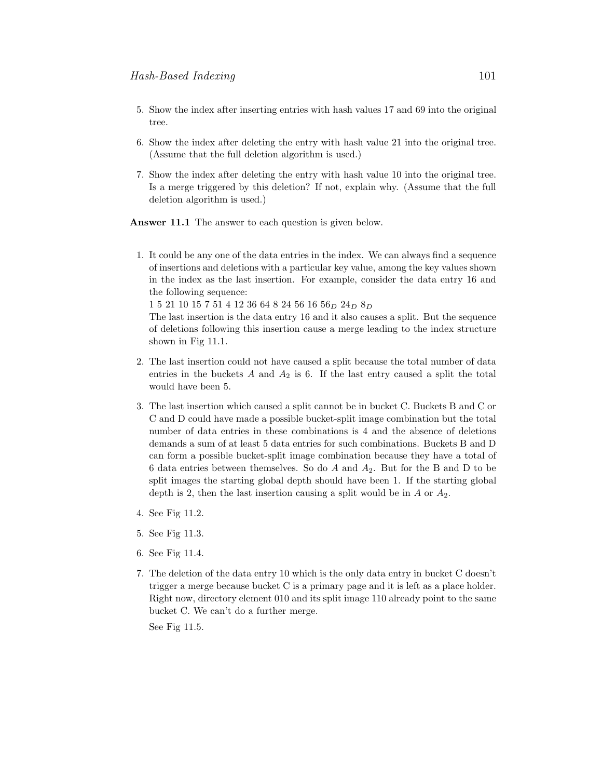- 5. Show the index after inserting entries with hash values 17 and 69 into the original tree.
- 6. Show the index after deleting the entry with hash value 21 into the original tree. (Assume that the full deletion algorithm is used.)
- 7. Show the index after deleting the entry with hash value 10 into the original tree. Is a merge triggered by this deletion? If not, explain why. (Assume that the full deletion algorithm is used.)

**Answer 11.1** The answer to each question is given below.

1. It could be any one of the data entries in the index. We can always find a sequence of insertions and deletions with a particular key value, among the key values shown in the index as the last insertion. For example, consider the data entry 16 and the following sequence:

1 5 21 10 15 7 51 4 12 36 64 8 24 56 16 56*<sup>D</sup>* 24*<sup>D</sup>* 8*<sup>D</sup>*

The last insertion is the data entry 16 and it also causes a split. But the sequence of deletions following this insertion cause a merge leading to the index structure shown in Fig 11.1.

- 2. The last insertion could not have caused a split because the total number of data entries in the buckets  $A$  and  $A_2$  is 6. If the last entry caused a split the total would have been 5.
- 3. The last insertion which caused a split cannot be in bucket C. Buckets B and C or C and D could have made a possible bucket-split image combination but the total number of data entries in these combinations is 4 and the absence of deletions demands a sum of at least 5 data entries for such combinations. Buckets B and D can form a possible bucket-split image combination because they have a total of 6 data entries between themselves. So do A and  $A_2$ . But for the B and D to be split images the starting global depth should have been 1. If the starting global depth is 2, then the last insertion causing a split would be in  $A$  or  $A_2$ .
- 4. See Fig 11.2.
- 5. See Fig 11.3.
- 6. See Fig 11.4.
- 7. The deletion of the data entry 10 which is the only data entry in bucket C doesn't trigger a merge because bucket C is a primary page and it is left as a place holder. Right now, directory element 010 and its split image 110 already point to the same bucket C. We can't do a further merge.

See Fig 11.5.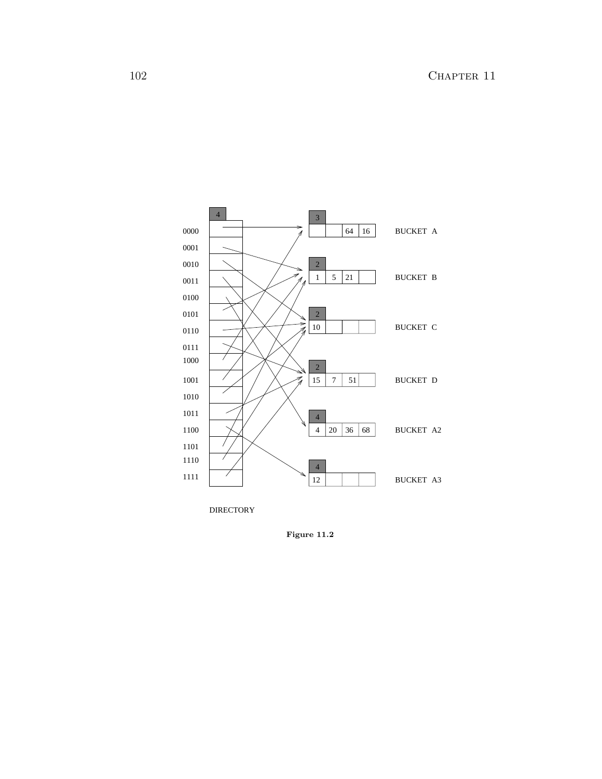

**Figure 11.2**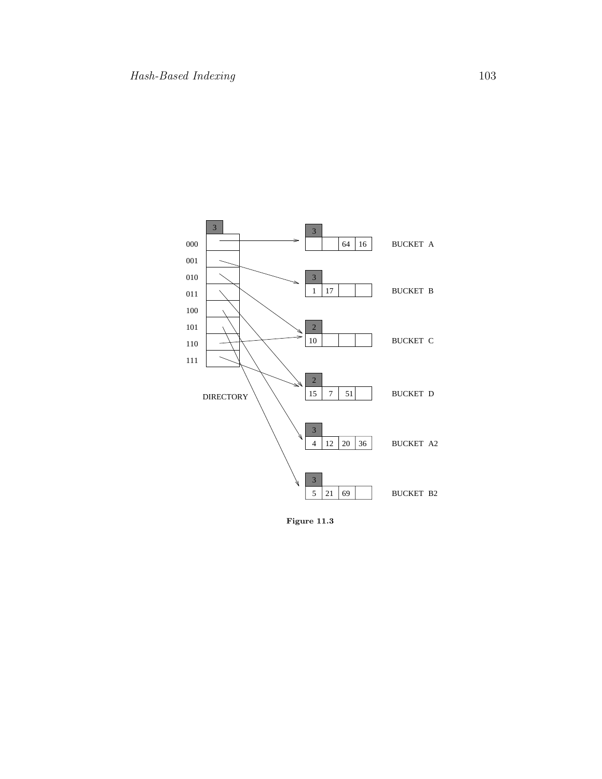

**Figure 11.3**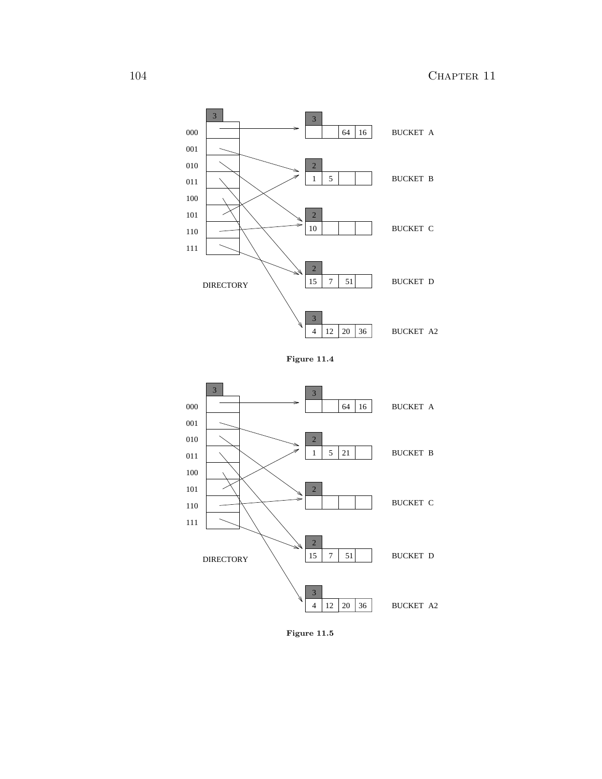

**Figure 11.4**



**Figure 11.5**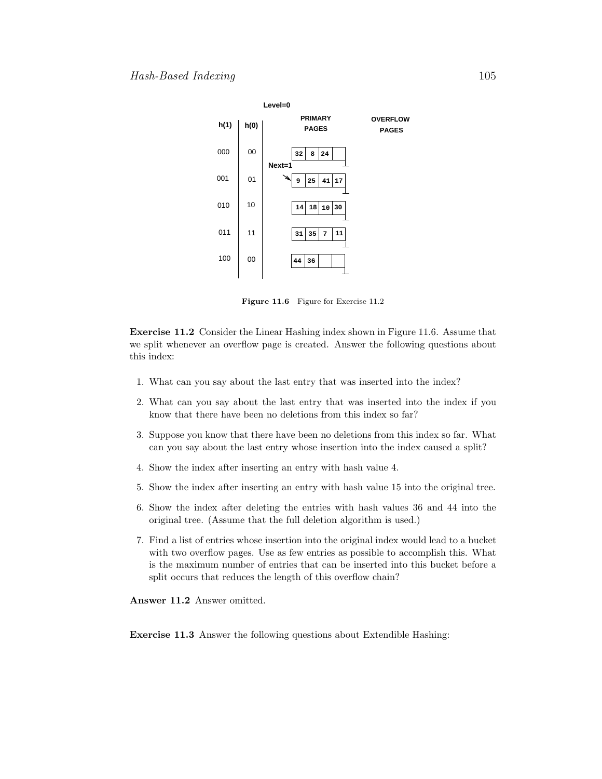

**Figure 11.6** Figure for Exercise 11.2

**Exercise 11.2** Consider the Linear Hashing index shown in Figure 11.6. Assume that we split whenever an overflow page is created. Answer the following questions about this index:

- 1. What can you say about the last entry that was inserted into the index?
- 2. What can you say about the last entry that was inserted into the index if you know that there have been no deletions from this index so far?
- 3. Suppose you know that there have been no deletions from this index so far. What can you say about the last entry whose insertion into the index caused a split?
- 4. Show the index after inserting an entry with hash value 4.
- 5. Show the index after inserting an entry with hash value 15 into the original tree.
- 6. Show the index after deleting the entries with hash values 36 and 44 into the original tree. (Assume that the full deletion algorithm is used.)
- 7. Find a list of entries whose insertion into the original index would lead to a bucket with two overflow pages. Use as few entries as possible to accomplish this. What is the maximum number of entries that can be inserted into this bucket before a split occurs that reduces the length of this overflow chain?

**Answer 11.2** Answer omitted.

**Exercise 11.3** Answer the following questions about Extendible Hashing: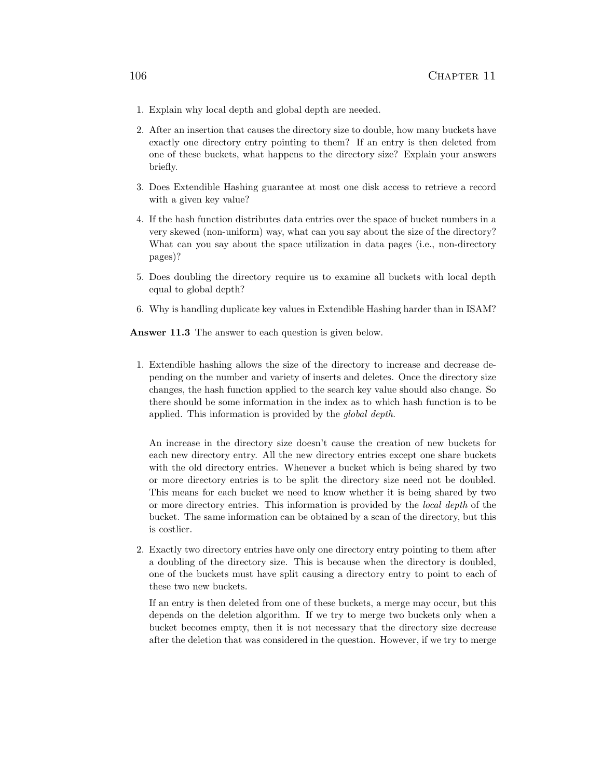- 1. Explain why local depth and global depth are needed.
- 2. After an insertion that causes the directory size to double, how many buckets have exactly one directory entry pointing to them? If an entry is then deleted from one of these buckets, what happens to the directory size? Explain your answers briefly.
- 3. Does Extendible Hashing guarantee at most one disk access to retrieve a record with a given key value?
- 4. If the hash function distributes data entries over the space of bucket numbers in a very skewed (non-uniform) way, what can you say about the size of the directory? What can you say about the space utilization in data pages (i.e., non-directory pages)?
- 5. Does doubling the directory require us to examine all buckets with local depth equal to global depth?
- 6. Why is handling duplicate key values in Extendible Hashing harder than in ISAM?

**Answer 11.3** The answer to each question is given below.

1. Extendible hashing allows the size of the directory to increase and decrease depending on the number and variety of inserts and deletes. Once the directory size changes, the hash function applied to the search key value should also change. So there should be some information in the index as to which hash function is to be applied. This information is provided by the *global depth*.

An increase in the directory size doesn't cause the creation of new buckets for each new directory entry. All the new directory entries except one share buckets with the old directory entries. Whenever a bucket which is being shared by two or more directory entries is to be split the directory size need not be doubled. This means for each bucket we need to know whether it is being shared by two or more directory entries. This information is provided by the *local depth* of the bucket. The same information can be obtained by a scan of the directory, but this is costlier.

2. Exactly two directory entries have only one directory entry pointing to them after a doubling of the directory size. This is because when the directory is doubled, one of the buckets must have split causing a directory entry to point to each of these two new buckets.

If an entry is then deleted from one of these buckets, a merge may occur, but this depends on the deletion algorithm. If we try to merge two buckets only when a bucket becomes empty, then it is not necessary that the directory size decrease after the deletion that was considered in the question. However, if we try to merge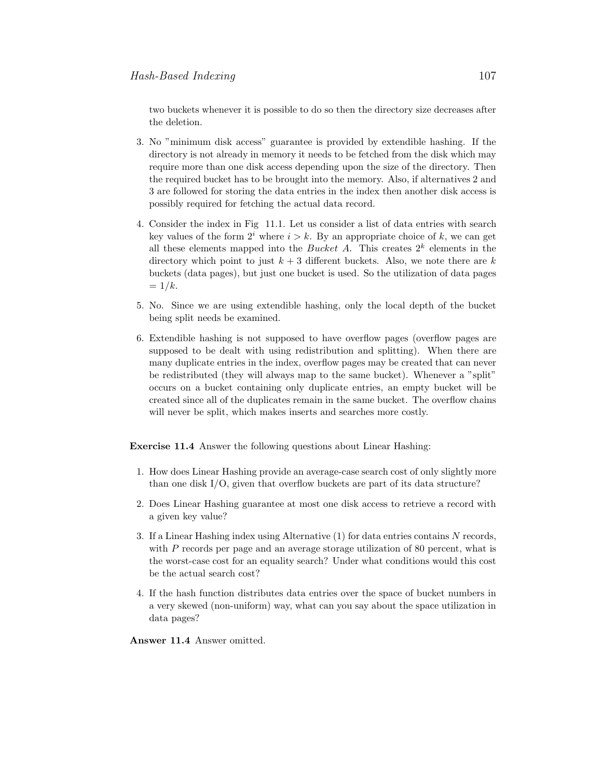two buckets whenever it is possible to do so then the directory size decreases after the deletion.

- 3. No "minimum disk access" guarantee is provided by extendible hashing. If the directory is not already in memory it needs to be fetched from the disk which may require more than one disk access depending upon the size of the directory. Then the required bucket has to be brought into the memory. Also, if alternatives 2 and 3 are followed for storing the data entries in the index then another disk access is possibly required for fetching the actual data record.
- 4. Consider the index in Fig 11.1. Let us consider a list of data entries with search key values of the form  $2^i$  where  $i>k$ . By an appropriate choice of k, we can get all these elements mapped into the *Bucket A*. This creates  $2^k$  elements in the directory which point to just  $k + 3$  different buckets. Also, we note there are k buckets (data pages), but just one bucket is used. So the utilization of data pages  $= 1/k$ .
- 5. No. Since we are using extendible hashing, only the local depth of the bucket being split needs be examined.
- 6. Extendible hashing is not supposed to have overflow pages (overflow pages are supposed to be dealt with using redistribution and splitting). When there are many duplicate entries in the index, overflow pages may be created that can never be redistributed (they will always map to the same bucket). Whenever a "split" occurs on a bucket containing only duplicate entries, an empty bucket will be created since all of the duplicates remain in the same bucket. The overflow chains will never be split, which makes inserts and searches more costly.

**Exercise 11.4** Answer the following questions about Linear Hashing:

- 1. How does Linear Hashing provide an average-case search cost of only slightly more than one disk I/O, given that overflow buckets are part of its data structure?
- 2. Does Linear Hashing guarantee at most one disk access to retrieve a record with a given key value?
- 3. If a Linear Hashing index using Alternative  $(1)$  for data entries contains N records, with P records per page and an average storage utilization of 80 percent, what is the worst-case cost for an equality search? Under what conditions would this cost be the actual search cost?
- 4. If the hash function distributes data entries over the space of bucket numbers in a very skewed (non-uniform) way, what can you say about the space utilization in data pages?

**Answer 11.4** Answer omitted.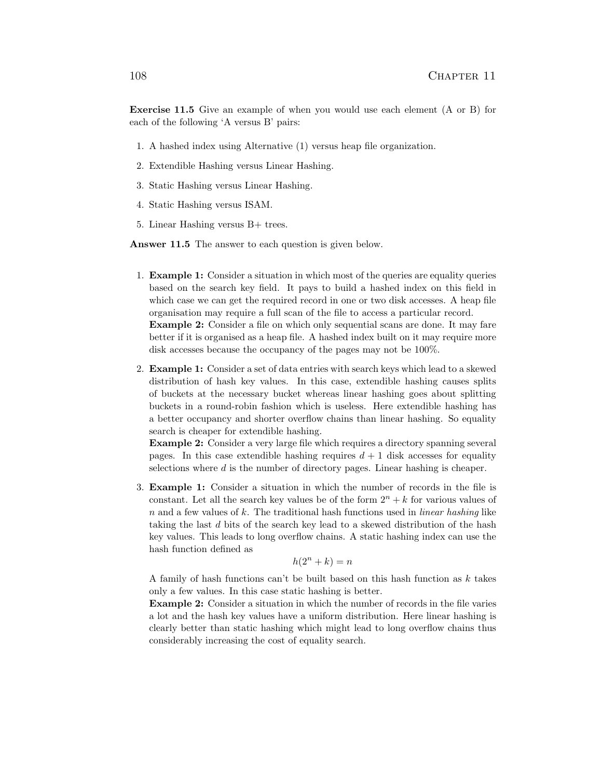**Exercise 11.5** Give an example of when you would use each element (A or B) for each of the following 'A versus B' pairs:

- 1. A hashed index using Alternative (1) versus heap file organization.
- 2. Extendible Hashing versus Linear Hashing.
- 3. Static Hashing versus Linear Hashing.
- 4. Static Hashing versus ISAM.
- 5. Linear Hashing versus B+ trees.

**Answer 11.5** The answer to each question is given below.

- 1. **Example 1:** Consider a situation in which most of the queries are equality queries based on the search key field. It pays to build a hashed index on this field in which case we can get the required record in one or two disk accesses. A heap file organisation may require a full scan of the file to access a particular record. **Example 2:** Consider a file on which only sequential scans are done. It may fare better if it is organised as a heap file. A hashed index built on it may require more disk accesses because the occupancy of the pages may not be 100%.
- 2. **Example 1:** Consider a set of data entries with search keys which lead to a skewed distribution of hash key values. In this case, extendible hashing causes splits of buckets at the necessary bucket whereas linear hashing goes about splitting buckets in a round-robin fashion which is useless. Here extendible hashing has a better occupancy and shorter overflow chains than linear hashing. So equality search is cheaper for extendible hashing.

**Example 2:** Consider a very large file which requires a directory spanning several pages. In this case extendible hashing requires  $d + 1$  disk accesses for equality selections where d is the number of directory pages. Linear hashing is cheaper.

3. **Example 1:** Consider a situation in which the number of records in the file is constant. Let all the search key values be of the form  $2^n + k$  for various values of n and a few values of k. The traditional hash functions used in *linear hashing* like taking the last d bits of the search key lead to a skewed distribution of the hash key values. This leads to long overflow chains. A static hashing index can use the hash function defined as

$$
h(2^n + k) = n
$$

A family of hash functions can't be built based on this hash function as k takes only a few values. In this case static hashing is better.

**Example 2:** Consider a situation in which the number of records in the file varies a lot and the hash key values have a uniform distribution. Here linear hashing is clearly better than static hashing which might lead to long overflow chains thus considerably increasing the cost of equality search.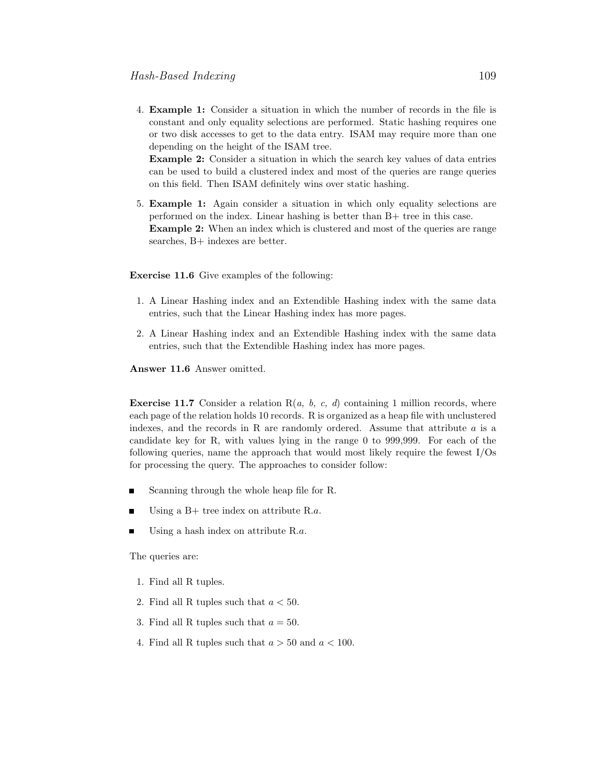4. **Example 1:** Consider a situation in which the number of records in the file is constant and only equality selections are performed. Static hashing requires one or two disk accesses to get to the data entry. ISAM may require more than one depending on the height of the ISAM tree.

**Example 2:** Consider a situation in which the search key values of data entries can be used to build a clustered index and most of the queries are range queries on this field. Then ISAM definitely wins over static hashing.

5. **Example 1:** Again consider a situation in which only equality selections are performed on the index. Linear hashing is better than B+ tree in this case. **Example 2:** When an index which is clustered and most of the queries are range searches, B+ indexes are better.

**Exercise 11.6** Give examples of the following:

- 1. A Linear Hashing index and an Extendible Hashing index with the same data entries, such that the Linear Hashing index has more pages.
- 2. A Linear Hashing index and an Extendible Hashing index with the same data entries, such that the Extendible Hashing index has more pages.

**Answer 11.6** Answer omitted.

**Exercise 11.7** Consider a relation  $R(a, b, c, d)$  containing 1 million records, where each page of the relation holds 10 records. R is organized as a heap file with unclustered indexes, and the records in R are randomly ordered. Assume that attribute  $a$  is a candidate key for R, with values lying in the range 0 to 999,999. For each of the following queries, name the approach that would most likely require the fewest I/Os for processing the query. The approaches to consider follow:

- Scanning through the whole heap file for R.
- Using a B+ tree index on attribute R.a.
- Using a hash index on attribute R.a.  $\blacksquare$

The queries are:

- 1. Find all R tuples.
- 2. Find all R tuples such that  $a < 50$ .
- 3. Find all R tuples such that  $a = 50$ .
- 4. Find all R tuples such that  $a > 50$  and  $a < 100$ .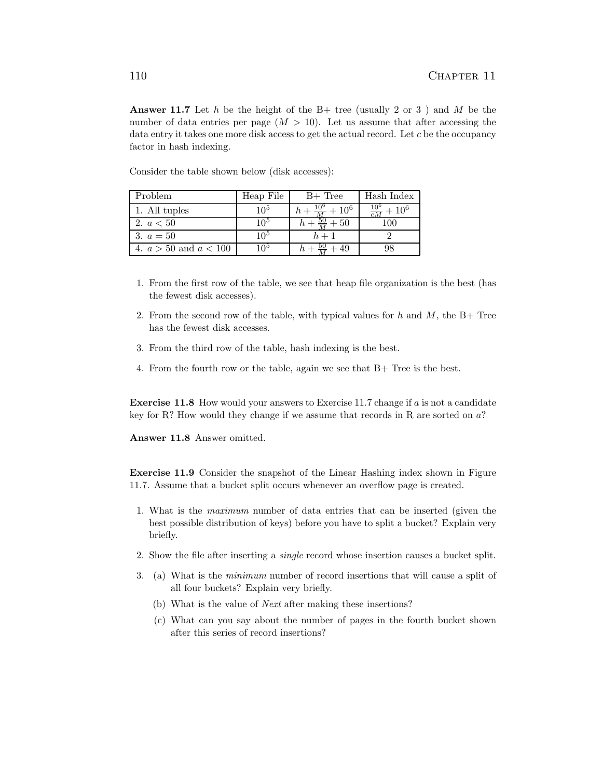**Answer 11.7** Let h be the height of the B+ tree (usually 2 or 3) and M be the number of data entries per page  $(M > 10)$ . Let us assume that after accessing the data entry it takes one more disk access to get the actual record. Let c be the occupancy factor in hash indexing.

Consider the table shown below (disk accesses):

| Problem                   | Heap File       | $B+$ Tree | Hash Index |
|---------------------------|-----------------|-----------|------------|
| 1. All tuples             | $10^{5}$        | $10^{6}$  | $10^6$     |
| 2. $a < 50$               | 10 <sup>5</sup> |           | 100        |
| 3. $a = 50$               | 1∩∍             |           |            |
| 4. $a > 50$ and $a < 100$ | 10∘             |           |            |

- 1. From the first row of the table, we see that heap file organization is the best (has the fewest disk accesses).
- 2. From the second row of the table, with typical values for  $h$  and  $M$ , the B+ Tree has the fewest disk accesses.
- 3. From the third row of the table, hash indexing is the best.
- 4. From the fourth row or the table, again we see that B+ Tree is the best.

**Exercise 11.8** How would your answers to Exercise 11.7 change if a is not a candidate key for R? How would they change if we assume that records in R are sorted on a?

**Answer 11.8** Answer omitted.

**Exercise 11.9** Consider the snapshot of the Linear Hashing index shown in Figure 11.7. Assume that a bucket split occurs whenever an overflow page is created.

- 1. What is the *maximum* number of data entries that can be inserted (given the best possible distribution of keys) before you have to split a bucket? Explain very briefly.
- 2. Show the file after inserting a *single* record whose insertion causes a bucket split.
- 3. (a) What is the *minimum* number of record insertions that will cause a split of all four buckets? Explain very briefly.
	- (b) What is the value of *Next* after making these insertions?
	- (c) What can you say about the number of pages in the fourth bucket shown after this series of record insertions?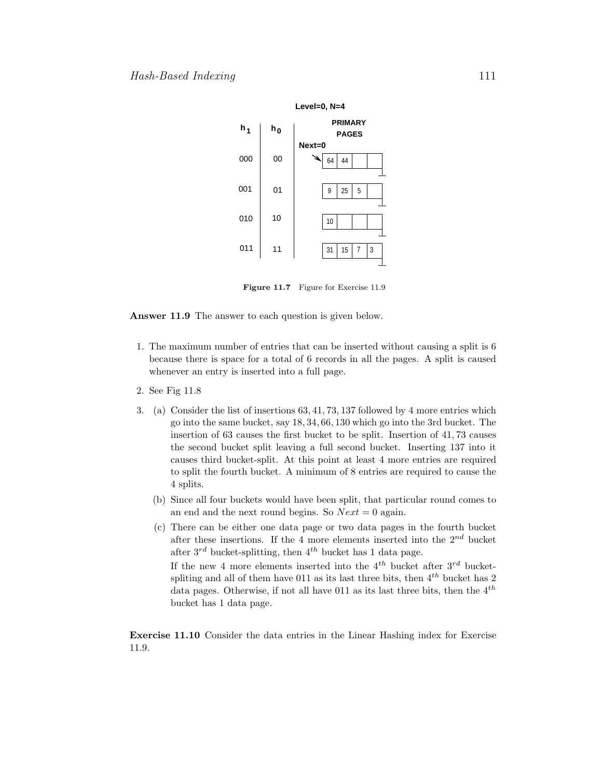

**Figure 11.7** Figure for Exercise 11.9

**Answer 11.9** The answer to each question is given below.

- 1. The maximum number of entries that can be inserted without causing a split is 6 because there is space for a total of 6 records in all the pages. A split is caused whenever an entry is inserted into a full page.
- 2. See Fig 11.8
- 3. (a) Consider the list of insertions 63, 41, 73, 137 followed by 4 more entries which go into the same bucket, say 18, 34, 66, 130 which go into the 3rd bucket. The insertion of 63 causes the first bucket to be split. Insertion of 41, 73 causes the second bucket split leaving a full second bucket. Inserting 137 into it causes third bucket-split. At this point at least 4 more entries are required to split the fourth bucket. A minimum of 8 entries are required to cause the 4 splits.
	- (b) Since all four buckets would have been split, that particular round comes to an end and the next round begins. So  $Next = 0$  again.
	- (c) There can be either one data page or two data pages in the fourth bucket after these insertions. If the 4 more elements inserted into the 2*nd* bucket after 3*rd* bucket-splitting, then 4*th* bucket has 1 data page. If the new 4 more elements inserted into the  $4^{th}$  bucket after  $3^{rd}$  bucketspliting and all of them have 011 as its last three bits, then 4*th* bucket has 2 data pages. Otherwise, if not all have 011 as its last three bits, then the 4*th* bucket has 1 data page.

**Exercise 11.10** Consider the data entries in the Linear Hashing index for Exercise 11.9.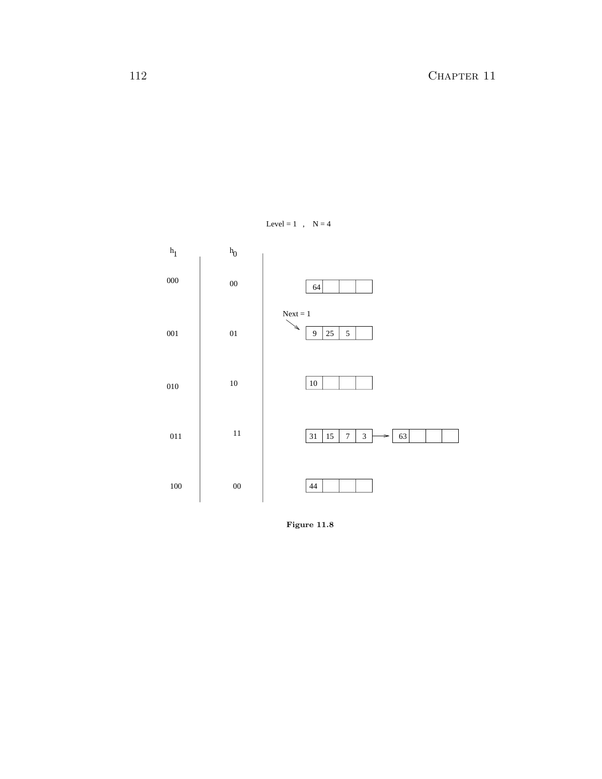

Level = 1,  $N = 4$ 

**Figure 11.8**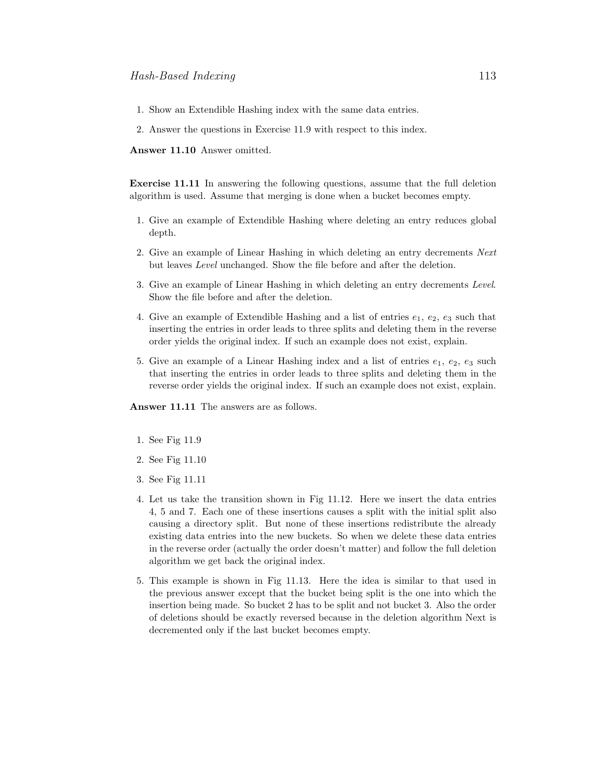- 1. Show an Extendible Hashing index with the same data entries.
- 2. Answer the questions in Exercise 11.9 with respect to this index.

**Answer 11.10** Answer omitted.

**Exercise 11.11** In answering the following questions, assume that the full deletion algorithm is used. Assume that merging is done when a bucket becomes empty.

- 1. Give an example of Extendible Hashing where deleting an entry reduces global depth.
- 2. Give an example of Linear Hashing in which deleting an entry decrements *Next* but leaves *Level* unchanged. Show the file before and after the deletion.
- 3. Give an example of Linear Hashing in which deleting an entry decrements *Level*. Show the file before and after the deletion.
- 4. Give an example of Extendible Hashing and a list of entries  $e_1, e_2, e_3$  such that inserting the entries in order leads to three splits and deleting them in the reverse order yields the original index. If such an example does not exist, explain.
- 5. Give an example of a Linear Hashing index and a list of entries  $e_1, e_2, e_3$  such that inserting the entries in order leads to three splits and deleting them in the reverse order yields the original index. If such an example does not exist, explain.

**Answer 11.11** The answers are as follows.

- 1. See Fig 11.9
- 2. See Fig 11.10
- 3. See Fig 11.11
- 4. Let us take the transition shown in Fig 11.12. Here we insert the data entries 4, 5 and 7. Each one of these insertions causes a split with the initial split also causing a directory split. But none of these insertions redistribute the already existing data entries into the new buckets. So when we delete these data entries in the reverse order (actually the order doesn't matter) and follow the full deletion algorithm we get back the original index.
- 5. This example is shown in Fig 11.13. Here the idea is similar to that used in the previous answer except that the bucket being split is the one into which the insertion being made. So bucket 2 has to be split and not bucket 3. Also the order of deletions should be exactly reversed because in the deletion algorithm Next is decremented only if the last bucket becomes empty.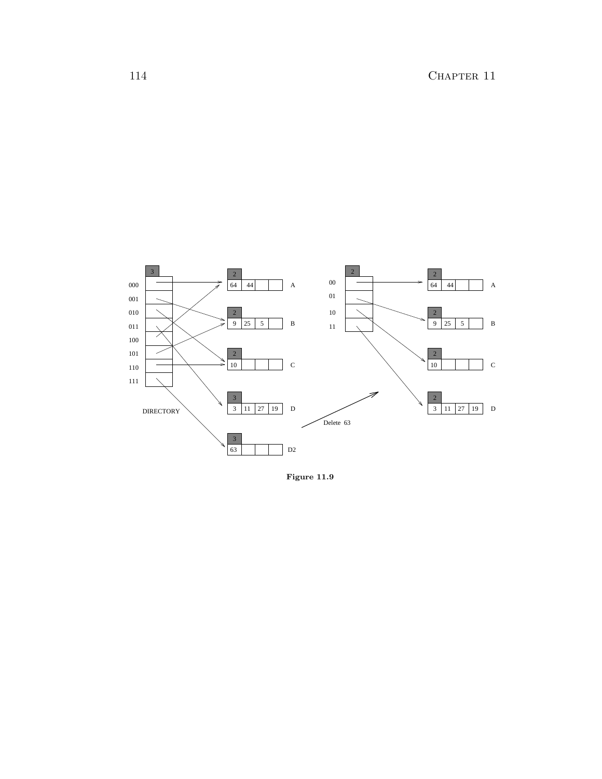

**Figure 11.9**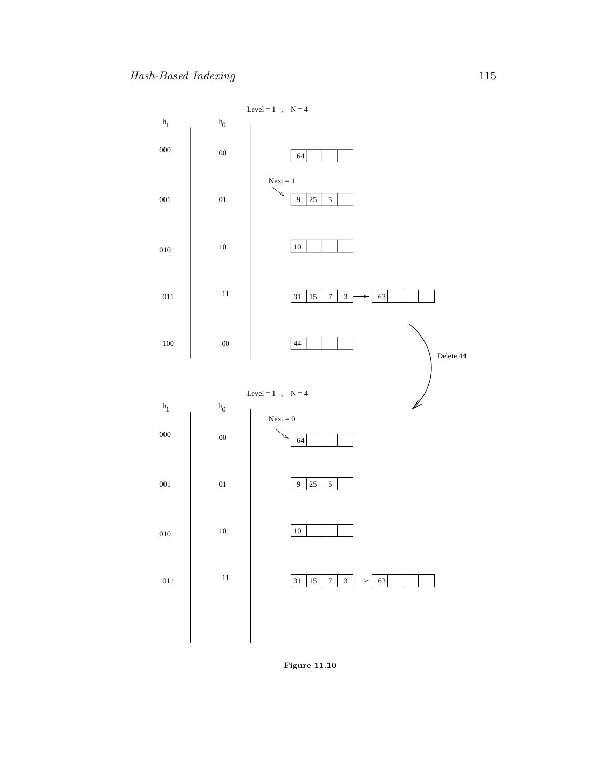

**Figure 11.10**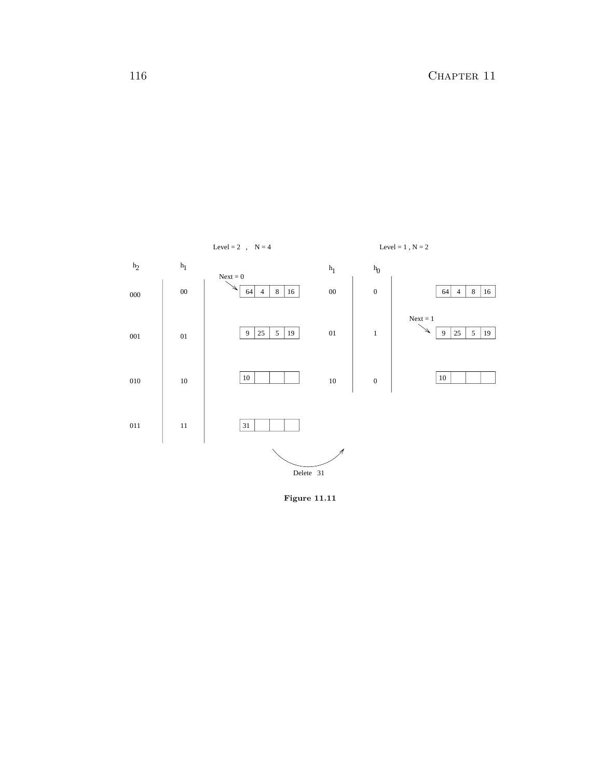

**Figure 11.11**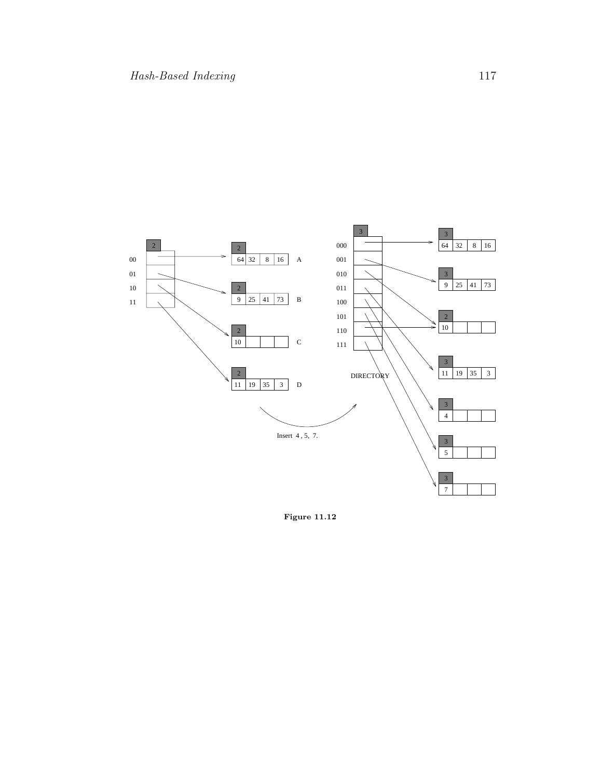

**Figure 11.12**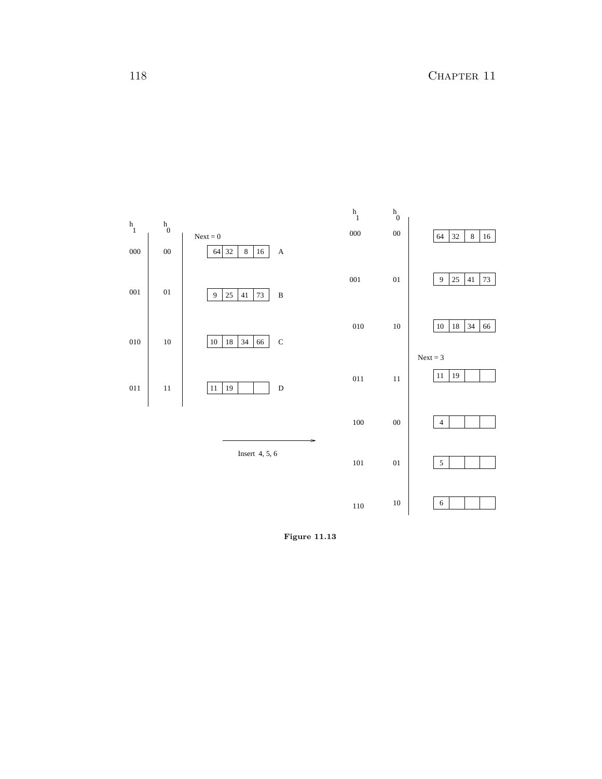

**Figure 11.13**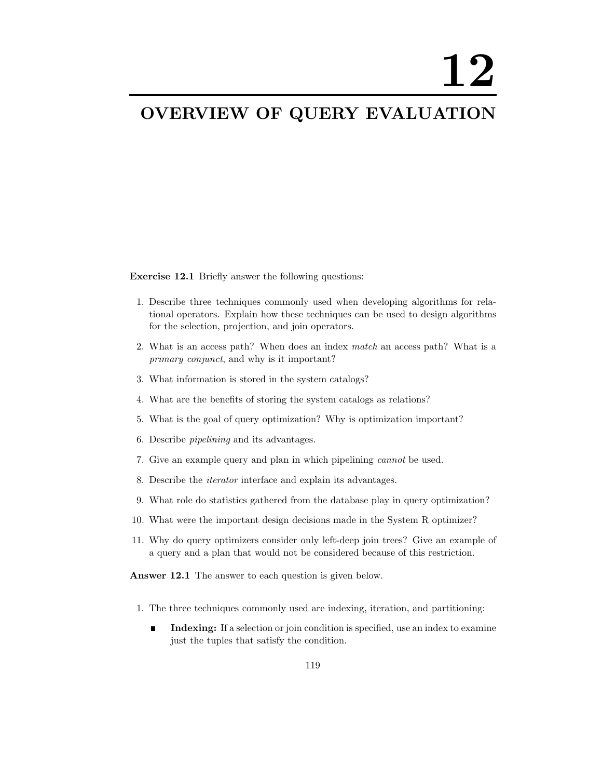# **12**

#### **OVERVIEW OF QUERY EVALUATION**

**Exercise 12.1** Briefly answer the following questions:

- 1. Describe three techniques commonly used when developing algorithms for relational operators. Explain how these techniques can be used to design algorithms for the selection, projection, and join operators.
- 2. What is an access path? When does an index *match* an access path? What is a *primary conjunct*, and why is it important?
- 3. What information is stored in the system catalogs?
- 4. What are the benefits of storing the system catalogs as relations?
- 5. What is the goal of query optimization? Why is optimization important?
- 6. Describe *pipelining* and its advantages.
- 7. Give an example query and plan in which pipelining *cannot* be used.
- 8. Describe the *iterator* interface and explain its advantages.
- 9. What role do statistics gathered from the database play in query optimization?
- 10. What were the important design decisions made in the System R optimizer?
- 11. Why do query optimizers consider only left-deep join trees? Give an example of a query and a plan that would not be considered because of this restriction.

**Answer 12.1** The answer to each question is given below.

- 1. The three techniques commonly used are indexing, iteration, and partitioning:
	- **Indexing:** If a selection or join condition is specified, use an index to examine just the tuples that satisfy the condition.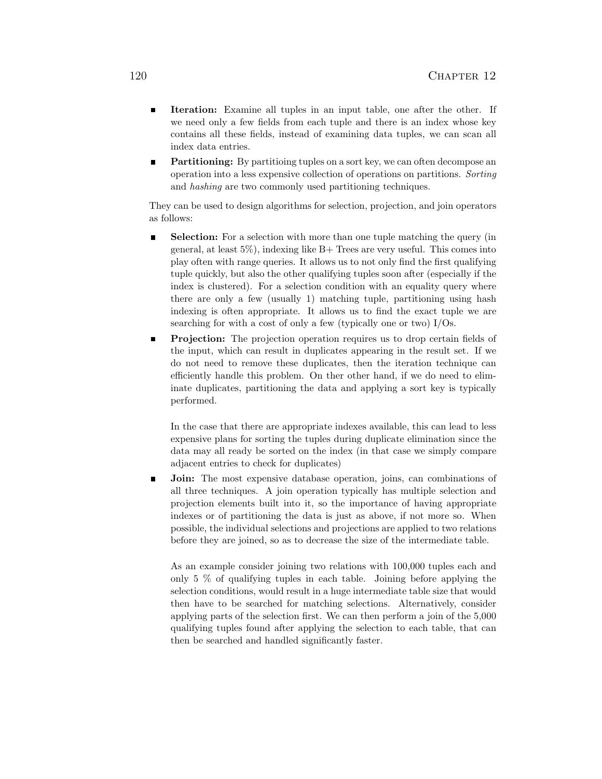- **Iteration:** Examine all tuples in an input table, one after the other. If we need only a few fields from each tuple and there is an index whose key contains all these fields, instead of examining data tuples, we can scan all index data entries.
- **Partitioning:** By partitioing tuples on a sort key, we can often decompose an operation into a less expensive collection of operations on partitions. *Sorting* and *hashing* are two commonly used partitioning techniques.

They can be used to design algorithms for selection, projection, and join operators as follows:

- **Selection:** For a selection with more than one tuple matching the query (in general, at least  $5\%$ ), indexing like B+ Trees are very useful. This comes into play often with range queries. It allows us to not only find the first qualifying tuple quickly, but also the other qualifying tuples soon after (especially if the index is clustered). For a selection condition with an equality query where there are only a few (usually 1) matching tuple, partitioning using hash indexing is often appropriate. It allows us to find the exact tuple we are searching for with a cost of only a few (typically one or two) I/Os.
- **Projection:** The projection operation requires us to drop certain fields of the input, which can result in duplicates appearing in the result set. If we do not need to remove these duplicates, then the iteration technique can efficiently handle this problem. On ther other hand, if we do need to eliminate duplicates, partitioning the data and applying a sort key is typically performed.

In the case that there are appropriate indexes available, this can lead to less expensive plans for sorting the tuples during duplicate elimination since the data may all ready be sorted on the index (in that case we simply compare adjacent entries to check for duplicates)

**Join:** The most expensive database operation, joins, can combinations of all three techniques. A join operation typically has multiple selection and projection elements built into it, so the importance of having appropriate indexes or of partitioning the data is just as above, if not more so. When possible, the individual selections and projections are applied to two relations before they are joined, so as to decrease the size of the intermediate table.

As an example consider joining two relations with 100,000 tuples each and only 5 % of qualifying tuples in each table. Joining before applying the selection conditions, would result in a huge intermediate table size that would then have to be searched for matching selections. Alternatively, consider applying parts of the selection first. We can then perform a join of the 5,000 qualifying tuples found after applying the selection to each table, that can then be searched and handled significantly faster.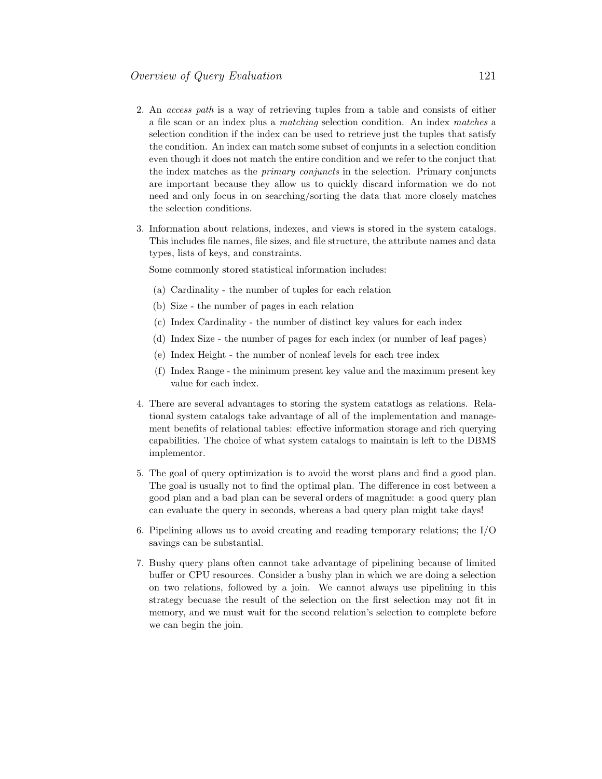- 2. An *access path* is a way of retrieving tuples from a table and consists of either a file scan or an index plus a *matching* selection condition. An index *matches* a selection condition if the index can be used to retrieve just the tuples that satisfy the condition. An index can match some subset of conjunts in a selection condition even though it does not match the entire condition and we refer to the conjuct that the index matches as the *primary conjuncts* in the selection. Primary conjuncts are important because they allow us to quickly discard information we do not need and only focus in on searching/sorting the data that more closely matches the selection conditions.
- 3. Information about relations, indexes, and views is stored in the system catalogs. This includes file names, file sizes, and file structure, the attribute names and data types, lists of keys, and constraints.

Some commonly stored statistical information includes:

- (a) Cardinality the number of tuples for each relation
- (b) Size the number of pages in each relation
- (c) Index Cardinality the number of distinct key values for each index
- (d) Index Size the number of pages for each index (or number of leaf pages)
- (e) Index Height the number of nonleaf levels for each tree index
- (f) Index Range the minimum present key value and the maximum present key value for each index.
- 4. There are several advantages to storing the system catatlogs as relations. Relational system catalogs take advantage of all of the implementation and management benefits of relational tables: effective information storage and rich querying capabilities. The choice of what system catalogs to maintain is left to the DBMS implementor.
- 5. The goal of query optimization is to avoid the worst plans and find a good plan. The goal is usually not to find the optimal plan. The difference in cost between a good plan and a bad plan can be several orders of magnitude: a good query plan can evaluate the query in seconds, whereas a bad query plan might take days!
- 6. Pipelining allows us to avoid creating and reading temporary relations; the I/O savings can be substantial.
- 7. Bushy query plans often cannot take advantage of pipelining because of limited buffer or CPU resources. Consider a bushy plan in which we are doing a selection on two relations, followed by a join. We cannot always use pipelining in this strategy becuase the result of the selection on the first selection may not fit in memory, and we must wait for the second relation's selection to complete before we can begin the join.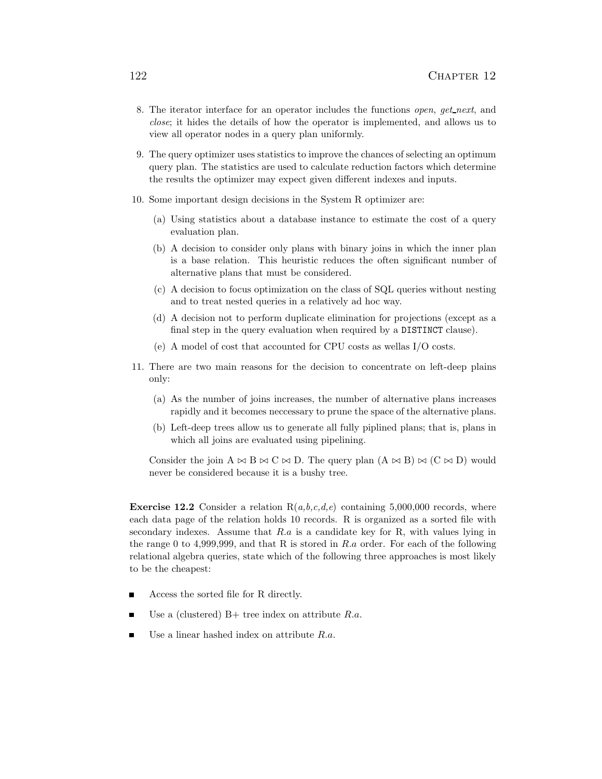- 8. The iterator interface for an operator includes the functions *open*, *get next*, and *close*; it hides the details of how the operator is implemented, and allows us to view all operator nodes in a query plan uniformly.
- 9. The query optimizer uses statistics to improve the chances of selecting an optimum query plan. The statistics are used to calculate reduction factors which determine the results the optimizer may expect given different indexes and inputs.
- 10. Some important design decisions in the System R optimizer are:
	- (a) Using statistics about a database instance to estimate the cost of a query evaluation plan.
	- (b) A decision to consider only plans with binary joins in which the inner plan is a base relation. This heuristic reduces the often significant number of alternative plans that must be considered.
	- (c) A decision to focus optimization on the class of SQL queries without nesting and to treat nested queries in a relatively ad hoc way.
	- (d) A decision not to perform duplicate elimination for projections (except as a final step in the query evaluation when required by a DISTINCT clause).
	- (e) A model of cost that accounted for CPU costs as wellas I/O costs.
- 11. There are two main reasons for the decision to concentrate on left-deep plains only:
	- (a) As the number of joins increases, the number of alternative plans increases rapidly and it becomes neccessary to prune the space of the alternative plans.
	- (b) Left-deep trees allow us to generate all fully piplined plans; that is, plans in which all joins are evaluated using pipelining.

Consider the join  $A \bowtie B \bowtie C \bowtie D$ . The query plan  $(A \bowtie B) \bowtie (C \bowtie D)$  would never be considered because it is a bushy tree.

**Exercise 12.2** Consider a relation  $R(a,b,c,d,e)$  containing 5,000,000 records, where each data page of the relation holds 10 records. R is organized as a sorted file with secondary indexes. Assume that  $R.a$  is a candidate key for R, with values lying in the range 0 to 4,999,999, and that R is stored in  $R.a$  order. For each of the following relational algebra queries, state which of the following three approaches is most likely to be the cheapest:

- Access the sorted file for R directly.
- Use a (clustered)  $B+$  tree index on attribute  $R.a.$
- Use a linear hashed index on attribute R.a.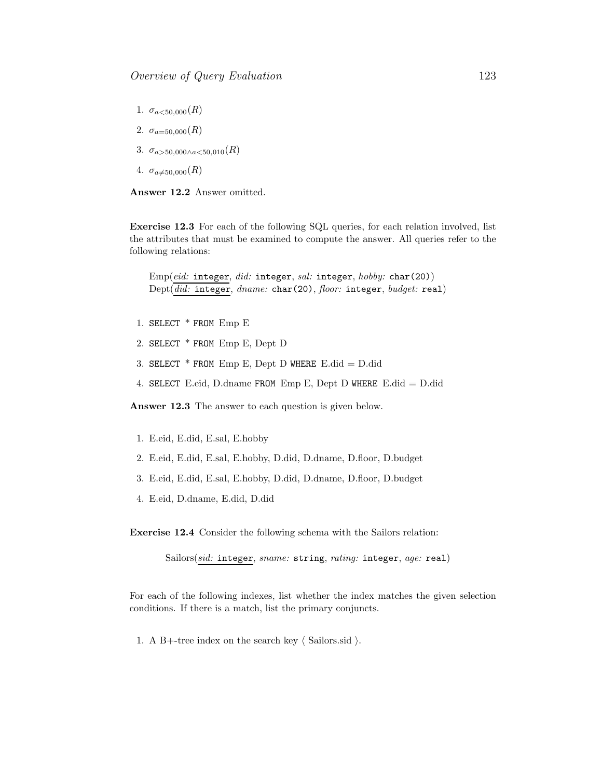- 1.  $\sigma_{a<50,000}(R)$
- 2.  $\sigma_{a=50,000}(R)$
- 3.  $\sigma_{a>50,000 \land a<50,010}(R)$
- 4.  $\sigma_{a\neq 50,000}(R)$

**Answer 12.2** Answer omitted.

**Exercise 12.3** For each of the following SQL queries, for each relation involved, list the attributes that must be examined to compute the answer. All queries refer to the following relations:

Emp(*eid:* integer, *did:* integer, *sal:* integer, *hobby:* char(20)) Dept(*did:* integer, *dname:* char(20), *floor:* integer, *budget:* real)

- 1. SELECT \* FROM Emp E
- 2. SELECT \* FROM Emp E, Dept D
- 3. SELECT  $*$  FROM Emp E, Dept D WHERE E.did = D.did
- 4. SELECT E.eid, D.dname FROM Emp E, Dept D WHERE E.did =  $D$ .did

**Answer 12.3** The answer to each question is given below.

- 1. E.eid, E.did, E.sal, E.hobby
- 2. E.eid, E.did, E.sal, E.hobby, D.did, D.dname, D.floor, D.budget
- 3. E.eid, E.did, E.sal, E.hobby, D.did, D.dname, D.floor, D.budget
- 4. E.eid, D.dname, E.did, D.did

**Exercise 12.4** Consider the following schema with the Sailors relation:

Sailors(*sid:* integer, *sname:* string, *rating:* integer, *age:* real)

For each of the following indexes, list whether the index matches the given selection conditions. If there is a match, list the primary conjuncts.

1. A B+-tree index on the search key  $\langle$  Sailors.sid  $\rangle$ .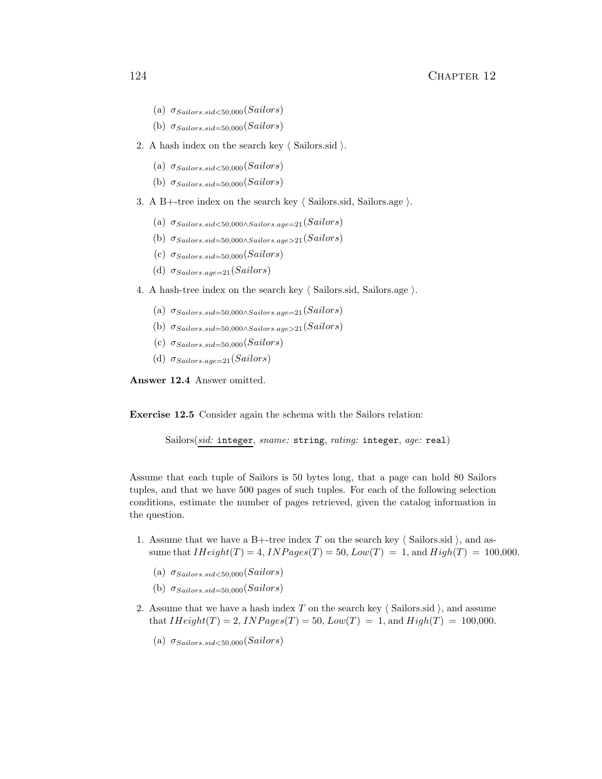- (a)  $\sigma_{Sailors.sid < 50,000}(Sailors)$
- (b)  $\sigma_{Sailors.sid=50,000}(Sailors)$
- 2. A hash index on the search key  $\langle$  Sailors.sid  $\rangle$ .
	- (a)  $\sigma_{Sailors.sid < 50,000}(Sailors)$
	- (b)  $\sigma_{Sailors,sid=50,000}(Sailors)$
- 3. A B+-tree index on the search key  $\langle$  Sailors.sid, Sailors.age  $\rangle$ .
	- (a) σ*Sailors.sid<*50*,*000∧*Sailors.age*=21(Sailors)
	- (b) σ*Sailors.sid*=50*,*000∧*Sailors.age>*21(Sailors)
	- (c) σ*Sailors.sid*=50*,*000(Sailors)
	- (d) σ*Sailors.age*=21(Sailors)
- 4. A hash-tree index on the search key  $\langle$  Sailors.sid, Sailors.age  $\rangle$ .
	- (a) σ*Sailors.sid*=50*,*000∧*Sailors.age*=21(Sailors)
	- (b) σ*Sailors.sid*=50*,*000∧*Sailors.age>*21(Sailors)
	- (c)  $\sigma_{Sailors,sid=50,000}(Sailors)$
	- (d) σ*Sailors.age*=21(Sailors)

**Answer 12.4** Answer omitted.

**Exercise 12.5** Consider again the schema with the Sailors relation:

Sailors(*sid:* integer, *sname:* string, *rating:* integer, *age:* real)

Assume that each tuple of Sailors is 50 bytes long, that a page can hold 80 Sailors tuples, and that we have 500 pages of such tuples. For each of the following selection conditions, estimate the number of pages retrieved, given the catalog information in the question.

- 1. Assume that we have a B+-tree index T on the search key  $\langle$  Sailors.sid  $\rangle$ , and assume that  $IIHeight(T) = 4$ ,  $INPage(T) = 50$ ,  $Low(T) = 1$ , and  $High(T) = 100,000$ .
	- (a)  $\sigma_{Sailors.sid < 50,000}(Sailors)$
	- (b)  $\sigma_{Sailors.sid=50,000}(Sailors)$
- 2. Assume that we have a hash index T on the search key  $\langle$  Sailors.sid  $\rangle$ , and assume that  $IHeight(T) = 2$ ,  $INPage(S(T) = 50, Low(T) = 1, and High(T) = 100,000.$ 
	- (a)  $\sigma_{Sailors.sid < 50,000}(Sailors)$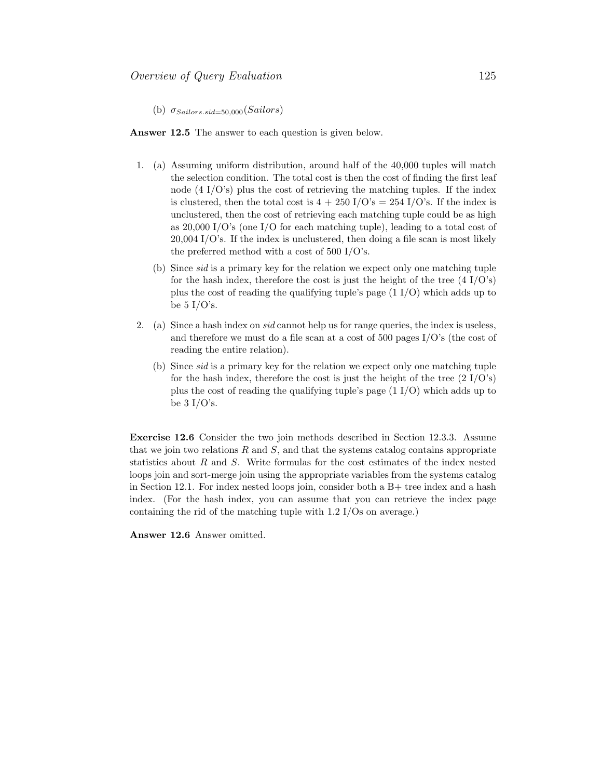(b)  $\sigma_{Sailors.sid=50,000}(Sailors)$ 

**Answer 12.5** The answer to each question is given below.

- 1. (a) Assuming uniform distribution, around half of the 40,000 tuples will match the selection condition. The total cost is then the cost of finding the first leaf node  $(4 \text{ I}/\text{O's})$  plus the cost of retrieving the matching tuples. If the index is clustered, then the total cost is  $4 + 250$  I/O's =  $254$  I/O's. If the index is unclustered, then the cost of retrieving each matching tuple could be as high as 20,000 I/O's (one I/O for each matching tuple), leading to a total cost of 20,004 I/O's. If the index is unclustered, then doing a file scan is most likely the preferred method with a cost of 500 I/O's.
	- (b) Since *sid* is a primary key for the relation we expect only one matching tuple for the hash index, therefore the cost is just the height of the tree  $(4 \text{ I}/\text{O's})$ plus the cost of reading the qualifying tuple's page  $(1 I/O)$  which adds up to be 5  $I/O$ 's.
- 2. (a) Since a hash index on *sid* cannot help us for range queries, the index is useless, and therefore we must do a file scan at a cost of 500 pages I/O's (the cost of reading the entire relation).
	- (b) Since *sid* is a primary key for the relation we expect only one matching tuple for the hash index, therefore the cost is just the height of the tree  $(2 \text{ I/O's})$ plus the cost of reading the qualifying tuple's page  $(1 I/O)$  which adds up to be  $3 \text{ I/O's}.$

**Exercise 12.6** Consider the two join methods described in Section 12.3.3. Assume that we join two relations  $R$  and  $S$ , and that the systems catalog contains appropriate statistics about  $R$  and  $S$ . Write formulas for the cost estimates of the index nested loops join and sort-merge join using the appropriate variables from the systems catalog in Section 12.1. For index nested loops join, consider both a B+ tree index and a hash index. (For the hash index, you can assume that you can retrieve the index page containing the rid of the matching tuple with 1.2 I/Os on average.)

**Answer 12.6** Answer omitted.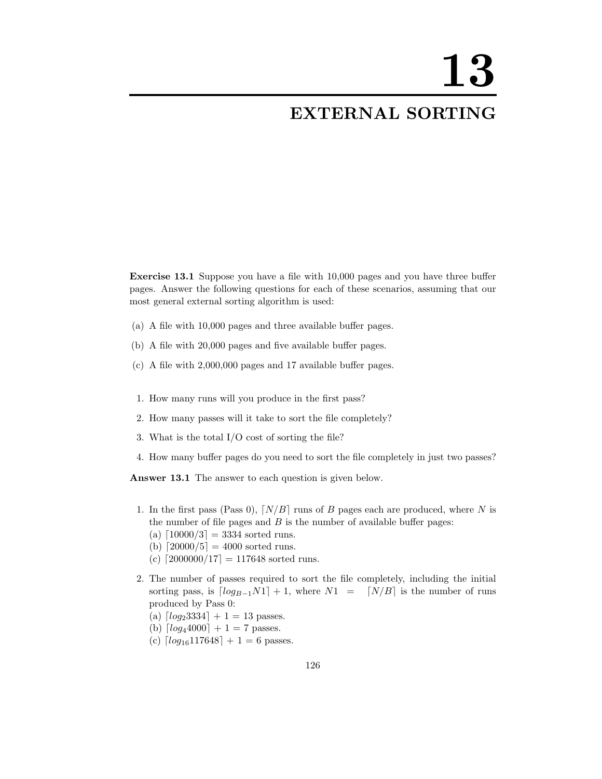## **13 EXTERNAL SORTING**

**Exercise 13.1** Suppose you have a file with 10,000 pages and you have three buffer pages. Answer the following questions for each of these scenarios, assuming that our most general external sorting algorithm is used:

- (a) A file with 10,000 pages and three available buffer pages.
- (b) A file with 20,000 pages and five available buffer pages.
- (c) A file with 2,000,000 pages and 17 available buffer pages.
- 1. How many runs will you produce in the first pass?
- 2. How many passes will it take to sort the file completely?
- 3. What is the total I/O cost of sorting the file?
- 4. How many buffer pages do you need to sort the file completely in just two passes?

**Answer 13.1** The answer to each question is given below.

- 1. In the first pass (Pass 0),  $\lfloor N/B \rfloor$  runs of B pages each are produced, where N is the number of file pages and  $B$  is the number of available buffer pages:
	- (a)  $\lceil 10000/3 \rceil = 3334$  sorted runs.
	- (b)  $\lceil 20000/5 \rceil = 4000$  sorted runs.
	- (c)  $\lceil 2000000/17 \rceil = 117648$  sorted runs.
- 2. The number of passes required to sort the file completely, including the initial sorting pass, is  $\lceil log_{B-1}N1 \rceil + 1$ , where  $N1 = \lceil N/B \rceil$  is the number of runs produced by Pass 0:
	- (a)  $\lceil log_2 3334 \rceil + 1 = 13$  passes.
	- (b)  $\lceil log_4 4000 \rceil + 1 = 7$  passes.
	- (c)  $\lceil log_{16}117648 \rceil + 1 = 6$  passes.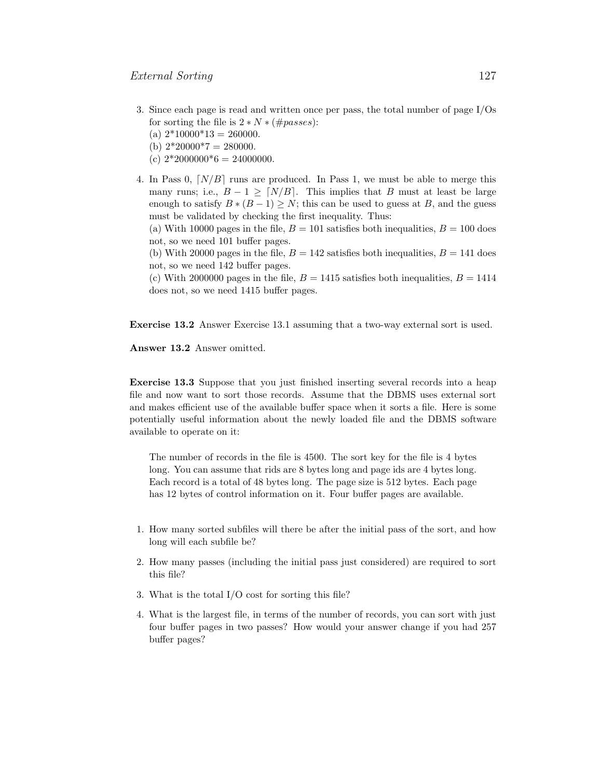- 3. Since each page is read and written once per pass, the total number of page I/Os for sorting the file is  $2*N*(\text{\#passes})$ :
	- (a)  $2*10000*13 = 260000$ .
	- (b)  $2*20000*7 = 280000$ .
	- (c)  $2*2000000*6 = 24000000$ .
- 4. In Pass 0,  $[N/B]$  runs are produced. In Pass 1, we must be able to merge this many runs; i.e.,  $B - 1 \geq \lfloor N/B \rfloor$ . This implies that B must at least be large enough to satisfy  $B * (B - 1) \ge N$ ; this can be used to guess at B, and the guess must be validated by checking the first inequality. Thus:

(a) With 10000 pages in the file,  $B = 101$  satisfies both inequalities,  $B = 100$  does not, so we need 101 buffer pages.

(b) With 20000 pages in the file,  $B = 142$  satisfies both inequalities,  $B = 141$  does not, so we need 142 buffer pages.

(c) With 2000000 pages in the file,  $B = 1415$  satisfies both inequalities,  $B = 1414$ does not, so we need 1415 buffer pages.

**Exercise 13.2** Answer Exercise 13.1 assuming that a two-way external sort is used.

**Answer 13.2** Answer omitted.

**Exercise 13.3** Suppose that you just finished inserting several records into a heap file and now want to sort those records. Assume that the DBMS uses external sort and makes efficient use of the available buffer space when it sorts a file. Here is some potentially useful information about the newly loaded file and the DBMS software available to operate on it:

The number of records in the file is 4500. The sort key for the file is 4 bytes long. You can assume that rids are 8 bytes long and page ids are 4 bytes long. Each record is a total of 48 bytes long. The page size is 512 bytes. Each page has 12 bytes of control information on it. Four buffer pages are available.

- 1. How many sorted subfiles will there be after the initial pass of the sort, and how long will each subfile be?
- 2. How many passes (including the initial pass just considered) are required to sort this file?
- 3. What is the total I/O cost for sorting this file?
- 4. What is the largest file, in terms of the number of records, you can sort with just four buffer pages in two passes? How would your answer change if you had 257 buffer pages?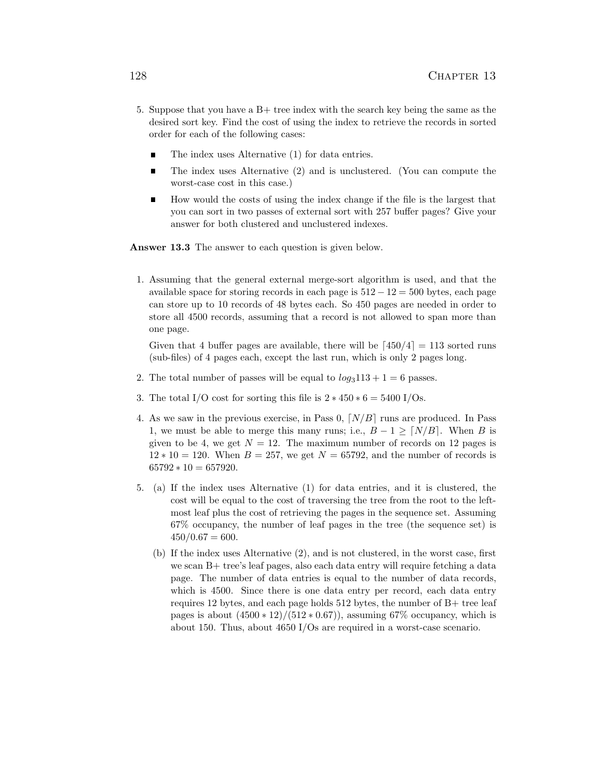- 5. Suppose that you have a B+ tree index with the search key being the same as the desired sort key. Find the cost of using the index to retrieve the records in sorted order for each of the following cases:
	- The index uses Alternative (1) for data entries.
	- The index uses Alternative (2) and is unclustered. (You can compute the worst-case cost in this case.)
	- How would the costs of using the index change if the file is the largest that you can sort in two passes of external sort with 257 buffer pages? Give your answer for both clustered and unclustered indexes.

**Answer 13.3** The answer to each question is given below.

1. Assuming that the general external merge-sort algorithm is used, and that the available space for storing records in each page is  $512 - 12 = 500$  bytes, each page can store up to 10 records of 48 bytes each. So 450 pages are needed in order to store all 4500 records, assuming that a record is not allowed to span more than one page.

Given that 4 buffer pages are available, there will be  $\lceil 450/4 \rceil = 113$  sorted runs (sub-files) of 4 pages each, except the last run, which is only 2 pages long.

- 2. The total number of passes will be equal to  $log_3 113 + 1 = 6$  passes.
- 3. The total I/O cost for sorting this file is  $2 * 450 * 6 = 5400$  I/Os.
- 4. As we saw in the previous exercise, in Pass  $0, N/B$  runs are produced. In Pass 1, we must be able to merge this many runs; i.e.,  $B - 1 \geq \lceil N/B \rceil$ . When B is given to be 4, we get  $N = 12$ . The maximum number of records on 12 pages is  $12 * 10 = 120$ . When  $B = 257$ , we get  $N = 65792$ , and the number of records is  $65792 * 10 = 657920.$
- 5. (a) If the index uses Alternative (1) for data entries, and it is clustered, the cost will be equal to the cost of traversing the tree from the root to the leftmost leaf plus the cost of retrieving the pages in the sequence set. Assuming 67% occupancy, the number of leaf pages in the tree (the sequence set) is  $450/0.67 = 600.$ 
	- (b) If the index uses Alternative (2), and is not clustered, in the worst case, first we scan B+ tree's leaf pages, also each data entry will require fetching a data page. The number of data entries is equal to the number of data records, which is 4500. Since there is one data entry per record, each data entry requires 12 bytes, and each page holds 512 bytes, the number of B+ tree leaf pages is about  $(4500 * 12)/(512 * 0.67)$ , assuming 67% occupancy, which is about 150. Thus, about 4650 I/Os are required in a worst-case scenario.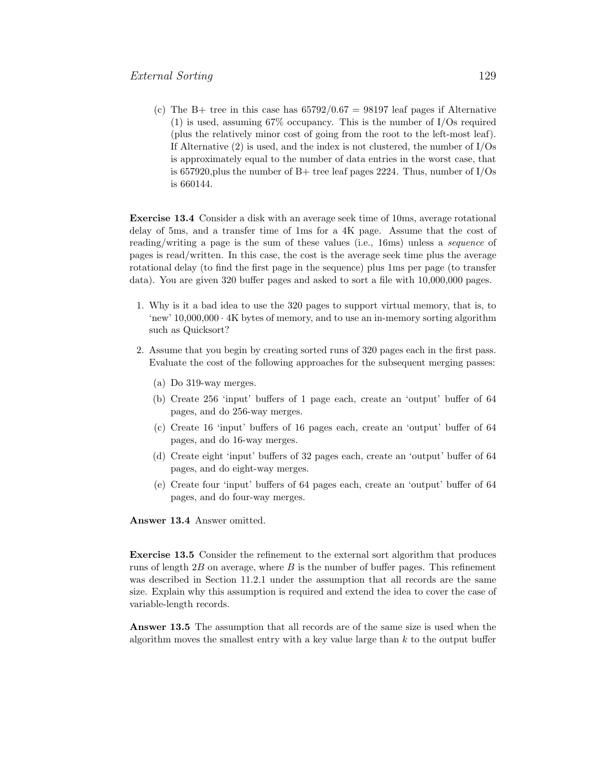(c) The B+ tree in this case has  $65792/0.67 = 98197$  leaf pages if Alternative (1) is used, assuming 67% occupancy. This is the number of I/Os required (plus the relatively minor cost of going from the root to the left-most leaf). If Alternative  $(2)$  is used, and the index is not clustered, the number of  $I/Os$ is approximately equal to the number of data entries in the worst case, that is 657920, plus the number of  $B+$  tree leaf pages 2224. Thus, number of I/Os is 660144.

**Exercise 13.4** Consider a disk with an average seek time of 10ms, average rotational delay of 5ms, and a transfer time of 1ms for a 4K page. Assume that the cost of reading/writing a page is the sum of these values (i.e., 16ms) unless a *sequence* of pages is read/written. In this case, the cost is the average seek time plus the average rotational delay (to find the first page in the sequence) plus 1ms per page (to transfer data). You are given 320 buffer pages and asked to sort a file with 10,000,000 pages.

- 1. Why is it a bad idea to use the 320 pages to support virtual memory, that is, to 'new' 10,000,000 · 4K bytes of memory, and to use an in-memory sorting algorithm such as Quicksort?
- 2. Assume that you begin by creating sorted runs of 320 pages each in the first pass. Evaluate the cost of the following approaches for the subsequent merging passes:
	- (a) Do 319-way merges.
	- (b) Create 256 'input' buffers of 1 page each, create an 'output' buffer of 64 pages, and do 256-way merges.
	- (c) Create 16 'input' buffers of 16 pages each, create an 'output' buffer of 64 pages, and do 16-way merges.
	- (d) Create eight 'input' buffers of 32 pages each, create an 'output' buffer of 64 pages, and do eight-way merges.
	- (e) Create four 'input' buffers of 64 pages each, create an 'output' buffer of 64 pages, and do four-way merges.

**Answer 13.4** Answer omitted.

**Exercise 13.5** Consider the refinement to the external sort algorithm that produces runs of length  $2B$  on average, where  $B$  is the number of buffer pages. This refinement was described in Section 11.2.1 under the assumption that all records are the same size. Explain why this assumption is required and extend the idea to cover the case of variable-length records.

**Answer 13.5** The assumption that all records are of the same size is used when the algorithm moves the smallest entry with a key value large than  $k$  to the output buffer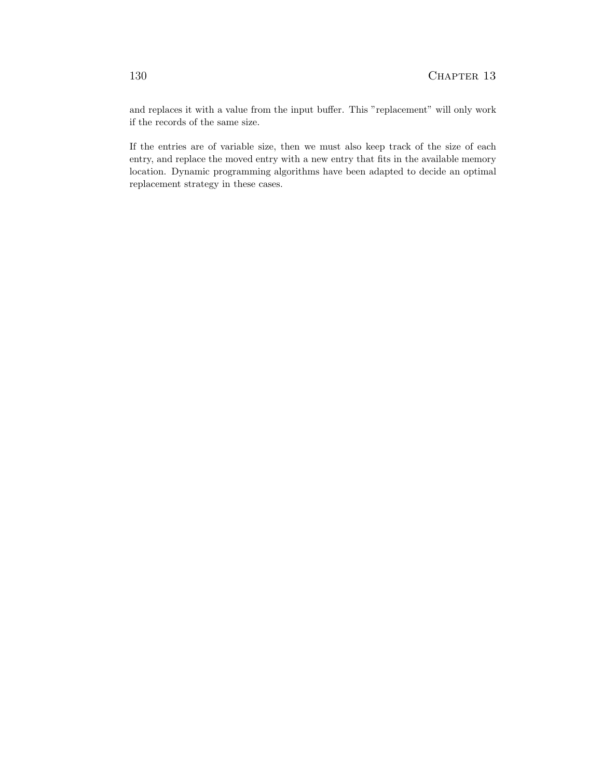and replaces it with a value from the input buffer. This "replacement" will only work if the records of the same size.

If the entries are of variable size, then we must also keep track of the size of each entry, and replace the moved entry with a new entry that fits in the available memory location. Dynamic programming algorithms have been adapted to decide an optimal replacement strategy in these cases.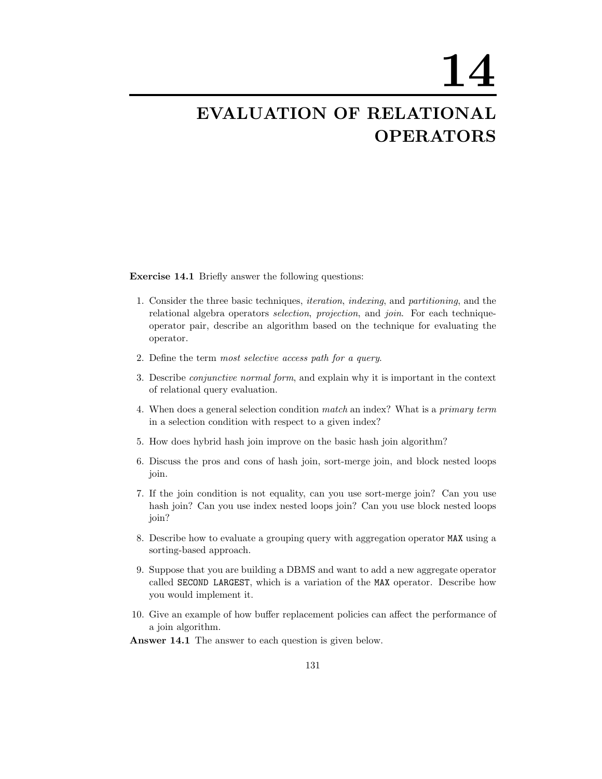### **14 EVALUATION OF RELATIONAL OPERATORS**

**Exercise 14.1** Briefly answer the following questions:

- 1. Consider the three basic techniques, *iteration*, *indexing*, and *partitioning*, and the relational algebra operators *selection*, *projection*, and *join*. For each techniqueoperator pair, describe an algorithm based on the technique for evaluating the operator.
- 2. Define the term *most selective access path for a query*.
- 3. Describe *conjunctive normal form*, and explain why it is important in the context of relational query evaluation.
- 4. When does a general selection condition *match* an index? What is a *primary term* in a selection condition with respect to a given index?
- 5. How does hybrid hash join improve on the basic hash join algorithm?
- 6. Discuss the pros and cons of hash join, sort-merge join, and block nested loops join.
- 7. If the join condition is not equality, can you use sort-merge join? Can you use hash join? Can you use index nested loops join? Can you use block nested loops join?
- 8. Describe how to evaluate a grouping query with aggregation operator MAX using a sorting-based approach.
- 9. Suppose that you are building a DBMS and want to add a new aggregate operator called SECOND LARGEST, which is a variation of the MAX operator. Describe how you would implement it.
- 10. Give an example of how buffer replacement policies can affect the performance of a join algorithm.
- **Answer 14.1** The answer to each question is given below.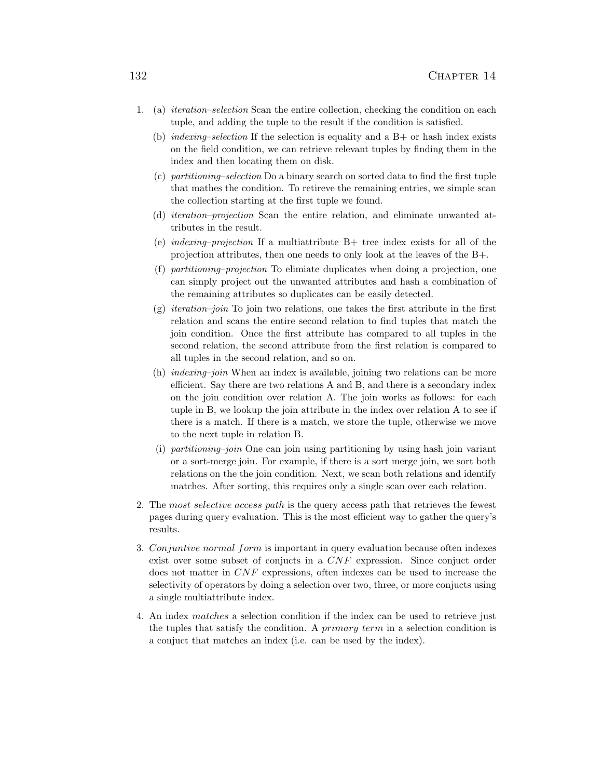- 1. (a) *iteration*–*selection* Scan the entire collection, checking the condition on each tuple, and adding the tuple to the result if the condition is satisfied.
	- (b) *indexing*–*selection* If the selection is equality and a B+ or hash index exists on the field condition, we can retrieve relevant tuples by finding them in the index and then locating them on disk.
	- (c) *partitioning*–*selection* Do a binary search on sorted data to find the first tuple that mathes the condition. To retireve the remaining entries, we simple scan the collection starting at the first tuple we found.
	- (d) *iteration*–*projection* Scan the entire relation, and eliminate unwanted attributes in the result.
	- (e) *indexing*–*projection* If a multiattribute B+ tree index exists for all of the projection attributes, then one needs to only look at the leaves of the B+.
	- (f) *partitioning*–*projection* To elimiate duplicates when doing a projection, one can simply project out the unwanted attributes and hash a combination of the remaining attributes so duplicates can be easily detected.
	- (g) *iteration*–*join* To join two relations, one takes the first attribute in the first relation and scans the entire second relation to find tuples that match the join condition. Once the first attribute has compared to all tuples in the second relation, the second attribute from the first relation is compared to all tuples in the second relation, and so on.
	- (h) *indexing*–*join* When an index is available, joining two relations can be more efficient. Say there are two relations A and B, and there is a secondary index on the join condition over relation A. The join works as follows: for each tuple in B, we lookup the join attribute in the index over relation A to see if there is a match. If there is a match, we store the tuple, otherwise we move to the next tuple in relation B.
	- (i) *partitioning*–*join* One can join using partitioning by using hash join variant or a sort-merge join. For example, if there is a sort merge join, we sort both relations on the the join condition. Next, we scan both relations and identify matches. After sorting, this requires only a single scan over each relation.
- 2. The most selective access path is the query access path that retrieves the fewest pages during query evaluation. This is the most efficient way to gather the query's results.
- 3. Conjuntive normal form is important in query evaluation because often indexes exist over some subset of conjucts in a CNF expression. Since conjuct order does not matter in CNF expressions, often indexes can be used to increase the selectivity of operators by doing a selection over two, three, or more conjucts using a single multiattribute index.
- 4. An index matches a selection condition if the index can be used to retrieve just the tuples that satisfy the condition. A *primary term* in a selection condition is a conjuct that matches an index (i.e. can be used by the index).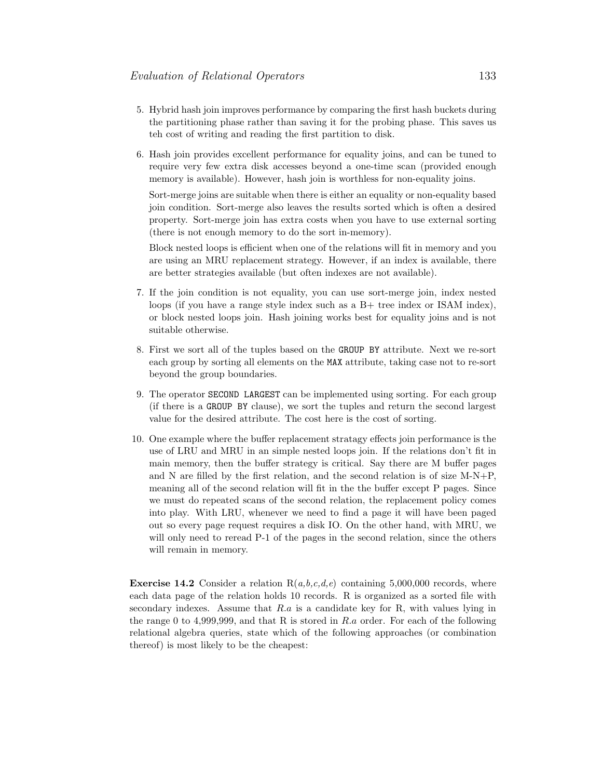- 5. Hybrid hash join improves performance by comparing the first hash buckets during the partitioning phase rather than saving it for the probing phase. This saves us teh cost of writing and reading the first partition to disk.
- 6. Hash join provides excellent performance for equality joins, and can be tuned to require very few extra disk accesses beyond a one-time scan (provided enough memory is available). However, hash join is worthless for non-equality joins.

Sort-merge joins are suitable when there is either an equality or non-equality based join condition. Sort-merge also leaves the results sorted which is often a desired property. Sort-merge join has extra costs when you have to use external sorting (there is not enough memory to do the sort in-memory).

Block nested loops is efficient when one of the relations will fit in memory and you are using an MRU replacement strategy. However, if an index is available, there are better strategies available (but often indexes are not available).

- 7. If the join condition is not equality, you can use sort-merge join, index nested loops (if you have a range style index such as a B+ tree index or ISAM index), or block nested loops join. Hash joining works best for equality joins and is not suitable otherwise.
- 8. First we sort all of the tuples based on the GROUP BY attribute. Next we re-sort each group by sorting all elements on the MAX attribute, taking case not to re-sort beyond the group boundaries.
- 9. The operator SECOND LARGEST can be implemented using sorting. For each group (if there is a GROUP BY clause), we sort the tuples and return the second largest value for the desired attribute. The cost here is the cost of sorting.
- 10. One example where the buffer replacement stratagy effects join performance is the use of LRU and MRU in an simple nested loops join. If the relations don't fit in main memory, then the buffer strategy is critical. Say there are M buffer pages and N are filled by the first relation, and the second relation is of size M-N+P, meaning all of the second relation will fit in the the buffer except P pages. Since we must do repeated scans of the second relation, the replacement policy comes into play. With LRU, whenever we need to find a page it will have been paged out so every page request requires a disk IO. On the other hand, with MRU, we will only need to reread P-1 of the pages in the second relation, since the others will remain in memory.

**Exercise 14.2** Consider a relation  $R(a,b,c,d,e)$  containing 5,000,000 records, where each data page of the relation holds 10 records. R is organized as a sorted file with secondary indexes. Assume that  $R.a$  is a candidate key for R, with values lying in the range 0 to 4,999,999, and that R is stored in  $R.a$  order. For each of the following relational algebra queries, state which of the following approaches (or combination thereof) is most likely to be the cheapest: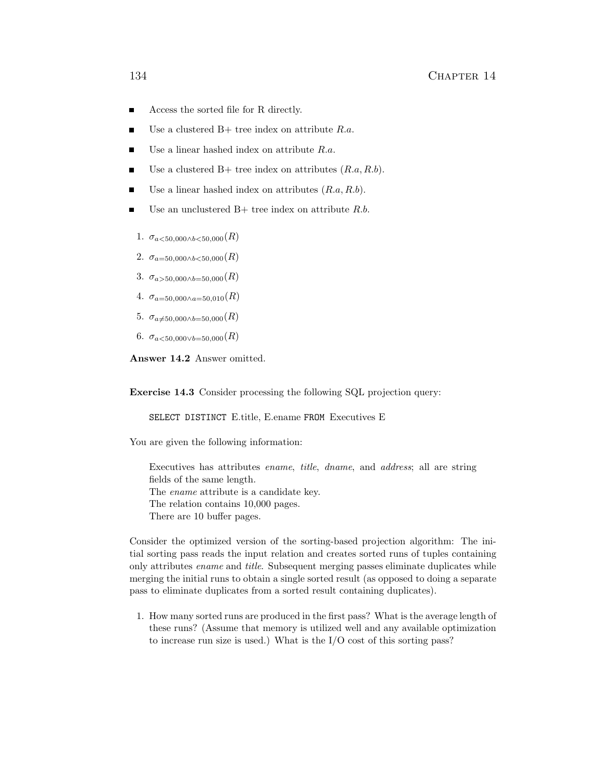- Access the sorted file for R directly.
- Use a clustered  $B+$  tree index on attribute  $R.a.$
- Use a linear hashed index on attribute R.a.
- Use a clustered  $B+$  tree index on attributes  $(R.a, R.b)$ .  $\blacksquare$
- Use a linear hashed index on attributes  $(R.a, R.b)$ .
- Use an unclustered  $B+$  tree index on attribute  $R.b$ .
- 1.  $\sigma_{a<50,000 \wedge b<50,000}(R)$
- 2.  $\sigma_{a=50,000 \wedge b < 50,000}(R)$
- 3.  $\sigma_{a>50,000\land b=50,000}(R)$
- 4.  $\sigma_{a=50,000 \wedge a=50,010}(R)$
- 5.  $\sigma_{a\neq 50,000 \wedge b=50,000}(R)$
- 6.  $\sigma_{a<50,000\vee b=50,000}(R)$

**Answer 14.2** Answer omitted.

**Exercise 14.3** Consider processing the following SQL projection query:

SELECT DISTINCT E.title, E.ename FROM Executives E

You are given the following information:

Executives has attributes *ename*, *title*, *dname*, and *address*; all are string fields of the same length. The *ename* attribute is a candidate key. The relation contains 10,000 pages. There are 10 buffer pages.

Consider the optimized version of the sorting-based projection algorithm: The initial sorting pass reads the input relation and creates sorted runs of tuples containing only attributes *ename* and *title*. Subsequent merging passes eliminate duplicates while merging the initial runs to obtain a single sorted result (as opposed to doing a separate pass to eliminate duplicates from a sorted result containing duplicates).

1. How many sorted runs are produced in the first pass? What is the average length of these runs? (Assume that memory is utilized well and any available optimization to increase run size is used.) What is the I/O cost of this sorting pass?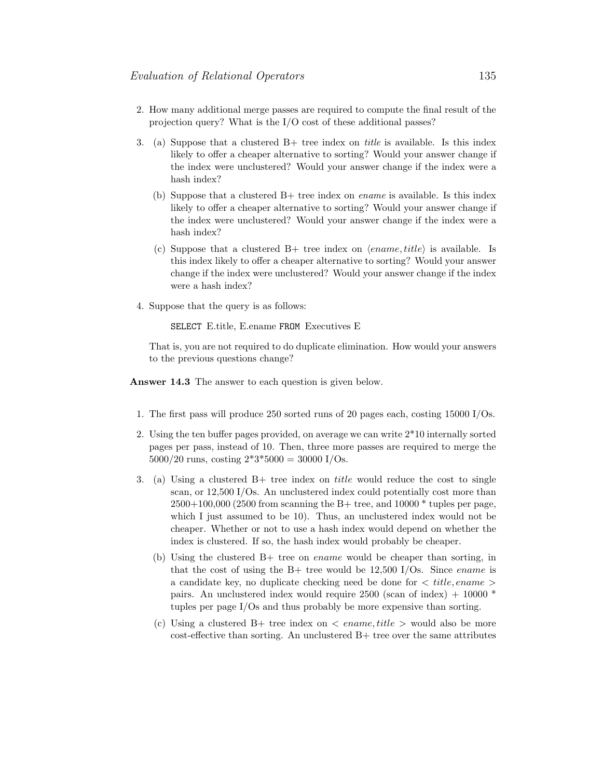- 2. How many additional merge passes are required to compute the final result of the projection query? What is the I/O cost of these additional passes?
- 3. (a) Suppose that a clustered B+ tree index on *title* is available. Is this index likely to offer a cheaper alternative to sorting? Would your answer change if the index were unclustered? Would your answer change if the index were a hash index?
	- (b) Suppose that a clustered B+ tree index on *ename* is available. Is this index likely to offer a cheaper alternative to sorting? Would your answer change if the index were unclustered? Would your answer change if the index were a hash index?
	- (c) Suppose that a clustered  $B+$  tree index on  $\langle \text{ename}, \text{title} \rangle$  is available. Is this index likely to offer a cheaper alternative to sorting? Would your answer change if the index were unclustered? Would your answer change if the index were a hash index?
- 4. Suppose that the query is as follows:

SELECT E.title, E.ename FROM Executives E

That is, you are not required to do duplicate elimination. How would your answers to the previous questions change?

**Answer 14.3** The answer to each question is given below.

- 1. The first pass will produce 250 sorted runs of 20 pages each, costing 15000 I/Os.
- 2. Using the ten buffer pages provided, on average we can write 2\*10 internally sorted pages per pass, instead of 10. Then, three more passes are required to merge the  $5000/20$  runs, costing  $2*3*5000 = 30000$  I/Os.
- 3. (a) Using a clustered  $B+$  tree index on *title* would reduce the cost to single scan, or 12,500 I/Os. An unclustered index could potentially cost more than  $2500+100,000$  (2500 from scanning the B+ tree, and  $10000$ <sup>\*</sup> tuples per page, which I just assumed to be 10). Thus, an unclustered index would not be cheaper. Whether or not to use a hash index would depend on whether the index is clustered. If so, the hash index would probably be cheaper.
	- (b) Using the clustered B+ tree on ename would be cheaper than sorting, in that the cost of using the B+ tree would be  $12,500$  I/Os. Since ename is a candidate key, no duplicate checking need be done for  $\langle$  title, ename  $\rangle$ pairs. An unclustered index would require  $2500$  (scan of index) + 10000  $*$ tuples per page I/Os and thus probably be more expensive than sorting.
	- (c) Using a clustered B+ tree index on  $\lt$  ename, title  $\gt$  would also be more cost-effective than sorting. An unclustered B+ tree over the same attributes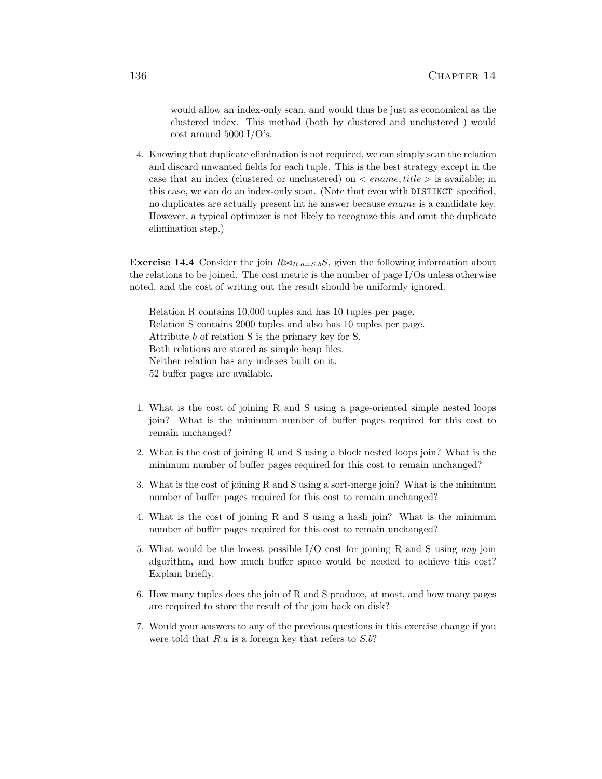would allow an index-only scan, and would thus be just as economical as the clustered index. This method (both by clustered and unclustered ) would cost around  $5000$  I/O's.

4. Knowing that duplicate elimination is not required, we can simply scan the relation and discard unwanted fields for each tuple. This is the best strategy except in the case that an index (clustered or unclustered) on  $\langle$  ename, title  $\rangle$  is available; in this case, we can do an index-only scan. (Note that even with DISTINCT specified, no duplicates are actually present int he answer because ename is a candidate key. However, a typical optimizer is not likely to recognize this and omit the duplicate elimination step.)

**Exercise 14.4** Consider the join  $R \rtimes_{R.a=S.b} S$ , given the following information about the relations to be joined. The cost metric is the number of page  $I/Os$  unless otherwise noted, and the cost of writing out the result should be uniformly ignored.

Relation R contains 10,000 tuples and has 10 tuples per page. Relation S contains 2000 tuples and also has 10 tuples per page. Attribute b of relation S is the primary key for S. Both relations are stored as simple heap files. Neither relation has any indexes built on it. 52 buffer pages are available.

- 1. What is the cost of joining R and S using a page-oriented simple nested loops join? What is the minimum number of buffer pages required for this cost to remain unchanged?
- 2. What is the cost of joining R and S using a block nested loops join? What is the minimum number of buffer pages required for this cost to remain unchanged?
- 3. What is the cost of joining R and S using a sort-merge join? What is the minimum number of buffer pages required for this cost to remain unchanged?
- 4. What is the cost of joining R and S using a hash join? What is the minimum number of buffer pages required for this cost to remain unchanged?
- 5. What would be the lowest possible I/O cost for joining R and S using *any* join algorithm, and how much buffer space would be needed to achieve this cost? Explain briefly.
- 6. How many tuples does the join of R and S produce, at most, and how many pages are required to store the result of the join back on disk?
- 7. Would your answers to any of the previous questions in this exercise change if you were told that  $R.a$  is a foreign key that refers to  $S.b$ ?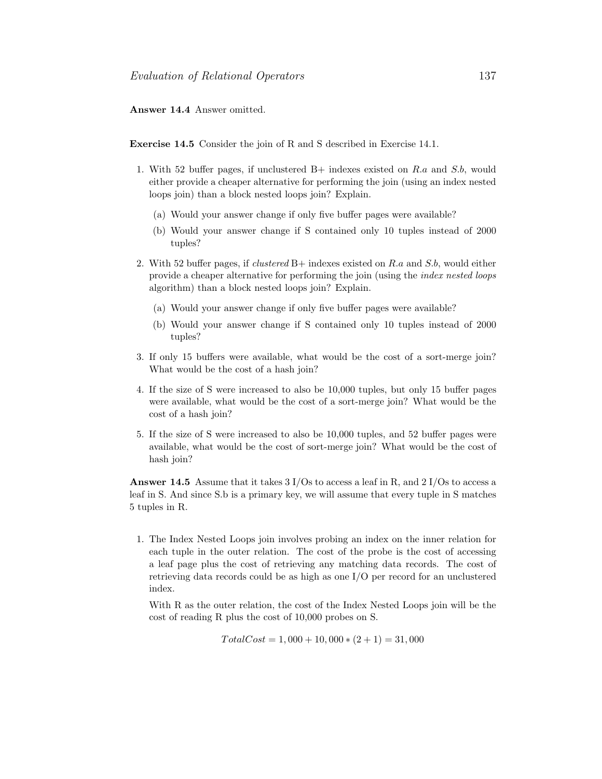#### **Answer 14.4** Answer omitted.

**Exercise 14.5** Consider the join of R and S described in Exercise 14.1.

- 1. With 52 buffer pages, if unclustered B+ indexes existed on R.a and S.b, would either provide a cheaper alternative for performing the join (using an index nested loops join) than a block nested loops join? Explain.
	- (a) Would your answer change if only five buffer pages were available?
	- (b) Would your answer change if S contained only 10 tuples instead of 2000 tuples?
- 2. With 52 buffer pages, if *clustered* B+ indexes existed on R.a and S.b, would either provide a cheaper alternative for performing the join (using the *index nested loops* algorithm) than a block nested loops join? Explain.
	- (a) Would your answer change if only five buffer pages were available?
	- (b) Would your answer change if S contained only 10 tuples instead of 2000 tuples?
- 3. If only 15 buffers were available, what would be the cost of a sort-merge join? What would be the cost of a hash join?
- 4. If the size of S were increased to also be 10,000 tuples, but only 15 buffer pages were available, what would be the cost of a sort-merge join? What would be the cost of a hash join?
- 5. If the size of S were increased to also be 10,000 tuples, and 52 buffer pages were available, what would be the cost of sort-merge join? What would be the cost of hash join?

**Answer 14.5** Assume that it takes 3 I/Os to access a leaf in R, and 2 I/Os to access a leaf in S. And since S.b is a primary key, we will assume that every tuple in S matches 5 tuples in R.

1. The Index Nested Loops join involves probing an index on the inner relation for each tuple in the outer relation. The cost of the probe is the cost of accessing a leaf page plus the cost of retrieving any matching data records. The cost of retrieving data records could be as high as one I/O per record for an unclustered index.

With R as the outer relation, the cost of the Index Nested Loops join will be the cost of reading R plus the cost of 10,000 probes on S.

$$
TotalCost = 1,000 + 10,000 * (2 + 1) = 31,000
$$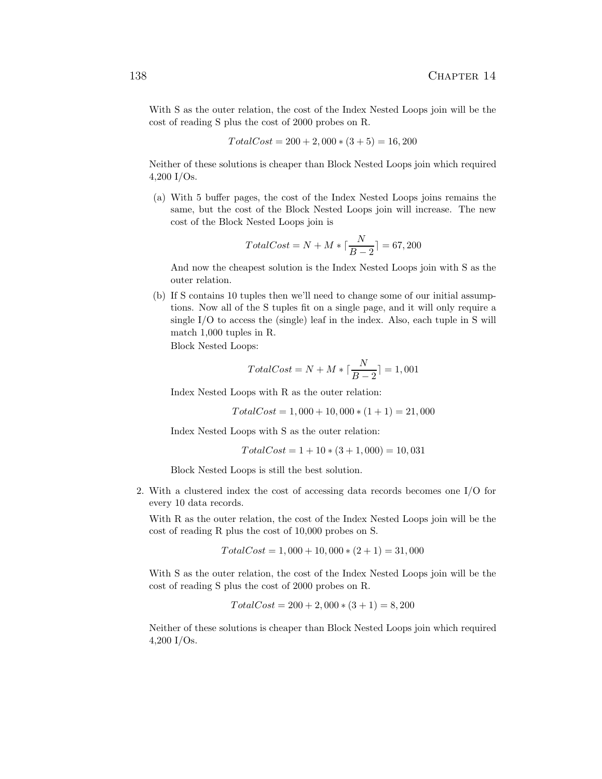With S as the outer relation, the cost of the Index Nested Loops join will be the cost of reading S plus the cost of 2000 probes on R.

$$
TotalCost = 200 + 2,000 * (3 + 5) = 16,200
$$

Neither of these solutions is cheaper than Block Nested Loops join which required 4,200 I/Os.

(a) With 5 buffer pages, the cost of the Index Nested Loops joins remains the same, but the cost of the Block Nested Loops join will increase. The new cost of the Block Nested Loops join is

$$
TotalCost = N + M * \lceil \frac{N}{B - 2} \rceil = 67,200
$$

And now the cheapest solution is the Index Nested Loops join with S as the outer relation.

(b) If S contains 10 tuples then we'll need to change some of our initial assumptions. Now all of the S tuples fit on a single page, and it will only require a single I/O to access the (single) leaf in the index. Also, each tuple in S will match 1,000 tuples in R.

Block Nested Loops:

$$
TotalCost = N + M * \lceil \frac{N}{B - 2} \rceil = 1,001
$$

Index Nested Loops with R as the outer relation:

$$
TotalCost = 1,000 + 10,000 * (1 + 1) = 21,000
$$

Index Nested Loops with S as the outer relation:

$$
TotalCost = 1 + 10 * (3 + 1,000) = 10,031
$$

Block Nested Loops is still the best solution.

2. With a clustered index the cost of accessing data records becomes one I/O for every 10 data records.

With R as the outer relation, the cost of the Index Nested Loops join will be the cost of reading R plus the cost of 10,000 probes on S.

$$
TotalCost = 1,000 + 10,000 * (2 + 1) = 31,000
$$

With S as the outer relation, the cost of the Index Nested Loops join will be the cost of reading S plus the cost of 2000 probes on R.

$$
TotalCost = 200 + 2,000 * (3 + 1) = 8,200
$$

Neither of these solutions is cheaper than Block Nested Loops join which required 4,200 I/Os.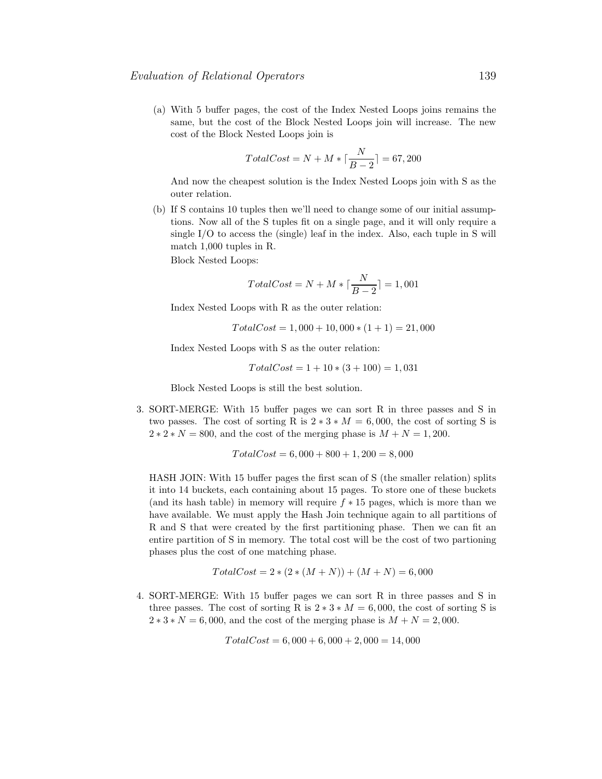(a) With 5 buffer pages, the cost of the Index Nested Loops joins remains the same, but the cost of the Block Nested Loops join will increase. The new cost of the Block Nested Loops join is

$$
TotalCost = N + M * \lceil \frac{N}{B-2} \rceil = 67,200
$$

And now the cheapest solution is the Index Nested Loops join with S as the outer relation.

(b) If S contains 10 tuples then we'll need to change some of our initial assumptions. Now all of the S tuples fit on a single page, and it will only require a single I/O to access the (single) leaf in the index. Also, each tuple in S will match 1,000 tuples in R. Block Nested Loops:

$$
TotalCost = N + M * \lceil \frac{N}{B-2} \rceil = 1,001
$$

Index Nested Loops with R as the outer relation:

$$
TotalCost = 1,000 + 10,000 * (1 + 1) = 21,000
$$

Index Nested Loops with S as the outer relation:

 $TotalCost = 1 + 10 * (3 + 100) = 1,031$ 

Block Nested Loops is still the best solution.

3. SORT-MERGE: With 15 buffer pages we can sort R in three passes and S in two passes. The cost of sorting R is  $2 * 3 * M = 6,000$ , the cost of sorting S is  $2 * 2 * N = 800$ , and the cost of the merging phase is  $M + N = 1,200$ .

$$
TotalCost = 6,000 + 800 + 1,200 = 8,000
$$

HASH JOIN: With 15 buffer pages the first scan of S (the smaller relation) splits it into 14 buckets, each containing about 15 pages. To store one of these buckets (and its hash table) in memory will require  $f * 15$  pages, which is more than we have available. We must apply the Hash Join technique again to all partitions of R and S that were created by the first partitioning phase. Then we can fit an entire partition of S in memory. The total cost will be the cost of two partioning phases plus the cost of one matching phase.

$$
TotalCost = 2 * (2 * (M + N)) + (M + N) = 6,000
$$

4. SORT-MERGE: With 15 buffer pages we can sort R in three passes and S in three passes. The cost of sorting R is  $2 * 3 * M = 6,000$ , the cost of sorting S is  $2 * 3 * N = 6,000$ , and the cost of the merging phase is  $M + N = 2,000$ .

 $TotalCost = 6,000 + 6,000 + 2,000 = 14,000$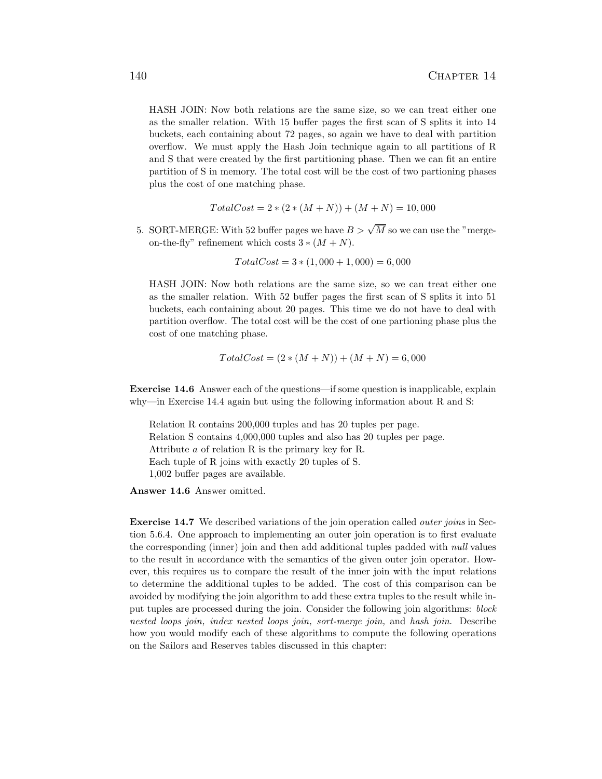HASH JOIN: Now both relations are the same size, so we can treat either one as the smaller relation. With 15 buffer pages the first scan of S splits it into 14 buckets, each containing about 72 pages, so again we have to deal with partition overflow. We must apply the Hash Join technique again to all partitions of R and S that were created by the first partitioning phase. Then we can fit an entire partition of S in memory. The total cost will be the cost of two partioning phases plus the cost of one matching phase.

$$
TotalCost = 2 * (2 * (M + N)) + (M + N) = 10,000
$$

5. SORT-MERGE: With 52 buffer pages we have  $B > \sqrt{M}$  so we can use the "mergeon-the-fly" refinement which costs  $3*(M+N)$ .

$$
TotalCost = 3 * (1,000 + 1,000) = 6,000
$$

HASH JOIN: Now both relations are the same size, so we can treat either one as the smaller relation. With 52 buffer pages the first scan of S splits it into 51 buckets, each containing about 20 pages. This time we do not have to deal with partition overflow. The total cost will be the cost of one partioning phase plus the cost of one matching phase.

$$
TotalCost = (2 * (M + N)) + (M + N) = 6,000
$$

**Exercise 14.6** Answer each of the questions—if some question is inapplicable, explain why—in Exercise 14.4 again but using the following information about R and S:

Relation R contains 200,000 tuples and has 20 tuples per page. Relation S contains 4,000,000 tuples and also has 20 tuples per page. Attribute a of relation R is the primary key for R. Each tuple of R joins with exactly 20 tuples of S. 1,002 buffer pages are available.

**Answer 14.6** Answer omitted.

**Exercise 14.7** We described variations of the join operation called *outer joins* in Section 5.6.4. One approach to implementing an outer join operation is to first evaluate the corresponding (inner) join and then add additional tuples padded with *null* values to the result in accordance with the semantics of the given outer join operator. However, this requires us to compare the result of the inner join with the input relations to determine the additional tuples to be added. The cost of this comparison can be avoided by modifying the join algorithm to add these extra tuples to the result while input tuples are processed during the join. Consider the following join algorithms: *block nested loops join, index nested loops join, sort-merge join,* and *hash join*. Describe how you would modify each of these algorithms to compute the following operations on the Sailors and Reserves tables discussed in this chapter: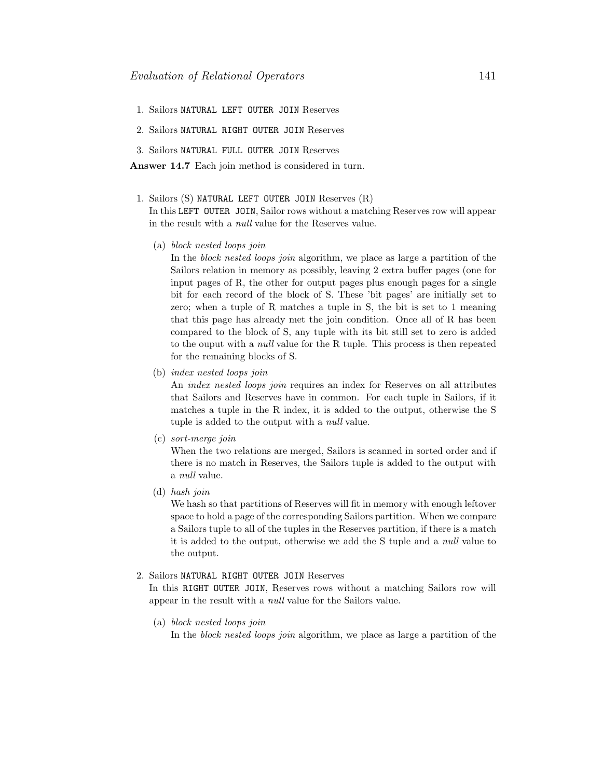- 1. Sailors NATURAL LEFT OUTER JOIN Reserves
- 2. Sailors NATURAL RIGHT OUTER JOIN Reserves
- 3. Sailors NATURAL FULL OUTER JOIN Reserves

**Answer 14.7** Each join method is considered in turn.

### 1. Sailors (S) NATURAL LEFT OUTER JOIN Reserves (R)

In this LEFT OUTER JOIN, Sailor rows without a matching Reserves row will appear in the result with a *null* value for the Reserves value.

(a) *block nested loops join*

In the *block nested loops join* algorithm, we place as large a partition of the Sailors relation in memory as possibly, leaving 2 extra buffer pages (one for input pages of R, the other for output pages plus enough pages for a single bit for each record of the block of S. These 'bit pages' are initially set to zero; when a tuple of R matches a tuple in S, the bit is set to 1 meaning that this page has already met the join condition. Once all of R has been compared to the block of S, any tuple with its bit still set to zero is added to the ouput with a *null* value for the R tuple. This process is then repeated for the remaining blocks of S.

(b) *index nested loops join*

An *index nested loops join* requires an index for Reserves on all attributes that Sailors and Reserves have in common. For each tuple in Sailors, if it matches a tuple in the R index, it is added to the output, otherwise the S tuple is added to the output with a *null* value.

(c) *sort-merge join*

When the two relations are merged, Sailors is scanned in sorted order and if there is no match in Reserves, the Sailors tuple is added to the output with a *null* value.

(d) *hash join*

We hash so that partitions of Reserves will fit in memory with enough leftover space to hold a page of the corresponding Sailors partition. When we compare a Sailors tuple to all of the tuples in the Reserves partition, if there is a match it is added to the output, otherwise we add the S tuple and a *null* value to the output.

## 2. Sailors NATURAL RIGHT OUTER JOIN Reserves

In this RIGHT OUTER JOIN, Reserves rows without a matching Sailors row will appear in the result with a *null* value for the Sailors value.

(a) *block nested loops join*

In the *block nested loops join* algorithm, we place as large a partition of the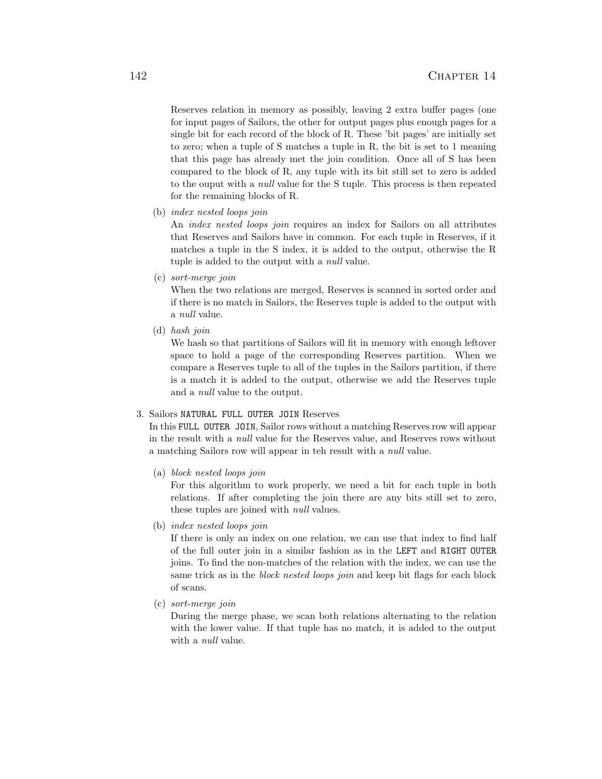Reserves relation in memory as possibly, leaving 2 extra buffer pages (one for input pages of Sailors, the other for output pages plus enough pages for a single bit for each record of the block of R. These 'bit pages' are initially set to zero; when a tuple of S matches a tuple in R, the bit is set to 1 meaning that this page has already met the join condition. Once all of S has been compared to the block of R, any tuple with its bit still set to zero is added to the ouput with a *null* value for the S tuple. This process is then repeated for the remaining blocks of R.

(b) *index nested loops join*

An *index nested loops join* requires an index for Sailors on all attributes that Reserves and Sailors have in common. For each tuple in Reserves, if it matches a tuple in the S index, it is added to the output, otherwise the R tuple is added to the output with a *null* value.

(c) *sort-merge join*

When the two relations are merged, Reserves is scanned in sorted order and if there is no match in Sailors, the Reserves tuple is added to the output with a *null* value.

(d) *hash join*

We hash so that partitions of Sailors will fit in memory with enough leftover space to hold a page of the corresponding Reserves partition. When we compare a Reserves tuple to all of the tuples in the Sailors partition, if there is a match it is added to the output, otherwise we add the Reserves tuple and a *null* value to the output.

### 3. Sailors NATURAL FULL OUTER JOIN Reserves

In this FULL OUTER JOIN, Sailor rows without a matching Reserves row will appear in the result with a *null* value for the Reserves value, and Reserves rows without a matching Sailors row will appear in teh result with a *null* value.

(a) *block nested loops join*

For this algorithm to work properly, we need a bit for each tuple in both relations. If after completing the join there are any bits still set to zero, these tuples are joined with *null* values.

(b) *index nested loops join*

If there is only an index on one relation, we can use that index to find half of the full outer join in a similar fashion as in the LEFT and RIGHT OUTER joins. To find the non-matches of the relation with the index, we can use the same trick as in the *block nested loops join* and keep bit flags for each block of scans.

(c) *sort-merge join*

During the merge phase, we scan both relations alternating to the relation with the lower value. If that tuple has no match, it is added to the output with a *null* value.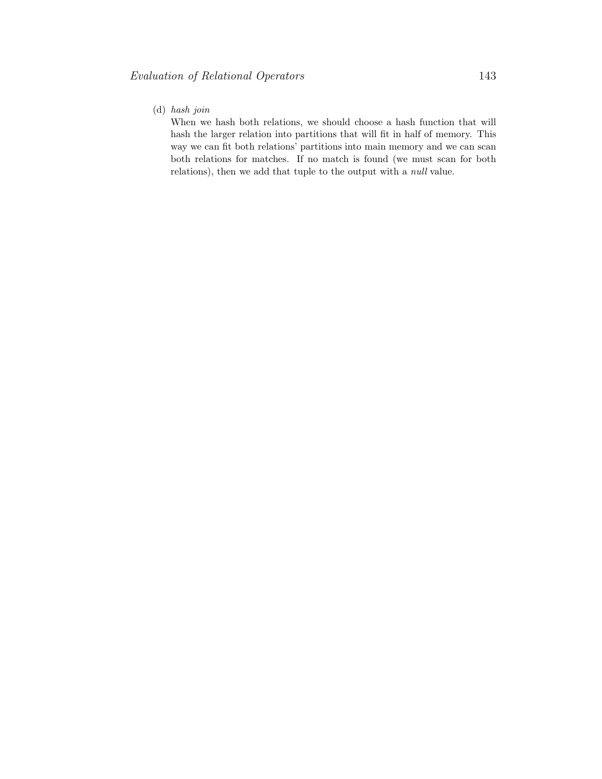(d) *hash join*

When we hash both relations, we should choose a hash function that will hash the larger relation into partitions that will fit in half of memory. This way we can fit both relations' partitions into main memory and we can scan both relations for matches. If no match is found (we must scan for both relations), then we add that tuple to the output with a *null* value.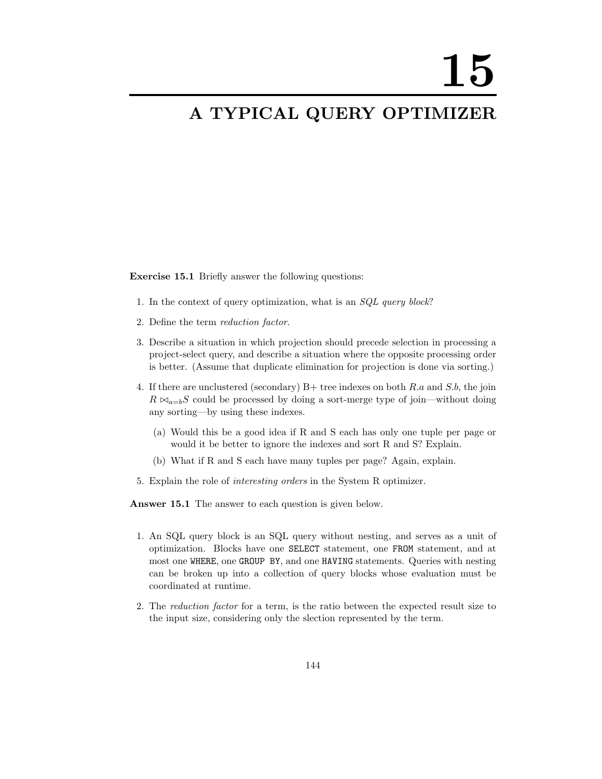# **15**

## **A TYPICAL QUERY OPTIMIZER**

**Exercise 15.1** Briefly answer the following questions:

- 1. In the context of query optimization, what is an *SQL query block*?
- 2. Define the term *reduction factor*.
- 3. Describe a situation in which projection should precede selection in processing a project-select query, and describe a situation where the opposite processing order is better. (Assume that duplicate elimination for projection is done via sorting.)
- 4. If there are unclustered (secondary)  $B+$  tree indexes on both  $R.a$  and  $S.b$ , the join  $R \bowtie_{a=b} S$  could be processed by doing a sort-merge type of join—without doing any sorting—by using these indexes.
	- (a) Would this be a good idea if R and S each has only one tuple per page or would it be better to ignore the indexes and sort R and S? Explain.
	- (b) What if R and S each have many tuples per page? Again, explain.
- 5. Explain the role of *interesting orders* in the System R optimizer.

**Answer 15.1** The answer to each question is given below.

- 1. An SQL query block is an SQL query without nesting, and serves as a unit of optimization. Blocks have one SELECT statement, one FROM statement, and at most one WHERE, one GROUP BY, and one HAVING statements. Queries with nesting can be broken up into a collection of query blocks whose evaluation must be coordinated at runtime.
- 2. The *reduction factor* for a term, is the ratio between the expected result size to the input size, considering only the slection represented by the term.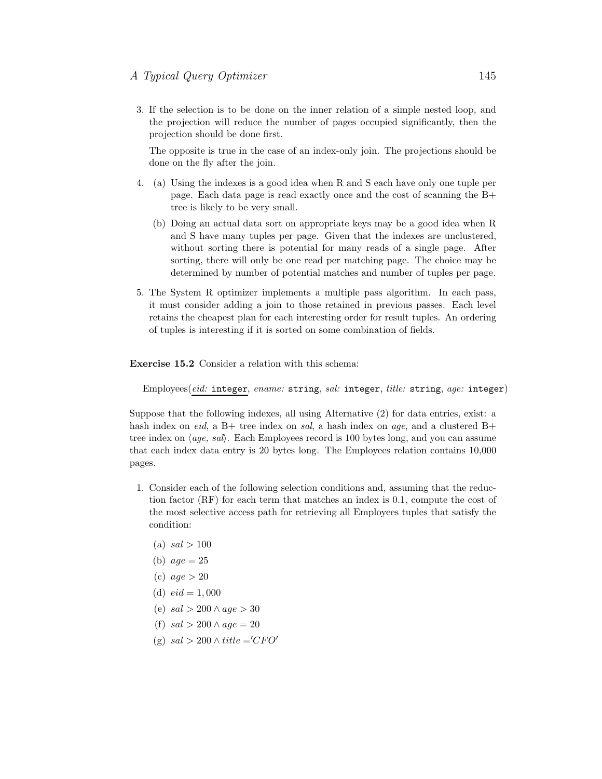3. If the selection is to be done on the inner relation of a simple nested loop, and the projection will reduce the number of pages occupied significantly, then the projection should be done first.

The opposite is true in the case of an index-only join. The projections should be done on the fly after the join.

- 4. (a) Using the indexes is a good idea when R and S each have only one tuple per page. Each data page is read exactly once and the cost of scanning the B+ tree is likely to be very small.
	- (b) Doing an actual data sort on appropriate keys may be a good idea when R and S have many tuples per page. Given that the indexes are unclustered, without sorting there is potential for many reads of a single page. After sorting, there will only be one read per matching page. The choice may be determined by number of potential matches and number of tuples per page.
- 5. The System R optimizer implements a multiple pass algorithm. In each pass, it must consider adding a join to those retained in previous passes. Each level retains the cheapest plan for each interesting order for result tuples. An ordering of tuples is interesting if it is sorted on some combination of fields.

**Exercise 15.2** Consider a relation with this schema:

Employees(*eid:* integer, *ename:* string, *sal:* integer, *title:* string, *age:* integer)

Suppose that the following indexes, all using Alternative (2) for data entries, exist: a hash index on *eid*, a B+ tree index on *sal*, a hash index on *age*, and a clustered B+ tree index on  $\langle age, \, sal \rangle$ . Each Employees record is 100 bytes long, and you can assume that each index data entry is 20 bytes long. The Employees relation contains 10,000 pages.

- 1. Consider each of the following selection conditions and, assuming that the reduction factor (RF) for each term that matches an index is 0.1, compute the cost of the most selective access path for retrieving all Employees tuples that satisfy the condition:
	- (a)  $sal > 100$
	- (b)  $age = 25$
	- (c)  $age > 20$
	- (d)  $eid = 1,000$
	- (e)  $sal > 200 \wedge age > 30$
	- (f)  $sal > 200 \land age = 20$
	- (g)  $sal > 200 \wedge title = 'CFO'$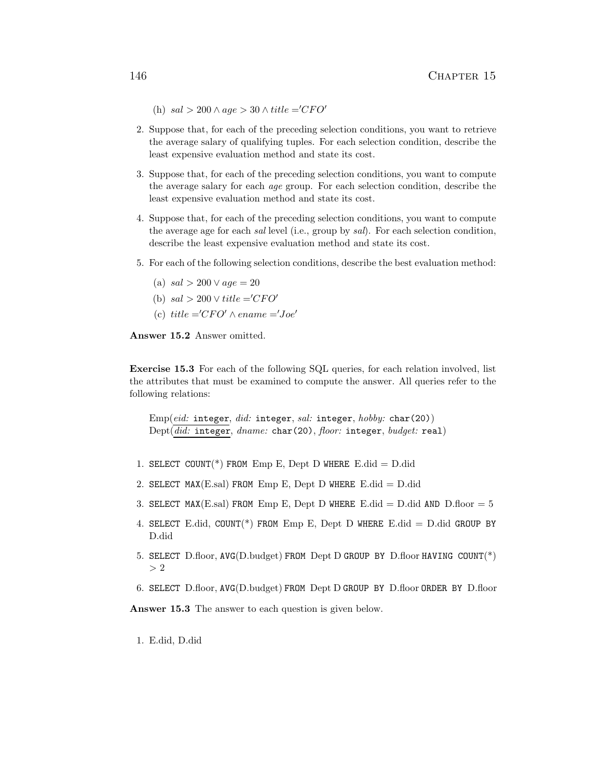(h)  $sal > 200 \land age > 30 \land title = 'CFO'$ 

- 2. Suppose that, for each of the preceding selection conditions, you want to retrieve the average salary of qualifying tuples. For each selection condition, describe the least expensive evaluation method and state its cost.
- 3. Suppose that, for each of the preceding selection conditions, you want to compute the average salary for each *age* group. For each selection condition, describe the least expensive evaluation method and state its cost.
- 4. Suppose that, for each of the preceding selection conditions, you want to compute the average age for each *sal* level (i.e., group by *sal*). For each selection condition, describe the least expensive evaluation method and state its cost.
- 5. For each of the following selection conditions, describe the best evaluation method:
	- (a)  $sal > 200 \vee age = 20$
	- (b)  $sal > 200 \vee title = 'CFO'$
	- (c) title ='CFO'  $\land$  ename ='Joe'

**Answer 15.2** Answer omitted.

**Exercise 15.3** For each of the following SQL queries, for each relation involved, list the attributes that must be examined to compute the answer. All queries refer to the following relations:

Emp(*eid:* integer, *did:* integer, *sal:* integer, *hobby:* char(20)) Dept(*did:* integer, *dname:* char(20), *floor:* integer, *budget:* real)

- 1. SELECT COUNT(\*) FROM Emp E, Dept D WHERE E.did = D.did
- 2. SELECT MAX $(E.\text{sal})$  FROM Emp E, Dept D WHERE E.did = D.did
- 3. SELECT MAX(E.sal) FROM Emp E, Dept D WHERE E.did = D.did AND D.floor = 5
- 4. SELECT E.did, COUNT(\*) FROM Emp E, Dept D WHERE E.did = D.did GROUP BY D.did
- 5. SELECT D.floor, AVG(D.budget) FROM Dept D GROUP BY D.floor HAVING COUNT(\*)  $> 2$
- 6. SELECT D.floor, AVG(D.budget) FROM Dept D GROUP BY D.floor ORDER BY D.floor

**Answer 15.3** The answer to each question is given below.

1. E.did, D.did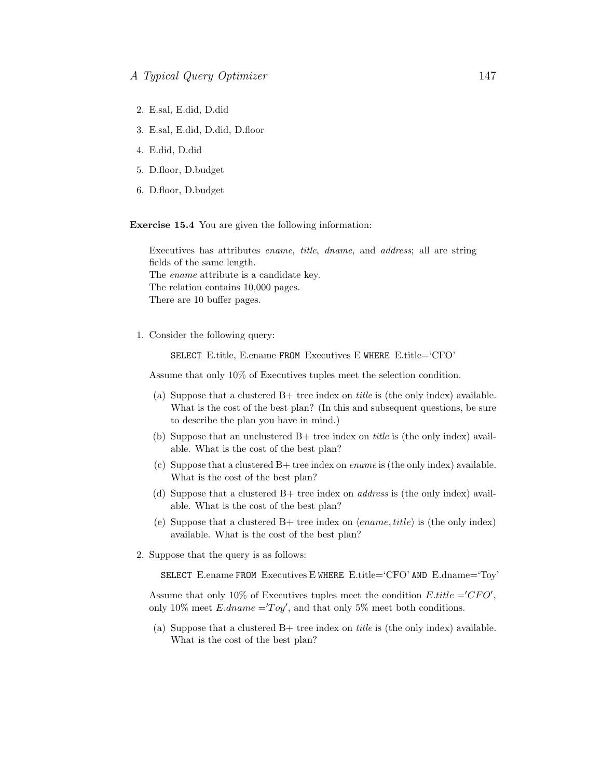- 2. E.sal, E.did, D.did
- 3. E.sal, E.did, D.did, D.floor
- 4. E.did, D.did
- 5. D.floor, D.budget
- 6. D.floor, D.budget

**Exercise 15.4** You are given the following information:

Executives has attributes *ename*, *title*, *dname*, and *address*; all are string fields of the same length. The *ename* attribute is a candidate key. The relation contains 10,000 pages. There are 10 buffer pages.

1. Consider the following query:

SELECT E.title, E.ename FROM Executives E WHERE E.title='CFO'

Assume that only 10% of Executives tuples meet the selection condition.

- (a) Suppose that a clustered B+ tree index on *title* is (the only index) available. What is the cost of the best plan? (In this and subsequent questions, be sure to describe the plan you have in mind.)
- (b) Suppose that an unclustered B+ tree index on *title* is (the only index) available. What is the cost of the best plan?
- (c) Suppose that a clustered B+ tree index on *ename* is (the only index) available. What is the cost of the best plan?
- (d) Suppose that a clustered B+ tree index on *address* is (the only index) available. What is the cost of the best plan?
- (e) Suppose that a clustered  $B+$  tree index on  $\langle \text{ename}, \text{title} \rangle$  is (the only index) available. What is the cost of the best plan?
- 2. Suppose that the query is as follows:

SELECT E.ename FROM Executives E WHERE E.title='CFO' AND E.dname='Toy'

Assume that only 10% of Executives tuples meet the condition  $E.title = 'CFO',$ only 10% meet E.dname =  $Toy'$ , and that only 5% meet both conditions.

(a) Suppose that a clustered B+ tree index on *title* is (the only index) available. What is the cost of the best plan?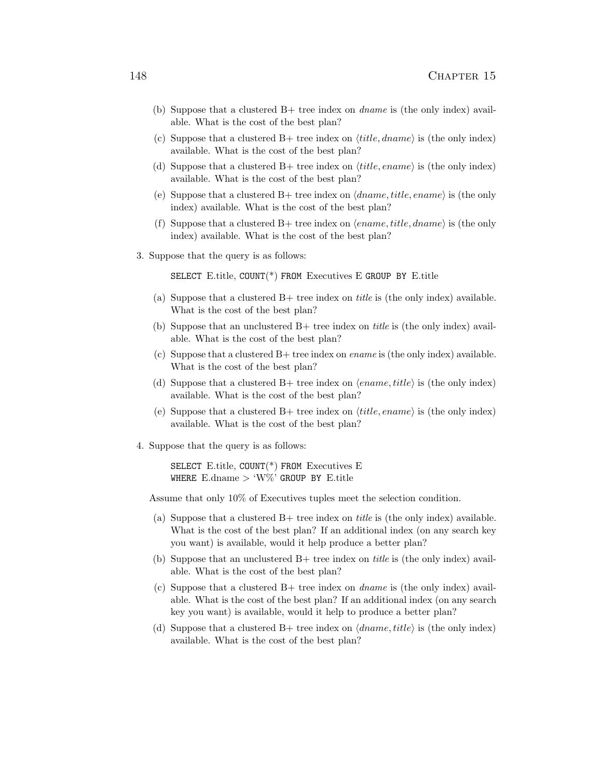- (b) Suppose that a clustered B+ tree index on *dname* is (the only index) available. What is the cost of the best plan?
- (c) Suppose that a clustered B+ tree index on  $\langle title, damage \rangle$  is (the only index) available. What is the cost of the best plan?
- (d) Suppose that a clustered  $B+$  tree index on  $\langle title, rename \rangle$  is (the only index) available. What is the cost of the best plan?
- (e) Suppose that a clustered B+ tree index on  $\langle \text{dname}, \text{title}, \text{ename} \rangle$  is (the only index) available. What is the cost of the best plan?
- (f) Suppose that a clustered B+ tree index on  $\langle \text{ename}, \text{title}, \text{drame} \rangle$  is (the only index) available. What is the cost of the best plan?
- 3. Suppose that the query is as follows:

SELECT E.title, COUNT(\*) FROM Executives E GROUP BY E.title

- (a) Suppose that a clustered B+ tree index on *title* is (the only index) available. What is the cost of the best plan?
- (b) Suppose that an unclustered B+ tree index on *title* is (the only index) available. What is the cost of the best plan?
- (c) Suppose that a clustered B+ tree index on *ename* is (the only index) available. What is the cost of the best plan?
- (d) Suppose that a clustered B+ tree index on  $\langle \text{ename}, \text{title} \rangle$  is (the only index) available. What is the cost of the best plan?
- (e) Suppose that a clustered  $B+$  tree index on  $\langle title, rename \rangle$  is (the only index) available. What is the cost of the best plan?
- 4. Suppose that the query is as follows:

SELECT E.title, COUNT(\*) FROM Executives E WHERE E.dname  $>$  'W%' GROUP BY E.title

Assume that only 10% of Executives tuples meet the selection condition.

- (a) Suppose that a clustered B+ tree index on *title* is (the only index) available. What is the cost of the best plan? If an additional index (on any search key you want) is available, would it help produce a better plan?
- (b) Suppose that an unclustered B+ tree index on *title* is (the only index) available. What is the cost of the best plan?
- (c) Suppose that a clustered B+ tree index on *dname* is (the only index) available. What is the cost of the best plan? If an additional index (on any search key you want) is available, would it help to produce a better plan?
- (d) Suppose that a clustered B+ tree index on  $\langle \text{dname}, \text{title} \rangle$  is (the only index) available. What is the cost of the best plan?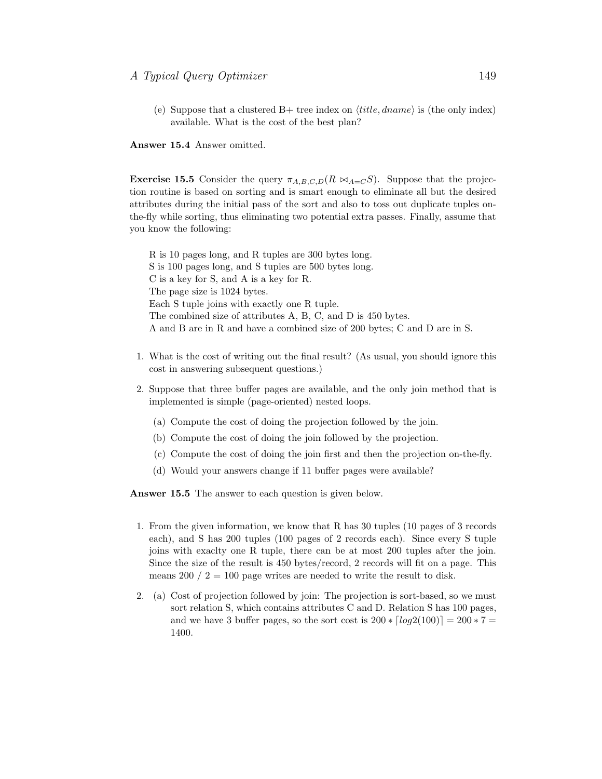(e) Suppose that a clustered  $B+$  tree index on  $\langle title, \text{dname} \rangle$  is (the only index) available. What is the cost of the best plan?

**Answer 15.4** Answer omitted.

**Exercise 15.5** Consider the query  $\pi_{A,B,C,D}(R \bowtie_{A=C} S)$ . Suppose that the projection routine is based on sorting and is smart enough to eliminate all but the desired attributes during the initial pass of the sort and also to toss out duplicate tuples onthe-fly while sorting, thus eliminating two potential extra passes. Finally, assume that you know the following:

R is 10 pages long, and R tuples are 300 bytes long. S is 100 pages long, and S tuples are 500 bytes long. C is a key for S, and A is a key for R. The page size is 1024 bytes. Each S tuple joins with exactly one R tuple. The combined size of attributes A, B, C, and D is 450 bytes. A and B are in R and have a combined size of 200 bytes; C and D are in S.

- 1. What is the cost of writing out the final result? (As usual, you should ignore this cost in answering subsequent questions.)
- 2. Suppose that three buffer pages are available, and the only join method that is implemented is simple (page-oriented) nested loops.
	- (a) Compute the cost of doing the projection followed by the join.
	- (b) Compute the cost of doing the join followed by the projection.
	- (c) Compute the cost of doing the join first and then the projection on-the-fly.
	- (d) Would your answers change if 11 buffer pages were available?

**Answer 15.5** The answer to each question is given below.

- 1. From the given information, we know that R has 30 tuples (10 pages of 3 records each), and S has 200 tuples (100 pages of 2 records each). Since every S tuple joins with exaclty one R tuple, there can be at most 200 tuples after the join. Since the size of the result is 450 bytes/record, 2 records will fit on a page. This means 200  $/$  2 = 100 page writes are needed to write the result to disk.
- 2. (a) Cost of projection followed by join: The projection is sort-based, so we must sort relation S, which contains attributes C and D. Relation S has 100 pages, and we have 3 buffer pages, so the sort cost is  $200 * [log2(100)] = 200 * 7 =$ 1400.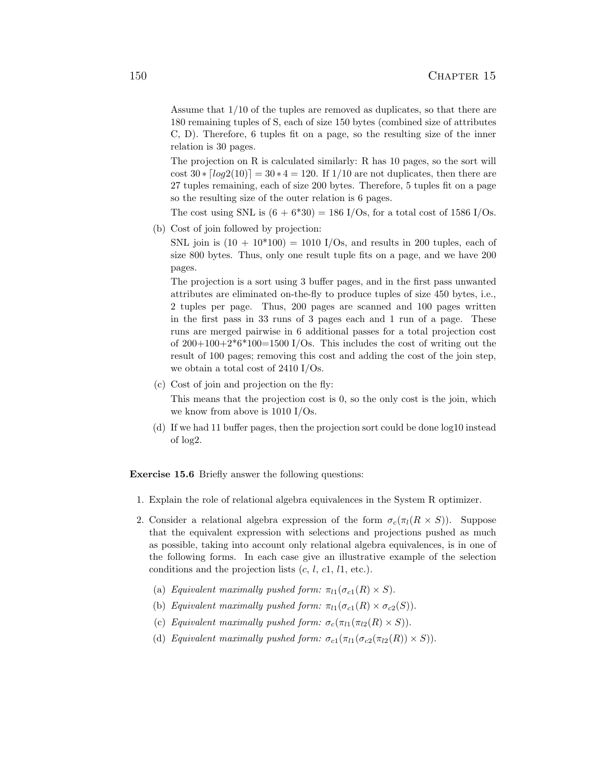Assume that 1/10 of the tuples are removed as duplicates, so that there are 180 remaining tuples of S, each of size 150 bytes (combined size of attributes C, D). Therefore, 6 tuples fit on a page, so the resulting size of the inner relation is 30 pages.

The projection on R is calculated similarly: R has 10 pages, so the sort will  $\cot 30 * [log2(10)] = 30 * 4 = 120$ . If  $1/10$  are not duplicates, then there are 27 tuples remaining, each of size 200 bytes. Therefore, 5 tuples fit on a page so the resulting size of the outer relation is 6 pages.

The cost using SNL is  $(6 + 6*30) = 186$  I/Os, for a total cost of 1586 I/Os.

(b) Cost of join followed by projection:

SNL join is  $(10 + 10*100) = 1010$  I/Os, and results in 200 tuples, each of size 800 bytes. Thus, only one result tuple fits on a page, and we have 200 pages.

The projection is a sort using 3 buffer pages, and in the first pass unwanted attributes are eliminated on-the-fly to produce tuples of size 450 bytes, i.e., 2 tuples per page. Thus, 200 pages are scanned and 100 pages written in the first pass in 33 runs of 3 pages each and 1 run of a page. These runs are merged pairwise in 6 additional passes for a total projection cost of  $200+100+2*6*100=1500$  I/Os. This includes the cost of writing out the result of 100 pages; removing this cost and adding the cost of the join step, we obtain a total cost of 2410 I/Os.

(c) Cost of join and projection on the fly:

This means that the projection cost is 0, so the only cost is the join, which we know from above is 1010 I/Os.

(d) If we had 11 buffer pages, then the projection sort could be done log10 instead of log2.

**Exercise 15.6** Briefly answer the following questions:

- 1. Explain the role of relational algebra equivalences in the System R optimizer.
- 2. Consider a relational algebra expression of the form  $\sigma_c(\pi_l(R \times S))$ . Suppose that the equivalent expression with selections and projections pushed as much as possible, taking into account only relational algebra equivalences, is in one of the following forms. In each case give an illustrative example of the selection conditions and the projection lists  $(c, l, c1, l1, \text{etc.}).$ 
	- (a) *Equivalent maximally pushed form:*  $\pi_{l1}(\sigma_{c1}(R) \times S)$ .
	- (b) *Equivalent maximally pushed form:*  $\pi_{l1}(\sigma_{c1}(R) \times \sigma_{c2}(S)).$
	- (c) *Equivalent maximally pushed form:*  $\sigma_c(\pi_{l1}(\pi_{l2}(R) \times S))$ .
	- (d) *Equivalent maximally pushed form:*  $\sigma_{c1}(\pi_{l1}(\sigma_{c2}(\pi_{l2}(R)) \times S)).$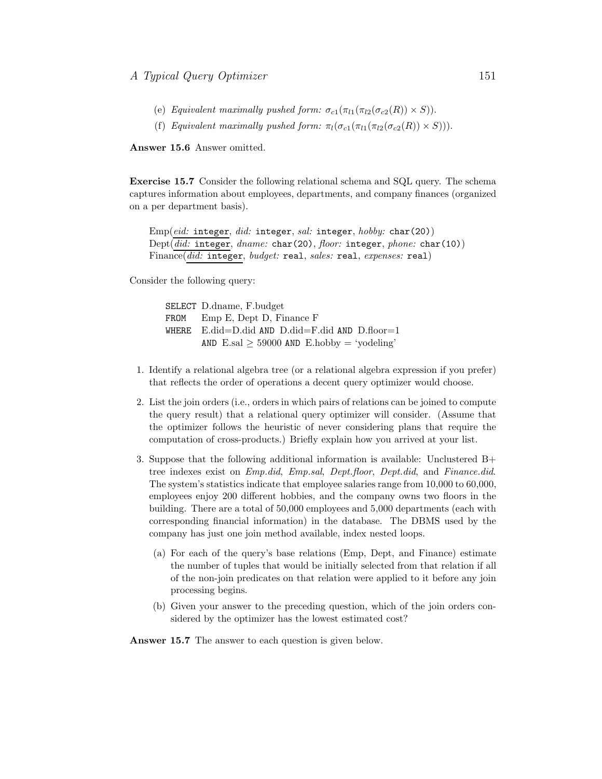- (e) *Equivalent maximally pushed form:*  $\sigma_{c1}(\pi_{l1}(\pi_{l2}(\sigma_{c2}(R)) \times S)).$
- (f) *Equivalent maximally pushed form:*  $\pi_l(\sigma_{c1}(\pi_{l1}(\pi_{l2}(\sigma_{c2}(R)) \times S))).$

**Answer 15.6** Answer omitted.

**Exercise 15.7** Consider the following relational schema and SQL query. The schema captures information about employees, departments, and company finances (organized on a per department basis).

Emp(*eid:* integer, *did:* integer, *sal:* integer, *hobby:* char(20)) Dept(*did:* integer, *dname:* char(20), *floor:* integer, *phone:* char(10)) Finance(*did:* integer, *budget:* real, *sales:* real, *expenses:* real)

Consider the following query:

|      | SELECT D.dname, F.budget                        |  |  |  |  |
|------|-------------------------------------------------|--|--|--|--|
| FROM | Emp E, Dept D, Finance F                        |  |  |  |  |
|      | WHERE Edid=D.did AND D.did=F.did AND D.floor=1  |  |  |  |  |
|      | AND E.sal $\geq$ 59000 AND E.hobby = 'yodeling' |  |  |  |  |

- 1. Identify a relational algebra tree (or a relational algebra expression if you prefer) that reflects the order of operations a decent query optimizer would choose.
- 2. List the join orders (i.e., orders in which pairs of relations can be joined to compute the query result) that a relational query optimizer will consider. (Assume that the optimizer follows the heuristic of never considering plans that require the computation of cross-products.) Briefly explain how you arrived at your list.
- 3. Suppose that the following additional information is available: Unclustered B+ tree indexes exist on *Emp.did*, *Emp.sal*, *Dept.floor*, *Dept.did*, and *Finance.did*. The system's statistics indicate that employee salaries range from 10,000 to 60,000, employees enjoy 200 different hobbies, and the company owns two floors in the building. There are a total of 50,000 employees and 5,000 departments (each with corresponding financial information) in the database. The DBMS used by the company has just one join method available, index nested loops.
	- (a) For each of the query's base relations (Emp, Dept, and Finance) estimate the number of tuples that would be initially selected from that relation if all of the non-join predicates on that relation were applied to it before any join processing begins.
	- (b) Given your answer to the preceding question, which of the join orders considered by the optimizer has the lowest estimated cost?

**Answer 15.7** The answer to each question is given below.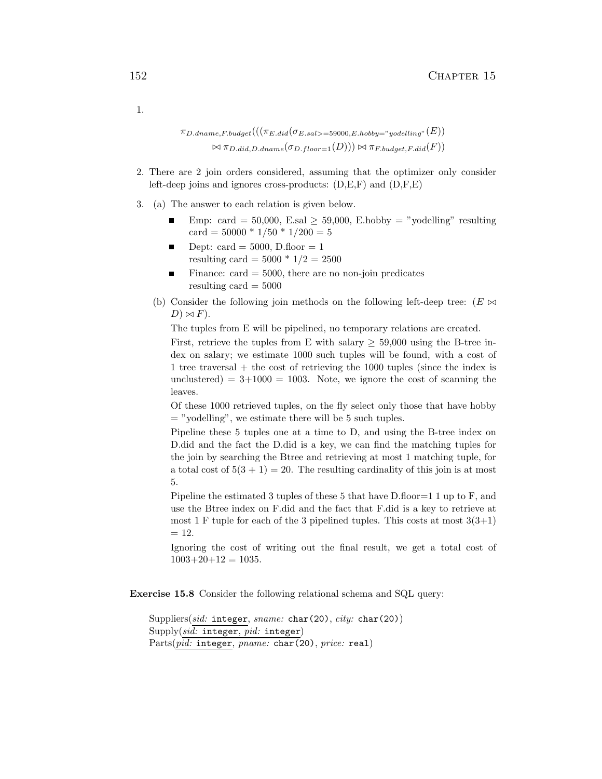```
\pi_{D.dname,F,budget}(((\pi_{E.did}(\sigma_{E.sal>=59000,E.hobbu="uodelling" (E)))\bowtie \pi_{D\text{.}did, D\text{.}dname}(\sigma_{D\text{.}floor=1}(D))) \bowtie \pi_{F\text{.}budget\text{.}F\text{.}did}(F))
```
- 2. There are 2 join orders considered, assuming that the optimizer only consider left-deep joins and ignores cross-products: (D,E,F) and (D,F,E)
- 3. (a) The answer to each relation is given below.
	- Emp: card = 50,000, E.sal > 59,000, E.hobby = "yodelling" resulting card =  $50000 * 1/50 * 1/200 = 5$
	- Dept: card =  $5000$ , D.floor = 1 resulting card =  $5000 * 1/2 = 2500$
	- Finance:  $\text{card} = 5000$ , there are no non-join predicates  $\blacksquare$ resulting card = 5000
	- (b) Consider the following join methods on the following left-deep tree:  $(E \bowtie$  $D) \bowtie F$ ).

The tuples from E will be pipelined, no temporary relations are created.

First, retrieve the tuples from E with salary  $\geq$  59,000 using the B-tree index on salary; we estimate 1000 such tuples will be found, with a cost of 1 tree traversal + the cost of retrieving the 1000 tuples (since the index is unclustered)  $= 3+1000 = 1003$ . Note, we ignore the cost of scanning the leaves.

Of these 1000 retrieved tuples, on the fly select only those that have hobby  $=$  "yodelling", we estimate there will be 5 such tuples.

Pipeline these 5 tuples one at a time to D, and using the B-tree index on D.did and the fact the D.did is a key, we can find the matching tuples for the join by searching the Btree and retrieving at most 1 matching tuple, for a total cost of  $5(3 + 1) = 20$ . The resulting cardinality of this join is at most 5.

Pipeline the estimated 3 tuples of these 5 that have D.floor=1 1 up to F, and use the Btree index on F.did and the fact that F.did is a key to retrieve at most 1 F tuple for each of the 3 pipelined tuples. This costs at most  $3(3+1)$  $= 12.$ 

Ignoring the cost of writing out the final result, we get a total cost of  $1003+20+12 = 1035.$ 

**Exercise 15.8** Consider the following relational schema and SQL query:

Suppliers(*sid:* integer, *sname:* char(20), *city:* char(20)) Supply(*sid:* integer, *pid:* integer) Parts(pid: integer, pname: char(20), price: real)

1.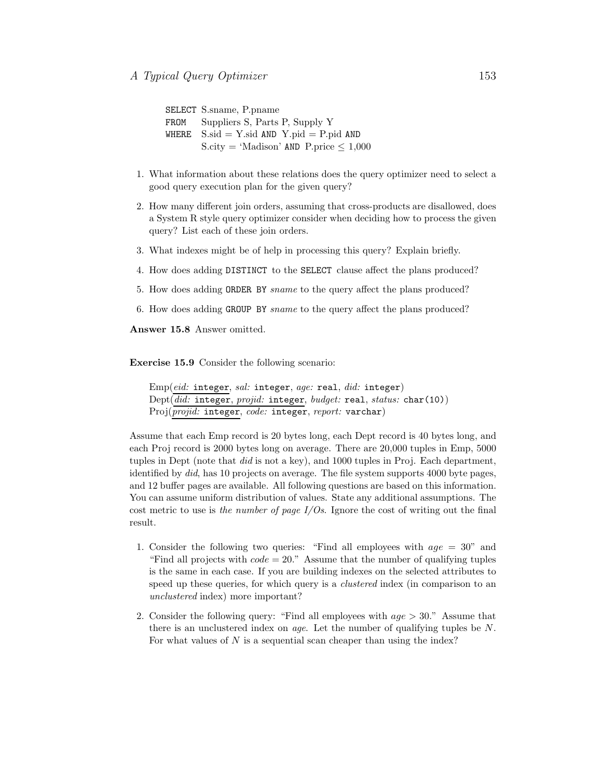| SELECT S.sname, P.pname                                                                                                      |
|------------------------------------------------------------------------------------------------------------------------------|
| FROM Suppliers S, Parts P, Supply Y                                                                                          |
| WHERE $S \text{.} \text{sid} = Y \text{.} \text{sid} \text{ AND } Y \text{.} \text{pid} = P \text{.} \text{pid} \text{ AND}$ |
| $S_{\text{city}} = 'Madison'$ AND P.price $\leq 1,000$                                                                       |

- 1. What information about these relations does the query optimizer need to select a good query execution plan for the given query?
- 2. How many different join orders, assuming that cross-products are disallowed, does a System R style query optimizer consider when deciding how to process the given query? List each of these join orders.
- 3. What indexes might be of help in processing this query? Explain briefly.
- 4. How does adding DISTINCT to the SELECT clause affect the plans produced?
- 5. How does adding ORDER BY *sname* to the query affect the plans produced?
- 6. How does adding GROUP BY *sname* to the query affect the plans produced?

**Answer 15.8** Answer omitted.

**Exercise 15.9** Consider the following scenario:

Emp(*eid:* integer, *sal:* integer, *age:* real, *did:* integer) Dept(*did:* integer, *projid:* integer, *budget:* real, *status:* char(10)) Proj(*projid:* integer, *code:* integer, *report:* varchar)

Assume that each Emp record is 20 bytes long, each Dept record is 40 bytes long, and each Proj record is 2000 bytes long on average. There are 20,000 tuples in Emp, 5000 tuples in Dept (note that *did* is not a key), and 1000 tuples in Proj. Each department, identified by *did*, has 10 projects on average. The file system supports 4000 byte pages, and 12 buffer pages are available. All following questions are based on this information. You can assume uniform distribution of values. State any additional assumptions. The cost metric to use is *the number of page I/Os*. Ignore the cost of writing out the final result.

- 1. Consider the following two queries: "Find all employees with  $age = 30"$  and "Find all projects with  $code = 20$ ." Assume that the number of qualifying tuples is the same in each case. If you are building indexes on the selected attributes to speed up these queries, for which query is a *clustered* index (in comparison to an *unclustered* index) more important?
- 2. Consider the following query: "Find all employees with  $age > 30$ ." Assume that there is an unclustered index on *age*. Let the number of qualifying tuples be N. For what values of  $N$  is a sequential scan cheaper than using the index?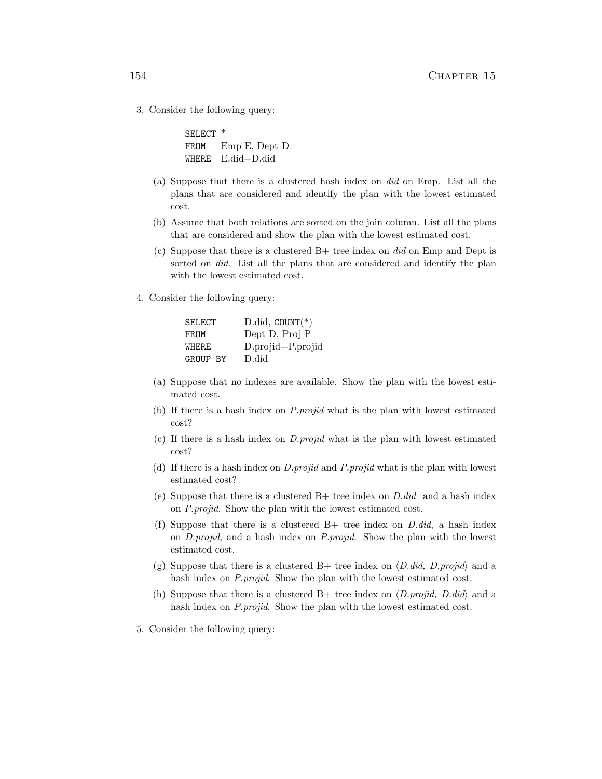3. Consider the following query:

SELECT \* FROM Emp E, Dept D WHERE E.did=D.did

- (a) Suppose that there is a clustered hash index on *did* on Emp. List all the plans that are considered and identify the plan with the lowest estimated cost.
- (b) Assume that both relations are sorted on the join column. List all the plans that are considered and show the plan with the lowest estimated cost.
- (c) Suppose that there is a clustered B+ tree index on *did* on Emp and Dept is sorted on *did*. List all the plans that are considered and identify the plan with the lowest estimated cost.
- 4. Consider the following query:

| SELECT   | D.did, $COUNT(*)$         |
|----------|---------------------------|
| FR.OM    | Dept D, Proj P            |
| WHERE    | $D.$ projid $=$ P. projid |
| GROUP BY | D.did                     |

- (a) Suppose that no indexes are available. Show the plan with the lowest estimated cost.
- (b) If there is a hash index on *P.projid* what is the plan with lowest estimated cost?
- (c) If there is a hash index on *D.projid* what is the plan with lowest estimated cost?
- (d) If there is a hash index on *D.projid* and *P.projid* what is the plan with lowest estimated cost?
- (e) Suppose that there is a clustered B+ tree index on *D.did* and a hash index on *P.projid*. Show the plan with the lowest estimated cost.
- (f) Suppose that there is a clustered B+ tree index on *D.did*, a hash index on *D.projid*, and a hash index on *P.projid*. Show the plan with the lowest estimated cost.
- (g) Suppose that there is a clustered  $B+$  tree index on *D.did, D.projid* and a hash index on *P.projid*. Show the plan with the lowest estimated cost.
- (h) Suppose that there is a clustered  $B+$  tree index on *D.projid, D.did* and a hash index on *P.projid*. Show the plan with the lowest estimated cost.
- 5. Consider the following query: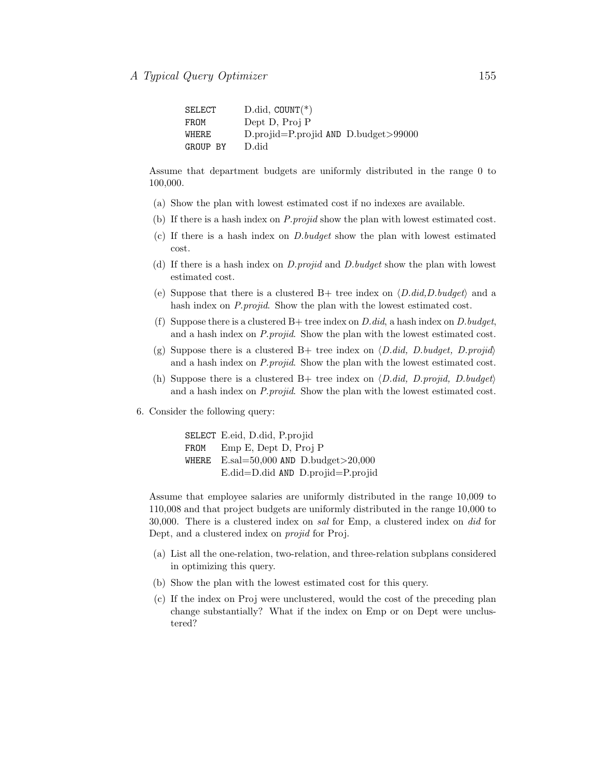| SELECT   | D.did, $COUNT(*)$                       |
|----------|-----------------------------------------|
| FROM     | Dept D, Proj P                          |
| WHERE    | D.projid=P.projid AND D.budget $>99000$ |
| GROUP BY | D.did                                   |

Assume that department budgets are uniformly distributed in the range 0 to 100,000.

- (a) Show the plan with lowest estimated cost if no indexes are available.
- (b) If there is a hash index on *P.projid* show the plan with lowest estimated cost.
- (c) If there is a hash index on *D.budget* show the plan with lowest estimated cost.
- (d) If there is a hash index on *D.projid* and *D.budget* show the plan with lowest estimated cost.
- (e) Suppose that there is a clustered  $B+$  tree index on  $\langle D.did, D.budget \rangle$  and a hash index on *P.projid*. Show the plan with the lowest estimated cost.
- (f) Suppose there is a clustered B+ tree index on *D.did*, a hash index on *D.budget*, and a hash index on *P.projid*. Show the plan with the lowest estimated cost.
- (g) Suppose there is a clustered  $B+$  tree index on  $\langle D.did, D.budget, D.projid \rangle$ and a hash index on *P.projid*. Show the plan with the lowest estimated cost.
- (h) Suppose there is a clustered B+ tree index on *D.did, D.projid, D.budget* and a hash index on *P.projid*. Show the plan with the lowest estimated cost.
- 6. Consider the following query:

SELECT E.eid, D.did, P.projid FROM Emp E, Dept D, Proj P WHERE E.sal=50,000 AND D.budget>20,000 E.did=D.did AND D.projid=P.projid

Assume that employee salaries are uniformly distributed in the range 10,009 to 110,008 and that project budgets are uniformly distributed in the range 10,000 to 30,000. There is a clustered index on *sal* for Emp, a clustered index on *did* for Dept, and a clustered index on *projid* for Proj.

- (a) List all the one-relation, two-relation, and three-relation subplans considered in optimizing this query.
- (b) Show the plan with the lowest estimated cost for this query.
- (c) If the index on Proj were unclustered, would the cost of the preceding plan change substantially? What if the index on Emp or on Dept were unclustered?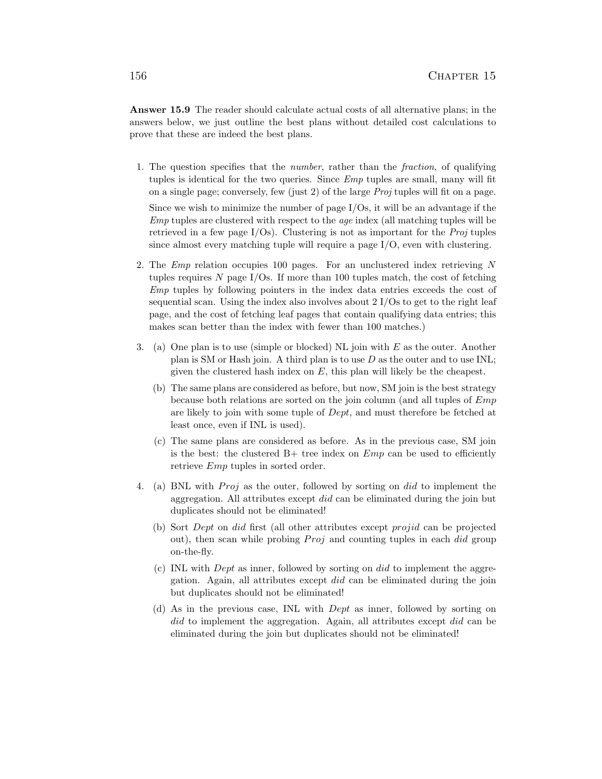**Answer 15.9** The reader should calculate actual costs of all alternative plans; in the answers below, we just outline the best plans without detailed cost calculations to prove that these are indeed the best plans.

1. The question specifies that the *number*, rather than the *fraction*, of qualifying tuples is identical for the two queries. Since *Emp* tuples are small, many will fit on a single page; conversely, few (just 2) of the large *Proj* tuples will fit on a page.

Since we wish to minimize the number of page  $I/Os$ , it will be an advantage if the *Emp* tuples are clustered with respect to the *age* index (all matching tuples will be retrieved in a few page I/Os). Clustering is not as important for the *Proj* tuples since almost every matching tuple will require a page I/O, even with clustering.

- 2. The *Emp* relation occupies 100 pages. For an unclustered index retrieving N tuples requires N page I/Os. If more than 100 tuples match, the cost of fetching *Emp* tuples by following pointers in the index data entries exceeds the cost of sequential scan. Using the index also involves about 2 I/Os to get to the right leaf page, and the cost of fetching leaf pages that contain qualifying data entries; this makes scan better than the index with fewer than 100 matches.)
- 3. (a) One plan is to use (simple or blocked) NL join with  $E$  as the outer. Another plan is SM or Hash join. A third plan is to use  $D$  as the outer and to use INL; given the clustered hash index on  $E$ , this plan will likely be the cheapest.
	- (b) The same plans are considered as before, but now, SM join is the best strategy because both relations are sorted on the join column (and all tuples of Emp are likely to join with some tuple of Dept, and must therefore be fetched at least once, even if INL is used).
	- (c) The same plans are considered as before. As in the previous case, SM join is the best: the clustered  $B+$  tree index on  $Emp$  can be used to efficiently retrieve Emp tuples in sorted order.
- 4. (a) BNL with *Proj* as the outer, followed by sorting on *did* to implement the aggregation. All attributes except did can be eliminated during the join but duplicates should not be eliminated!
	- (b) Sort Dept on did first (all other attributes except projid can be projected out), then scan while probing  $Proj$  and counting tuples in each did group on-the-fly.
	- (c) INL with Dept as inner, followed by sorting on did to implement the aggregation. Again, all attributes except did can be eliminated during the join but duplicates should not be eliminated!
	- (d) As in the previous case, INL with Dept as inner, followed by sorting on did to implement the aggregation. Again, all attributes except did can be eliminated during the join but duplicates should not be eliminated!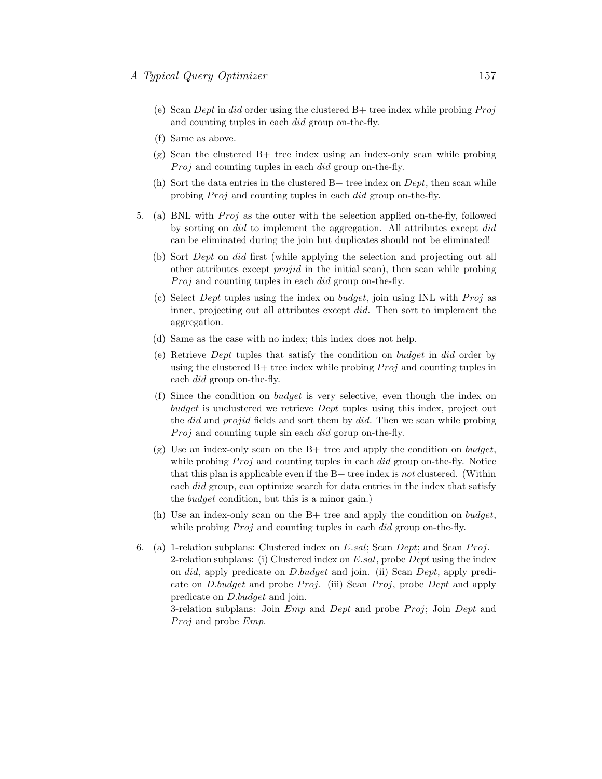- (e) Scan Dept in did order using the clustered  $B+$  tree index while probing  $Proj$ and counting tuples in each did group on-the-fly.
- (f) Same as above.
- (g) Scan the clustered B+ tree index using an index-only scan while probing  $Proj$  and counting tuples in each  $did$  group on-the-fly.
- (h) Sort the data entries in the clustered  $B+$  tree index on  $Depth$ , then scan while probing  $Proj$  and counting tuples in each  $did$  group on-the-fly.
- 5. (a) BNL with  $Proj$  as the outer with the selection applied on-the-fly, followed by sorting on did to implement the aggregation. All attributes except did can be eliminated during the join but duplicates should not be eliminated!
	- (b) Sort Dept on did first (while applying the selection and projecting out all other attributes except projid in the initial scan), then scan while probing Proj and counting tuples in each did group on-the-fly.
	- (c) Select Dept tuples using the index on budget, join using INL with  $Proj$  as inner, projecting out all attributes except *did*. Then sort to implement the aggregation.
	- (d) Same as the case with no index; this index does not help.
	- (e) Retrieve Dept tuples that satisfy the condition on budget in did order by using the clustered  $B+$  tree index while probing  $Proj$  and counting tuples in each *did* group on-the-fly.
	- (f) Since the condition on budget is very selective, even though the index on budget is unclustered we retrieve Dept tuples using this index, project out the *did* and *projid* fields and sort them by *did*. Then we scan while probing *Proj* and counting tuple sin each  $did$  gorup on-the-fly.
	- (g) Use an index-only scan on the  $B+$  tree and apply the condition on budget, while probing  $Proj$  and counting tuples in each did group on-the-fly. Notice that this plan is applicable even if the B+ tree index is *not* clustered. (Within each did group, can optimize search for data entries in the index that satisfy the budget condition, but this is a minor gain.)
	- (h) Use an index-only scan on the  $B+$  tree and apply the condition on budget, while probing  $Proj$  and counting tuples in each  $did$  group on-the-fly.
- 6. (a) 1-relation subplans: Clustered index on  $E.sal$ ; Scan Dept; and Scan Proj. 2-relation subplans: (i) Clustered index on  $E$  sal, probe Dept using the index on did, apply predicate on D.budget and join. (ii) Scan Dept, apply predicate on D.budget and probe  $Proj.$  (iii) Scan  $Proj.$  probe Dept and apply predicate on D.budget and join. 3-relation subplans: Join  $Emp$  and  $Depth$  and probe  $Proj$ ; Join  $Depth$  and *Proj* and probe  $Emp.$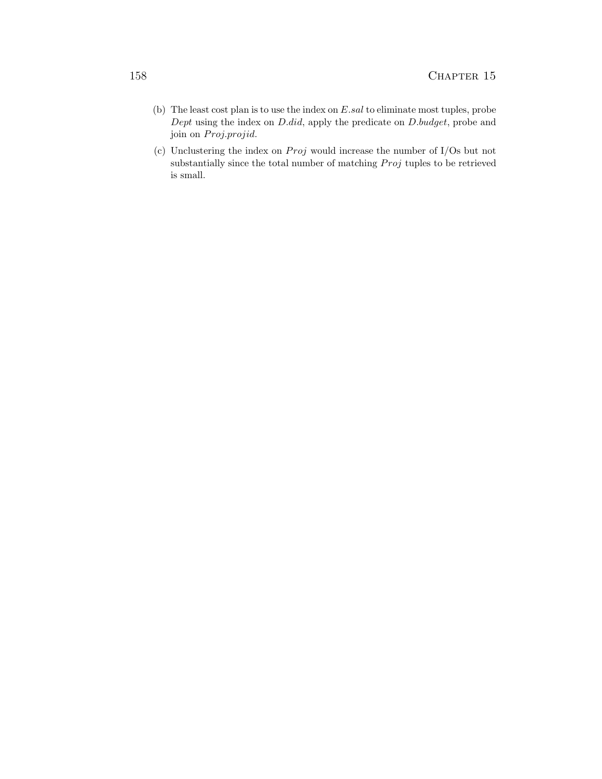- (b) The least cost plan is to use the index on  $E$  sal to eliminate most tuples, probe Dept using the index on D.did, apply the predicate on D.budget, probe and join on Proj.projid.
- (c) Unclustering the index on  $Proj$  would increase the number of I/Os but not substantially since the total number of matching  $Proj$  tuples to be retrieved is small.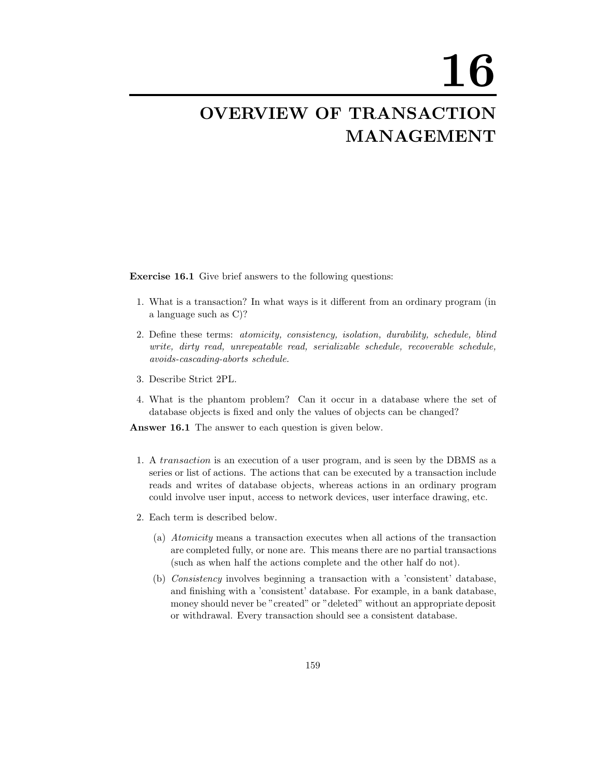# **16 OVERVIEW OF TRANSACTION MANAGEMENT**

**Exercise 16.1** Give brief answers to the following questions:

- 1. What is a transaction? In what ways is it different from an ordinary program (in a language such as C)?
- 2. Define these terms: *atomicity, consistency, isolation, durability, schedule, blind write, dirty read, unrepeatable read, serializable schedule, recoverable schedule, avoids-cascading-aborts schedule.*
- 3. Describe Strict 2PL.
- 4. What is the phantom problem? Can it occur in a database where the set of database objects is fixed and only the values of objects can be changed?

**Answer 16.1** The answer to each question is given below.

- 1. A transaction is an execution of a user program, and is seen by the DBMS as a series or list of actions. The actions that can be executed by a transaction include reads and writes of database objects, whereas actions in an ordinary program could involve user input, access to network devices, user interface drawing, etc.
- 2. Each term is described below.
	- (a) *Atomicity* means a transaction executes when all actions of the transaction are completed fully, or none are. This means there are no partial transactions (such as when half the actions complete and the other half do not).
	- (b) *Consistency* involves beginning a transaction with a 'consistent' database, and finishing with a 'consistent' database. For example, in a bank database, money should never be "created" or "deleted" without an appropriate deposit or withdrawal. Every transaction should see a consistent database.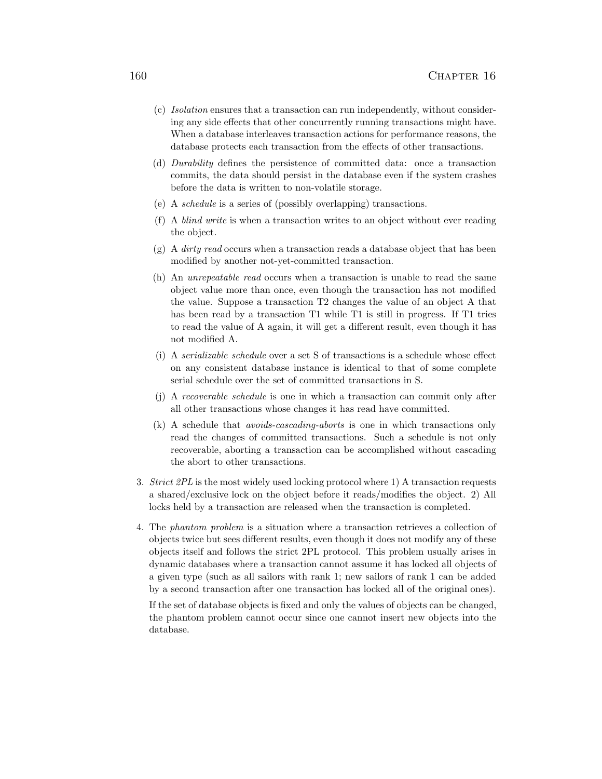- (c) *Isolation* ensures that a transaction can run independently, without considering any side effects that other concurrently running transactions might have. When a database interleaves transaction actions for performance reasons, the database protects each transaction from the effects of other transactions.
- (d) *Durability* defines the persistence of committed data: once a transaction commits, the data should persist in the database even if the system crashes before the data is written to non-volatile storage.
- (e) A *schedule* is a series of (possibly overlapping) transactions.
- (f) A *blind write* is when a transaction writes to an object without ever reading the object.
- (g) A *dirty read* occurs when a transaction reads a database object that has been modified by another not-yet-committed transaction.
- (h) An *unrepeatable read* occurs when a transaction is unable to read the same object value more than once, even though the transaction has not modified the value. Suppose a transaction T2 changes the value of an object A that has been read by a transaction T1 while T1 is still in progress. If T1 tries to read the value of A again, it will get a different result, even though it has not modified A.
- (i) A *serializable schedule* over a set S of transactions is a schedule whose effect on any consistent database instance is identical to that of some complete serial schedule over the set of committed transactions in S.
- (j) A *recoverable schedule* is one in which a transaction can commit only after all other transactions whose changes it has read have committed.
- (k) A schedule that *avoids-cascading-aborts* is one in which transactions only read the changes of committed transactions. Such a schedule is not only recoverable, aborting a transaction can be accomplished without cascading the abort to other transactions.
- 3. *Strict 2PL* is the most widely used locking protocol where 1) A transaction requests a shared/exclusive lock on the object before it reads/modifies the object. 2) All locks held by a transaction are released when the transaction is completed.
- 4. The *phantom problem* is a situation where a transaction retrieves a collection of objects twice but sees different results, even though it does not modify any of these objects itself and follows the strict 2PL protocol. This problem usually arises in dynamic databases where a transaction cannot assume it has locked all objects of a given type (such as all sailors with rank 1; new sailors of rank 1 can be added by a second transaction after one transaction has locked all of the original ones).

If the set of database objects is fixed and only the values of objects can be changed, the phantom problem cannot occur since one cannot insert new objects into the database.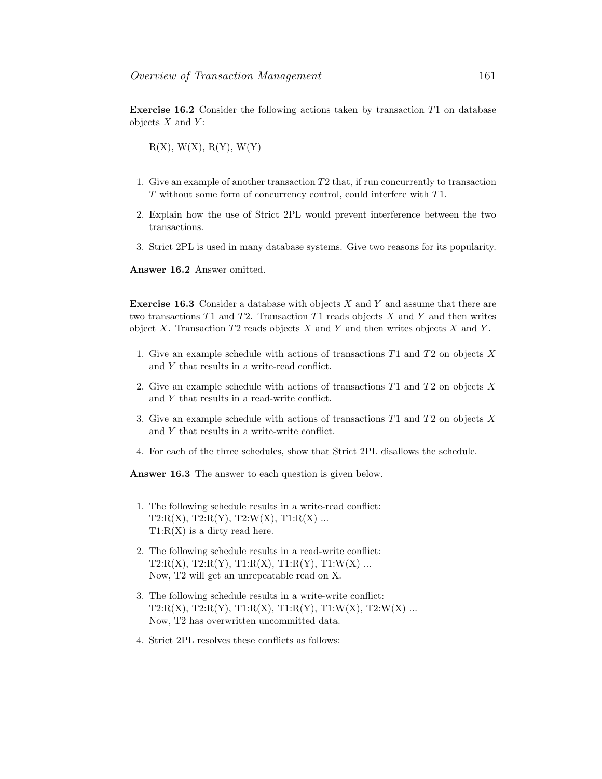**Exercise 16.2** Consider the following actions taken by transaction T1 on database objects  $X$  and  $Y$ :

 $R(X)$ ,  $W(X)$ ,  $R(Y)$ ,  $W(Y)$ 

- 1. Give an example of another transaction  $T_2$  that, if run concurrently to transaction  $T$  without some form of concurrency control, could interfere with  $T1$ .
- 2. Explain how the use of Strict 2PL would prevent interference between the two transactions.
- 3. Strict 2PL is used in many database systems. Give two reasons for its popularity.

**Answer 16.2** Answer omitted.

**Exercise 16.3** Consider a database with objects X and Y and assume that there are two transactions  $T1$  and  $T2$ . Transaction  $T1$  reads objects X and Y and then writes object X. Transaction  $T2$  reads objects X and Y and then writes objects X and Y.

- 1. Give an example schedule with actions of transactions  $T1$  and  $T2$  on objects X and Y that results in a write-read conflict.
- 2. Give an example schedule with actions of transactions  $T1$  and  $T2$  on objects X and  $Y$  that results in a read-write conflict.
- 3. Give an example schedule with actions of transactions  $T1$  and  $T2$  on objects X and Y that results in a write-write conflict.
- 4. For each of the three schedules, show that Strict 2PL disallows the schedule.

**Answer 16.3** The answer to each question is given below.

- 1. The following schedule results in a write-read conflict:  $T2:R(X), T2:R(Y), T2:W(X), T1:R(X)$ ...  $T1:R(X)$  is a dirty read here.
- 2. The following schedule results in a read-write conflict:  $T2:R(X), T2:R(Y), T1:R(X), T1:R(Y), T1:W(X)$ ... Now, T2 will get an unrepeatable read on X.
- 3. The following schedule results in a write-write conflict:  $T2:R(X), T2:R(Y), T1:R(X), T1:R(Y), T1:W(X), T2:W(X)$  ... Now, T2 has overwritten uncommitted data.
- 4. Strict 2PL resolves these conflicts as follows: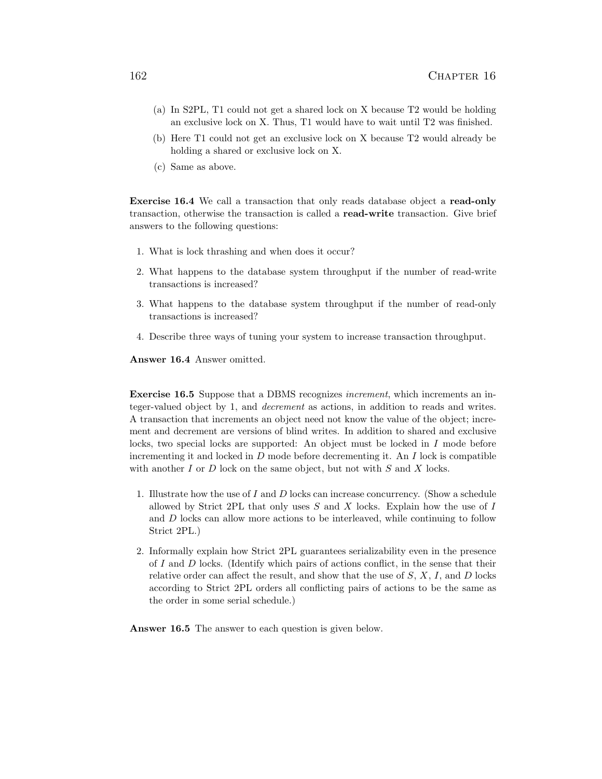- (a) In S2PL, T1 could not get a shared lock on X because T2 would be holding an exclusive lock on X. Thus, T1 would have to wait until T2 was finished.
- (b) Here T1 could not get an exclusive lock on X because T2 would already be holding a shared or exclusive lock on X.
- (c) Same as above.

**Exercise 16.4** We call a transaction that only reads database object a **read-only** transaction, otherwise the transaction is called a **read-write** transaction. Give brief answers to the following questions:

- 1. What is lock thrashing and when does it occur?
- 2. What happens to the database system throughput if the number of read-write transactions is increased?
- 3. What happens to the database system throughput if the number of read-only transactions is increased?
- 4. Describe three ways of tuning your system to increase transaction throughput.

**Answer 16.4** Answer omitted.

**Exercise 16.5** Suppose that a DBMS recognizes *increment*, which increments an integer-valued object by 1, and *decrement* as actions, in addition to reads and writes. A transaction that increments an object need not know the value of the object; increment and decrement are versions of blind writes. In addition to shared and exclusive locks, two special locks are supported: An object must be locked in I mode before incrementing it and locked in  $D$  mode before decrementing it. An  $I$  lock is compatible with another  $I$  or  $D$  lock on the same object, but not with  $S$  and  $X$  locks.

- 1. Illustrate how the use of I and D locks can increase concurrency. (Show a schedule allowed by Strict 2PL that only uses  $S$  and  $X$  locks. Explain how the use of  $I$ and D locks can allow more actions to be interleaved, while continuing to follow Strict 2PL.)
- 2. Informally explain how Strict 2PL guarantees serializability even in the presence of I and D locks. (Identify which pairs of actions conflict, in the sense that their relative order can affect the result, and show that the use of  $S, X, I$ , and D locks according to Strict 2PL orders all conflicting pairs of actions to be the same as the order in some serial schedule.)

**Answer 16.5** The answer to each question is given below.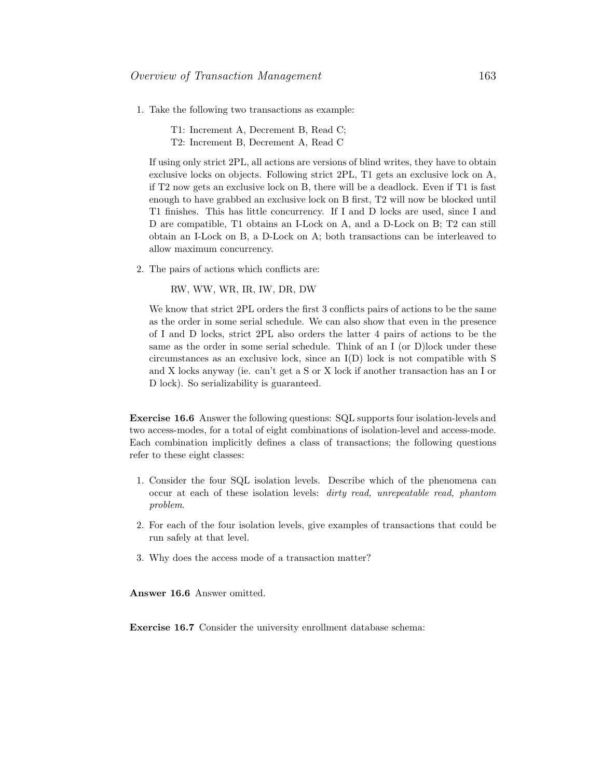1. Take the following two transactions as example:

T1: Increment A, Decrement B, Read C; T2: Increment B, Decrement A, Read C

If using only strict 2PL, all actions are versions of blind writes, they have to obtain exclusive locks on objects. Following strict 2PL, T1 gets an exclusive lock on A, if T2 now gets an exclusive lock on B, there will be a deadlock. Even if T1 is fast enough to have grabbed an exclusive lock on B first, T2 will now be blocked until T1 finishes. This has little concurrency. If I and D locks are used, since I and D are compatible, T1 obtains an I-Lock on A, and a D-Lock on B; T2 can still obtain an I-Lock on B, a D-Lock on A; both transactions can be interleaved to allow maximum concurrency.

2. The pairs of actions which conflicts are:

RW, WW, WR, IR, IW, DR, DW

We know that strict 2PL orders the first 3 conflicts pairs of actions to be the same as the order in some serial schedule. We can also show that even in the presence of I and D locks, strict 2PL also orders the latter 4 pairs of actions to be the same as the order in some serial schedule. Think of an I (or D)lock under these circumstances as an exclusive lock, since an I(D) lock is not compatible with S and X locks anyway (ie. can't get a S or X lock if another transaction has an I or D lock). So serializability is guaranteed.

**Exercise 16.6** Answer the following questions: SQL supports four isolation-levels and two access-modes, for a total of eight combinations of isolation-level and access-mode. Each combination implicitly defines a class of transactions; the following questions refer to these eight classes:

- 1. Consider the four SQL isolation levels. Describe which of the phenomena can occur at each of these isolation levels: *dirty read, unrepeatable read, phantom problem*.
- 2. For each of the four isolation levels, give examples of transactions that could be run safely at that level.
- 3. Why does the access mode of a transaction matter?

**Answer 16.6** Answer omitted.

**Exercise 16.7** Consider the university enrollment database schema: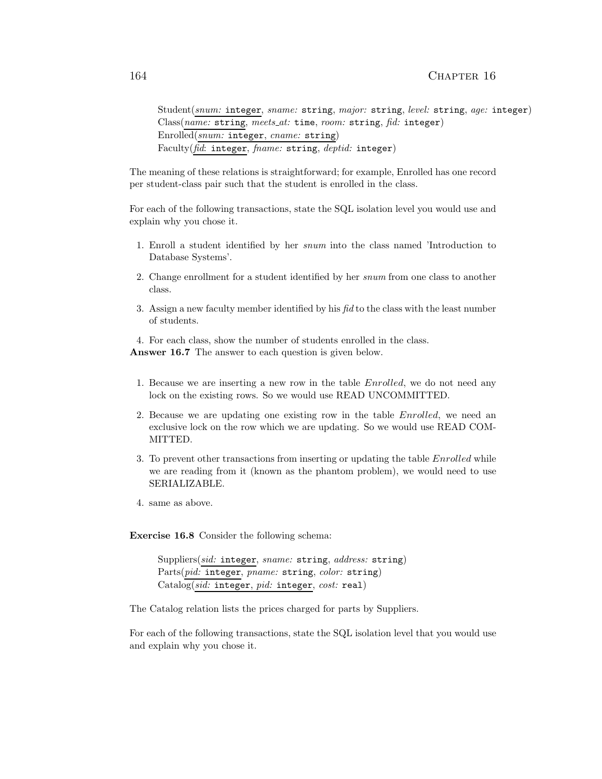Student(*snum:* integer, *sname:* string, *major:* string, *level:* string, *age:* integer) Class(*name:* string, *meets at:* time, *room:* string, *fid:* integer) Enrolled(*snum:* integer, *cname:* string) Faculty(*fid*: integer, *fname:* string, *deptid:* integer)

The meaning of these relations is straightforward; for example, Enrolled has one record per student-class pair such that the student is enrolled in the class.

For each of the following transactions, state the SQL isolation level you would use and explain why you chose it.

- 1. Enroll a student identified by her *snum* into the class named 'Introduction to Database Systems'.
- 2. Change enrollment for a student identified by her *snum* from one class to another class.
- 3. Assign a new faculty member identified by his *fid* to the class with the least number of students.

4. For each class, show the number of students enrolled in the class. **Answer 16.7** The answer to each question is given below.

- 1. Because we are inserting a new row in the table Enrolled, we do not need any lock on the existing rows. So we would use READ UNCOMMITTED.
- 2. Because we are updating one existing row in the table Enrolled, we need an exclusive lock on the row which we are updating. So we would use READ COM-MITTED.
- 3. To prevent other transactions from inserting or updating the table Enrolled while we are reading from it (known as the phantom problem), we would need to use SERIALIZABLE.
- 4. same as above.

**Exercise 16.8** Consider the following schema:

Suppliers(*sid:* integer, *sname:* string, *address:* string) Parts(*pid:* integer, *pname:* string, *color:* string) Catalog(*sid:* integer, *pid:* integer, *cost:* real)

The Catalog relation lists the prices charged for parts by Suppliers.

For each of the following transactions, state the SQL isolation level that you would use and explain why you chose it.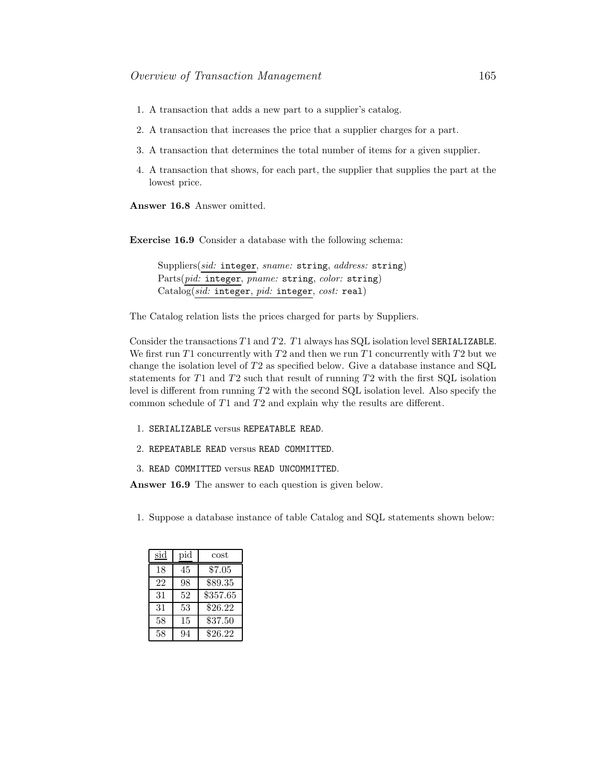- 1. A transaction that adds a new part to a supplier's catalog.
- 2. A transaction that increases the price that a supplier charges for a part.
- 3. A transaction that determines the total number of items for a given supplier.
- 4. A transaction that shows, for each part, the supplier that supplies the part at the lowest price.

**Answer 16.8** Answer omitted.

**Exercise 16.9** Consider a database with the following schema:

Suppliers(*sid:* integer, *sname:* string, *address:* string) Parts(*pid:* integer, *pname:* string, *color:* string) Catalog(*sid:* integer, *pid:* integer, *cost:* real)

The Catalog relation lists the prices charged for parts by Suppliers.

Consider the transactions  $T1$  and  $T2$ .  $T1$  always has SQL isolation level SERIALIZABLE. We first run T1 concurrently with T2 and then we run T1 concurrently with T2 but we change the isolation level of  $T2$  as specified below. Give a database instance and SQL statements for  $T1$  and  $T2$  such that result of running  $T2$  with the first SQL isolation level is different from running  $T2$  with the second SQL isolation level. Also specify the common schedule of  $T1$  and  $T2$  and explain why the results are different.

- 1. SERIALIZABLE versus REPEATABLE READ.
- 2. REPEATABLE READ versus READ COMMITTED.
- 3. READ COMMITTED versus READ UNCOMMITTED.

**Answer 16.9** The answer to each question is given below.

1. Suppose a database instance of table Catalog and SQL statements shown below:

| sid | $_{\rm pid}$ | $\cot$   |
|-----|--------------|----------|
| 18  | 45           | \$7.05   |
| 22  | 98           | \$89.35  |
| 31  | 52           | \$357.65 |
| 31  | 53           | \$26.22  |
| 58  | 15           | \$37.50  |
| 58  | 94           | \$26.22  |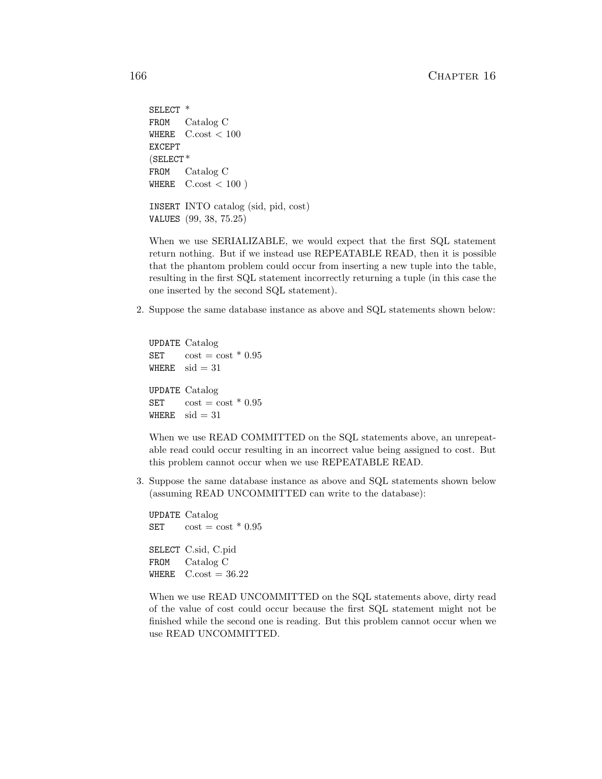```
SELECT *
FROM Catalog C
WHERE C.\text{cost} < 100EXCEPT
(SELECT*FROM Catalog C
WHERE C.\text{cost} < 100)
INSERT INTO catalog (sid, pid, cost)
VALUES (99, 38, 75.25)
```
When we use SERIALIZABLE, we would expect that the first SQL statement return nothing. But if we instead use REPEATABLE READ, then it is possible that the phantom problem could occur from inserting a new tuple into the table, resulting in the first SQL statement incorrectly returning a tuple (in this case the one inserted by the second SQL statement).

2. Suppose the same database instance as above and SQL statements shown below:

```
UPDATE Catalog
SET \csc t = \csc * 0.95WHERE sid = 31UPDATE Catalog
SET \csc t = \csc * 0.95WHERE sid = 31
```
When we use READ COMMITTED on the SQL statements above, an unrepeatable read could occur resulting in an incorrect value being assigned to cost. But this problem cannot occur when we use REPEATABLE READ.

3. Suppose the same database instance as above and SQL statements shown below (assuming READ UNCOMMITTED can write to the database):

```
UPDATE Catalog
SET \cos t = \cos t * 0.95SELECT C.sid, C.pid
FROM Catalog C
WHERE C.\text{cost} = 36.22
```
When we use READ UNCOMMITTED on the SQL statements above, dirty read of the value of cost could occur because the first SQL statement might not be finished while the second one is reading. But this problem cannot occur when we use READ UNCOMMITTED.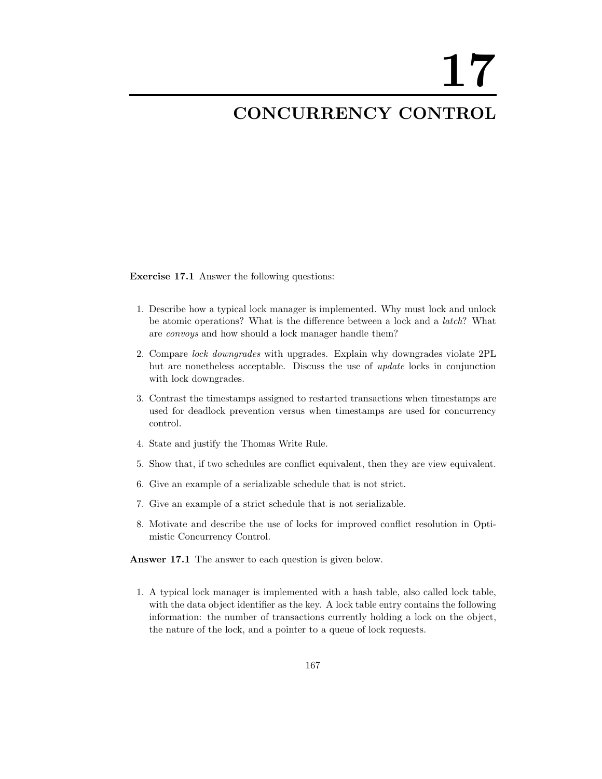# **17 CONCURRENCY CONTROL**

**Exercise 17.1** Answer the following questions:

- 1. Describe how a typical lock manager is implemented. Why must lock and unlock be atomic operations? What is the difference between a lock and a *latch*? What are *convoys* and how should a lock manager handle them?
- 2. Compare *lock downgrades* with upgrades. Explain why downgrades violate 2PL but are nonetheless acceptable. Discuss the use of *update* locks in conjunction with lock downgrades.
- 3. Contrast the timestamps assigned to restarted transactions when timestamps are used for deadlock prevention versus when timestamps are used for concurrency control.
- 4. State and justify the Thomas Write Rule.
- 5. Show that, if two schedules are conflict equivalent, then they are view equivalent.
- 6. Give an example of a serializable schedule that is not strict.
- 7. Give an example of a strict schedule that is not serializable.
- 8. Motivate and describe the use of locks for improved conflict resolution in Optimistic Concurrency Control.

**Answer 17.1** The answer to each question is given below.

1. A typical lock manager is implemented with a hash table, also called lock table, with the data object identifier as the key. A lock table entry contains the following information: the number of transactions currently holding a lock on the object, the nature of the lock, and a pointer to a queue of lock requests.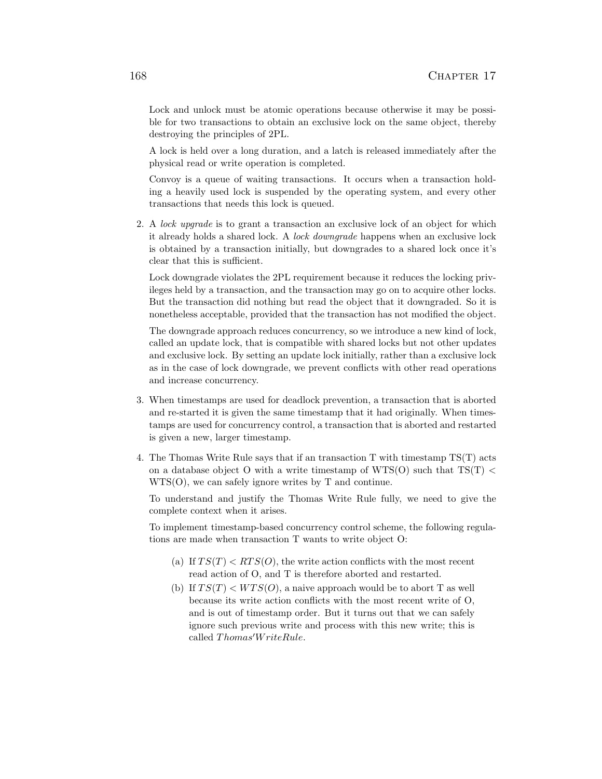Lock and unlock must be atomic operations because otherwise it may be possible for two transactions to obtain an exclusive lock on the same object, thereby destroying the principles of 2PL.

A lock is held over a long duration, and a latch is released immediately after the physical read or write operation is completed.

Convoy is a queue of waiting transactions. It occurs when a transaction holding a heavily used lock is suspended by the operating system, and every other transactions that needs this lock is queued.

2. A *lock upgrade* is to grant a transaction an exclusive lock of an object for which it already holds a shared lock. A *lock downgrade* happens when an exclusive lock is obtained by a transaction initially, but downgrades to a shared lock once it's clear that this is sufficient.

Lock downgrade violates the 2PL requirement because it reduces the locking privileges held by a transaction, and the transaction may go on to acquire other locks. But the transaction did nothing but read the object that it downgraded. So it is nonetheless acceptable, provided that the transaction has not modified the object.

The downgrade approach reduces concurrency, so we introduce a new kind of lock, called an update lock, that is compatible with shared locks but not other updates and exclusive lock. By setting an update lock initially, rather than a exclusive lock as in the case of lock downgrade, we prevent conflicts with other read operations and increase concurrency.

- 3. When timestamps are used for deadlock prevention, a transaction that is aborted and re-started it is given the same timestamp that it had originally. When timestamps are used for concurrency control, a transaction that is aborted and restarted is given a new, larger timestamp.
- 4. The Thomas Write Rule says that if an transaction T with timestamp TS(T) acts on a database object O with a write timestamp of WTS(O) such that  $TS(T)$  < WTS(O), we can safely ignore writes by T and continue.

To understand and justify the Thomas Write Rule fully, we need to give the complete context when it arises.

To implement timestamp-based concurrency control scheme, the following regulations are made when transaction T wants to write object O:

- (a) If  $TS(T) < RTS(O)$ , the write action conflicts with the most recent read action of O, and T is therefore aborted and restarted.
- (b) If  $TS(T) < WTS(O)$ , a naive approach would be to abort T as well because its write action conflicts with the most recent write of O, and is out of timestamp order. But it turns out that we can safely ignore such previous write and process with this new write; this is called  $Thomas'WriteRule.$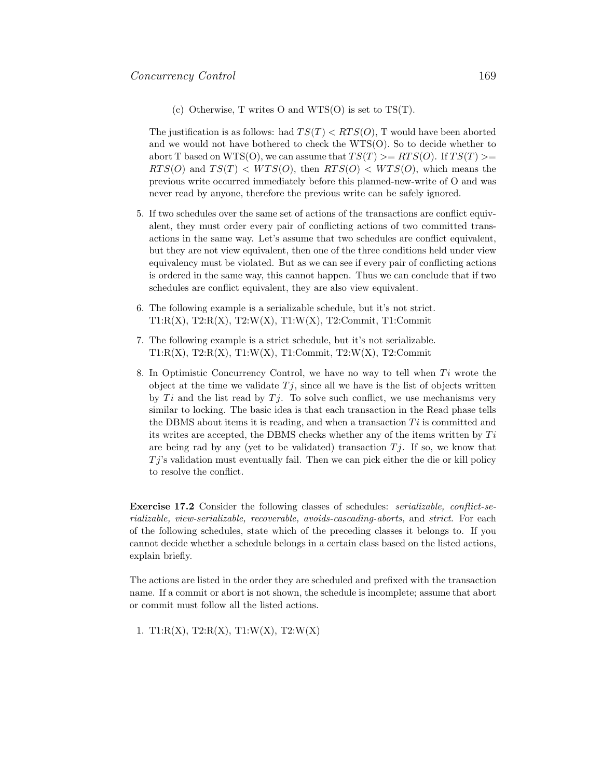(c) Otherwise, T writes O and WTS(O) is set to TS(T).

The justification is as follows: had  $TS(T) < RTS(O)$ , T would have been aborted and we would not have bothered to check the  $WTS(O)$ . So to decide whether to abort T based on WTS(O), we can assume that  $TS(T) \geq RTS(0)$ . If  $TS(T) \geq$  $RTS(O)$  and  $TS(T) < WTS(O)$ , then  $RTS(O) < WTS(O)$ , which means the previous write occurred immediately before this planned-new-write of O and was never read by anyone, therefore the previous write can be safely ignored.

- 5. If two schedules over the same set of actions of the transactions are conflict equivalent, they must order every pair of conflicting actions of two committed transactions in the same way. Let's assume that two schedules are conflict equivalent, but they are not view equivalent, then one of the three conditions held under view equivalency must be violated. But as we can see if every pair of conflicting actions is ordered in the same way, this cannot happen. Thus we can conclude that if two schedules are conflict equivalent, they are also view equivalent.
- 6. The following example is a serializable schedule, but it's not strict. T1:R(X), T2:R(X), T2:W(X), T1:W(X), T2:Commit, T1:Commit
- 7. The following example is a strict schedule, but it's not serializable. T1:R(X), T2:R(X), T1:W(X), T1:Commit, T2:W(X), T2:Commit
- 8. In Optimistic Concurrency Control, we have no way to tell when  $Ti$  wrote the object at the time we validate  $T_j$ , since all we have is the list of objects written by  $Ti$  and the list read by  $Tj$ . To solve such conflict, we use mechanisms very similar to locking. The basic idea is that each transaction in the Read phase tells the DBMS about items it is reading, and when a transaction  $Ti$  is committed and its writes are accepted, the DBMS checks whether any of the items written by  $Ti$ are being rad by any (yet to be validated) transaction  $Tj$ . If so, we know that  $Tj$ 's validation must eventually fail. Then we can pick either the die or kill policy to resolve the conflict.

**Exercise 17.2** Consider the following classes of schedules: *serializable, conflict-serializable, view-serializable, recoverable, avoids-cascading-aborts,* and *strict*. For each of the following schedules, state which of the preceding classes it belongs to. If you cannot decide whether a schedule belongs in a certain class based on the listed actions, explain briefly.

The actions are listed in the order they are scheduled and prefixed with the transaction name. If a commit or abort is not shown, the schedule is incomplete; assume that abort or commit must follow all the listed actions.

1. T1:R(X), T2:R(X), T1:W(X), T2:W(X)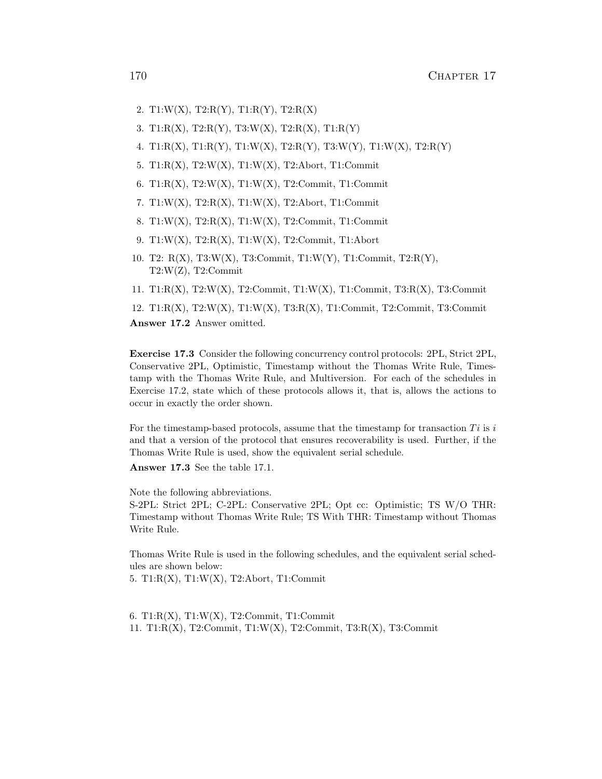- 2. T1:W(X), T2:R(Y), T1:R(Y), T2:R(X)
- 3. T1:R(X), T2:R(Y), T3:W(X), T2:R(X), T1:R(Y)
- 4. T1:R(X), T1:R(Y), T1:W(X), T2:R(Y), T3:W(Y), T1:W(X), T2:R(Y)
- 5. T1:R(X), T2:W(X), T1:W(X), T2:Abort, T1:Commit
- 6. T1:R(X), T2:W(X), T1:W(X), T2:Commit, T1:Commit
- 7. T1:W(X), T2:R(X), T1:W(X), T2:Abort, T1:Commit
- 8. T1:W(X), T2:R(X), T1:W(X), T2:Commit, T1:Commit
- 9. T1:W(X), T2:R(X), T1:W(X), T2:Commit, T1:Abort
- 10. T2: R(X), T3:W(X), T3:Commit, T1:W(Y), T1:Commit, T2:R(Y), T2:W(Z), T2:Commit
- 11. T1:R(X), T2:W(X), T2:Commit, T1:W(X), T1:Commit, T3:R(X), T3:Commit

```
12. T1:R(X), T2:W(X), T1:W(X), T3:R(X), T1:Commit, T2:Commit, T3:Commit
Answer 17.2 Answer omitted.
```
**Exercise 17.3** Consider the following concurrency control protocols: 2PL, Strict 2PL, Conservative 2PL, Optimistic, Timestamp without the Thomas Write Rule, Timestamp with the Thomas Write Rule, and Multiversion. For each of the schedules in Exercise 17.2, state which of these protocols allows it, that is, allows the actions to occur in exactly the order shown.

For the timestamp-based protocols, assume that the timestamp for transaction  $Ti$  is  $i$ and that a version of the protocol that ensures recoverability is used. Further, if the Thomas Write Rule is used, show the equivalent serial schedule.

**Answer 17.3** See the table 17.1.

Note the following abbreviations.

S-2PL: Strict 2PL; C-2PL: Conservative 2PL; Opt cc: Optimistic; TS W/O THR: Timestamp without Thomas Write Rule; TS With THR: Timestamp without Thomas Write Rule.

Thomas Write Rule is used in the following schedules, and the equivalent serial schedules are shown below:

5. T1:R(X), T1:W(X), T2:Abort, T1:Commit

6. T1:R(X), T1:W(X), T2:Commit, T1:Commit 11. T1:R(X), T2:Commit, T1:W(X), T2:Commit, T3:R(X), T3:Commit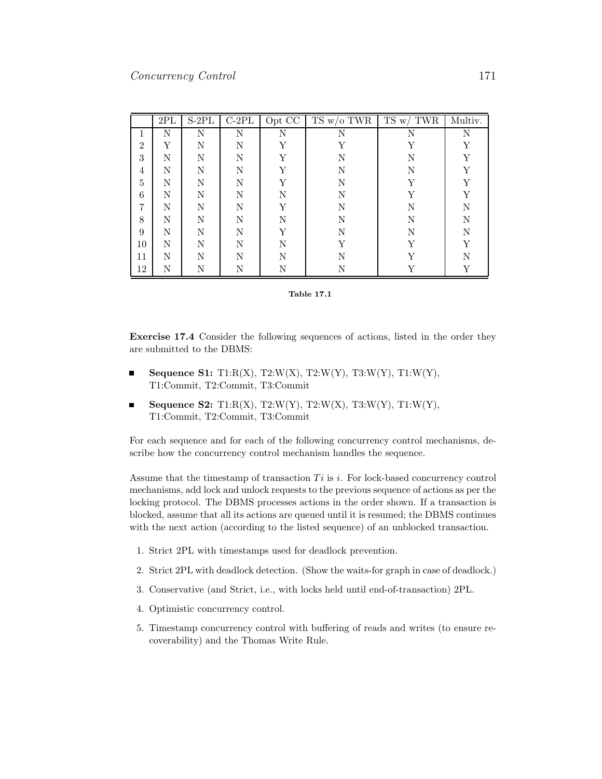|                | 2PL | $S-2PL$ | $C-2PL$ | Opt $C\overline{C}$ | TS w/o TWR | TS w<br>TWR. | Multiv. |
|----------------|-----|---------|---------|---------------------|------------|--------------|---------|
|                | N   | N       | N       | N                   | N          | N            | Ν       |
| $\overline{2}$ | Y   | N       | N       | Y                   | Y          | Y            | Y       |
| 3              | N   | N       | N       | Y                   | N          | N            | Y       |
| 4              | N   | N       | N       | Y                   | N          | N            | Y       |
| 5              | N   | N       | N       | Y                   | N          |              | Y       |
| 6              | N   | N       | N       | N                   | N          |              | Y       |
| 7              | N   | N       | N       | Y                   | N          | N            | N       |
| 8              | N   | N       | N       | N                   | N          | N            | N       |
| 9              | N   | N       | N       | Y                   | Ν          | N            | N       |
| 10             | N   | N       | N       | N                   | Y          |              | Y       |
| 11             | N   | N       | N       | N                   | N          |              | N       |
| 12             | N   | N       | N       | N                   | N          |              |         |

**Exercise 17.4** Consider the following sequences of actions, listed in the order they are submitted to the DBMS:

- **Sequence S1:** T1:R(X), T2:W(X), T2:W(Y), T3:W(Y), T1:W(Y),  $\blacksquare$ T1:Commit, T2:Commit, T3:Commit
- **Sequence S2:** T1:R(X), T2:W(Y), T2:W(X), T3:W(Y), T1:W(Y), T1:Commit, T2:Commit, T3:Commit

For each sequence and for each of the following concurrency control mechanisms, describe how the concurrency control mechanism handles the sequence.

Assume that the timestamp of transaction  $Ti$  is i. For lock-based concurrency control mechanisms, add lock and unlock requests to the previous sequence of actions as per the locking protocol. The DBMS processes actions in the order shown. If a transaction is blocked, assume that all its actions are queued until it is resumed; the DBMS continues with the next action (according to the listed sequence) of an unblocked transaction.

- 1. Strict 2PL with timestamps used for deadlock prevention.
- 2. Strict 2PL with deadlock detection. (Show the waits-for graph in case of deadlock.)
- 3. Conservative (and Strict, i.e., with locks held until end-of-transaction) 2PL.
- 4. Optimistic concurrency control.
- 5. Timestamp concurrency control with buffering of reads and writes (to ensure recoverability) and the Thomas Write Rule.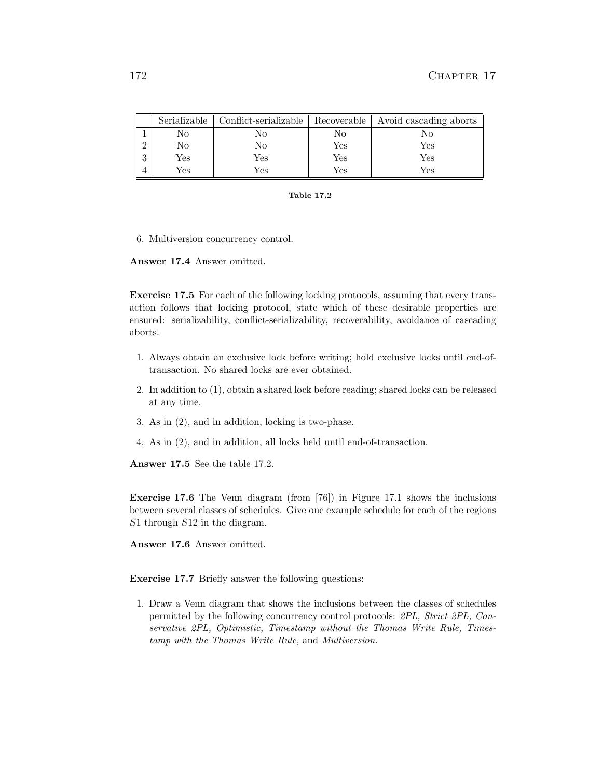|         | Serializable | Conflict-serializable | Recoverable          | Avoid cascading aborts |
|---------|--------------|-----------------------|----------------------|------------------------|
|         | No           | No                    | No                   | No                     |
|         | No           | No                    | $\operatorname{Yes}$ | Yes                    |
| ച<br>IJ | Yes          | $\operatorname{Yes}$  | Yes                  | Yes                    |
|         | Yes          | Yes                   | Yes                  | Yes                    |

6. Multiversion concurrency control.

**Answer 17.4** Answer omitted.

**Exercise 17.5** For each of the following locking protocols, assuming that every transaction follows that locking protocol, state which of these desirable properties are ensured: serializability, conflict-serializability, recoverability, avoidance of cascading aborts.

- 1. Always obtain an exclusive lock before writing; hold exclusive locks until end-oftransaction. No shared locks are ever obtained.
- 2. In addition to (1), obtain a shared lock before reading; shared locks can be released at any time.
- 3. As in (2), and in addition, locking is two-phase.
- 4. As in (2), and in addition, all locks held until end-of-transaction.

**Answer 17.5** See the table 17.2.

**Exercise 17.6** The Venn diagram (from [76]) in Figure 17.1 shows the inclusions between several classes of schedules. Give one example schedule for each of the regions S1 through S12 in the diagram.

**Answer 17.6** Answer omitted.

**Exercise 17.7** Briefly answer the following questions:

1. Draw a Venn diagram that shows the inclusions between the classes of schedules permitted by the following concurrency control protocols: *2PL, Strict 2PL, Conservative 2PL, Optimistic, Timestamp without the Thomas Write Rule, Timestamp with the Thomas Write Rule,* and *Multiversion*.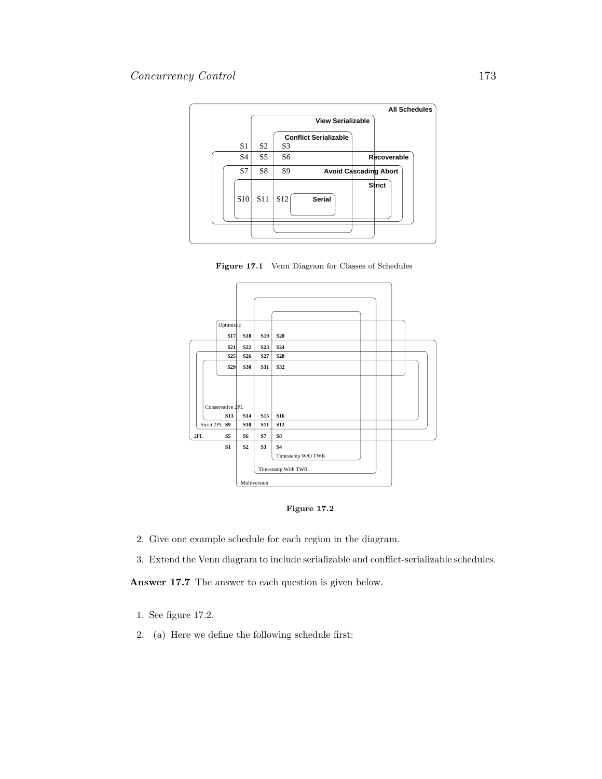

**Figure 17.1** Venn Diagram for Classes of Schedules



**Figure 17.2**

- 2. Give one example schedule for each region in the diagram.
- 3. Extend the Venn diagram to include serializable and conflict-serializable schedules.

**Answer 17.7** The answer to each question is given below.

- 1. See figure 17.2.
- 2. (a) Here we define the following schedule first: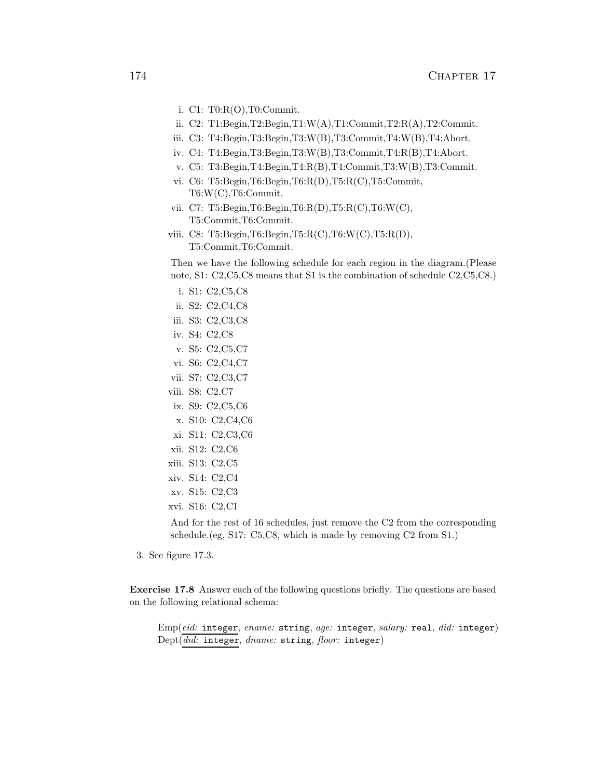- i. C1: T0:R(O),T0:Commit.
- ii. C2: T1:Begin,T2:Begin,T1:W(A),T1:Commit,T2:R(A),T2:Commit.
- iii. C3: T4:Begin,T3:Begin,T3:W(B),T3:Commit,T4:W(B),T4:Abort.
- iv. C4: T4:Begin,T3:Begin,T3:W(B),T3:Commit,T4:R(B),T4:Abort.
- v. C5: T3:Begin,T4:Begin,T4:R(B),T4:Commit,T3:W(B),T3:Commit.
- vi. C6: T5:Begin,T6:Begin,T6:R(D),T5:R(C),T5:Commit, T6:W(C),T6:Commit.
- vii. C7: T5:Begin,T6:Begin,T6:R(D),T5:R(C),T6:W(C), T5:Commit,T6:Commit.
- viii. C8: T5:Begin,T6:Begin,T5:R(C),T6:W(C),T5:R(D), T5:Commit,T6:Commit.

Then we have the following schedule for each region in the diagram.(Please note, S1: C2,C5,C8 means that S1 is the combination of schedule C2,C5,C8.)

- i. S1: C2,C5,C8
- ii. S2: C2,C4,C8
- iii. S3: C2,C3,C8
- iv. S4: C2,C8
- v. S5: C2,C5,C7
- vi. S6: C2,C4,C7
- vii. S7: C2,C3,C7
- viii. S8: C2,C7
- ix. S9: C2,C5,C6
- x. S10: C2,C4,C6
- xi. S11: C2,C3,C6
- xii. S12: C2,C6
- xiii. S13: C2,C5
- xiv. S14: C2,C4
- xv. S15: C2,C3
- xvi. S16: C2,C1

And for the rest of 16 schedules, just remove the C2 from the corresponding schedule.(eg, S17: C5,C8, which is made by removing C2 from S1.)

3. See figure 17.3.

**Exercise 17.8** Answer each of the following questions briefly. The questions are based on the following relational schema:

Emp(*eid:* integer, *ename:* string, *age:* integer, *salary:* real, *did:* integer) Dept(*did:* integer, *dname:* string, *floor:* integer)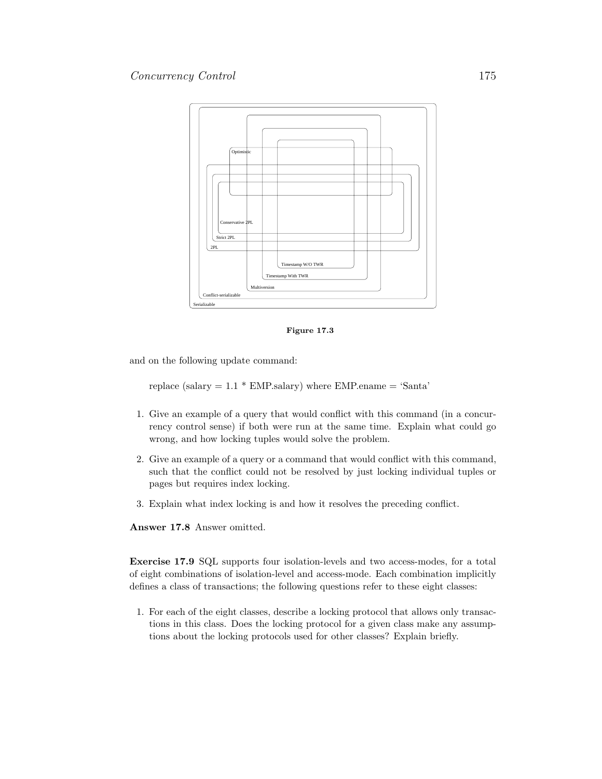

**Figure 17.3**

and on the following update command:

replace (salary  $= 1.1 * EMP.salary$ ) where EMP.ename  $= 'Santa'$ 

- 1. Give an example of a query that would conflict with this command (in a concurrency control sense) if both were run at the same time. Explain what could go wrong, and how locking tuples would solve the problem.
- 2. Give an example of a query or a command that would conflict with this command, such that the conflict could not be resolved by just locking individual tuples or pages but requires index locking.
- 3. Explain what index locking is and how it resolves the preceding conflict.

**Answer 17.8** Answer omitted.

**Exercise 17.9** SQL supports four isolation-levels and two access-modes, for a total of eight combinations of isolation-level and access-mode. Each combination implicitly defines a class of transactions; the following questions refer to these eight classes:

1. For each of the eight classes, describe a locking protocol that allows only transactions in this class. Does the locking protocol for a given class make any assumptions about the locking protocols used for other classes? Explain briefly.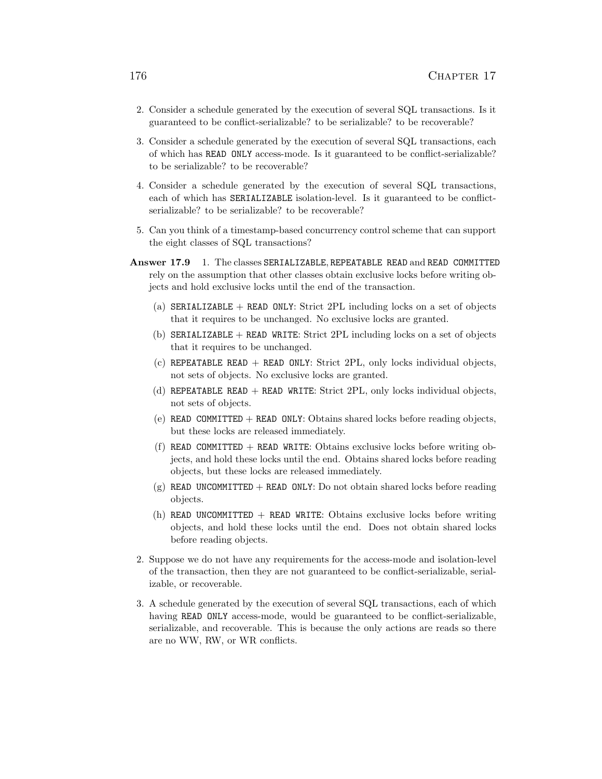- 2. Consider a schedule generated by the execution of several SQL transactions. Is it guaranteed to be conflict-serializable? to be serializable? to be recoverable?
- 3. Consider a schedule generated by the execution of several SQL transactions, each of which has READ ONLY access-mode. Is it guaranteed to be conflict-serializable? to be serializable? to be recoverable?
- 4. Consider a schedule generated by the execution of several SQL transactions, each of which has SERIALIZABLE isolation-level. Is it guaranteed to be conflictserializable? to be serializable? to be recoverable?
- 5. Can you think of a timestamp-based concurrency control scheme that can support the eight classes of SQL transactions?
- **Answer 17.9** 1. The classes SERIALIZABLE, REPEATABLE READ and READ COMMITTED rely on the assumption that other classes obtain exclusive locks before writing objects and hold exclusive locks until the end of the transaction.
	- (a) SERIALIZABLE + READ ONLY: Strict 2PL including locks on a set of objects that it requires to be unchanged. No exclusive locks are granted.
	- (b) SERIALIZABLE + READ WRITE: Strict 2PL including locks on a set of objects that it requires to be unchanged.
	- (c) REPEATABLE READ + READ ONLY: Strict 2PL, only locks individual objects, not sets of objects. No exclusive locks are granted.
	- (d) REPEATABLE READ + READ WRITE: Strict 2PL, only locks individual objects, not sets of objects.
	- (e) READ COMMITTED + READ ONLY: Obtains shared locks before reading objects, but these locks are released immediately.
	- (f) READ COMMITTED + READ WRITE: Obtains exclusive locks before writing objects, and hold these locks until the end. Obtains shared locks before reading objects, but these locks are released immediately.
	- $(g)$  READ UNCOMMITTED + READ ONLY: Do not obtain shared locks before reading objects.
	- (h) READ UNCOMMITTED + READ WRITE: Obtains exclusive locks before writing objects, and hold these locks until the end. Does not obtain shared locks before reading objects.
	- 2. Suppose we do not have any requirements for the access-mode and isolation-level of the transaction, then they are not guaranteed to be conflict-serializable, serializable, or recoverable.
	- 3. A schedule generated by the execution of several SQL transactions, each of which having READ ONLY access-mode, would be guaranteed to be conflict-serializable, serializable, and recoverable. This is because the only actions are reads so there are no WW, RW, or WR conflicts.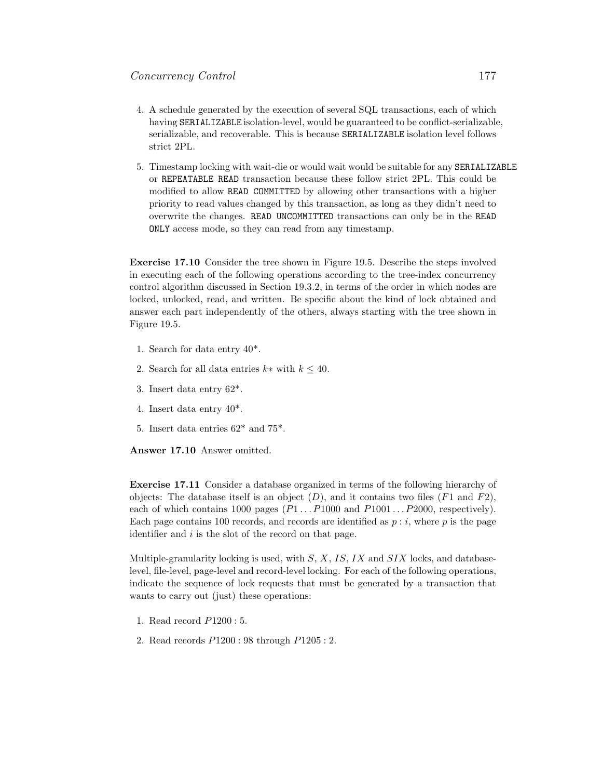- 4. A schedule generated by the execution of several SQL transactions, each of which having SERIALIZABLE isolation-level, would be guaranteed to be conflict-serializable, serializable, and recoverable. This is because SERIALIZABLE isolation level follows strict 2PL.
- 5. Timestamp locking with wait-die or would wait would be suitable for any SERIALIZABLE or REPEATABLE READ transaction because these follow strict 2PL. This could be modified to allow READ COMMITTED by allowing other transactions with a higher priority to read values changed by this transaction, as long as they didn't need to overwrite the changes. READ UNCOMMITTED transactions can only be in the READ ONLY access mode, so they can read from any timestamp.

**Exercise 17.10** Consider the tree shown in Figure 19.5. Describe the steps involved in executing each of the following operations according to the tree-index concurrency control algorithm discussed in Section 19.3.2, in terms of the order in which nodes are locked, unlocked, read, and written. Be specific about the kind of lock obtained and answer each part independently of the others, always starting with the tree shown in Figure 19.5.

- 1. Search for data entry 40\*.
- 2. Search for all data entries  $k*$  with  $k \leq 40$ .
- 3. Insert data entry 62\*.
- 4. Insert data entry 40\*.
- 5. Insert data entries 62\* and 75\*.

**Answer 17.10** Answer omitted.

**Exercise 17.11** Consider a database organized in terms of the following hierarchy of objects: The database itself is an object  $(D)$ , and it contains two files  $(F1 \text{ and } F2)$ , each of which contains 1000 pages  $(P1 \dots P1000$  and  $P1001 \dots P2000$ , respectively). Each page contains 100 records, and records are identified as  $p : i$ , where p is the page identifier and  $i$  is the slot of the record on that page.

Multiple-granularity locking is used, with  $S, X, IS, IX$  and  $SIX$  locks, and databaselevel, file-level, page-level and record-level locking. For each of the following operations, indicate the sequence of lock requests that must be generated by a transaction that wants to carry out (just) these operations:

- 1. Read record P1200 : 5.
- 2. Read records P1200 : 98 through P1205 : 2.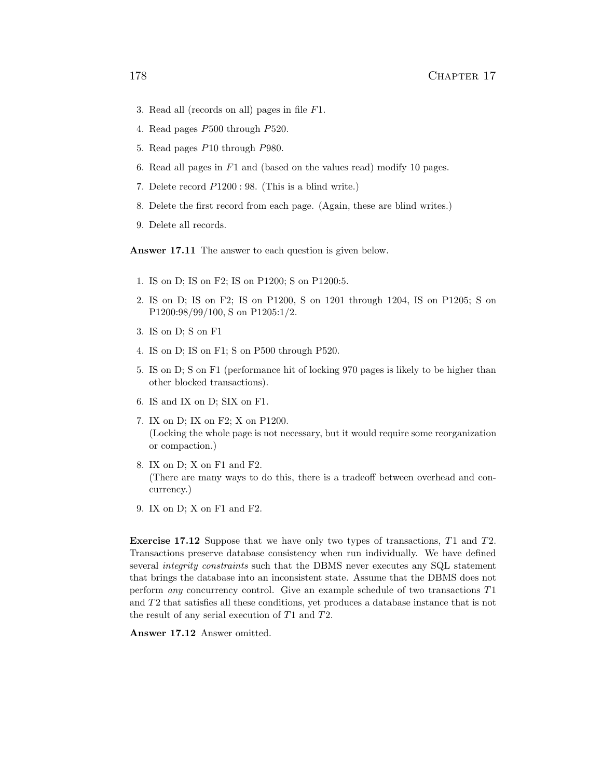- 3. Read all (records on all) pages in file F1.
- 4. Read pages P500 through P520.
- 5. Read pages P10 through P980.
- 6. Read all pages in  $F1$  and (based on the values read) modify 10 pages.
- 7. Delete record P1200 : 98. (This is a blind write.)
- 8. Delete the first record from each page. (Again, these are blind writes.)
- 9. Delete all records.

**Answer 17.11** The answer to each question is given below.

- 1. IS on D; IS on F2; IS on P1200; S on P1200:5.
- 2. IS on D; IS on F2; IS on P1200, S on 1201 through 1204, IS on P1205; S on P1200:98/99/100, S on P1205:1/2.
- 3. IS on D; S on F1
- 4. IS on D; IS on F1; S on P500 through P520.
- 5. IS on D; S on F1 (performance hit of locking 970 pages is likely to be higher than other blocked transactions).
- 6. IS and IX on D; SIX on F1.
- 7. IX on D; IX on F2; X on P1200. (Locking the whole page is not necessary, but it would require some reorganization or compaction.)
- 8. IX on D; X on F1 and F2. (There are many ways to do this, there is a tradeoff between overhead and concurrency.)
- 9. IX on D; X on F1 and F2.

**Exercise 17.12** Suppose that we have only two types of transactions, T1 and T2. Transactions preserve database consistency when run individually. We have defined several *integrity constraints* such that the DBMS never executes any SQL statement that brings the database into an inconsistent state. Assume that the DBMS does not perform *any* concurrency control. Give an example schedule of two transactions T1 and  $T2$  that satisfies all these conditions, yet produces a database instance that is not the result of any serial execution of  $T1$  and  $T2$ .

**Answer 17.12** Answer omitted.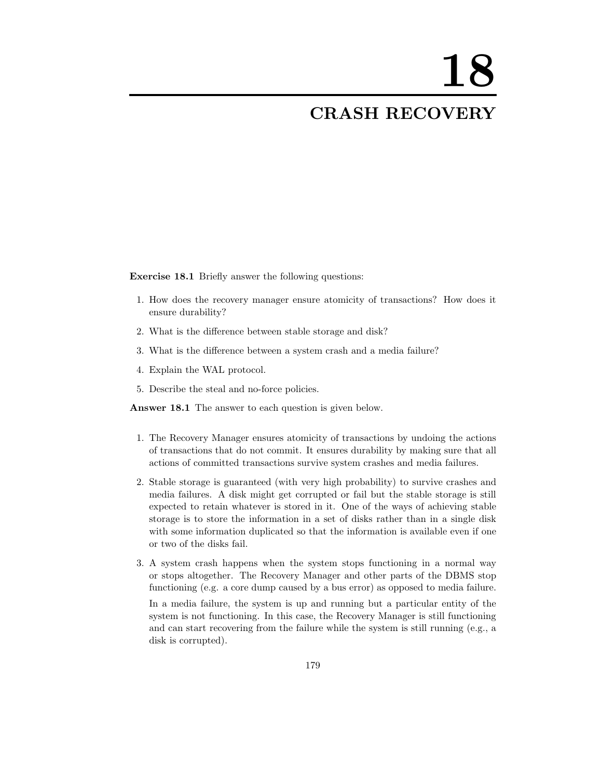## **18 CRASH RECOVERY**

**Exercise 18.1** Briefly answer the following questions:

- 1. How does the recovery manager ensure atomicity of transactions? How does it ensure durability?
- 2. What is the difference between stable storage and disk?
- 3. What is the difference between a system crash and a media failure?
- 4. Explain the WAL protocol.
- 5. Describe the steal and no-force policies.

**Answer 18.1** The answer to each question is given below.

- 1. The Recovery Manager ensures atomicity of transactions by undoing the actions of transactions that do not commit. It ensures durability by making sure that all actions of committed transactions survive system crashes and media failures.
- 2. Stable storage is guaranteed (with very high probability) to survive crashes and media failures. A disk might get corrupted or fail but the stable storage is still expected to retain whatever is stored in it. One of the ways of achieving stable storage is to store the information in a set of disks rather than in a single disk with some information duplicated so that the information is available even if one or two of the disks fail.
- 3. A system crash happens when the system stops functioning in a normal way or stops altogether. The Recovery Manager and other parts of the DBMS stop functioning (e.g. a core dump caused by a bus error) as opposed to media failure. In a media failure, the system is up and running but a particular entity of the system is not functioning. In this case, the Recovery Manager is still functioning and can start recovering from the failure while the system is still running (e.g., a disk is corrupted).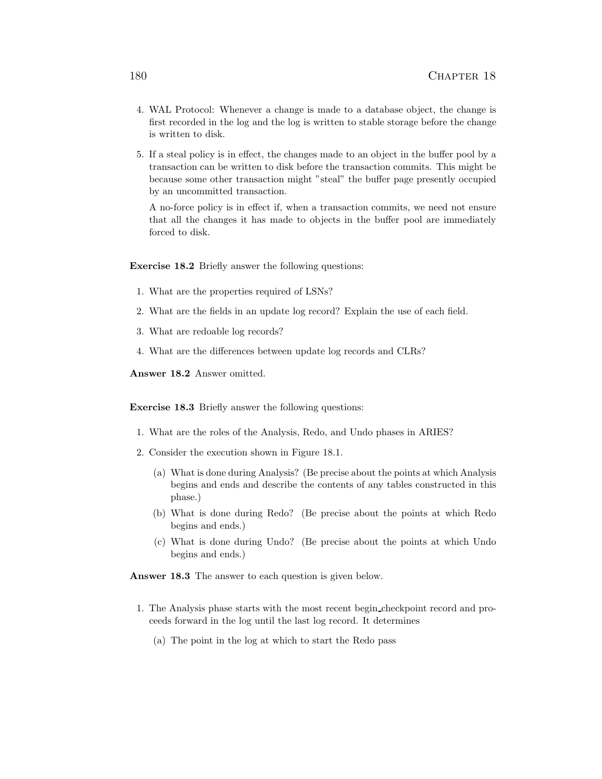- 4. WAL Protocol: Whenever a change is made to a database object, the change is first recorded in the log and the log is written to stable storage before the change is written to disk.
- 5. If a steal policy is in effect, the changes made to an object in the buffer pool by a transaction can be written to disk before the transaction commits. This might be because some other transaction might "steal" the buffer page presently occupied by an uncommitted transaction.

A no-force policy is in effect if, when a transaction commits, we need not ensure that all the changes it has made to objects in the buffer pool are immediately forced to disk.

**Exercise 18.2** Briefly answer the following questions:

- 1. What are the properties required of LSNs?
- 2. What are the fields in an update log record? Explain the use of each field.
- 3. What are redoable log records?
- 4. What are the differences between update log records and CLRs?

**Answer 18.2** Answer omitted.

**Exercise 18.3** Briefly answer the following questions:

- 1. What are the roles of the Analysis, Redo, and Undo phases in ARIES?
- 2. Consider the execution shown in Figure 18.1.
	- (a) What is done during Analysis? (Be precise about the points at which Analysis begins and ends and describe the contents of any tables constructed in this phase.)
	- (b) What is done during Redo? (Be precise about the points at which Redo begins and ends.)
	- (c) What is done during Undo? (Be precise about the points at which Undo begins and ends.)

**Answer 18.3** The answer to each question is given below.

- 1. The Analysis phase starts with the most recent begin checkpoint record and proceeds forward in the log until the last log record. It determines
	- (a) The point in the log at which to start the Redo pass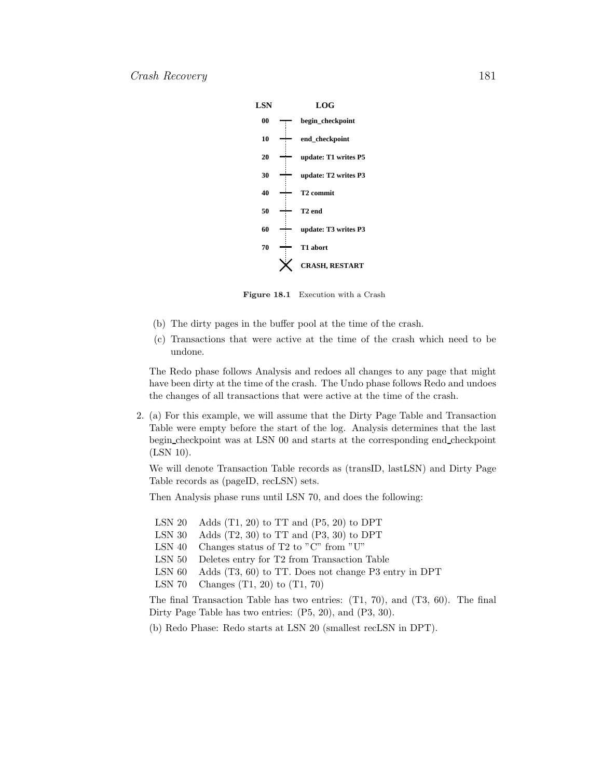

**Figure 18.1** Execution with a Crash

- (b) The dirty pages in the buffer pool at the time of the crash.
- (c) Transactions that were active at the time of the crash which need to be undone.

The Redo phase follows Analysis and redoes all changes to any page that might have been dirty at the time of the crash. The Undo phase follows Redo and undoes the changes of all transactions that were active at the time of the crash.

2. (a) For this example, we will assume that the Dirty Page Table and Transaction Table were empty before the start of the log. Analysis determines that the last begin checkpoint was at LSN 00 and starts at the corresponding end checkpoint (LSN 10).

We will denote Transaction Table records as (transID, lastLSN) and Dirty Page Table records as (pageID, recLSN) sets.

Then Analysis phase runs until LSN 70, and does the following:

LSN 20 Adds  $(T1, 20)$  to TT and  $(P5, 20)$  to DPT LSN  $30$  Adds  $(T2, 30)$  to TT and  $(P3, 30)$  to DPT LSN 40 Changes status of T2 to "C" from "U" LSN 50 Deletes entry for T2 from Transaction Table LSN 60 Adds (T3, 60) to TT. Does not change P3 entry in DPT LSN 70 Changes (T1, 20) to (T1, 70) The final Transaction Table has two entries: (T1, 70), and (T3, 60). The final Dirty Page Table has two entries: (P5, 20), and (P3, 30).

(b) Redo Phase: Redo starts at LSN 20 (smallest recLSN in DPT).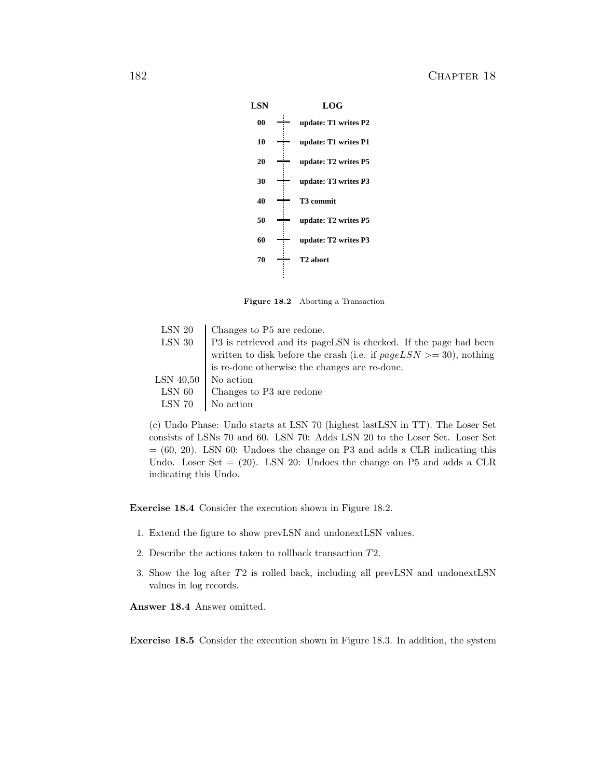

**Figure 18.2** Aborting a Transaction

| LSN <sub>20</sub>  | Changes to P5 are redone.                                            |
|--------------------|----------------------------------------------------------------------|
| LSN 30             | P3 is retrieved and its pageLSN is checked. If the page had been     |
|                    | written to disk before the crash (i.e. if $pageLSN >= 30$ ), nothing |
|                    | is re-done otherwise the changes are re-done.                        |
| LSN 40,50          | No action                                                            |
| $LSN_{00}$         | Changes to P3 are redone                                             |
| LSN 70   No action |                                                                      |

(c) Undo Phase: Undo starts at LSN 70 (highest lastLSN in TT). The Loser Set consists of LSNs 70 and 60. LSN 70: Adds LSN 20 to the Loser Set. Loser Set  $= (60, 20)$ . LSN 60: Undoes the change on P3 and adds a CLR indicating this Undo. Loser Set  $= (20)$ . LSN 20: Undoes the change on P5 and adds a CLR indicating this Undo.

**Exercise 18.4** Consider the execution shown in Figure 18.2.

- 1. Extend the figure to show prevLSN and undonextLSN values.
- 2. Describe the actions taken to rollback transaction  $T2$ .
- 3. Show the log after  $T2$  is rolled back, including all prevLSN and undonextLSN values in log records.

**Answer 18.4** Answer omitted.

**Exercise 18.5** Consider the execution shown in Figure 18.3. In addition, the system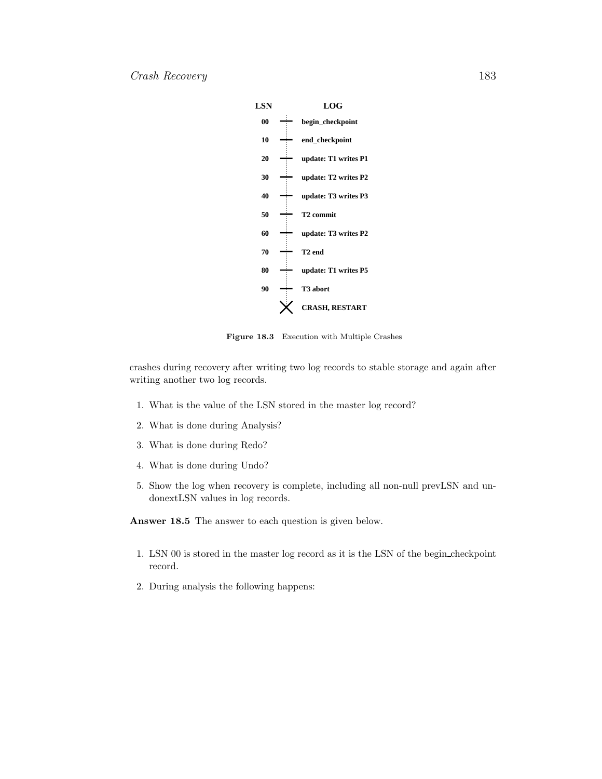

**Figure 18.3** Execution with Multiple Crashes

crashes during recovery after writing two log records to stable storage and again after writing another two log records.

- 1. What is the value of the LSN stored in the master log record?
- 2. What is done during Analysis?
- 3. What is done during Redo?
- 4. What is done during Undo?
- 5. Show the log when recovery is complete, including all non-null prevLSN and undonextLSN values in log records.

**Answer 18.5** The answer to each question is given below.

- 1. LSN 00 is stored in the master log record as it is the LSN of the begin checkpoint record.
- 2. During analysis the following happens: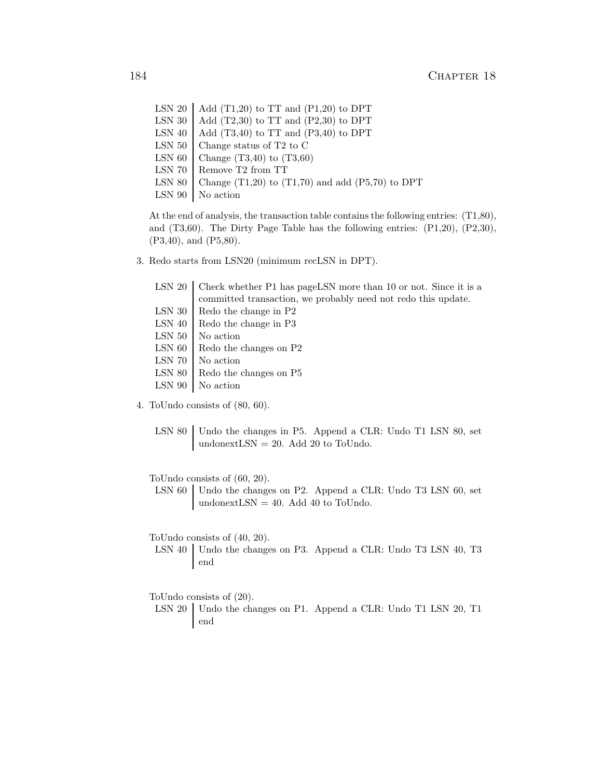- LSN 20  $\vert$  Add (T1,20) to TT and (P1,20) to DPT
- LSN 30  $\vert$  Add (T2,30) to TT and (P2,30) to DPT
- LSN 40  $\vert$  Add (T3,40) to TT and (P3,40) to DPT
- LSN 50  $\vert$  Change status of T2 to C
- LSN 60 Change  $(T3,40)$  to  $(T3,60)$
- LSN 70 | Remove T2 from TT
- LSN 80 Change (T1,20) to (T1,70) and add (P5,70) to DPT
- LSN  $90$  No action

At the end of analysis, the transaction table contains the following entries: (T1,80), and (T3,60). The Dirty Page Table has the following entries: (P1,20), (P2,30), (P3,40), and (P5,80).

3. Redo starts from LSN20 (minimum recLSN in DPT).

|                   | LSN 20 $\vert$ Check whether P1 has pageLSN more than 10 or not. Since it is a |
|-------------------|--------------------------------------------------------------------------------|
|                   | committed transaction, we probably need not redo this update.                  |
| LSN 30            | Redo the change in P2                                                          |
| LSN <sub>40</sub> | Redo the change in P3                                                          |
| LSN 50            | No action                                                                      |
| LSN 60            | Redo the changes on P2                                                         |
| LSN 70            | No action                                                                      |
| LSN 80            | Redo the changes on P5                                                         |
| LSN 90            | No action                                                                      |
|                   |                                                                                |

- 4. ToUndo consists of (80, 60).
	- LSN 80 Undo the changes in P5. Append a CLR: Undo T1 LSN 80, set undonextLSN = 20. Add 20 to ToUndo.

ToUndo consists of (60, 20).

LSN 60 | Undo the changes on P2. Append a CLR: Undo T3 LSN 60, set undonextLSN =  $40.$  Add  $40$  to ToUndo.

ToUndo consists of (40, 20).

LSN 40 | Undo the changes on P3. Append a CLR: Undo T3 LSN 40, T3 end

ToUndo consists of (20).

LSN 20 Undo the changes on P1. Append a CLR: Undo T1 LSN 20, T1 end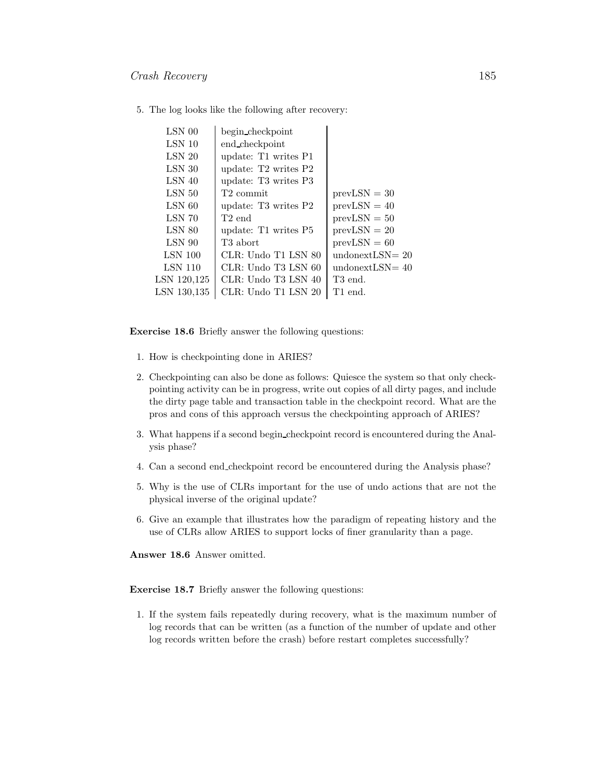| 5. The log looks like the following after recovery: |                        |  |  |  |  |
|-----------------------------------------------------|------------------------|--|--|--|--|
|                                                     | <b>TO3T00</b> 11 11 11 |  |  |  |  |

| $LSN$ 00          | begin_checkpoint                             |                     |
|-------------------|----------------------------------------------|---------------------|
| $\mathrm{LSN}$ 10 | end checkpoint                               |                     |
| LSN <sub>20</sub> | update: T1 writes P1                         |                     |
| LSN <sub>30</sub> | update: $T2$ writes $P2$                     |                     |
| LSN <sub>40</sub> | update: T <sub>3</sub> writes P <sub>3</sub> |                     |
| LSN <sub>50</sub> | T <sub>2</sub> commit                        | $prevLSN = 30$      |
| LSN <sub>60</sub> | update: $T3$ writes $P2$                     | $prevLSN = 40$      |
| LSN 70            | T <sub>2</sub> end                           | $prevLSN = 50$      |
| LSN 80            | update: T1 writes P5                         | $prevLSN = 20$      |
| $LSN$ 90          | T <sub>3</sub> abort                         | $prevLSN = 60$      |
| <b>LSN 100</b>    | CLR: Undo T1 LSN 80                          | undonextLSN $= 20$  |
| <b>LSN</b> 110    | CLR: Undo T3 LSN 60                          | undonextLSN= $40$   |
| LSN 120,125       | CLR: Undo T3 LSN 40                          | T <sub>3</sub> end. |
| LSN 130,135       | CLR: Undo T1 LSN 20                          | T1 end.             |

**Exercise 18.6** Briefly answer the following questions:

- 1. How is checkpointing done in ARIES?
- 2. Checkpointing can also be done as follows: Quiesce the system so that only checkpointing activity can be in progress, write out copies of all dirty pages, and include the dirty page table and transaction table in the checkpoint record. What are the pros and cons of this approach versus the checkpointing approach of ARIES?
- 3. What happens if a second begin checkpoint record is encountered during the Analysis phase?
- 4. Can a second end checkpoint record be encountered during the Analysis phase?
- 5. Why is the use of CLRs important for the use of undo actions that are not the physical inverse of the original update?
- 6. Give an example that illustrates how the paradigm of repeating history and the use of CLRs allow ARIES to support locks of finer granularity than a page.

**Answer 18.6** Answer omitted.

**Exercise 18.7** Briefly answer the following questions:

1. If the system fails repeatedly during recovery, what is the maximum number of log records that can be written (as a function of the number of update and other log records written before the crash) before restart completes successfully?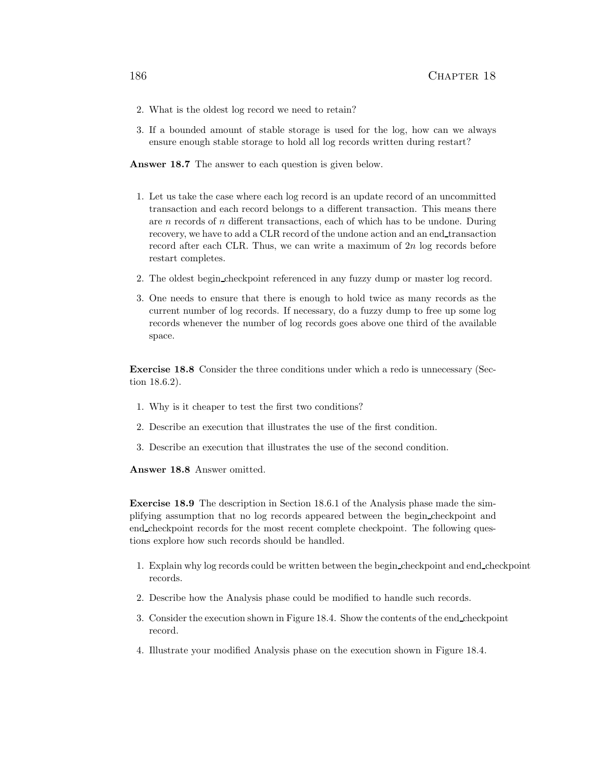- 2. What is the oldest log record we need to retain?
- 3. If a bounded amount of stable storage is used for the log, how can we always ensure enough stable storage to hold all log records written during restart?

**Answer 18.7** The answer to each question is given below.

- 1. Let us take the case where each log record is an update record of an uncommitted transaction and each record belongs to a different transaction. This means there are  $n$  records of  $n$  different transactions, each of which has to be undone. During recovery, we have to add a CLR record of the undone action and an end transaction record after each CLR. Thus, we can write a maximum of  $2n$  log records before restart completes.
- 2. The oldest begin checkpoint referenced in any fuzzy dump or master log record.
- 3. One needs to ensure that there is enough to hold twice as many records as the current number of log records. If necessary, do a fuzzy dump to free up some log records whenever the number of log records goes above one third of the available space.

**Exercise 18.8** Consider the three conditions under which a redo is unnecessary (Section 18.6.2).

- 1. Why is it cheaper to test the first two conditions?
- 2. Describe an execution that illustrates the use of the first condition.
- 3. Describe an execution that illustrates the use of the second condition.

**Answer 18.8** Answer omitted.

**Exercise 18.9** The description in Section 18.6.1 of the Analysis phase made the simplifying assumption that no log records appeared between the begin checkpoint and end checkpoint records for the most recent complete checkpoint. The following questions explore how such records should be handled.

- 1. Explain why log records could be written between the begin checkpoint and end checkpoint records.
- 2. Describe how the Analysis phase could be modified to handle such records.
- 3. Consider the execution shown in Figure 18.4. Show the contents of the end checkpoint record.
- 4. Illustrate your modified Analysis phase on the execution shown in Figure 18.4.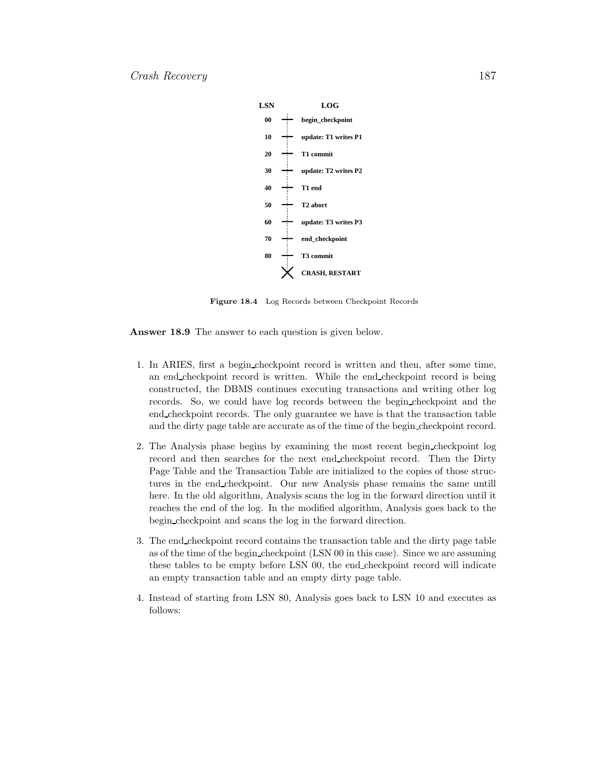

**Figure 18.4** Log Records between Checkpoint Records

**Answer 18.9** The answer to each question is given below.

- 1. In ARIES, first a begin checkpoint record is written and then, after some time, an end checkpoint record is written. While the end checkpoint record is being constructed, the DBMS continues executing transactions and writing other log records. So, we could have log records between the begin checkpoint and the end checkpoint records. The only guarantee we have is that the transaction table and the dirty page table are accurate as of the time of the begin checkpoint record.
- 2. The Analysis phase begins by examining the most recent begin checkpoint log record and then searches for the next end checkpoint record. Then the Dirty Page Table and the Transaction Table are initialized to the copies of those structures in the end checkpoint. Our new Analysis phase remains the same untill here. In the old algorithm, Analysis scans the log in the forward direction until it reaches the end of the log. In the modified algorithm, Analysis goes back to the begin checkpoint and scans the log in the forward direction.
- 3. The end checkpoint record contains the transaction table and the dirty page table as of the time of the begin checkpoint (LSN 00 in this case). Since we are assuming these tables to be empty before LSN 00, the end checkpoint record will indicate an empty transaction table and an empty dirty page table.
- 4. Instead of starting from LSN 80, Analysis goes back to LSN 10 and executes as follows: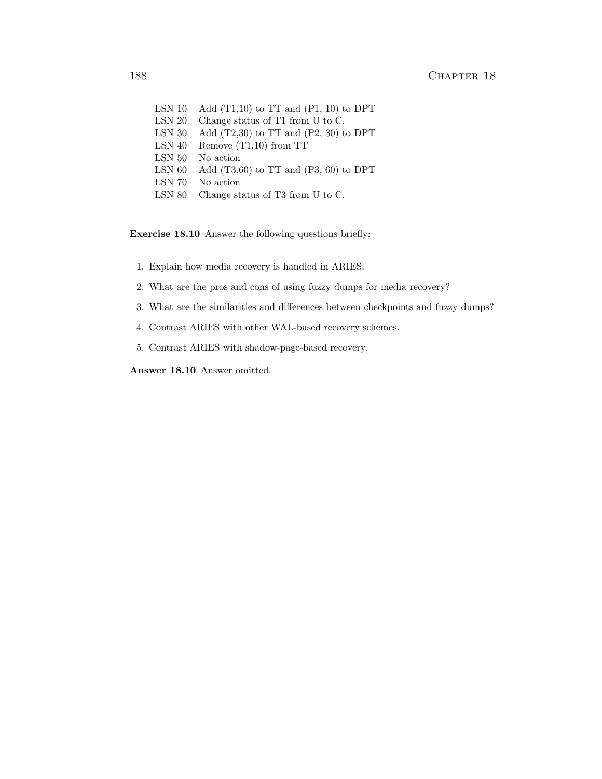| LSN 10             | Add $(T1,10)$ to TT and $(P1, 10)$ to DPT |
|--------------------|-------------------------------------------|
| $\mathrm{LSN}\ 20$ | Change status of T1 from U to C.          |
| LSN30              | Add $(T2,30)$ to TT and $(P2, 30)$ to DPT |
|                    | LSN $40$ Remove $(T1,10)$ from TT         |
| $\mathrm{LSN}~50$  | No action                                 |
| $LSN_{00}$         | Add $(T3,60)$ to TT and $(P3, 60)$ to DPT |
| LSN 70             | No action                                 |
| LSN 80             | Change status of T3 from U to C.          |

**Exercise 18.10** Answer the following questions briefly:

- 1. Explain how media recovery is handled in ARIES.
- 2. What are the pros and cons of using fuzzy dumps for media recovery?
- 3. What are the similarities and differences between checkpoints and fuzzy dumps?
- 4. Contrast ARIES with other WAL-based recovery schemes.
- 5. Contrast ARIES with shadow-page-based recovery.

**Answer 18.10** Answer omitted.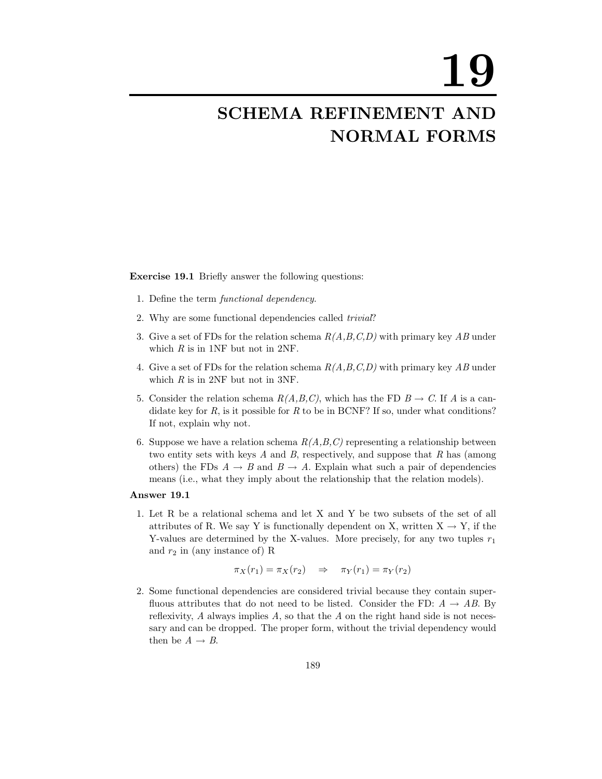## **19 SCHEMA REFINEMENT AND NORMAL FORMS**

**Exercise 19.1** Briefly answer the following questions:

- 1. Define the term *functional dependency*.
- 2. Why are some functional dependencies called *trivial*?
- 3. Give a set of FDs for the relation schema *R(A,B,C,D)* with primary key *AB* under which *R* is in 1NF but not in 2NF.
- 4. Give a set of FDs for the relation schema *R(A,B,C,D)* with primary key *AB* under which *R* is in 2NF but not in 3NF.
- 5. Consider the relation schema  $R(A, B, C)$ , which has the FD  $B \to C$ . If A is a candidate key for *R*, is it possible for *R* to be in BCNF? If so, under what conditions? If not, explain why not.
- 6. Suppose we have a relation schema  $R(A, B, C)$  representing a relationship between two entity sets with keys *A* and *B*, respectively, and suppose that *R* has (among others) the FDs  $A \rightarrow B$  and  $B \rightarrow A$ . Explain what such a pair of dependencies means (i.e., what they imply about the relationship that the relation models).

#### **Answer 19.1**

1. Let R be a relational schema and let X and Y be two subsets of the set of all attributes of R. We say Y is functionally dependent on X, written  $X \to Y$ , if the Y-values are determined by the X-values. More precisely, for any two tuples  $r_1$ and  $r_2$  in (any instance of) R

$$
\pi_X(r_1) = \pi_X(r_2) \quad \Rightarrow \quad \pi_Y(r_1) = \pi_Y(r_2)
$$

2. Some functional dependencies are considered trivial because they contain superfluous attributes that do not need to be listed. Consider the FD:  $A \rightarrow AB$ . By reflexivity, *A* always implies *A*, so that the *A* on the right hand side is not necessary and can be dropped. The proper form, without the trivial dependency would then be  $A \rightarrow B$ .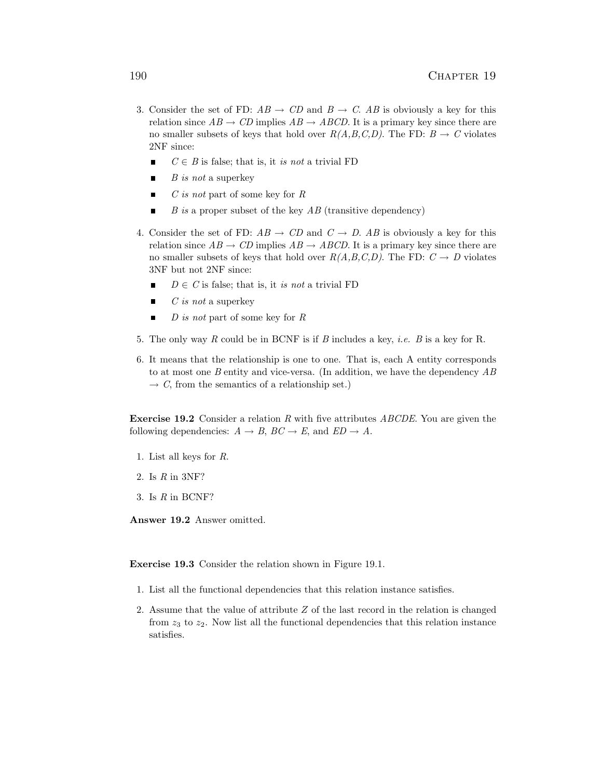- 3. Consider the set of FD:  $AB \rightarrow CD$  and  $B \rightarrow C$ . AB is obviously a key for this relation since  $AB \to CD$  implies  $AB \to ABCD$ . It is a primary key since there are no smaller subsets of keys that hold over  $R(A,B,C,D)$ . The FD:  $B \to C$  violates 2NF since:
	- $C \in B$  is false; that is, it *is not* a trivial FD  $\blacksquare$
	- *B is not* a superkey Ē
	- *C is not* part of some key for *R*
	- *B is* a proper subset of the key *AB* (transitive dependency) Ē
- 4. Consider the set of FD:  $AB \rightarrow CD$  and  $C \rightarrow D$ . AB is obviously a key for this relation since  $AB \to CD$  implies  $AB \to ABCD$ . It is a primary key since there are no smaller subsets of keys that hold over  $R(A, B, C, D)$ . The FD:  $C \rightarrow D$  violates 3NF but not 2NF since:
	- $D \in C$  is false; that is, it *is not* a trivial FD  $\blacksquare$
	- *C is not* a superkey
	- *D is not* part of some key for *R*
- 5. The only way *R* could be in BCNF is if *B* includes a key, *i.e. B* is a key for R.
- 6. It means that the relationship is one to one. That is, each A entity corresponds to at most one *B* entity and vice-versa. (In addition, we have the dependency *AB*  $\rightarrow C$ , from the semantics of a relationship set.)

**Exercise 19.2** Consider a relation R with five attributes ABCDE. You are given the following dependencies:  $A \rightarrow B$ ,  $BC \rightarrow E$ , and  $ED \rightarrow A$ .

- 1. List all keys for *R*.
- 2. Is *R* in 3NF?
- 3. Is *R* in BCNF?

**Answer 19.2** Answer omitted.

**Exercise 19.3** Consider the relation shown in Figure 19.1.

- 1. List all the functional dependencies that this relation instance satisfies.
- 2. Assume that the value of attribute Z of the last record in the relation is changed from  $z_3$  to  $z_2$ . Now list all the functional dependencies that this relation instance satisfies.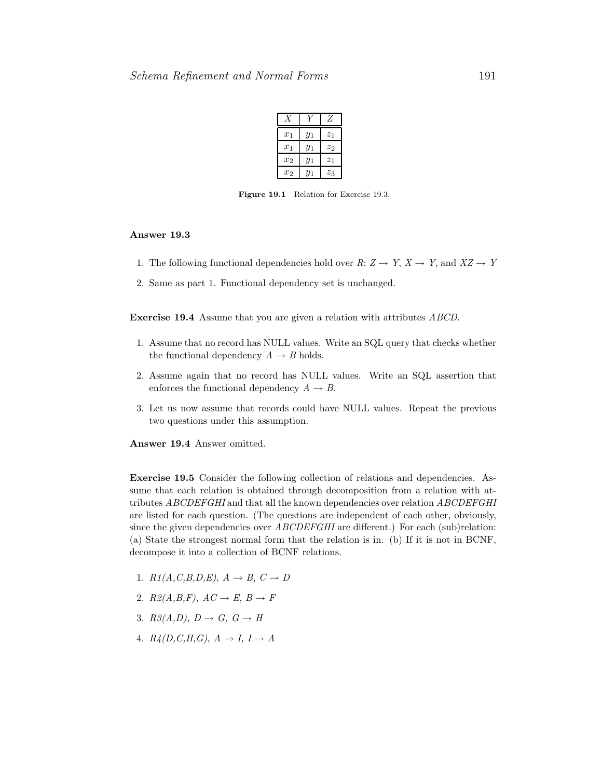|       |       | Z             |
|-------|-------|---------------|
| $x_1$ | $y_1$ | $z_{1}$       |
| $x_1$ | $y_1$ | $z_2$         |
| $x_2$ | $y_1$ | $\tilde{z}_1$ |
| $x_2$ | $y_1$ | $z_3$         |

**Figure 19.1** Relation for Exercise 19.3.

#### **Answer 19.3**

- 1. The following functional dependencies hold over  $R: Z \to Y$ ,  $X \to Y$ , and  $XZ \to Y$
- 2. Same as part 1. Functional dependency set is unchanged.

**Exercise 19.4** Assume that you are given a relation with attributes *ABCD*.

- 1. Assume that no record has NULL values. Write an SQL query that checks whether the functional dependency  $A \rightarrow B$  holds.
- 2. Assume again that no record has NULL values. Write an SQL assertion that enforces the functional dependency  $A \rightarrow B$ .
- 3. Let us now assume that records could have NULL values. Repeat the previous two questions under this assumption.

**Answer 19.4** Answer omitted.

**Exercise 19.5** Consider the following collection of relations and dependencies. Assume that each relation is obtained through decomposition from a relation with attributes *ABCDEFGHI* and that all the known dependencies over relation *ABCDEFGHI* are listed for each question. (The questions are independent of each other, obviously, since the given dependencies over *ABCDEFGHI* are different.) For each (sub)relation: (a) State the strongest normal form that the relation is in. (b) If it is not in BCNF, decompose it into a collection of BCNF relations.

- 1.  $R1(A, C, B, D, E), A \rightarrow B, C \rightarrow D$
- 2.  $R\mathcal{Q}(A,B,F)$ ,  $AC \rightarrow E$ ,  $B \rightarrow F$
- 3.  $R3(A,D), D \rightarrow G, G \rightarrow H$
- 4.  $R_4(D, C, H, G), A \to I, I \to A$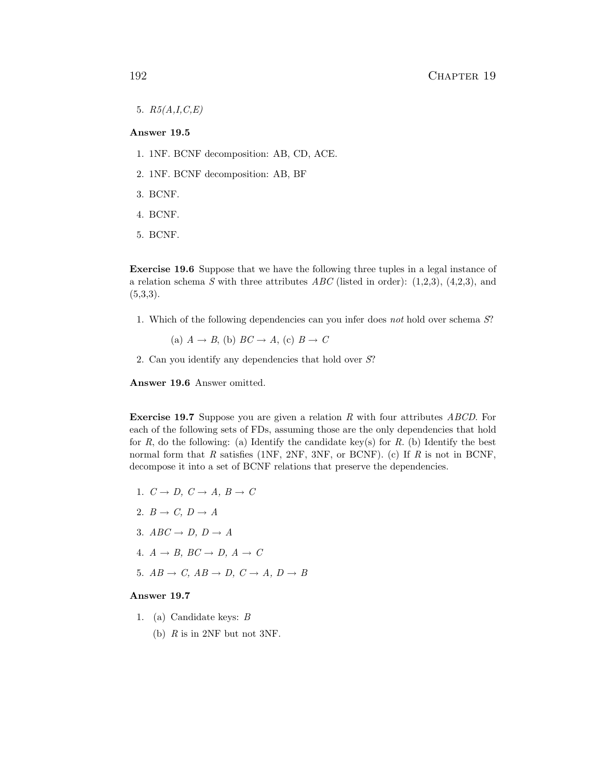5. *R5(A,I,C,E)*

#### **Answer 19.5**

- 1. 1NF. BCNF decomposition: AB, CD, ACE.
- 2. 1NF. BCNF decomposition: AB, BF
- 3. BCNF.
- 4. BCNF.
- 5. BCNF.

**Exercise 19.6** Suppose that we have the following three tuples in a legal instance of a relation schema *S* with three attributes *ABC* (listed in order): (1,2,3), (4,2,3), and  $(5,3,3)$ .

1. Which of the following dependencies can you infer does *not* hold over schema *S*?

(a) 
$$
A \rightarrow B
$$
, (b)  $BC \rightarrow A$ , (c)  $B \rightarrow C$ 

2. Can you identify any dependencies that hold over *S*?

**Answer 19.6** Answer omitted.

**Exercise 19.7** Suppose you are given a relation *R* with four attributes *ABCD*. For each of the following sets of FDs, assuming those are the only dependencies that hold for  $R$ , do the following: (a) Identify the candidate key(s) for  $R$ . (b) Identify the best normal form that *R* satisfies (1NF, 2NF, 3NF, or BCNF). (c) If *R* is not in BCNF, decompose it into a set of BCNF relations that preserve the dependencies.

- 1.  $C \rightarrow D$ ,  $C \rightarrow A$ ,  $B \rightarrow C$
- 2.  $B \rightarrow C, D \rightarrow A$
- 3.  $ABC \rightarrow D, D \rightarrow A$
- 4.  $A \rightarrow B$ ,  $BC \rightarrow D$ ,  $A \rightarrow C$
- 5.  $AB \rightarrow C$ ,  $AB \rightarrow D$ ,  $C \rightarrow A$ ,  $D \rightarrow B$

#### **Answer 19.7**

- 1. (a) Candidate keys: *B*
	- (b) *R* is in 2NF but not 3NF.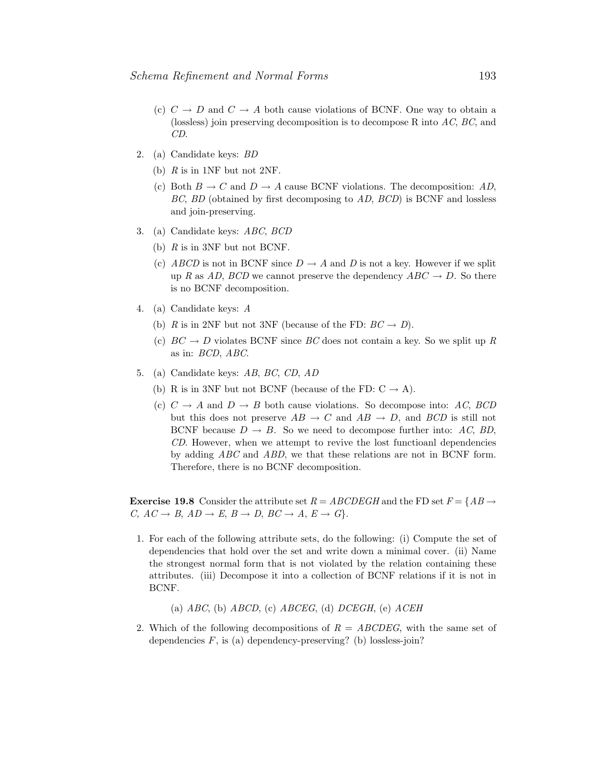- (c)  $C \rightarrow D$  and  $C \rightarrow A$  both cause violations of BCNF. One way to obtain a (lossless) join preserving decomposition is to decompose R into *AC*, *BC*, and *CD*.
- 2. (a) Candidate keys: *BD*
	- (b) *R* is in 1NF but not 2NF.
	- (c) Both  $B \to C$  and  $D \to A$  cause BCNF violations. The decomposition: AD, *BC*, *BD* (obtained by first decomposing to *AD*, *BCD*) is BCNF and lossless and join-preserving.
- 3. (a) Candidate keys: *ABC*, *BCD*
	- (b) *R* is in 3NF but not BCNF.
	- (c) *ABCD* is not in BCNF since  $D \to A$  and *D* is not a key. However if we split up *R* as *AD*, *BCD* we cannot preserve the dependency  $ABC \rightarrow D$ . So there is no BCNF decomposition.
- 4. (a) Candidate keys: *A*
	- (b) *R* is in 2NF but not 3NF (because of the FD:  $BC \rightarrow D$ ).
	- (c)  $BC \rightarrow D$  violates BCNF since *BC* does not contain a key. So we split up *R* as in: *BCD*, *ABC*.
- 5. (a) Candidate keys: *AB*, *BC*, *CD*, *AD*
	- (b) R is in 3NF but not BCNF (because of the FD:  $C \rightarrow A$ ).
	- (c)  $C \rightarrow A$  and  $D \rightarrow B$  both cause violations. So decompose into: AC, BCD but this does not preserve  $AB \to C$  and  $AB \to D$ , and *BCD* is still not BCNF because  $D \rightarrow B$ . So we need to decompose further into: AC, BD, *CD*. However, when we attempt to revive the lost functioanl dependencies by adding *ABC* and *ABD*, we that these relations are not in BCNF form. Therefore, there is no BCNF decomposition.

**Exercise 19.8** Consider the attribute set  $R = ABCDEGH$  and the FD set  $F = \{AB \rightarrow$  $C, AC \rightarrow B, AD \rightarrow E, B \rightarrow D, BC \rightarrow A, E \rightarrow G$ .

1. For each of the following attribute sets, do the following: (i) Compute the set of dependencies that hold over the set and write down a minimal cover. (ii) Name the strongest normal form that is not violated by the relation containing these attributes. (iii) Decompose it into a collection of BCNF relations if it is not in BCNF.

(a) *ABC*, (b) *ABCD*, (c) *ABCEG*, (d) *DCEGH*, (e) *ACEH*

2. Which of the following decompositions of *R* = *ABCDEG*, with the same set of dependencies  $F$ , is (a) dependency-preserving? (b) lossless-join?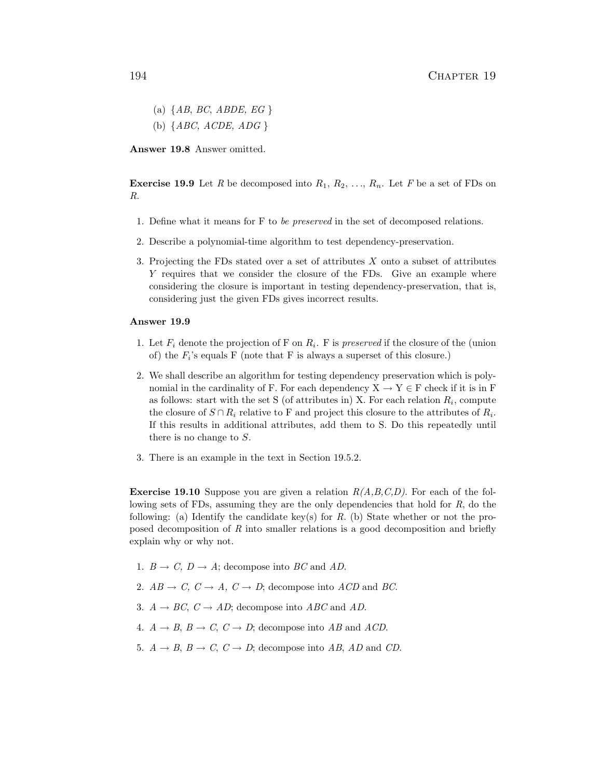(a) {*AB*, *BC*, *ABDE, EG* } (b) {*ABC, ACDE, ADG* }

**Answer 19.8** Answer omitted.

**Exercise 19.9** Let *R* be decomposed into  $R_1, R_2, \ldots, R_n$ . Let *F* be a set of FDs on *R*.

- 1. Define what it means for F to *be preserved* in the set of decomposed relations.
- 2. Describe a polynomial-time algorithm to test dependency-preservation.
- 3. Projecting the FDs stated over a set of attributes X onto a subset of attributes Y requires that we consider the closure of the FDs. Give an example where considering the closure is important in testing dependency-preservation, that is, considering just the given FDs gives incorrect results.

#### **Answer 19.9**

- 1. Let  $F_i$  denote the projection of F on  $R_i$ . F is *preserved* if the closure of the (union of) the  $F_i$ 's equals F (note that F is always a superset of this closure.)
- 2. We shall describe an algorithm for testing dependency preservation which is polynomial in the cardinality of F. For each dependency  $X \to Y \in F$  check if it is in F as follows: start with the set S (of attributes in) X. For each relation  $R_i$ , compute the closure of  $S \cap R_i$  relative to F and project this closure to the attributes of  $R_i$ . If this results in additional attributes, add them to S. Do this repeatedly until there is no change to S.
- 3. There is an example in the text in Section 19.5.2.

**Exercise 19.10** Suppose you are given a relation *R(A,B,C,D)*. For each of the following sets of FDs, assuming they are the only dependencies that hold for *R*, do the following: (a) Identify the candidate key(s) for *R*. (b) State whether or not the proposed decomposition of *R* into smaller relations is a good decomposition and briefly explain why or why not.

- 1.  $B \to C$ ,  $D \to A$ ; decompose into *BC* and *AD*.
- 2.  $AB \rightarrow C$ ,  $C \rightarrow A$ ,  $C \rightarrow D$ ; decompose into *ACD* and *BC*.
- 3.  $A \rightarrow BC$ ,  $C \rightarrow AD$ ; decompose into *ABC* and *AD*.
- 4.  $A \rightarrow B$ ,  $B \rightarrow C$ ,  $C \rightarrow D$ ; decompose into *AB* and *ACD*.
- 5.  $A \rightarrow B$ ,  $B \rightarrow C$ ,  $C \rightarrow D$ ; decompose into AB, AD and *CD*.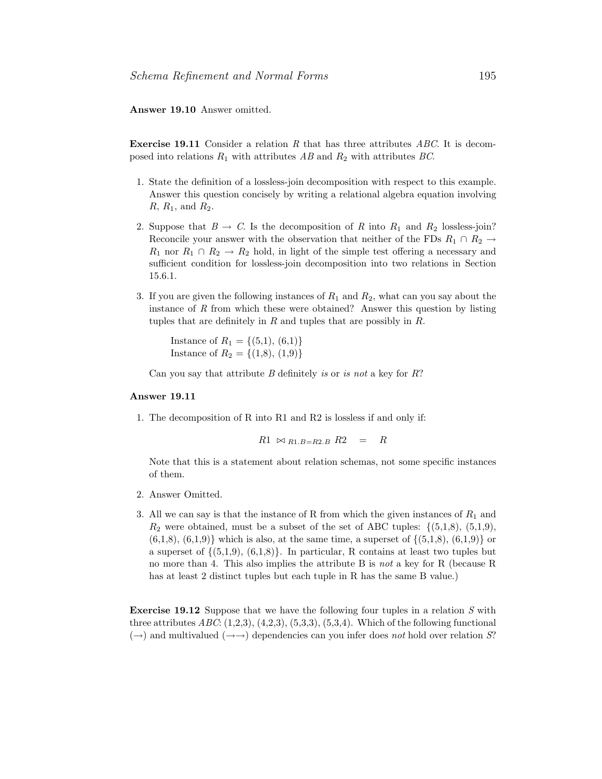**Answer 19.10** Answer omitted.

**Exercise 19.11** Consider a relation *R* that has three attributes *ABC*. It is decomposed into relations  $R_1$  with attributes  $AB$  and  $R_2$  with attributes  $BC$ .

- 1. State the definition of a lossless-join decomposition with respect to this example. Answer this question concisely by writing a relational algebra equation involving  $R, R_1$ , and  $R_2$ .
- 2. Suppose that  $B \to C$ . Is the decomposition of R into  $R_1$  and  $R_2$  lossless-join? Reconcile your answer with the observation that neither of the FDs  $R_1 \cap R_2 \rightarrow$  $R_1$  nor  $R_1 \cap R_2 \to R_2$  hold, in light of the simple test offering a necessary and sufficient condition for lossless-join decomposition into two relations in Section 15.6.1.
- 3. If you are given the following instances of  $R_1$  and  $R_2$ , what can you say about the instance of *R* from which these were obtained? Answer this question by listing tuples that are definitely in  $R$  and tuples that are possibly in  $R$ .

Instance of  $R_1 = \{(5,1), (6,1)\}\$ Instance of  $R_2 = \{(1,8), (1,9)\}\$ 

Can you say that attribute *B* definitely *is* or *is not* a key for R?

#### **Answer 19.11**

1. The decomposition of R into R1 and R2 is lossless if and only if:

 $R1 \Join_{R1} R = R2 R R$ <br>*R*<sub>2</sub> = R

Note that this is a statement about relation schemas, not some specific instances of them.

- 2. Answer Omitted.
- 3. All we can say is that the instance of R from which the given instances of  $R_1$  and  $R_2$  were obtained, must be a subset of the set of ABC tuples:  $\{(5,1,8), (5,1,9),\}$  $(6,1,8), (6,1,9)$  which is also, at the same time, a superset of  $\{(5,1,8), (6,1,9)\}$  or a superset of  $\{(5,1,9), (6,1,8)\}\.$  In particular, R contains at least two tuples but no more than 4. This also implies the attribute B is *not* a key for R (because R has at least 2 distinct tuples but each tuple in R has the same B value.)

**Exercise 19.12** Suppose that we have the following four tuples in a relation *S* with three attributes  $ABC$ :  $(1,2,3)$ ,  $(4,2,3)$ ,  $(5,3,3)$ ,  $(5,3,4)$ . Which of the following functional  $(→)$  and multivalued  $(→)$  dependencies can you infer does *not* hold over relation *S*?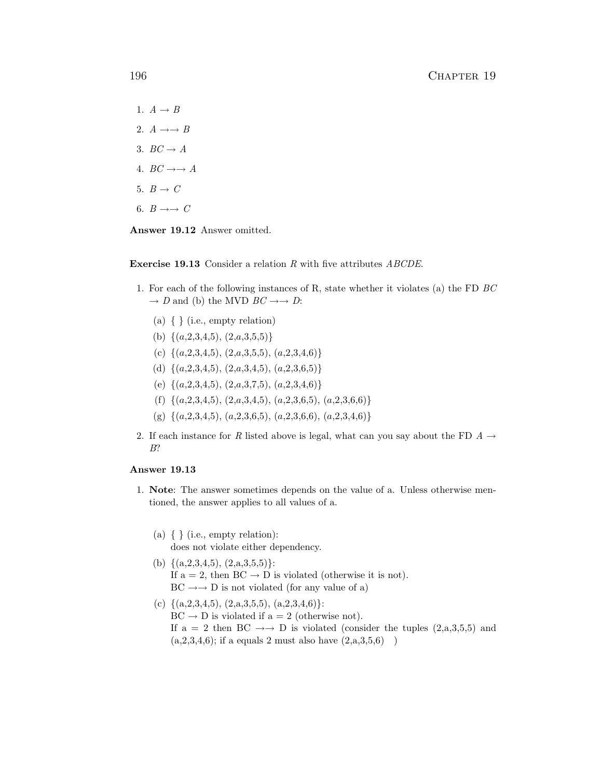1.  $A \rightarrow B$ 2.  $A \rightarrow B$ 3.  $BC \rightarrow A$ 4.  $BC \rightarrow A$ 5.  $B \to C$ 6.  $B \rightarrow C$ 

**Answer 19.12** Answer omitted.

**Exercise 19.13** Consider a relation *R* with five attributes *ABCDE*.

- 1. For each of the following instances of R, state whether it violates (a) the FD *BC*  $\rightarrow$  *D* and (b) the MVD *BC*  $\rightarrow$   $\rightarrow$  *D*:
	- (a)  $\{ \}$  (i.e., empty relation)
	- (b)  $\{(a,2,3,4,5), (2,a,3,5,5)\}\$
	- (c)  $\{(a,2,3,4,5), (2,a,3,5,5), (a,2,3,4,6)\}\$
	- (d)  $\{(a,2,3,4,5), (2,a,3,4,5), (a,2,3,6,5)\}\$
	- (e)  $\{(a,2,3,4,5), (2,a,3,7,5), (a,2,3,4,6)\}\$
	- (f)  $\{(a,2,3,4,5), (2,a,3,4,5), (a,2,3,6,5), (a,2,3,6,6)\}\$
	- (g)  $\{(a,2,3,4,5), (a,2,3,6,5), (a,2,3,6,6), (a,2,3,4,6)\}\$
- 2. If each instance for *R* listed above is legal, what can you say about the FD  $A \rightarrow$ *B*?

#### **Answer 19.13**

- 1. **Note**: The answer sometimes depends on the value of a. Unless otherwise mentioned, the answer applies to all values of a.
	- (a)  $\{ \}$  (i.e., empty relation): does not violate either dependency.
	- (b)  $\{(a,2,3,4,5), (2,a,3,5,5)\}$ : If  $a = 2$ , then  $BC \rightarrow D$  is violated (otherwise it is not).  $BC \rightarrow \rightarrow D$  is not violated (for any value of a)
	- (c)  $\{(a,2,3,4,5), (2,a,3,5,5), (a,2,3,4,6)\}$ :  $BC \rightarrow D$  is violated if  $a = 2$  (otherwise not). If a = 2 then BC  $\rightarrow \rightarrow$  D is violated (consider the tuples (2,a,3,5,5) and  $(a,2,3,4,6)$ ; if a equals 2 must also have  $(2,a,3,5,6)$  )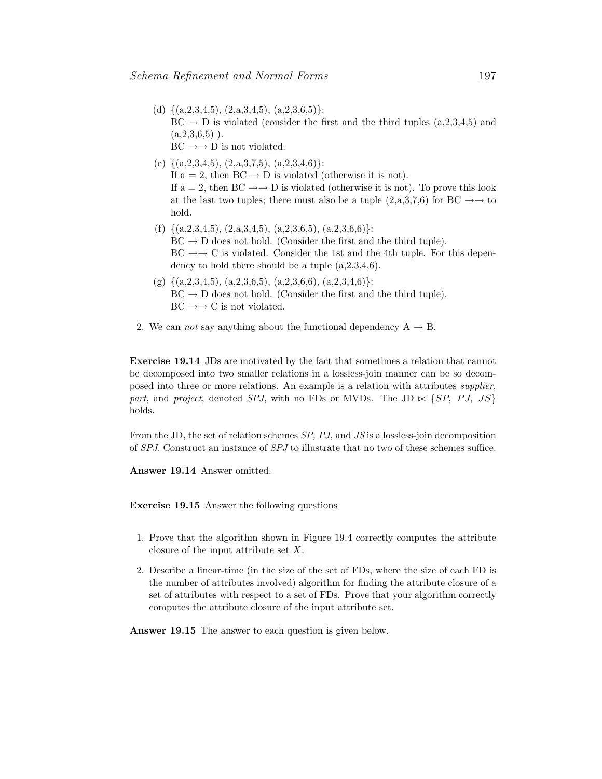- (d)  $\{(a,2,3,4,5), (2,a,3,4,5), (a,2,3,6,5)\}$ :  $BC \rightarrow D$  is violated (consider the first and the third tuples (a,2,3,4,5) and  $(a, 2, 3, 6, 5)$ .  $BC \longrightarrow D$  is not violated.
- (e)  $\{(a,2,3,4,5), (2,a,3,7,5), (a,2,3,4,6)\}$ : If  $a = 2$ , then  $BC \rightarrow D$  is violated (otherwise it is not). If  $a = 2$ , then  $BC \rightarrow \rightarrow D$  is violated (otherwise it is not). To prove this look at the last two tuples; there must also be a tuple  $(2,a,3,7,6)$  for BC  $\rightarrow \rightarrow$  to hold.
- (f)  $\{(a,2,3,4,5), (2,a,3,4,5), (a,2,3,6,5), (a,2,3,6,6)\}$ :  $BC \rightarrow D$  does not hold. (Consider the first and the third tuple).  $BC \rightarrow \rightarrow C$  is violated. Consider the 1st and the 4th tuple. For this dependency to hold there should be a tuple (a,2,3,4,6).
- (g)  $\{(a,2,3,4,5), (a,2,3,6,5), (a,2,3,6,6), (a,2,3,4,6)\}$ :  $BC \rightarrow D$  does not hold. (Consider the first and the third tuple).  $BC \rightarrow \rightarrow C$  is not violated.
- 2. We can *not* say anything about the functional dependency  $A \rightarrow B$ .

**Exercise 19.14** JDs are motivated by the fact that sometimes a relation that cannot be decomposed into two smaller relations in a lossless-join manner can be so decomposed into three or more relations. An example is a relation with attributes *supplier*, *part*, and *project*, denoted *SPJ*, with no FDs or MVDs. The JD  $\bowtie$  {*SP*, *PJ*, *JS*} holds.

From the JD, the set of relation schemes *SP, PJ,* and *JS* is a lossless-join decomposition of *SPJ*. Construct an instance of *SPJ* to illustrate that no two of these schemes suffice.

**Answer 19.14** Answer omitted.

**Exercise 19.15** Answer the following questions

- 1. Prove that the algorithm shown in Figure 19.4 correctly computes the attribute closure of the input attribute set X.
- 2. Describe a linear-time (in the size of the set of FDs, where the size of each FD is the number of attributes involved) algorithm for finding the attribute closure of a set of attributes with respect to a set of FDs. Prove that your algorithm correctly computes the attribute closure of the input attribute set.

**Answer 19.15** The answer to each question is given below.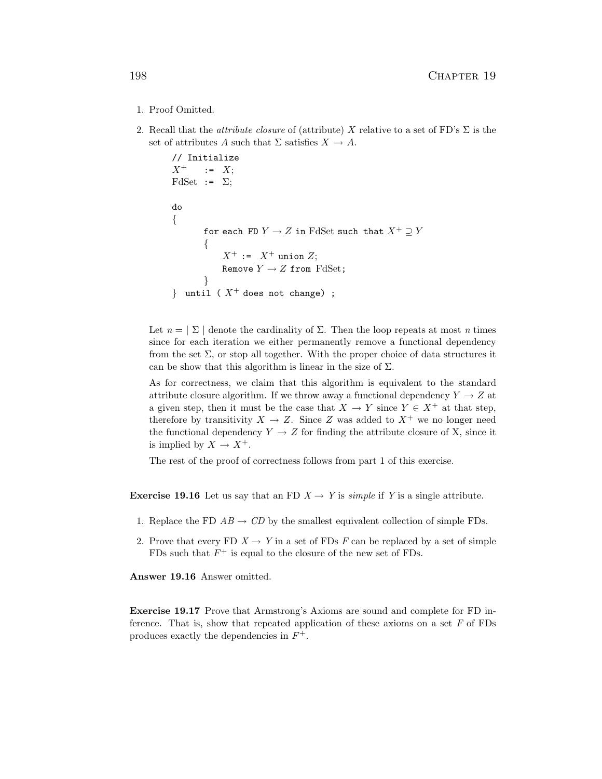- 1. Proof Omitted.
- 2. Recall that the *attribute closure* of (attribute) X relative to a set of FD's Σ is the set of attributes A such that  $\Sigma$  satisfies  $X \to A$ .

```
// Initialize
X^+ := X;
FdSet := \Sigma;
do
{
      for each FD Y\to Z in FdSet such that X^+\supseteq Y{
           X^+ := X^+ union Z;
           Remove Y \rightarrow Z from FdSet:
       }
} until (X^+ does not change) ;
```
Let  $n = |\Sigma|$  denote the cardinality of  $\Sigma$ . Then the loop repeats at most *n* times since for each iteration we either permanently remove a functional dependency from the set  $\Sigma$ , or stop all together. With the proper choice of data structures it can be show that this algorithm is linear in the size of  $\Sigma$ .

As for correctness, we claim that this algorithm is equivalent to the standard attribute closure algorithm. If we throw away a functional dependency  $Y \to Z$  at a given step, then it must be the case that  $X \to Y$  since  $Y \in X^+$  at that step, therefore by transitivity  $X \to Z$ . Since Z was added to  $X^+$  we no longer need the functional dependency  $Y \to Z$  for finding the attribute closure of X, since it is implied by  $X \to X^+$ .

The rest of the proof of correctness follows from part 1 of this exercise.

**Exercise 19.16** Let us say that an FD  $X \to Y$  is *simple* if Y is a single attribute.

- 1. Replace the FD  $AB \rightarrow CD$  by the smallest equivalent collection of simple FDs.
- 2. Prove that every FD  $X \to Y$  in a set of FDs *F* can be replaced by a set of simple FDs such that  $F^+$  is equal to the closure of the new set of FDs.

**Answer 19.16** Answer omitted.

**Exercise 19.17** Prove that Armstrong's Axioms are sound and complete for FD inference. That is, show that repeated application of these axioms on a set *F* of FDs produces exactly the dependencies in  $F^+$ .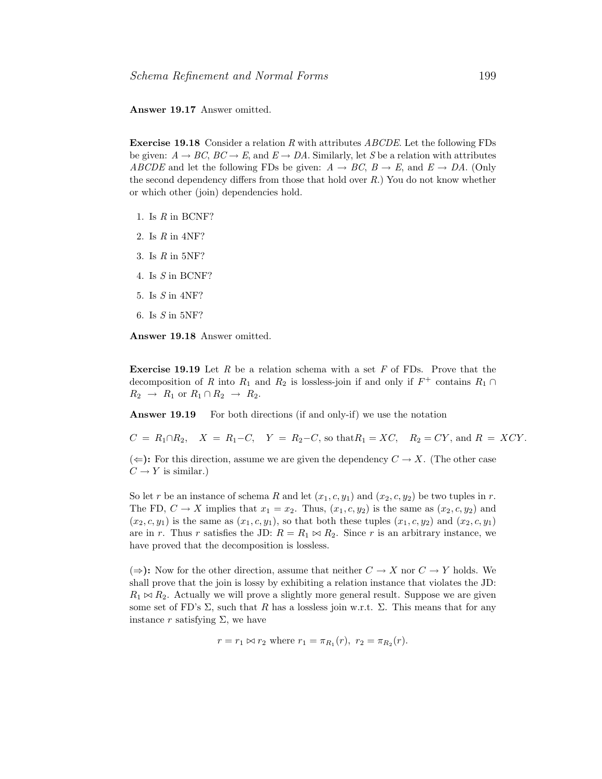**Answer 19.17** Answer omitted.

**Exercise 19.18** Consider a relation *R* with attributes *ABCDE*. Let the following FDs be given:  $A \rightarrow BC$ ,  $BC \rightarrow E$ , and  $E \rightarrow DA$ . Similarly, let S be a relation with attributes *ABCDE* and let the following FDs be given:  $A \rightarrow BC$ ,  $B \rightarrow E$ , and  $E \rightarrow DA$ . (Only the second dependency differs from those that hold over *R*.) You do not know whether or which other (join) dependencies hold.

- 1. Is *R* in BCNF?
- 2. Is *R* in 4NF?
- 3. Is *R* in 5NF?
- 4. Is *S* in BCNF?
- 5. Is *S* in 4NF?
- 6. Is *S* in 5NF?

**Answer 19.18** Answer omitted.

**Exercise 19.19** Let *R* be a relation schema with a set *F* of FDs. Prove that the decomposition of *R* into  $R_1$  and  $R_2$  is lossless-join if and only if  $F^+$  contains  $R_1 \cap$  $R_2 \rightarrow R_1$  or  $R_1 \cap R_2 \rightarrow R_2$ .

**Answer 19.19** For both directions (if and only-if) we use the notation

 $C = R_1 \cap R_2$ ,  $X = R_1 - C$ ,  $Y = R_2 - C$ , so that  $R_1 = XC$ ,  $R_2 = CY$ , and  $R = XCY$ .

 $(\Leftarrow)$ : For this direction, assume we are given the dependency  $C \rightarrow X$ . (The other case  $C \rightarrow Y$  is similar.)

So let r be an instance of schema R and let  $(x_1, c, y_1)$  and  $(x_2, c, y_2)$  be two tuples in r. The FD,  $C \to X$  implies that  $x_1 = x_2$ . Thus,  $(x_1, c, y_2)$  is the same as  $(x_2, c, y_2)$  and  $(x_2, c, y_1)$  is the same as  $(x_1, c, y_1)$ , so that both these tuples  $(x_1, c, y_2)$  and  $(x_2, c, y_1)$ are in r. Thus r satisfies the JD:  $R = R_1 \bowtie R_2$ . Since r is an arbitrary instance, we have proved that the decomposition is lossless.

 $(\Rightarrow)$ : Now for the other direction, assume that neither  $C \rightarrow X$  nor  $C \rightarrow Y$  holds. We shall prove that the join is lossy by exhibiting a relation instance that violates the JD:  $R_1 \bowtie R_2$ . Actually we will prove a slightly more general result. Suppose we are given some set of FD's  $\Sigma$ , such that R has a lossless join w.r.t.  $\Sigma$ . This means that for any instance r satisfying  $\Sigma$ , we have

 $r = r_1 \bowtie r_2$  where  $r_1 = \pi_{R_1}(r)$ ,  $r_2 = \pi_{R_2}(r)$ .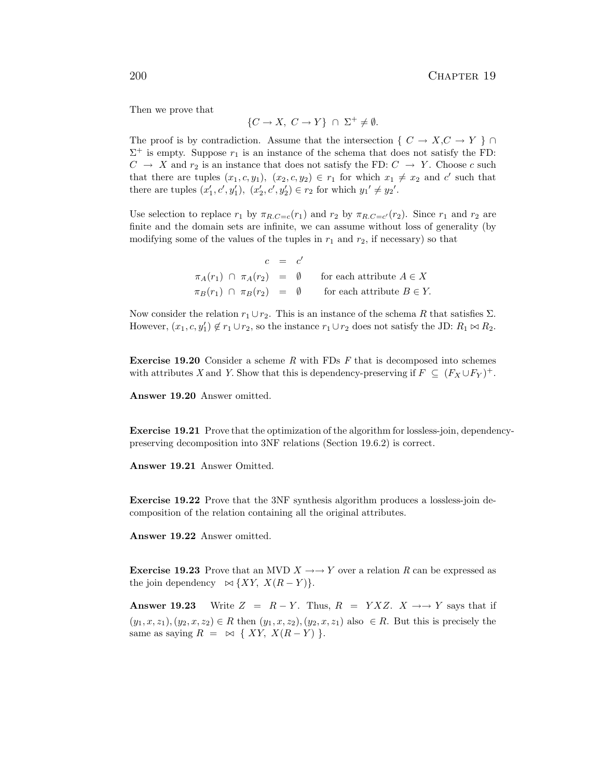Then we prove that

$$
\{C \to X, \ C \to Y\} \ \cap \ \Sigma^+ \neq \emptyset.
$$

The proof is by contradiction. Assume that the intersection {  $C \to X, C \to Y$  } ∩  $\Sigma^+$  is empty. Suppose  $r_1$  is an instance of the schema that does not satisfy the FD:  $C \rightarrow X$  and  $r_2$  is an instance that does not satisfy the FD:  $C \rightarrow Y$ . Choose c such that there are tuples  $(x_1, c, y_1), (x_2, c, y_2) \in r_1$  for which  $x_1 \neq x_2$  and  $c'$  such that there are tuples  $(x'_1, c', y'_1), (x'_2, c', y'_2) \in r_2$  for which  $y_1' \neq y_2'$ .

Use selection to replace  $r_1$  by  $\pi_{R.C=c}(r_1)$  and  $r_2$  by  $\pi_{R.C=c'}(r_2)$ . Since  $r_1$  and  $r_2$  are finite and the domain sets are infinite, we can assume without loss of generality (by modifying some of the values of the tuples in  $r_1$  and  $r_2$ , if necessary) so that

| $c = c'$ |                                                                         |
|----------|-------------------------------------------------------------------------|
|          | $\pi_A(r_1) \cap \pi_A(r_2) = \emptyset$ for each attribute $A \in X$   |
|          | $\pi_B(r_1) \cap \pi_B(r_2) = \emptyset$ for each attribute $B \in Y$ . |

Now consider the relation  $r_1 \cup r_2$ . This is an instance of the schema R that satisfies  $\Sigma$ . However,  $(x_1, c, y_1') \notin r_1 \cup r_2$ , so the instance  $r_1 \cup r_2$  does not satisfy the JD:  $R_1 \bowtie R_2$ .

**Exercise 19.20** Consider a scheme *R* with FDs *F* that is decomposed into schemes with attributes *X* and *Y*. Show that this is dependency-preserving if  $F \subseteq (F_X \cup F_Y)^+$ .

**Answer 19.20** Answer omitted.

**Exercise 19.21** Prove that the optimization of the algorithm for lossless-join, dependencypreserving decomposition into 3NF relations (Section 19.6.2) is correct.

**Answer 19.21** Answer Omitted.

**Exercise 19.22** Prove that the 3NF synthesis algorithm produces a lossless-join decomposition of the relation containing all the original attributes.

**Answer 19.22** Answer omitted.

**Exercise 19.23** Prove that an MVD  $X \rightarrow Y$  over a relation R can be expressed as the join dependency  $\bowtie$  {XY, X(R – Y)}.

**Answer 19.23** Write  $Z = R - Y$ . Thus,  $R = YXZ$ .  $X \rightarrow Y$  says that if  $(y_1, x, z_1), (y_2, x, z_2) \in R$  then  $(y_1, x, z_2), (y_2, x, z_1)$  also  $\in R$ . But this is precisely the same as saying  $R = \infty \{ XY, X(R - Y) \}.$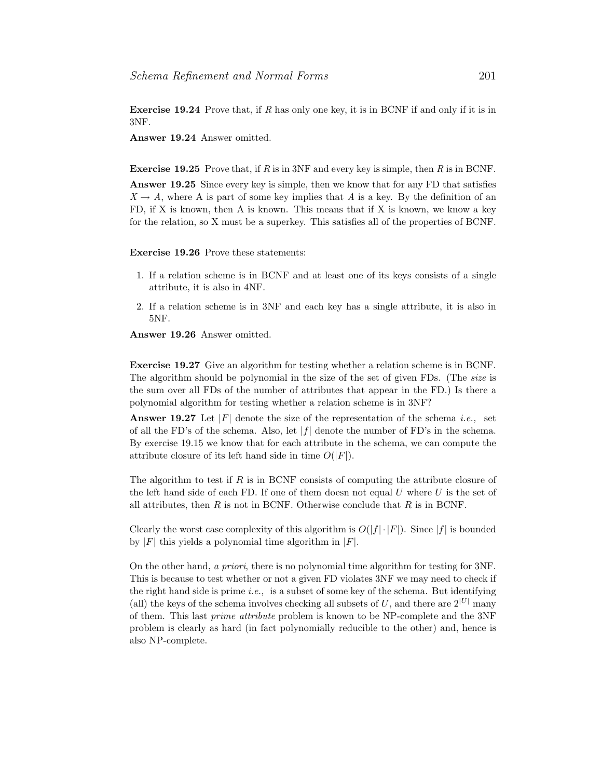**Exercise 19.24** Prove that, if *R* has only one key, it is in BCNF if and only if it is in 3NF.

**Answer 19.24** Answer omitted.

**Exercise 19.25** Prove that, if *R* is in 3NF and every key is simple, then *R* is in BCNF.

**Answer 19.25** Since every key is simple, then we know that for any FD that satisfies  $X \to A$ , where A is part of some key implies that A is a key. By the definition of an FD, if X is known, then A is known. This means that if X is known, we know a key for the relation, so X must be a superkey. This satisfies all of the properties of BCNF.

**Exercise 19.26** Prove these statements:

- 1. If a relation scheme is in BCNF and at least one of its keys consists of a single attribute, it is also in 4NF.
- 2. If a relation scheme is in 3NF and each key has a single attribute, it is also in 5NF.

**Answer 19.26** Answer omitted.

**Exercise 19.27** Give an algorithm for testing whether a relation scheme is in BCNF. The algorithm should be polynomial in the size of the set of given FDs. (The *size* is the sum over all FDs of the number of attributes that appear in the FD.) Is there a polynomial algorithm for testing whether a relation scheme is in 3NF?

**Answer 19.27** Let  $|F|$  denote the size of the representation of the schema *i.e.*, set of all the FD's of the schema. Also, let  $|f|$  denote the number of FD's in the schema. By exercise 19.15 we know that for each attribute in the schema, we can compute the attribute closure of its left hand side in time  $O(|F|)$ .

The algorithm to test if R is in BCNF consists of computing the attribute closure of the left hand side of each FD. If one of them doesn not equal  $U$  where  $U$  is the set of all attributes, then  $R$  is not in BCNF. Otherwise conclude that  $R$  is in BCNF.

Clearly the worst case complexity of this algorithm is  $O(|f| \cdot |F|)$ . Since  $|f|$  is bounded by  $|F|$  this yields a polynomial time algorithm in  $|F|$ .

On the other hand, *a priori*, there is no polynomial time algorithm for testing for 3NF. This is because to test whether or not a given FD violates 3NF we may need to check if the right hand side is prime *i.e.,* is a subset of some key of the schema. But identifying (all) the keys of the schema involves checking all subsets of U, and there are  $2^{|U|}$  many of them. This last *prime attribute* problem is known to be NP-complete and the 3NF problem is clearly as hard (in fact polynomially reducible to the other) and, hence is also NP-complete.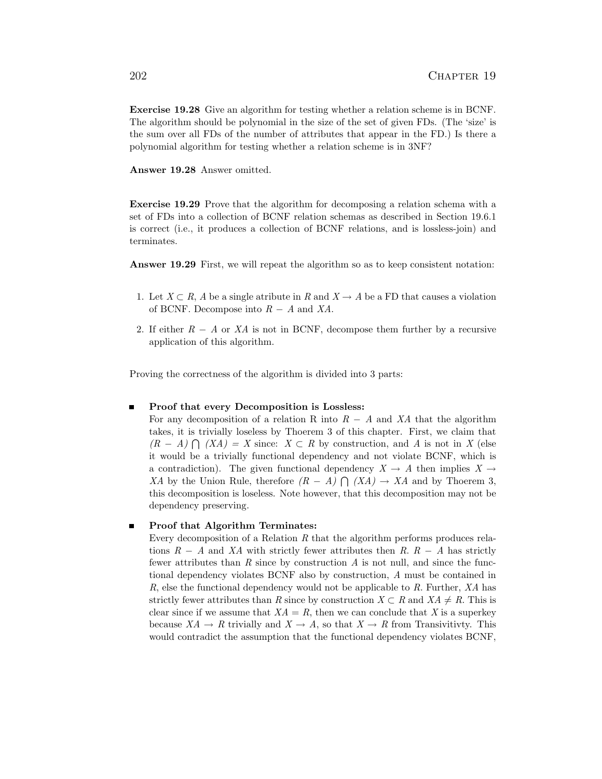**Exercise 19.28** Give an algorithm for testing whether a relation scheme is in BCNF. The algorithm should be polynomial in the size of the set of given FDs. (The 'size' is the sum over all FDs of the number of attributes that appear in the FD.) Is there a polynomial algorithm for testing whether a relation scheme is in 3NF?

**Answer 19.28** Answer omitted.

**Exercise 19.29** Prove that the algorithm for decomposing a relation schema with a set of FDs into a collection of BCNF relation schemas as described in Section 19.6.1 is correct (i.e., it produces a collection of BCNF relations, and is lossless-join) and terminates.

**Answer 19.29** First, we will repeat the algorithm so as to keep consistent notation:

- 1. Let  $X \subset R$ , A be a single atribute in R and  $X \to A$  be a FD that causes a violation of BCNF. Decompose into *R* − *A* and *XA*.
- 2. If either *R* − *A* or *XA* is not in BCNF, decompose them further by a recursive application of this algorithm.

Proving the correctness of the algorithm is divided into 3 parts:

#### **Proof that every Decomposition is Lossless:**

For any decomposition of a relation R into *R* − *A* and *XA* that the algorithm takes, it is trivially loseless by Thoerem 3 of this chapter. First, we claim that *(R* − *A)*  $\bigcap$  *(XA)* = *X* since: *X* ⊂ *R* by construction, and *A* is not in *X* (else it would be a trivially functional dependency and not violate BCNF, which is a contradiction). The given functional dependency  $X \to A$  then implies  $X \to$ *XA* by the Union Rule, therefore  $(R - A) \cap (XA) \rightarrow XA$  and by Thoerem 3, this decomposition is loseless. Note however, that this decomposition may not be dependency preserving.

#### **Proof that Algorithm Terminates:**

Every decomposition of a Relation *R* that the algorithm performs produces relations  $R - A$  and  $XA$  with strictly fewer attributes then  $R$ .  $R - A$  has strictly fewer attributes than *R* since by construction *A* is not null, and since the functional dependency violates BCNF also by construction, *A* must be contained in *R*, else the functional dependency would not be applicable to *R*. Further, *XA* has strictly fewer attributes than *R* since by construction  $X \subset R$  and  $XA \neq R$ . This is clear since if we assume that  $XA = R$ , then we can conclude that X is a superkey because  $XA \rightarrow R$  trivially and  $X \rightarrow A$ , so that  $X \rightarrow R$  from Transivitivty. This would contradict the assumption that the functional dependency violates BCNF,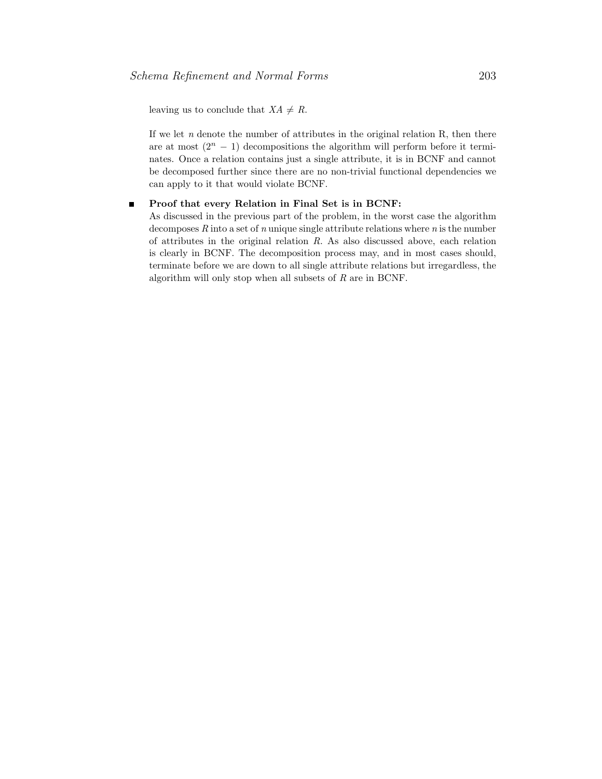If we let *n* denote the number of attributes in the original relation R, then there are at most  $(2^n - 1)$  decompositions the algorithm will perform before it terminates. Once a relation contains just a single attribute, it is in BCNF and cannot be decomposed further since there are no non-trivial functional dependencies we can apply to it that would violate BCNF.

#### **Proof that every Relation in Final Set is in BCNF:**  $\blacksquare$

As discussed in the previous part of the problem, in the worst case the algorithm decomposes *R* into a set of *n* unique single attribute relations where *n* is the number of attributes in the original relation *R*. As also discussed above, each relation is clearly in BCNF. The decomposition process may, and in most cases should, terminate before we are down to all single attribute relations but irregardless, the algorithm will only stop when all subsets of *R* are in BCNF.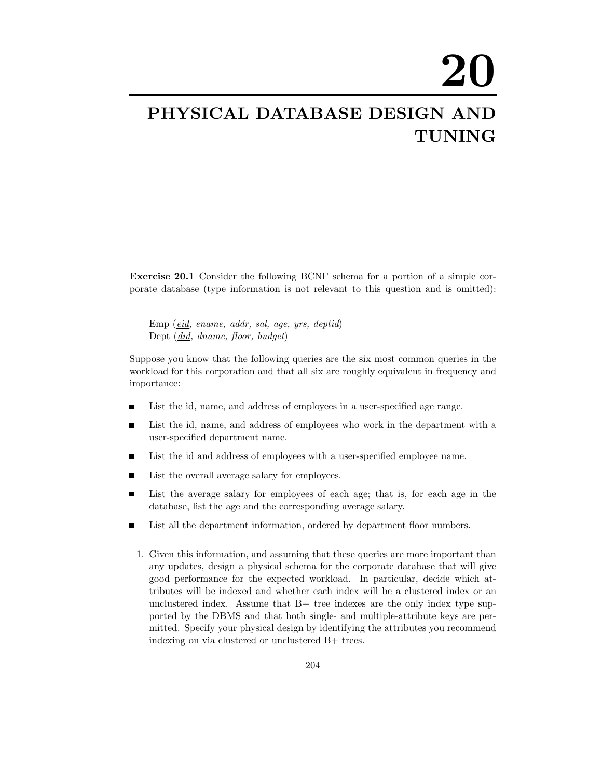# **20**

### **PHYSICAL DATABASE DESIGN AND TUNING**

**Exercise 20.1** Consider the following BCNF schema for a portion of a simple corporate database (type information is not relevant to this question and is omitted):

Emp (*eid, ename, addr, sal, age, yrs, deptid*) Dept (*did, dname, floor, budget*)

Suppose you know that the following queries are the six most common queries in the workload for this corporation and that all six are roughly equivalent in frequency and importance:

- List the id, name, and address of employees in a user-specified age range.
- List the id, name, and address of employees who work in the department with a user-specified department name.
- List the id and address of employees with a user-specified employee name.
- List the overall average salary for employees.
- List the average salary for employees of each age; that is, for each age in the  $\blacksquare$ database, list the age and the corresponding average salary.
- List all the department information, ordered by department floor numbers.
	- 1. Given this information, and assuming that these queries are more important than any updates, design a physical schema for the corporate database that will give good performance for the expected workload. In particular, decide which attributes will be indexed and whether each index will be a clustered index or an unclustered index. Assume that  $B+$  tree indexes are the only index type supported by the DBMS and that both single- and multiple-attribute keys are permitted. Specify your physical design by identifying the attributes you recommend indexing on via clustered or unclustered B+ trees.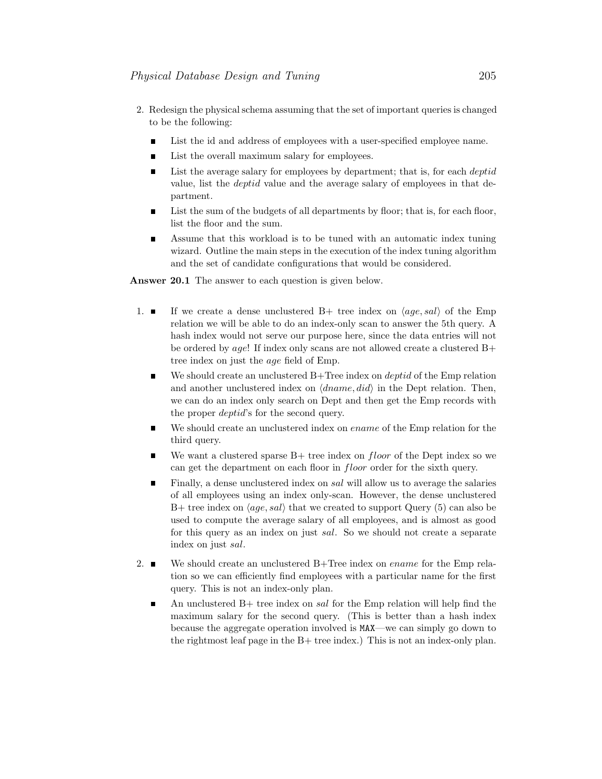- 2. Redesign the physical schema assuming that the set of important queries is changed to be the following:
	- List the id and address of employees with a user-specified employee name.
	- List the overall maximum salary for employees.
	- List the average salary for employees by department; that is, for each *deptid* value, list the deptid value and the average salary of employees in that department.
	- List the sum of the budgets of all departments by floor; that is, for each floor,  $\blacksquare$ list the floor and the sum.
	- Assume that this workload is to be tuned with an automatic index tuning wizard. Outline the main steps in the execution of the index tuning algorithm and the set of candidate configurations that would be considered.

**Answer 20.1** The answer to each question is given below.

- 1. If we create a dense unclustered B+ tree index on  $\langle a q e, s a l \rangle$  of the Emp relation we will be able to do an index-only scan to answer the 5th query. A hash index would not serve our purpose here, since the data entries will not be ordered by age! If index only scans are not allowed create a clustered B+ tree index on just the age field of Emp.
	- We should create an unclustered B+Tree index on *deptid* of the Emp relation and another unclustered index on  $\langle \text{dname}, \text{did} \rangle$  in the Dept relation. Then, we can do an index only search on Dept and then get the Emp records with the proper deptid's for the second query.
	- We should create an unclustered index on *ename* of the Emp relation for the third query.
	- We want a clustered sparse  $B+$  tree index on *floor* of the Dept index so we can get the department on each floor in floor order for the sixth query.
	- Finally, a dense unclustered index on sal will allow us to average the salaries of all employees using an index only-scan. However, the dense unclustered B+ tree index on  $\langle age, sal \rangle$  that we created to support Query (5) can also be used to compute the average salary of all employees, and is almost as good for this query as an index on just sal. So we should not create a separate index on just sal.
- 2. We should create an unclustered B+Tree index on *ename* for the Emp relation so we can efficiently find employees with a particular name for the first query. This is not an index-only plan.
	- An unclustered B+ tree index on sal for the Emp relation will help find the maximum salary for the second query. (This is better than a hash index because the aggregate operation involved is MAX—we can simply go down to the rightmost leaf page in the B+ tree index.) This is not an index-only plan.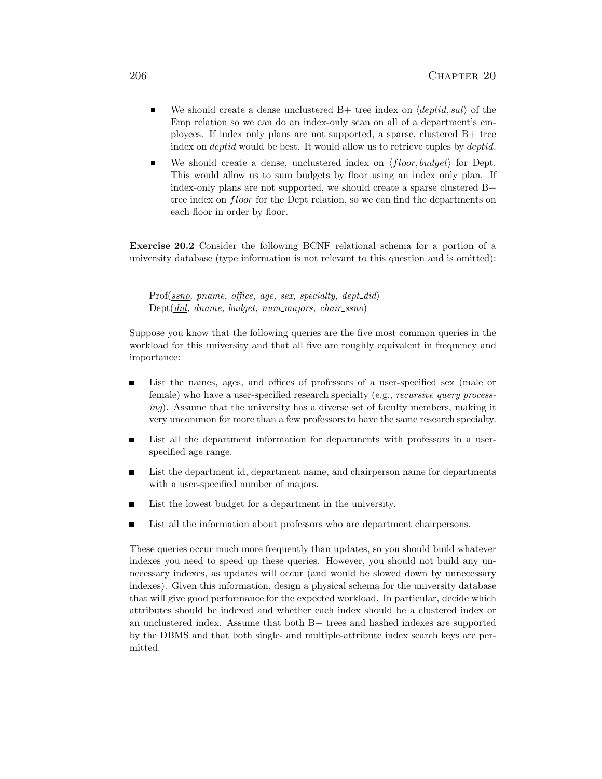- We should create a dense unclustered  $B+$  tree index on  $\langle \text{depth}, \text{sal} \rangle$  of the Emp relation so we can do an index-only scan on all of a department's employees. If index only plans are not supported, a sparse, clustered B+ tree index on deptid would be best. It would allow us to retrieve tuples by deptid.
- We should create a dense, unclustered index on  $\langle floor, budget \rangle$  for Dept. This would allow us to sum budgets by floor using an index only plan. If index-only plans are not supported, we should create a sparse clustered B+ tree index on *floor* for the Dept relation, so we can find the departments on each floor in order by floor.

**Exercise 20.2** Consider the following BCNF relational schema for a portion of a university database (type information is not relevant to this question and is omitted):

Prof(*ssno, pname, office, age, sex, specialty, dept did*) Dept(*did, dname, budget, num majors, chair ssno*)

Suppose you know that the following queries are the five most common queries in the workload for this university and that all five are roughly equivalent in frequency and importance:

- List the names, ages, and offices of professors of a user-specified sex (male or female) who have a user-specified research specialty (e.g., *recursive query processing*). Assume that the university has a diverse set of faculty members, making it very uncommon for more than a few professors to have the same research specialty.
- List all the department information for departments with professors in a userspecified age range.
- List the department id, department name, and chairperson name for departments with a user-specified number of majors.
- List the lowest budget for a department in the university.
- List all the information about professors who are department chairpersons.

These queries occur much more frequently than updates, so you should build whatever indexes you need to speed up these queries. However, you should not build any unnecessary indexes, as updates will occur (and would be slowed down by unnecessary indexes). Given this information, design a physical schema for the university database that will give good performance for the expected workload. In particular, decide which attributes should be indexed and whether each index should be a clustered index or an unclustered index. Assume that both B+ trees and hashed indexes are supported by the DBMS and that both single- and multiple-attribute index search keys are permitted.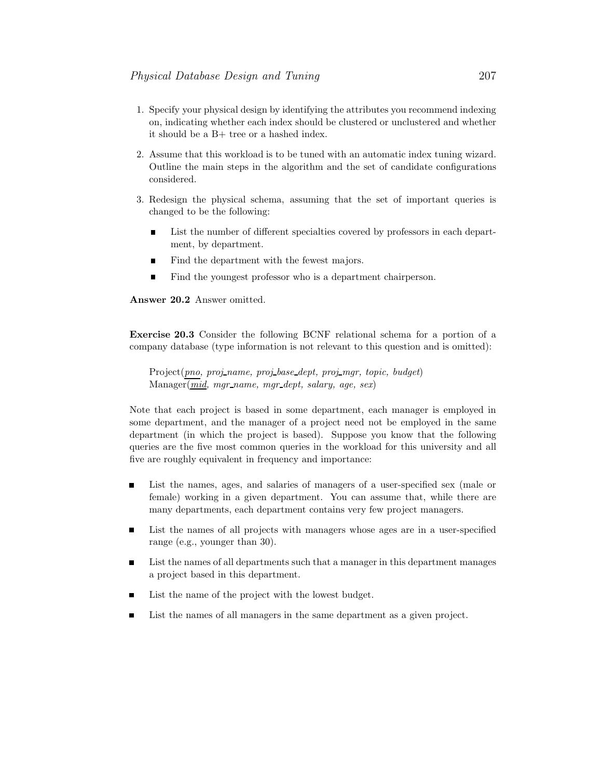- 1. Specify your physical design by identifying the attributes you recommend indexing on, indicating whether each index should be clustered or unclustered and whether it should be a B+ tree or a hashed index.
- 2. Assume that this workload is to be tuned with an automatic index tuning wizard. Outline the main steps in the algorithm and the set of candidate configurations considered.
- 3. Redesign the physical schema, assuming that the set of important queries is changed to be the following:
	- List the number of different specialties covered by professors in each depart- $\blacksquare$ ment, by department.
	- Find the department with the fewest majors.  $\blacksquare$
	- Find the youngest professor who is a department chairperson.  $\blacksquare$

**Answer 20.2** Answer omitted.

**Exercise 20.3** Consider the following BCNF relational schema for a portion of a company database (type information is not relevant to this question and is omitted):

Project(*pno, proj name, proj base dept, proj mgr, topic, budget*) Manager(*mid, mgr name, mgr dept, salary, age, sex*)

Note that each project is based in some department, each manager is employed in some department, and the manager of a project need not be employed in the same department (in which the project is based). Suppose you know that the following queries are the five most common queries in the workload for this university and all five are roughly equivalent in frequency and importance:

- List the names, ages, and salaries of managers of a user-specified sex (male or female) working in a given department. You can assume that, while there are many departments, each department contains very few project managers.
- List the names of all projects with managers whose ages are in a user-specified range (e.g., younger than 30).
- List the names of all departments such that a manager in this department manages a project based in this department.
- List the name of the project with the lowest budget.
- List the names of all managers in the same department as a given project.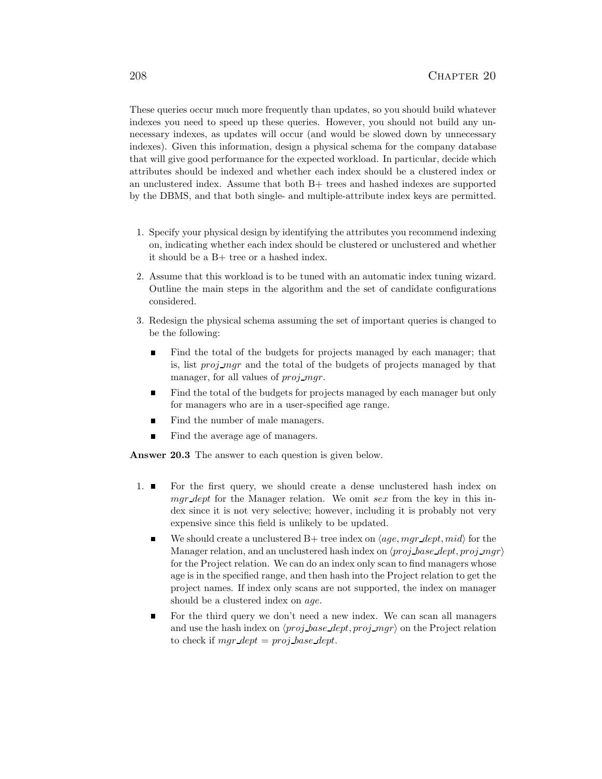These queries occur much more frequently than updates, so you should build whatever indexes you need to speed up these queries. However, you should not build any unnecessary indexes, as updates will occur (and would be slowed down by unnecessary indexes). Given this information, design a physical schema for the company database that will give good performance for the expected workload. In particular, decide which attributes should be indexed and whether each index should be a clustered index or an unclustered index. Assume that both B+ trees and hashed indexes are supported by the DBMS, and that both single- and multiple-attribute index keys are permitted.

- 1. Specify your physical design by identifying the attributes you recommend indexing on, indicating whether each index should be clustered or unclustered and whether it should be a B+ tree or a hashed index.
- 2. Assume that this workload is to be tuned with an automatic index tuning wizard. Outline the main steps in the algorithm and the set of candidate configurations considered.
- 3. Redesign the physical schema assuming the set of important queries is changed to be the following:
	- Find the total of the budgets for projects managed by each manager; that is, list  $proj\text{-}mqr$  and the total of the budgets of projects managed by that manager, for all values of  $proj_mqr$ .
	- $\blacksquare$ Find the total of the budgets for projects managed by each manager but only for managers who are in a user-specified age range.
	- Find the number of male managers.
	- Find the average age of managers.

**Answer 20.3** The answer to each question is given below.

- 1. For the first query, we should create a dense unclustered hash index on mgr dept for the Manager relation. We omit sex from the key in this index since it is not very selective; however, including it is probably not very expensive since this field is unlikely to be updated.
	- We should create a unclustered B+ tree index on  $\langle age, mgr \text{.} depth, mid \rangle$  for the  $\blacksquare$ Manager relation, and an unclustered hash index on  $\langle proj\_base\_dept, proj\_mgr \rangle$ for the Project relation. We can do an index only scan to find managers whose age is in the specified range, and then hash into the Project relation to get the project names. If index only scans are not supported, the index on manager should be a clustered index on age.
	- For the third query we don't need a new index. We can scan all managers and use the hash index on  $\langle proj\,\,base\,\,dept, proj\,\,mgr \rangle$  on the Project relation to check if  $mgr\text{.dept} = proj\text{.base}\text{.dept}$ .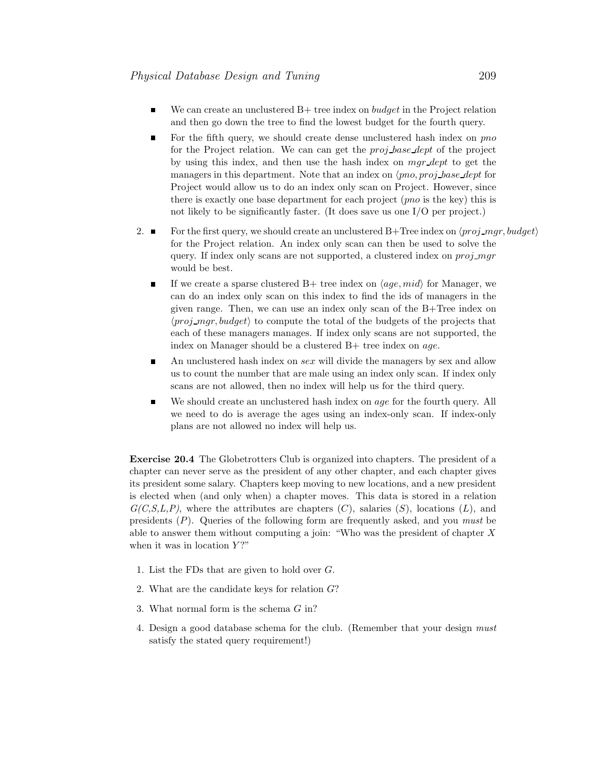- We can create an unclustered  $B+$  tree index on *budget* in the Project relation and then go down the tree to find the lowest budget for the fourth query.
- For the fifth query, we should create dense unclustered hash index on pno for the Project relation. We can can get the *proj-base dept* of the project by using this index, and then use the hash index on mgr dept to get the managers in this department. Note that an index on  $\langle pno, proj\_base\_dept$  for Project would allow us to do an index only scan on Project. However, since there is exactly one base department for each project (pno is the key) this is not likely to be significantly faster. (It does save us one I/O per project.)
- 2. For the first query, we should create an unclustered B+Tree index on  $\langle proj_mqr, budqet \rangle$ for the Project relation. An index only scan can then be used to solve the query. If index only scans are not supported, a clustered index on  $proj\_mar$ would be best.
	- If we create a sparse clustered B+ tree index on  $\langle age, mid \rangle$  for Manager, we  $\blacksquare$ can do an index only scan on this index to find the ids of managers in the given range. Then, we can use an index only scan of the B+Tree index on  $\langle proj \_m\right]$ , budget to compute the total of the budgets of the projects that each of these managers manages. If index only scans are not supported, the index on Manager should be a clustered B+ tree index on age.
	- An unclustered hash index on sex will divide the managers by sex and allow us to count the number that are male using an index only scan. If index only scans are not allowed, then no index will help us for the third query.
	- We should create an unclustered hash index on *age* for the fourth query. All we need to do is average the ages using an index-only scan. If index-only plans are not allowed no index will help us.

**Exercise 20.4** The Globetrotters Club is organized into chapters. The president of a chapter can never serve as the president of any other chapter, and each chapter gives its president some salary. Chapters keep moving to new locations, and a new president is elected when (and only when) a chapter moves. This data is stored in a relation  $G(C, S, L, P)$ , where the attributes are chapters  $(C)$ , salaries  $(S)$ , locations  $(L)$ , and presidents (P). Queries of the following form are frequently asked, and you *must* be able to answer them without computing a join: "Who was the president of chapter  $X$ when it was in location  $Y$ ?"

- 1. List the FDs that are given to hold over G.
- 2. What are the candidate keys for relation G?
- 3. What normal form is the schema G in?
- 4. Design a good database schema for the club. (Remember that your design *must* satisfy the stated query requirement!)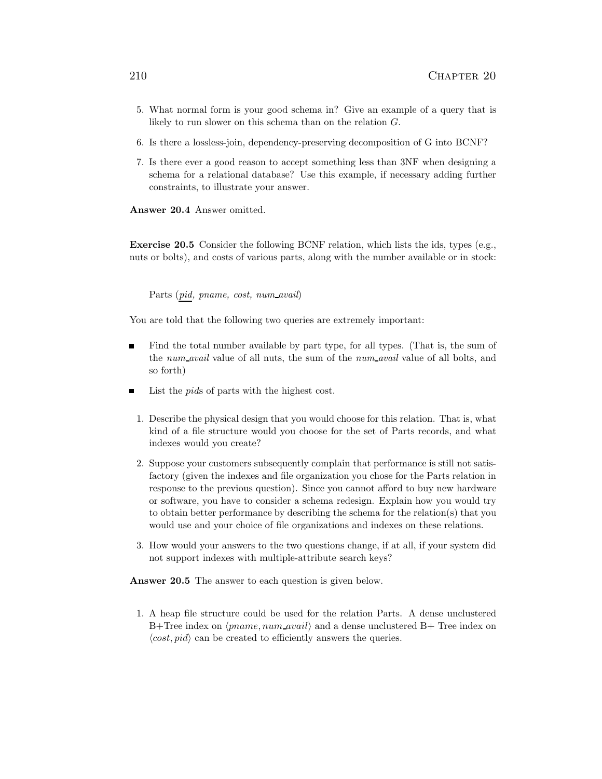- 5. What normal form is your good schema in? Give an example of a query that is likely to run slower on this schema than on the relation G.
- 6. Is there a lossless-join, dependency-preserving decomposition of G into BCNF?
- 7. Is there ever a good reason to accept something less than 3NF when designing a schema for a relational database? Use this example, if necessary adding further constraints, to illustrate your answer.

**Answer 20.4** Answer omitted.

**Exercise 20.5** Consider the following BCNF relation, which lists the ids, types (e.g., nuts or bolts), and costs of various parts, along with the number available or in stock:

Parts (*pid, pname, cost, num avail*)

You are told that the following two queries are extremely important:

- Find the total number available by part type, for all types. (That is, the sum of the *num avail* value of all nuts, the sum of the *num avail* value of all bolts, and so forth)
- List the pids of parts with the highest cost.
	- 1. Describe the physical design that you would choose for this relation. That is, what kind of a file structure would you choose for the set of Parts records, and what indexes would you create?
- 2. Suppose your customers subsequently complain that performance is still not satisfactory (given the indexes and file organization you chose for the Parts relation in response to the previous question). Since you cannot afford to buy new hardware or software, you have to consider a schema redesign. Explain how you would try to obtain better performance by describing the schema for the relation(s) that you would use and your choice of file organizations and indexes on these relations.
- 3. How would your answers to the two questions change, if at all, if your system did not support indexes with multiple-attribute search keys?

**Answer 20.5** The answer to each question is given below.

1. A heap file structure could be used for the relation Parts. A dense unclustered B+Tree index on  $\langle pname, num\_avail \rangle$  and a dense unclustered B+ Tree index on  $\langle cost, pid \rangle$  can be created to efficiently answers the queries.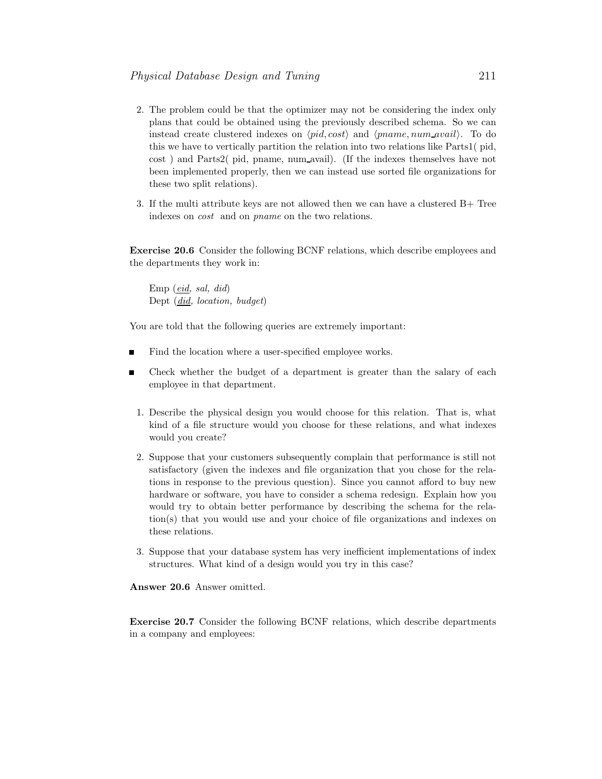- 2. The problem could be that the optimizer may not be considering the index only plans that could be obtained using the previously described schema. So we can instead create clustered indexes on  $\langle pid, cost \rangle$  and  $\langle pname, num_1, num_2, min \rangle$ . To do this we have to vertically partition the relation into two relations like Parts1( pid, cost ) and Parts2( pid, pname, num avail). (If the indexes themselves have not been implemented properly, then we can instead use sorted file organizations for these two split relations).
- 3. If the multi attribute keys are not allowed then we can have a clustered B+ Tree indexes on *cost* and on *pname* on the two relations.

**Exercise 20.6** Consider the following BCNF relations, which describe employees and the departments they work in:

Emp (*eid, sal, did*) Dept (*did, location, budget*)

You are told that the following queries are extremely important:

- Find the location where a user-specified employee works.
- Check whether the budget of a department is greater than the salary of each employee in that department.
- 1. Describe the physical design you would choose for this relation. That is, what kind of a file structure would you choose for these relations, and what indexes would you create?
- 2. Suppose that your customers subsequently complain that performance is still not satisfactory (given the indexes and file organization that you chose for the relations in response to the previous question). Since you cannot afford to buy new hardware or software, you have to consider a schema redesign. Explain how you would try to obtain better performance by describing the schema for the relation(s) that you would use and your choice of file organizations and indexes on these relations.
- 3. Suppose that your database system has very inefficient implementations of index structures. What kind of a design would you try in this case?

**Answer 20.6** Answer omitted.

**Exercise 20.7** Consider the following BCNF relations, which describe departments in a company and employees: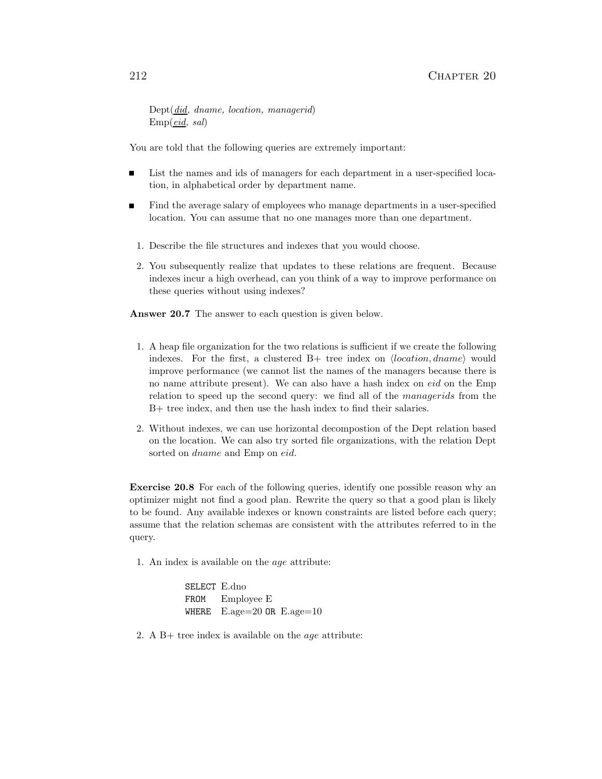Dept(*did, dname, location, managerid*) Emp(*eid, sal*)

You are told that the following queries are extremely important:

- List the names and ids of managers for each department in a user-specified location, in alphabetical order by department name.
- Find the average salary of employees who manage departments in a user-specified location. You can assume that no one manages more than one department.
- 1. Describe the file structures and indexes that you would choose.
- 2. You subsequently realize that updates to these relations are frequent. Because indexes incur a high overhead, can you think of a way to improve performance on these queries without using indexes?

**Answer 20.7** The answer to each question is given below.

- 1. A heap file organization for the two relations is sufficient if we create the following indexes. For the first, a clustered  $B+$  tree index on  $\langle location, channel \rangle$  would improve performance (we cannot list the names of the managers because there is no name attribute present). We can also have a hash index on eid on the Emp relation to speed up the second query: we find all of the managerids from the B+ tree index, and then use the hash index to find their salaries.
- 2. Without indexes, we can use horizontal decompostion of the Dept relation based on the location. We can also try sorted file organizations, with the relation Dept sorted on dname and Emp on eid.

**Exercise 20.8** For each of the following queries, identify one possible reason why an optimizer might not find a good plan. Rewrite the query so that a good plan is likely to be found. Any available indexes or known constraints are listed before each query; assume that the relation schemas are consistent with the attributes referred to in the query.

1. An index is available on the age attribute:

SELECT E.dno FROM Employee E WHERE E.age=20 OR E.age=10

2. A B+ tree index is available on the *age* attribute: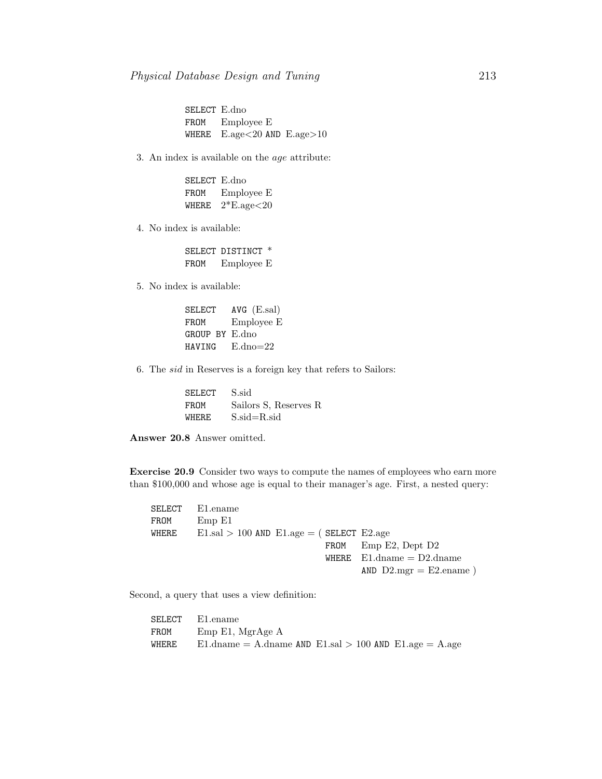SELECT E.dno FROM Employee E WHERE E.age<20 AND E.age>10

3. An index is available on the age attribute:

SELECT E.dno FROM Employee E WHERE  $2*E \cdot \text{age} < 20$ 

4. No index is available:

SELECT DISTINCT \* FROM Employee E

5. No index is available:

SELECT AVG (E.sal) FROM Employee E GROUP BY E.dno HAVING E.dno=22

6. The sid in Reserves is a foreign key that refers to Sailors:

| SELECT | S.sid                  |
|--------|------------------------|
| FROM   | Sailors S. Reserves R. |
| WHERE  | $S$ .sid= $R$ .sid     |

**Answer 20.8** Answer omitted.

**Exercise 20.9** Consider two ways to compute the names of employees who earn more than \$100,000 and whose age is equal to their manager's age. First, a nested query:

SELECT E1.ename FROM Emp E1 WHERE  $E1$ .sal > 100 AND  $E1$ .age = (SELECT E2.age FROM Emp E2, Dept D2  $WHERE$  E1.dname = D2.dname AND  $D2.mgr = E2.$ ename)

Second, a query that uses a view definition:

| SELECT E1.ename |                                                        |
|-----------------|--------------------------------------------------------|
| FROM            | Emp E1, MgrAge A                                       |
| WHERE           | E1.dname = A.dname AND E1.sal > 100 AND E1.age = A.age |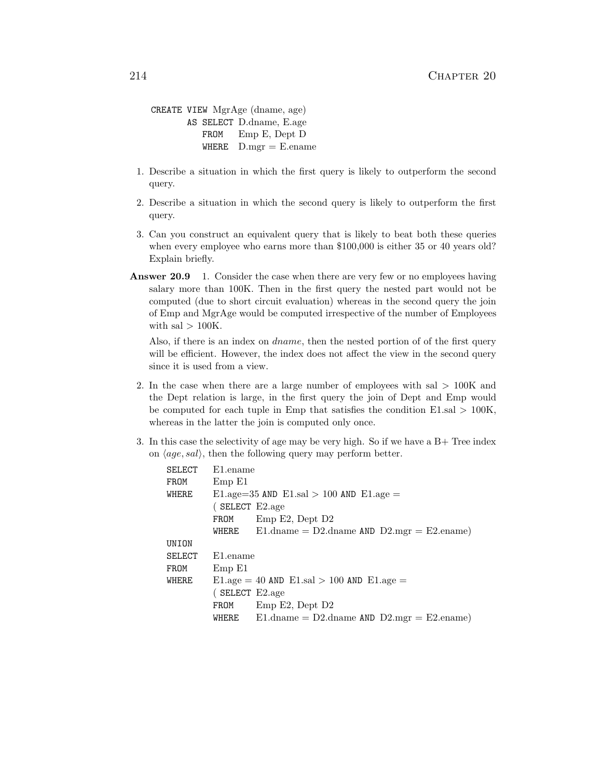CREATE VIEW MgrAge (dname, age) AS SELECT D.dname, E.age FROM Emp E, Dept D  $WHERE$   $D.mgr = E.$ ename

- 1. Describe a situation in which the first query is likely to outperform the second query.
- 2. Describe a situation in which the second query is likely to outperform the first query.
- 3. Can you construct an equivalent query that is likely to beat both these queries when every employee who earns more than \$100,000 is either 35 or 40 years old? Explain briefly.
- **Answer 20.9** 1. Consider the case when there are very few or no employees having salary more than 100K. Then in the first query the nested part would not be computed (due to short circuit evaluation) whereas in the second query the join of Emp and MgrAge would be computed irrespective of the number of Employees with  $sal > 100K$ .

Also, if there is an index on *dname*, then the nested portion of of the first query will be efficient. However, the index does not affect the view in the second query since it is used from a view.

- 2. In the case when there are a large number of employees with sal > 100K and the Dept relation is large, in the first query the join of Dept and Emp would be computed for each tuple in Emp that satisfies the condition  $E1$  sal  $> 100K$ , whereas in the latter the join is computed only once.
- 3. In this case the selectivity of age may be very high. So if we have a B+ Tree index on  $\langle age, sal \rangle$ , then the following query may perform better.

| <b>SELECT</b> | E1.ename          |                                                             |
|---------------|-------------------|-------------------------------------------------------------|
| FROM          | EmpE1             |                                                             |
| WHERE         |                   | E1.age=35 AND E1.sal > 100 AND E1.age =                     |
|               | $($ SELECT E2.age |                                                             |
|               |                   | FROM $\quad$ Emp E2, Dept D2                                |
|               |                   | WHERE $E1.dname = D2.dname \text{ AND } D2.mgr = E2.ename)$ |
| UNION         |                   |                                                             |
| <b>SELECT</b> | E1.ename          |                                                             |
| FROM          | EmpE1             |                                                             |
| WHERE         |                   | $E1.age = 40$ AND $E1$ sal $> 100$ AND $E1.age =$           |
|               | $($ SELECT E2.age |                                                             |
|               |                   | FROM $\quad$ Emp E2, Dept D2                                |
|               |                   | WHERE $E1.dname = D2.dname \text{ AND } D2.mgr = E2.ename)$ |
|               |                   |                                                             |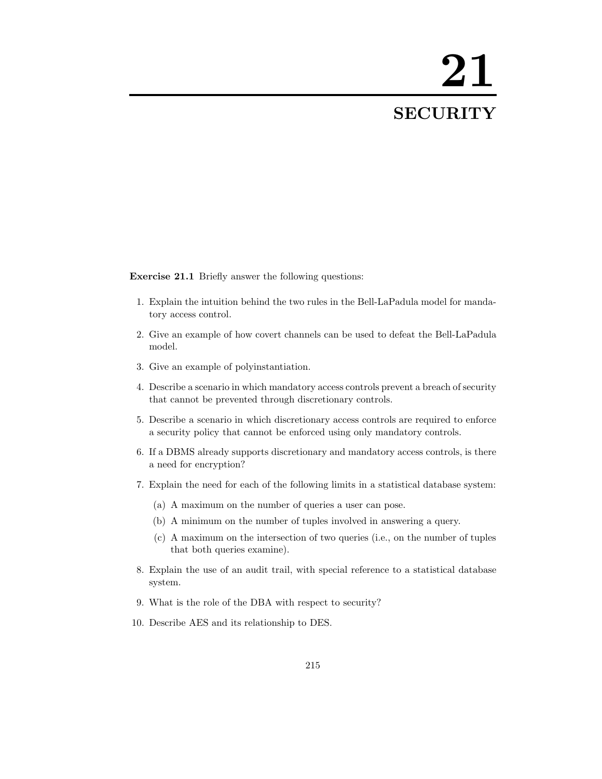# **21 SECURITY**

**Exercise 21.1** Briefly answer the following questions:

- 1. Explain the intuition behind the two rules in the Bell-LaPadula model for mandatory access control.
- 2. Give an example of how covert channels can be used to defeat the Bell-LaPadula model.
- 3. Give an example of polyinstantiation.
- 4. Describe a scenario in which mandatory access controls prevent a breach of security that cannot be prevented through discretionary controls.
- 5. Describe a scenario in which discretionary access controls are required to enforce a security policy that cannot be enforced using only mandatory controls.
- 6. If a DBMS already supports discretionary and mandatory access controls, is there a need for encryption?
- 7. Explain the need for each of the following limits in a statistical database system:
	- (a) A maximum on the number of queries a user can pose.
	- (b) A minimum on the number of tuples involved in answering a query.
	- (c) A maximum on the intersection of two queries (i.e., on the number of tuples that both queries examine).
- 8. Explain the use of an audit trail, with special reference to a statistical database system.
- 9. What is the role of the DBA with respect to security?
- 10. Describe AES and its relationship to DES.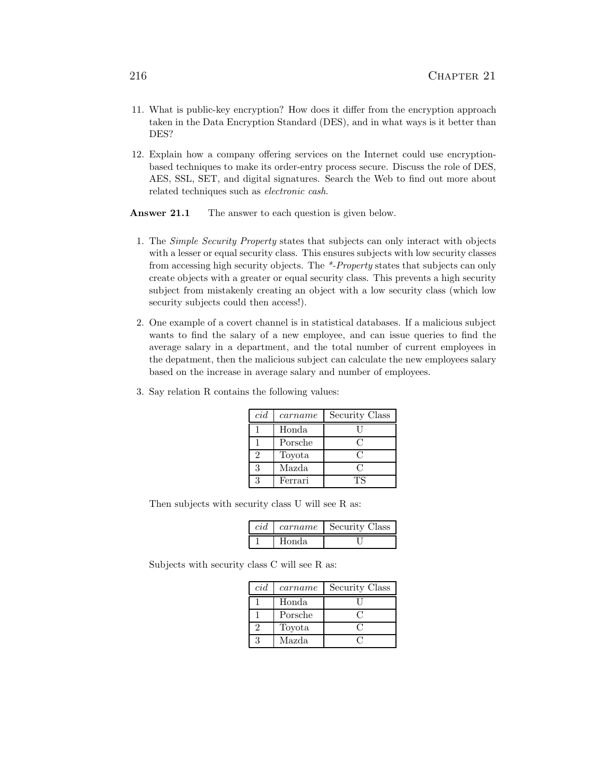- 11. What is public-key encryption? How does it differ from the encryption approach taken in the Data Encryption Standard (DES), and in what ways is it better than DES?
- 12. Explain how a company offering services on the Internet could use encryptionbased techniques to make its order-entry process secure. Discuss the role of DES, AES, SSL, SET, and digital signatures. Search the Web to find out more about related techniques such as *electronic cash*.

Answer 21.1 The answer to each question is given below.

- 1. The *Simple Security Property* states that subjects can only interact with objects with a lesser or equal security class. This ensures subjects with low security classes from accessing high security objects. The *\*-Property* states that subjects can only create objects with a greater or equal security class. This prevents a high security subject from mistakenly creating an object with a low security class (which low security subjects could then access!).
- 2. One example of a covert channel is in statistical databases. If a malicious subject wants to find the salary of a new employee, and can issue queries to find the average salary in a department, and the total number of current employees in the depatment, then the malicious subject can calculate the new employees salary based on the increase in average salary and number of employees.
- 3. Say relation R contains the following values:

| cid | carname | Security Class |
|-----|---------|----------------|
|     | Honda   |                |
|     | Porsche | ( )            |
| 2   | Toyota  | O.             |
| 3   | Mazda   | 0              |
| 3   | Ferrari | TS             |

Then subjects with security class U will see R as:

| cid |        | carname   Security Class |
|-----|--------|--------------------------|
|     | Honda. |                          |

Subjects with security class C will see R as:

| cid | carname | Security Class |
|-----|---------|----------------|
|     | Honda   |                |
|     | Porsche |                |
| '2  | Toyota  |                |
| 3   | Mazda   |                |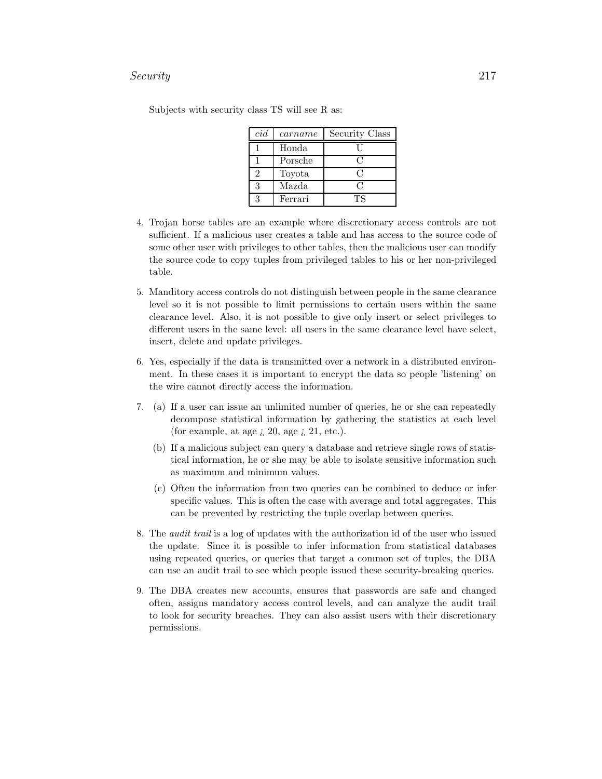Subjects with security class TS will see R as:

| cid | carname | Security Class |
|-----|---------|----------------|
|     | Honda   |                |
|     | Porsche | 0              |
|     | Toyota  | ⊖              |
|     | Mazda   | ∩              |
|     | Ferrari | ТS             |

- 4. Trojan horse tables are an example where discretionary access controls are not sufficient. If a malicious user creates a table and has access to the source code of some other user with privileges to other tables, then the malicious user can modify the source code to copy tuples from privileged tables to his or her non-privileged table.
- 5. Manditory access controls do not distinguish between people in the same clearance level so it is not possible to limit permissions to certain users within the same clearance level. Also, it is not possible to give only insert or select privileges to different users in the same level: all users in the same clearance level have select, insert, delete and update privileges.
- 6. Yes, especially if the data is transmitted over a network in a distributed environment. In these cases it is important to encrypt the data so people 'listening' on the wire cannot directly access the information.
- 7. (a) If a user can issue an unlimited number of queries, he or she can repeatedly decompose statistical information by gathering the statistics at each level (for example, at age  $\lambda$  20, age  $\lambda$  21, etc.).
	- (b) If a malicious subject can query a database and retrieve single rows of statistical information, he or she may be able to isolate sensitive information such as maximum and minimum values.
	- (c) Often the information from two queries can be combined to deduce or infer specific values. This is often the case with average and total aggregates. This can be prevented by restricting the tuple overlap between queries.
- 8. The *audit trail* is a log of updates with the authorization id of the user who issued the update. Since it is possible to infer information from statistical databases using repeated queries, or queries that target a common set of tuples, the DBA can use an audit trail to see which people issued these security-breaking queries.
- 9. The DBA creates new accounts, ensures that passwords are safe and changed often, assigns mandatory access control levels, and can analyze the audit trail to look for security breaches. They can also assist users with their discretionary permissions.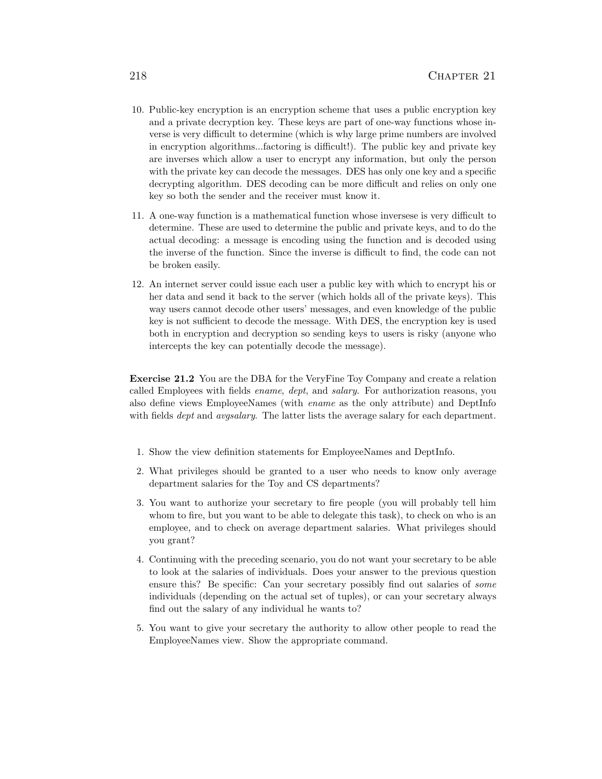- 10. Public-key encryption is an encryption scheme that uses a public encryption key and a private decryption key. These keys are part of one-way functions whose inverse is very difficult to determine (which is why large prime numbers are involved in encryption algorithms...factoring is difficult!). The public key and private key are inverses which allow a user to encrypt any information, but only the person with the private key can decode the messages. DES has only one key and a specific decrypting algorithm. DES decoding can be more difficult and relies on only one key so both the sender and the receiver must know it.
- 11. A one-way function is a mathematical function whose inversese is very difficult to determine. These are used to determine the public and private keys, and to do the actual decoding: a message is encoding using the function and is decoded using the inverse of the function. Since the inverse is difficult to find, the code can not be broken easily.
- 12. An internet server could issue each user a public key with which to encrypt his or her data and send it back to the server (which holds all of the private keys). This way users cannot decode other users' messages, and even knowledge of the public key is not sufficient to decode the message. With DES, the encryption key is used both in encryption and decryption so sending keys to users is risky (anyone who intercepts the key can potentially decode the message).

**Exercise 21.2** You are the DBA for the VeryFine Toy Company and create a relation called Employees with fields *ename*, *dept*, and *salary*. For authorization reasons, you also define views EmployeeNames (with *ename* as the only attribute) and DeptInfo with fields *dept* and *avgsalary*. The latter lists the average salary for each department.

- 1. Show the view definition statements for EmployeeNames and DeptInfo.
- 2. What privileges should be granted to a user who needs to know only average department salaries for the Toy and CS departments?
- 3. You want to authorize your secretary to fire people (you will probably tell him whom to fire, but you want to be able to delegate this task), to check on who is an employee, and to check on average department salaries. What privileges should you grant?
- 4. Continuing with the preceding scenario, you do not want your secretary to be able to look at the salaries of individuals. Does your answer to the previous question ensure this? Be specific: Can your secretary possibly find out salaries of *some* individuals (depending on the actual set of tuples), or can your secretary always find out the salary of any individual he wants to?
- 5. You want to give your secretary the authority to allow other people to read the EmployeeNames view. Show the appropriate command.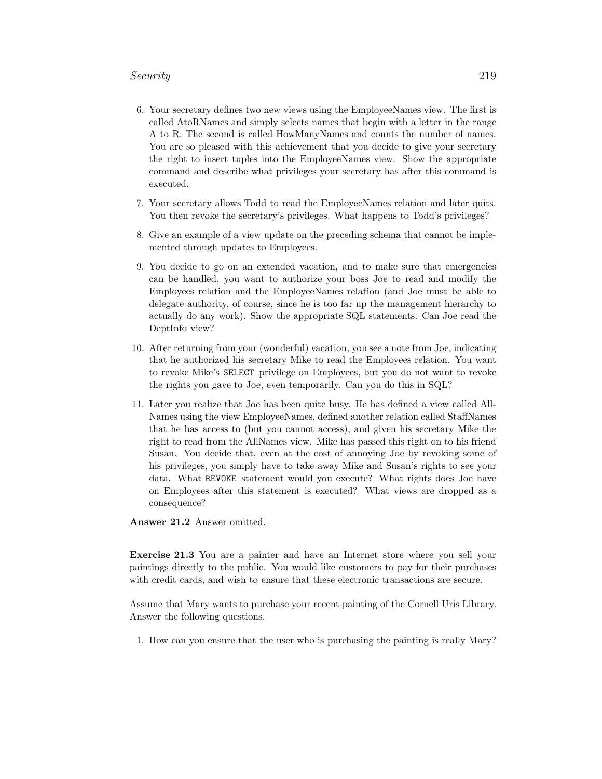- 6. Your secretary defines two new views using the EmployeeNames view. The first is called AtoRNames and simply selects names that begin with a letter in the range A to R. The second is called HowManyNames and counts the number of names. You are so pleased with this achievement that you decide to give your secretary the right to insert tuples into the EmployeeNames view. Show the appropriate command and describe what privileges your secretary has after this command is executed.
- 7. Your secretary allows Todd to read the EmployeeNames relation and later quits. You then revoke the secretary's privileges. What happens to Todd's privileges?
- 8. Give an example of a view update on the preceding schema that cannot be implemented through updates to Employees.
- 9. You decide to go on an extended vacation, and to make sure that emergencies can be handled, you want to authorize your boss Joe to read and modify the Employees relation and the EmployeeNames relation (and Joe must be able to delegate authority, of course, since he is too far up the management hierarchy to actually do any work). Show the appropriate SQL statements. Can Joe read the DeptInfo view?
- 10. After returning from your (wonderful) vacation, you see a note from Joe, indicating that he authorized his secretary Mike to read the Employees relation. You want to revoke Mike's SELECT privilege on Employees, but you do not want to revoke the rights you gave to Joe, even temporarily. Can you do this in SQL?
- 11. Later you realize that Joe has been quite busy. He has defined a view called All-Names using the view EmployeeNames, defined another relation called StaffNames that he has access to (but you cannot access), and given his secretary Mike the right to read from the AllNames view. Mike has passed this right on to his friend Susan. You decide that, even at the cost of annoying Joe by revoking some of his privileges, you simply have to take away Mike and Susan's rights to see your data. What REVOKE statement would you execute? What rights does Joe have on Employees after this statement is executed? What views are dropped as a consequence?

**Answer 21.2** Answer omitted.

**Exercise 21.3** You are a painter and have an Internet store where you sell your paintings directly to the public. You would like customers to pay for their purchases with credit cards, and wish to ensure that these electronic transactions are secure.

Assume that Mary wants to purchase your recent painting of the Cornell Uris Library. Answer the following questions.

1. How can you ensure that the user who is purchasing the painting is really Mary?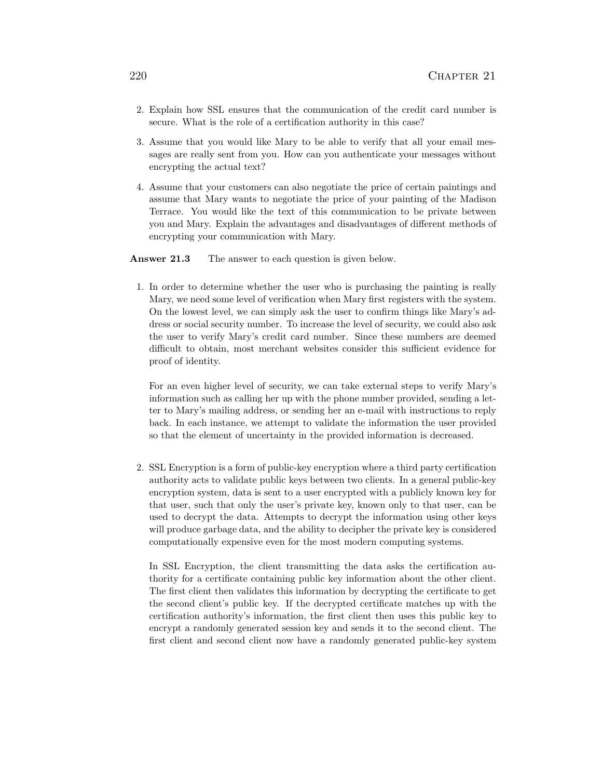- 2. Explain how SSL ensures that the communication of the credit card number is secure. What is the role of a certification authority in this case?
- 3. Assume that you would like Mary to be able to verify that all your email messages are really sent from you. How can you authenticate your messages without encrypting the actual text?
- 4. Assume that your customers can also negotiate the price of certain paintings and assume that Mary wants to negotiate the price of your painting of the Madison Terrace. You would like the text of this communication to be private between you and Mary. Explain the advantages and disadvantages of different methods of encrypting your communication with Mary.

#### Answer 21.3 The answer to each question is given below.

1. In order to determine whether the user who is purchasing the painting is really Mary, we need some level of verification when Mary first registers with the system. On the lowest level, we can simply ask the user to confirm things like Mary's address or social security number. To increase the level of security, we could also ask the user to verify Mary's credit card number. Since these numbers are deemed difficult to obtain, most merchant websites consider this sufficient evidence for proof of identity.

For an even higher level of security, we can take external steps to verify Mary's information such as calling her up with the phone number provided, sending a letter to Mary's mailing address, or sending her an e-mail with instructions to reply back. In each instance, we attempt to validate the information the user provided so that the element of uncertainty in the provided information is decreased.

2. SSL Encryption is a form of public-key encryption where a third party certification authority acts to validate public keys between two clients. In a general public-key encryption system, data is sent to a user encrypted with a publicly known key for that user, such that only the user's private key, known only to that user, can be used to decrypt the data. Attempts to decrypt the information using other keys will produce garbage data, and the ability to decipher the private key is considered computationally expensive even for the most modern computing systems.

In SSL Encryption, the client transmitting the data asks the certification authority for a certificate containing public key information about the other client. The first client then validates this information by decrypting the certificate to get the second client's public key. If the decrypted certificate matches up with the certification authority's information, the first client then uses this public key to encrypt a randomly generated session key and sends it to the second client. The first client and second client now have a randomly generated public-key system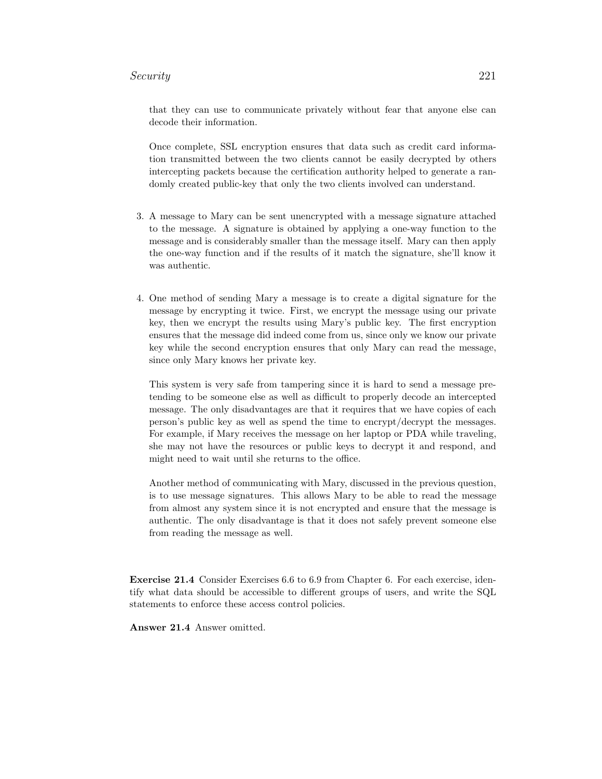that they can use to communicate privately without fear that anyone else can decode their information.

Once complete, SSL encryption ensures that data such as credit card information transmitted between the two clients cannot be easily decrypted by others intercepting packets because the certification authority helped to generate a randomly created public-key that only the two clients involved can understand.

- 3. A message to Mary can be sent unencrypted with a message signature attached to the message. A signature is obtained by applying a one-way function to the message and is considerably smaller than the message itself. Mary can then apply the one-way function and if the results of it match the signature, she'll know it was authentic.
- 4. One method of sending Mary a message is to create a digital signature for the message by encrypting it twice. First, we encrypt the message using our private key, then we encrypt the results using Mary's public key. The first encryption ensures that the message did indeed come from us, since only we know our private key while the second encryption ensures that only Mary can read the message, since only Mary knows her private key.

This system is very safe from tampering since it is hard to send a message pretending to be someone else as well as difficult to properly decode an intercepted message. The only disadvantages are that it requires that we have copies of each person's public key as well as spend the time to encrypt/decrypt the messages. For example, if Mary receives the message on her laptop or PDA while traveling, she may not have the resources or public keys to decrypt it and respond, and might need to wait until she returns to the office.

Another method of communicating with Mary, discussed in the previous question, is to use message signatures. This allows Mary to be able to read the message from almost any system since it is not encrypted and ensure that the message is authentic. The only disadvantage is that it does not safely prevent someone else from reading the message as well.

**Exercise 21.4** Consider Exercises 6.6 to 6.9 from Chapter 6. For each exercise, identify what data should be accessible to different groups of users, and write the SQL statements to enforce these access control policies.

**Answer 21.4** Answer omitted.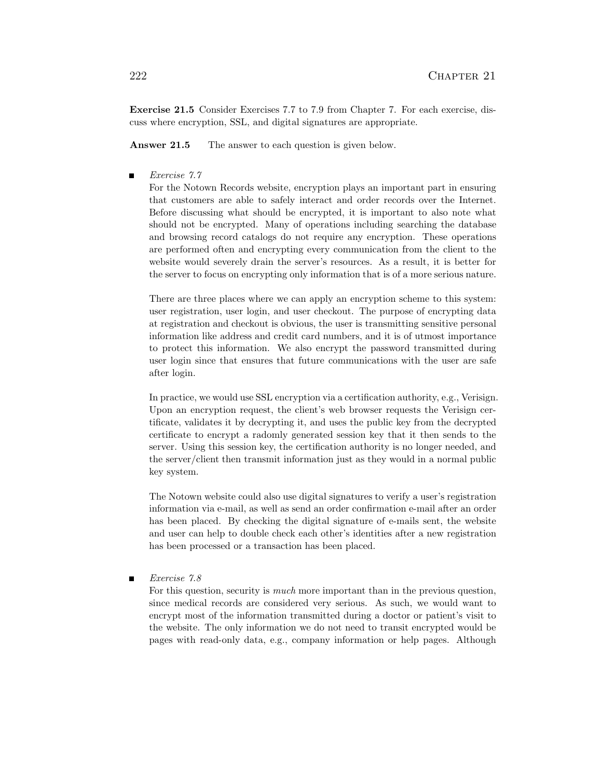**Exercise 21.5** Consider Exercises 7.7 to 7.9 from Chapter 7. For each exercise, discuss where encryption, SSL, and digital signatures are appropriate.

Answer 21.5 The answer to each question is given below.

*Exercise 7.7*  $\blacksquare$ 

> For the Notown Records website, encryption plays an important part in ensuring that customers are able to safely interact and order records over the Internet. Before discussing what should be encrypted, it is important to also note what should not be encrypted. Many of operations including searching the database and browsing record catalogs do not require any encryption. These operations are performed often and encrypting every communication from the client to the website would severely drain the server's resources. As a result, it is better for the server to focus on encrypting only information that is of a more serious nature.

> There are three places where we can apply an encryption scheme to this system: user registration, user login, and user checkout. The purpose of encrypting data at registration and checkout is obvious, the user is transmitting sensitive personal information like address and credit card numbers, and it is of utmost importance to protect this information. We also encrypt the password transmitted during user login since that ensures that future communications with the user are safe after login.

> In practice, we would use SSL encryption via a certification authority, e.g., Verisign. Upon an encryption request, the client's web browser requests the Verisign certificate, validates it by decrypting it, and uses the public key from the decrypted certificate to encrypt a radomly generated session key that it then sends to the server. Using this session key, the certification authority is no longer needed, and the server/client then transmit information just as they would in a normal public key system.

> The Notown website could also use digital signatures to verify a user's registration information via e-mail, as well as send an order confirmation e-mail after an order has been placed. By checking the digital signature of e-mails sent, the website and user can help to double check each other's identities after a new registration has been processed or a transaction has been placed.

*Exercise 7.8*

For this question, security is *much* more important than in the previous question, since medical records are considered very serious. As such, we would want to encrypt most of the information transmitted during a doctor or patient's visit to the website. The only information we do not need to transit encrypted would be pages with read-only data, e.g., company information or help pages. Although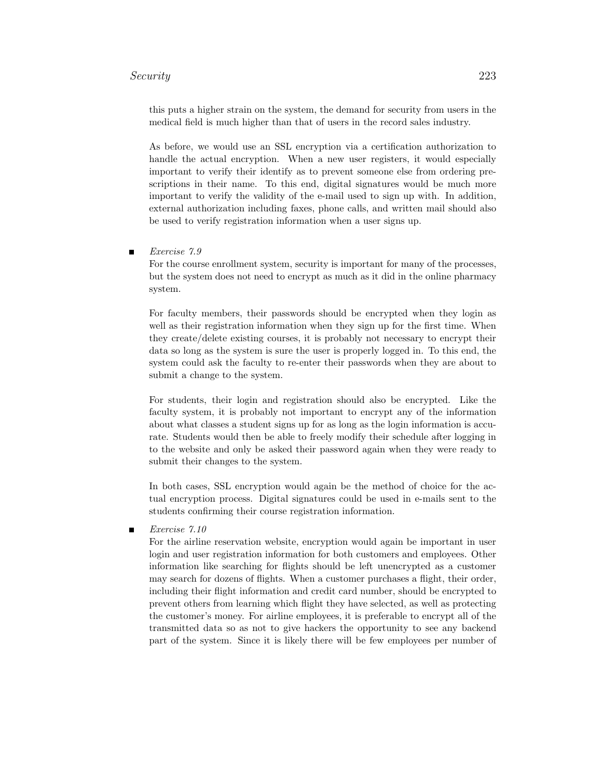this puts a higher strain on the system, the demand for security from users in the medical field is much higher than that of users in the record sales industry.

As before, we would use an SSL encryption via a certification authorization to handle the actual encryption. When a new user registers, it would especially important to verify their identify as to prevent someone else from ordering prescriptions in their name. To this end, digital signatures would be much more important to verify the validity of the e-mail used to sign up with. In addition, external authorization including faxes, phone calls, and written mail should also be used to verify registration information when a user signs up.

#### *Exercise 7.9*

For the course enrollment system, security is important for many of the processes, but the system does not need to encrypt as much as it did in the online pharmacy system.

For faculty members, their passwords should be encrypted when they login as well as their registration information when they sign up for the first time. When they create/delete existing courses, it is probably not necessary to encrypt their data so long as the system is sure the user is properly logged in. To this end, the system could ask the faculty to re-enter their passwords when they are about to submit a change to the system.

For students, their login and registration should also be encrypted. Like the faculty system, it is probably not important to encrypt any of the information about what classes a student signs up for as long as the login information is accurate. Students would then be able to freely modify their schedule after logging in to the website and only be asked their password again when they were ready to submit their changes to the system.

In both cases, SSL encryption would again be the method of choice for the actual encryption process. Digital signatures could be used in e-mails sent to the students confirming their course registration information.

#### *Exercise 7.10*

For the airline reservation website, encryption would again be important in user login and user registration information for both customers and employees. Other information like searching for flights should be left unencrypted as a customer may search for dozens of flights. When a customer purchases a flight, their order, including their flight information and credit card number, should be encrypted to prevent others from learning which flight they have selected, as well as protecting the customer's money. For airline employees, it is preferable to encrypt all of the transmitted data so as not to give hackers the opportunity to see any backend part of the system. Since it is likely there will be few employees per number of